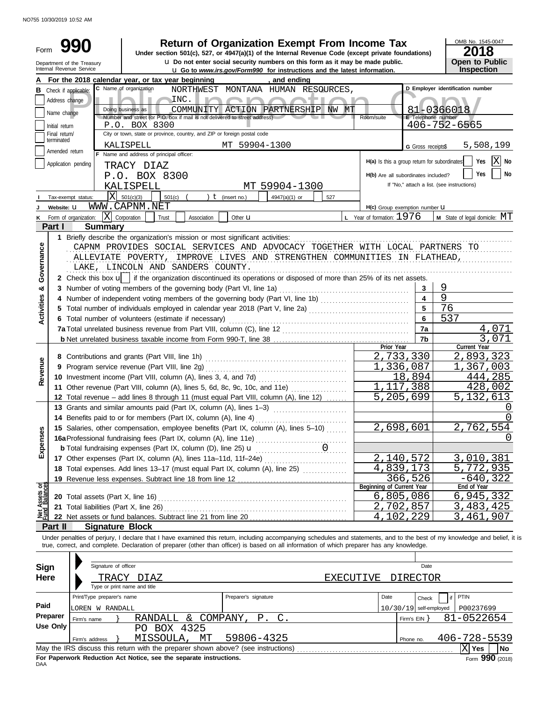NO755 10/30/2019 10:52 AM

| Form                                                                                          |                                                                                                                                                                                                                                                                   |                                                                                                                                                                            |                                                                            |                      | <b>Return of Organization Exempt From Income Tax</b><br>Under section 501(c), 527, or 4947(a)(1) of the Internal Revenue Code (except private foundations) |                  |                                              |                          | OMB No. 1545-0047<br>2018                  |                  |  |  |
|-----------------------------------------------------------------------------------------------|-------------------------------------------------------------------------------------------------------------------------------------------------------------------------------------------------------------------------------------------------------------------|----------------------------------------------------------------------------------------------------------------------------------------------------------------------------|----------------------------------------------------------------------------|----------------------|------------------------------------------------------------------------------------------------------------------------------------------------------------|------------------|----------------------------------------------|--------------------------|--------------------------------------------|------------------|--|--|
|                                                                                               | Open to Public<br><b>u</b> Do not enter social security numbers on this form as it may be made public.<br>Department of the Treasury<br>Inspection<br>Internal Revenue Service<br><b>u</b> Go to www.irs.gov/Form990 for instructions and the latest information. |                                                                                                                                                                            |                                                                            |                      |                                                                                                                                                            |                  |                                              |                          |                                            |                  |  |  |
|                                                                                               | For the 2018 calendar year, or tax year beginning<br>, and ending<br>A                                                                                                                                                                                            |                                                                                                                                                                            |                                                                            |                      |                                                                                                                                                            |                  |                                              |                          |                                            |                  |  |  |
|                                                                                               | C Name of organization<br>D Employer identification number<br>NORTHWEST MONTANA HUMAN RESOURCES,<br><b>B</b> Check if applicable:                                                                                                                                 |                                                                                                                                                                            |                                                                            |                      |                                                                                                                                                            |                  |                                              |                          |                                            |                  |  |  |
|                                                                                               | Address change                                                                                                                                                                                                                                                    |                                                                                                                                                                            | INC.                                                                       |                      |                                                                                                                                                            |                  |                                              |                          |                                            |                  |  |  |
|                                                                                               |                                                                                                                                                                                                                                                                   | Doing business as                                                                                                                                                          |                                                                            |                      | COMMUNITY ACTION PARTNERSHIP NW MT                                                                                                                         |                  |                                              |                          | 81-0366018                                 |                  |  |  |
|                                                                                               | Name change                                                                                                                                                                                                                                                       |                                                                                                                                                                            | Number and street (or P.O. box if mail is not delivered to street address) |                      |                                                                                                                                                            |                  | Room/suite                                   | E Telephone number       |                                            |                  |  |  |
|                                                                                               | Initial return                                                                                                                                                                                                                                                    | 406-752-6565                                                                                                                                                               |                                                                            |                      |                                                                                                                                                            |                  |                                              |                          |                                            |                  |  |  |
|                                                                                               | Final return/                                                                                                                                                                                                                                                     |                                                                                                                                                                            |                                                                            |                      |                                                                                                                                                            |                  |                                              |                          |                                            |                  |  |  |
| terminated<br>MT 59904-1300<br>KALISPELL<br>5,508,199<br>G Gross receipts\$<br>Amended return |                                                                                                                                                                                                                                                                   |                                                                                                                                                                            |                                                                            |                      |                                                                                                                                                            |                  |                                              |                          |                                            |                  |  |  |
|                                                                                               |                                                                                                                                                                                                                                                                   | F Name and address of principal officer:                                                                                                                                   |                                                                            |                      |                                                                                                                                                            |                  |                                              |                          |                                            |                  |  |  |
|                                                                                               |                                                                                                                                                                                                                                                                   | Application pending<br>TRACY DIAZ                                                                                                                                          |                                                                            |                      |                                                                                                                                                            |                  | H(a) Is this a group return for subordinates |                          | ΙX<br>Yes                                  | No               |  |  |
|                                                                                               |                                                                                                                                                                                                                                                                   | P.O. BOX 8300                                                                                                                                                              |                                                                            |                      |                                                                                                                                                            |                  | H(b) Are all subordinates included?          |                          | Yes                                        | No               |  |  |
|                                                                                               |                                                                                                                                                                                                                                                                   | KALISPELL                                                                                                                                                                  |                                                                            |                      | MT 59904-1300                                                                                                                                              |                  |                                              |                          | If "No," attach a list. (see instructions) |                  |  |  |
|                                                                                               |                                                                                                                                                                                                                                                                   | X<br>501(c)(3)<br>Tax-exempt status:                                                                                                                                       | 501(c)                                                                     | $t$ (insert no.)     | 4947(a)(1) or<br>527                                                                                                                                       |                  |                                              |                          |                                            |                  |  |  |
|                                                                                               | Website: U                                                                                                                                                                                                                                                        | WWW.CAPNM.NET                                                                                                                                                              |                                                                            |                      |                                                                                                                                                            |                  | H(c) Group exemption number <b>U</b>         |                          |                                            |                  |  |  |
|                                                                                               |                                                                                                                                                                                                                                                                   | X Corporation<br>K Form of organization:                                                                                                                                   | Trust<br>Association                                                       | Other <b>u</b>       |                                                                                                                                                            |                  | <b>L</b> Year of formation: $1976$           |                          | M State of legal domicile: MT              |                  |  |  |
|                                                                                               | Part I                                                                                                                                                                                                                                                            | <b>Summary</b>                                                                                                                                                             |                                                                            |                      |                                                                                                                                                            |                  |                                              |                          |                                            |                  |  |  |
|                                                                                               |                                                                                                                                                                                                                                                                   | 1 Briefly describe the organization's mission or most significant activities:                                                                                              |                                                                            |                      |                                                                                                                                                            |                  |                                              |                          |                                            |                  |  |  |
|                                                                                               |                                                                                                                                                                                                                                                                   | CAPNM PROVIDES SOCIAL SERVICES AND ADVOCACY TOGETHER WITH LOCAL PARTNERS TO                                                                                                |                                                                            |                      |                                                                                                                                                            |                  |                                              |                          |                                            |                  |  |  |
| Governance                                                                                    |                                                                                                                                                                                                                                                                   | ALLEVIATE POVERTY, IMPROVE LIVES AND STRENGTHEN COMMUNITIES IN FLATHEAD,                                                                                                   |                                                                            |                      |                                                                                                                                                            |                  |                                              |                          |                                            |                  |  |  |
|                                                                                               |                                                                                                                                                                                                                                                                   | LAKE, LINCOLN AND SANDERS COUNTY.                                                                                                                                          |                                                                            |                      |                                                                                                                                                            |                  |                                              |                          |                                            |                  |  |  |
|                                                                                               |                                                                                                                                                                                                                                                                   | 2 Check this box u   if the organization discontinued its operations or disposed of more than 25% of its net assets.                                                       |                                                                            |                      |                                                                                                                                                            |                  |                                              |                          |                                            |                  |  |  |
|                                                                                               |                                                                                                                                                                                                                                                                   | 3 Number of voting members of the governing body (Part VI, line 1a)                                                                                                        |                                                                            |                      |                                                                                                                                                            |                  |                                              | 3                        | 9                                          |                  |  |  |
| න්                                                                                            |                                                                                                                                                                                                                                                                   |                                                                                                                                                                            |                                                                            |                      |                                                                                                                                                            |                  |                                              | $\overline{\mathbf{4}}$  | 9                                          |                  |  |  |
|                                                                                               |                                                                                                                                                                                                                                                                   | 4 Number of independent voting members of the governing body (Part VI, line 1b)                                                                                            |                                                                            |                      |                                                                                                                                                            |                  |                                              |                          | 76                                         |                  |  |  |
| <b>Activities</b>                                                                             |                                                                                                                                                                                                                                                                   | 5 Total number of individuals employed in calendar year 2018 (Part V, line 2a)                                                                                             |                                                                            |                      |                                                                                                                                                            |                  |                                              | 6                        |                                            |                  |  |  |
|                                                                                               |                                                                                                                                                                                                                                                                   | 6 Total number of volunteers (estimate if necessary)                                                                                                                       |                                                                            |                      |                                                                                                                                                            |                  |                                              |                          | 537                                        |                  |  |  |
|                                                                                               |                                                                                                                                                                                                                                                                   |                                                                                                                                                                            |                                                                            |                      |                                                                                                                                                            |                  |                                              | 7a                       | 4,071                                      |                  |  |  |
|                                                                                               |                                                                                                                                                                                                                                                                   |                                                                                                                                                                            |                                                                            |                      |                                                                                                                                                            |                  | Prior Year                                   | 7b                       | 3,071<br>Current Year                      |                  |  |  |
|                                                                                               |                                                                                                                                                                                                                                                                   | 8 Contributions and grants (Part VIII, line 1h)                                                                                                                            |                                                                            |                      |                                                                                                                                                            |                  | 2,733,330                                    |                          | 2,893,323                                  |                  |  |  |
|                                                                                               |                                                                                                                                                                                                                                                                   | 9 Program service revenue (Part VIII, line 2g)                                                                                                                             |                                                                            |                      |                                                                                                                                                            |                  | 1,336,087                                    |                          | 1,367,003                                  |                  |  |  |
| Revenue                                                                                       |                                                                                                                                                                                                                                                                   | 10 Investment income (Part VIII, column (A), lines 3, 4, and 7d)                                                                                                           |                                                                            |                      |                                                                                                                                                            |                  |                                              | 18,894                   | 444,285                                    |                  |  |  |
|                                                                                               |                                                                                                                                                                                                                                                                   | 11 Other revenue (Part VIII, column (A), lines 5, 6d, 8c, 9c, 10c, and 11e)                                                                                                |                                                                            |                      |                                                                                                                                                            |                  | 117                                          | ,388                     | 428,002                                    |                  |  |  |
|                                                                                               |                                                                                                                                                                                                                                                                   | 12 Total revenue – add lines 8 through 11 (must equal Part VIII, column (A), line 12)                                                                                      |                                                                            |                      |                                                                                                                                                            |                  | 5,<br>205                                    | 699                      | 5,132,613                                  |                  |  |  |
|                                                                                               |                                                                                                                                                                                                                                                                   | 13 Grants and similar amounts paid (Part IX, column (A), lines 1-3)                                                                                                        |                                                                            |                      |                                                                                                                                                            |                  |                                              |                          |                                            | $\left( \right)$ |  |  |
|                                                                                               |                                                                                                                                                                                                                                                                   | 14 Benefits paid to or for members (Part IX, column (A), line 4)                                                                                                           |                                                                            |                      |                                                                                                                                                            |                  |                                              |                          |                                            | 0                |  |  |
|                                                                                               |                                                                                                                                                                                                                                                                   |                                                                                                                                                                            |                                                                            |                      |                                                                                                                                                            |                  | 2,698,601                                    |                          | 2,762,554                                  |                  |  |  |
|                                                                                               |                                                                                                                                                                                                                                                                   | 15 Salaries, other compensation, employee benefits (Part IX, column (A), lines 5-10)                                                                                       |                                                                            |                      |                                                                                                                                                            |                  |                                              |                          |                                            |                  |  |  |
| Expenses                                                                                      |                                                                                                                                                                                                                                                                   |                                                                                                                                                                            |                                                                            |                      |                                                                                                                                                            |                  |                                              |                          |                                            |                  |  |  |
|                                                                                               |                                                                                                                                                                                                                                                                   | <b>b</b> Total fundraising expenses (Part IX, column (D), line 25) <b>u</b>                                                                                                |                                                                            |                      |                                                                                                                                                            |                  |                                              |                          |                                            |                  |  |  |
|                                                                                               |                                                                                                                                                                                                                                                                   | 17 Other expenses (Part IX, column (A), lines 11a-11d, 11f-24e)                                                                                                            |                                                                            |                      |                                                                                                                                                            |                  | 2,140,572                                    |                          | 3,010,381                                  |                  |  |  |
|                                                                                               |                                                                                                                                                                                                                                                                   |                                                                                                                                                                            |                                                                            |                      |                                                                                                                                                            |                  | 4,839,173                                    |                          | 5,772,935                                  |                  |  |  |
|                                                                                               |                                                                                                                                                                                                                                                                   |                                                                                                                                                                            |                                                                            |                      |                                                                                                                                                            |                  | Beginning of Current Year                    | 366,526                  | $-640, 322$<br>End of Year                 |                  |  |  |
| Assets or                                                                                     |                                                                                                                                                                                                                                                                   |                                                                                                                                                                            |                                                                            |                      |                                                                                                                                                            |                  | 6,805,086                                    |                          | 6,945,332                                  |                  |  |  |
|                                                                                               |                                                                                                                                                                                                                                                                   | 20 Total assets (Part X, line 16) Mathematical and Total and Total assets (Part X, line 16)                                                                                |                                                                            |                      |                                                                                                                                                            |                  | 2,702,857                                    |                          | 483,425<br>3.                              |                  |  |  |
| <b>PED</b><br>Pund                                                                            |                                                                                                                                                                                                                                                                   |                                                                                                                                                                            |                                                                            |                      |                                                                                                                                                            |                  | 4,102,229                                    |                          | 461,907<br>3,                              |                  |  |  |
|                                                                                               | Part II                                                                                                                                                                                                                                                           | <b>Signature Block</b>                                                                                                                                                     |                                                                            |                      |                                                                                                                                                            |                  |                                              |                          |                                            |                  |  |  |
|                                                                                               |                                                                                                                                                                                                                                                                   | Under penalties of perjury, I declare that I have examined this return, including accompanying schedules and statements, and to the best of my knowledge and belief, it is |                                                                            |                      |                                                                                                                                                            |                  |                                              |                          |                                            |                  |  |  |
|                                                                                               |                                                                                                                                                                                                                                                                   | true, correct, and complete. Declaration of preparer (other than officer) is based on all information of which preparer has any knowledge.                                 |                                                                            |                      |                                                                                                                                                            |                  |                                              |                          |                                            |                  |  |  |
|                                                                                               |                                                                                                                                                                                                                                                                   |                                                                                                                                                                            |                                                                            |                      |                                                                                                                                                            |                  |                                              |                          |                                            |                  |  |  |
| Sign                                                                                          |                                                                                                                                                                                                                                                                   | Signature of officer                                                                                                                                                       |                                                                            |                      |                                                                                                                                                            |                  |                                              | Date                     |                                            |                  |  |  |
|                                                                                               |                                                                                                                                                                                                                                                                   |                                                                                                                                                                            |                                                                            |                      |                                                                                                                                                            |                  |                                              |                          |                                            |                  |  |  |
| <b>Here</b>                                                                                   |                                                                                                                                                                                                                                                                   | TRACY DIAZ<br>Type or print name and title                                                                                                                                 |                                                                            |                      |                                                                                                                                                            | <b>EXECUTIVE</b> |                                              | <b>DIRECTOR</b>          |                                            |                  |  |  |
|                                                                                               |                                                                                                                                                                                                                                                                   | Print/Type preparer's name                                                                                                                                                 |                                                                            | Preparer's signature |                                                                                                                                                            |                  | Date                                         |                          | PTIN                                       |                  |  |  |
| Paid                                                                                          |                                                                                                                                                                                                                                                                   |                                                                                                                                                                            |                                                                            |                      |                                                                                                                                                            |                  |                                              | Check                    |                                            |                  |  |  |
|                                                                                               | Preparer                                                                                                                                                                                                                                                          | LOREN W RANDALL                                                                                                                                                            |                                                                            |                      |                                                                                                                                                            |                  |                                              | $10/30/19$ self-employed | P00237699                                  |                  |  |  |
|                                                                                               | <b>Use Only</b>                                                                                                                                                                                                                                                   | Firm's name                                                                                                                                                                | RANDALL & COMPANY,                                                         | $P$ .                | $\mathsf{C}$ .                                                                                                                                             |                  |                                              | Firm's $EIN$ }           | 81-0522654                                 |                  |  |  |
|                                                                                               |                                                                                                                                                                                                                                                                   |                                                                                                                                                                            | PO BOX 4325                                                                |                      |                                                                                                                                                            |                  |                                              |                          |                                            |                  |  |  |
|                                                                                               |                                                                                                                                                                                                                                                                   | Firm's address                                                                                                                                                             | MISSOULA,<br>MТ                                                            | 59806-4325           |                                                                                                                                                            |                  |                                              | Phone no.                | 406-728-5539                               |                  |  |  |
|                                                                                               |                                                                                                                                                                                                                                                                   |                                                                                                                                                                            |                                                                            |                      |                                                                                                                                                            |                  |                                              |                          | ∣X  Yes                                    | No               |  |  |

| For Paperwork Reduction Act Notice, see the separate instructions.<br>DAA |  |  |
|---------------------------------------------------------------------------|--|--|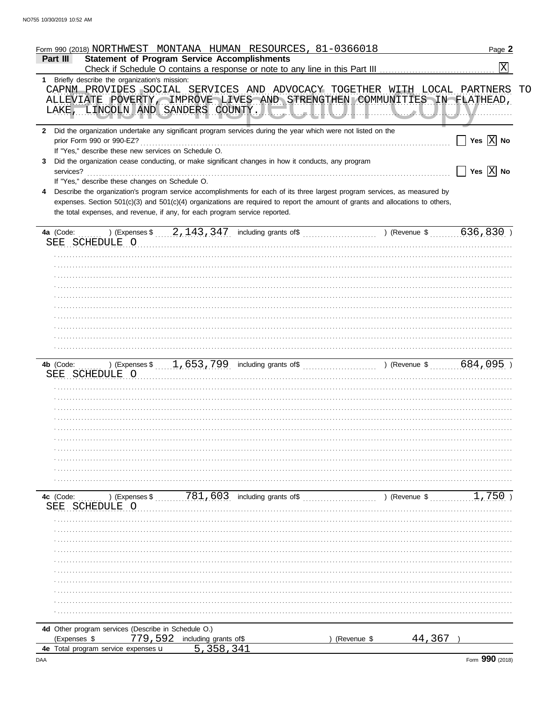|                                                            | Form 990 (2018) NORTHWEST MONTANA HUMAN RESOURCES, 81-0366018                                                                                       |               | Page 2                             |
|------------------------------------------------------------|-----------------------------------------------------------------------------------------------------------------------------------------------------|---------------|------------------------------------|
| Part III                                                   | <b>Statement of Program Service Accomplishments</b>                                                                                                 |               |                                    |
|                                                            |                                                                                                                                                     |               | $\overline{\mathrm{x}}$            |
| Briefly describe the organization's mission:<br>1.         |                                                                                                                                                     |               |                                    |
|                                                            | CAPNM PROVIDES SOCIAL SERVICES AND ADVOCACY TOGETHER WITH LOCAL PARTNERS<br>ALLEVIATE POVERTY IMPROVE LIVES AND STRENGTHEN COMMUNITIES IN FLATHEAD, |               |                                    |
| LAKE,                                                      |                                                                                                                                                     |               |                                    |
|                                                            | LINCOLN AND SANDERS COUNTY.                                                                                                                         |               |                                    |
| $\mathbf{2}$                                               | Did the organization undertake any significant program services during the year which were not listed on the                                        |               |                                    |
| prior Form 990 or 990-EZ?                                  |                                                                                                                                                     |               | $\Box$ Yes $\boxed{\mathrm{X}}$ No |
| If "Yes," describe these new services on Schedule O.       |                                                                                                                                                     |               |                                    |
|                                                            | Did the organization cease conducting, or make significant changes in how it conducts, any program                                                  |               |                                    |
| services?                                                  |                                                                                                                                                     |               | $\Box$ Yes $\boxed{\mathrm{X}}$ No |
| If "Yes," describe these changes on Schedule O.            |                                                                                                                                                     |               |                                    |
|                                                            | Describe the organization's program service accomplishments for each of its three largest program services, as measured by                          |               |                                    |
|                                                            | expenses. Section 501(c)(3) and 501(c)(4) organizations are required to report the amount of grants and allocations to others,                      |               |                                    |
|                                                            | the total expenses, and revenue, if any, for each program service reported.                                                                         |               |                                    |
|                                                            |                                                                                                                                                     |               |                                    |
| 4a (Code:                                                  | ) (Expenses \$ $\qquad 2, 143, 347$ including grants of \$                                                                                          |               | ) (Revenue \$ 636,830)             |
| SEE SCHEDULE O                                             |                                                                                                                                                     |               |                                    |
|                                                            |                                                                                                                                                     |               |                                    |
|                                                            |                                                                                                                                                     |               |                                    |
|                                                            |                                                                                                                                                     |               |                                    |
|                                                            |                                                                                                                                                     |               |                                    |
|                                                            |                                                                                                                                                     |               |                                    |
|                                                            |                                                                                                                                                     |               |                                    |
|                                                            |                                                                                                                                                     |               |                                    |
|                                                            |                                                                                                                                                     |               |                                    |
|                                                            |                                                                                                                                                     |               |                                    |
|                                                            |                                                                                                                                                     |               |                                    |
|                                                            |                                                                                                                                                     |               |                                    |
|                                                            |                                                                                                                                                     |               |                                    |
| SEE SCHEDULE O                                             |                                                                                                                                                     |               |                                    |
|                                                            |                                                                                                                                                     |               |                                    |
|                                                            |                                                                                                                                                     |               |                                    |
|                                                            |                                                                                                                                                     |               |                                    |
|                                                            |                                                                                                                                                     |               |                                    |
|                                                            |                                                                                                                                                     |               |                                    |
|                                                            |                                                                                                                                                     |               |                                    |
|                                                            |                                                                                                                                                     |               |                                    |
|                                                            |                                                                                                                                                     |               |                                    |
|                                                            |                                                                                                                                                     |               |                                    |
|                                                            |                                                                                                                                                     |               |                                    |
| 4c (Code:<br>) (Expenses \$                                | $781,603$ including grants of \$                                                                                                                    | ) (Revenue \$ | 1,750)                             |
| SCHEDULE O                                                 |                                                                                                                                                     |               |                                    |
|                                                            |                                                                                                                                                     |               |                                    |
|                                                            |                                                                                                                                                     |               |                                    |
|                                                            |                                                                                                                                                     |               |                                    |
|                                                            |                                                                                                                                                     |               |                                    |
|                                                            |                                                                                                                                                     |               |                                    |
|                                                            |                                                                                                                                                     |               |                                    |
|                                                            |                                                                                                                                                     |               |                                    |
|                                                            |                                                                                                                                                     |               |                                    |
|                                                            |                                                                                                                                                     |               |                                    |
|                                                            |                                                                                                                                                     |               |                                    |
|                                                            |                                                                                                                                                     |               |                                    |
| 4d Other program services (Describe in Schedule O.)        |                                                                                                                                                     |               |                                    |
| 779,592                                                    |                                                                                                                                                     | 44,367        |                                    |
| (Expenses \$<br>4e Total program service expenses <b>u</b> | including grants of\$<br>. 358.341<br>5                                                                                                             | (Revenue \$   |                                    |
|                                                            |                                                                                                                                                     |               |                                    |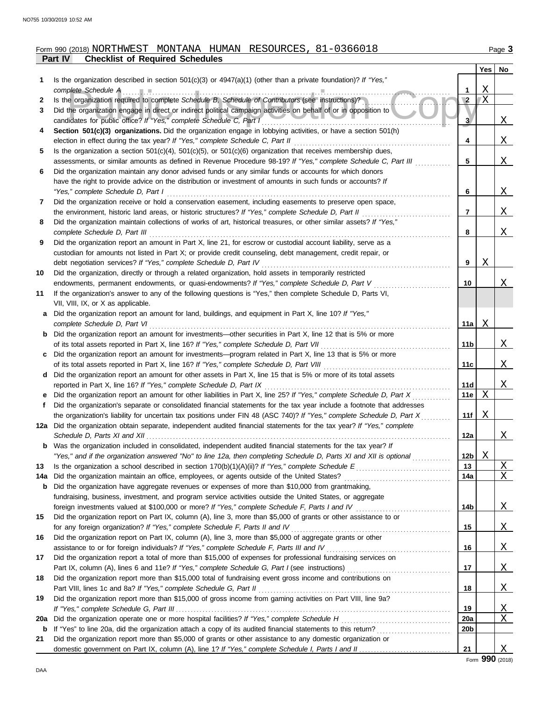# **Part IV Checklist of Required Schedules** Form 990 (2018) NORTHWEST MONTANA HUMAN RESOURCES, 81-0366018

|     | ган IV<br><b>UICURIST OF DEVALUE SUICURES</b>                                                                                                                                                                 |                 |         |                |
|-----|---------------------------------------------------------------------------------------------------------------------------------------------------------------------------------------------------------------|-----------------|---------|----------------|
|     |                                                                                                                                                                                                               |                 | Yes     | No             |
| 1   | Is the organization described in section 501(c)(3) or $4947(a)(1)$ (other than a private foundation)? If "Yes,"                                                                                               |                 |         |                |
|     | complete Schedule A                                                                                                                                                                                           | 1               | Χ<br>ΙX |                |
| 2   | Is the organization required to complete Schedule B, Schedule of Contributors (see instructions)?                                                                                                             | $\sqrt{2}$      |         |                |
| 3   | Did the organization engage in direct or indirect political campaign activities on behalf of or in opposition to                                                                                              |                 |         |                |
|     | candidates for public office? If "Yes," complete Schedule C, Part I                                                                                                                                           | 3               |         | $\mathbf{X}$   |
| 4   | Section 501(c)(3) organizations. Did the organization engage in lobbying activities, or have a section 501(h)                                                                                                 |                 |         |                |
|     | election in effect during the tax year? If "Yes," complete Schedule C, Part II                                                                                                                                | 4               |         | $\mathbf{X}$   |
| 5   | Is the organization a section $501(c)(4)$ , $501(c)(5)$ , or $501(c)(6)$ organization that receives membership dues,                                                                                          |                 |         |                |
|     | assessments, or similar amounts as defined in Revenue Procedure 98-19? If "Yes," complete Schedule C, Part III                                                                                                | 5               |         | X              |
| 6   | Did the organization maintain any donor advised funds or any similar funds or accounts for which donors                                                                                                       |                 |         |                |
|     | have the right to provide advice on the distribution or investment of amounts in such funds or accounts? If                                                                                                   |                 |         |                |
|     | "Yes," complete Schedule D, Part I                                                                                                                                                                            | 6               |         | X              |
| 7   | Did the organization receive or hold a conservation easement, including easements to preserve open space,                                                                                                     |                 |         |                |
|     | the environment, historic land areas, or historic structures? If "Yes," complete Schedule D, Part II                                                                                                          | 7               |         | X              |
| 8   | Did the organization maintain collections of works of art, historical treasures, or other similar assets? If "Yes,"                                                                                           |                 |         |                |
|     | complete Schedule D, Part III                                                                                                                                                                                 | 8               |         | X              |
| 9   | Did the organization report an amount in Part X, line 21, for escrow or custodial account liability, serve as a                                                                                               |                 |         |                |
|     | custodian for amounts not listed in Part X; or provide credit counseling, debt management, credit repair, or                                                                                                  |                 |         |                |
|     | debt negotiation services? If "Yes," complete Schedule D, Part IV                                                                                                                                             | 9               | Χ       |                |
| 10  | Did the organization, directly or through a related organization, hold assets in temporarily restricted                                                                                                       |                 |         |                |
|     | endowments, permanent endowments, or quasi-endowments? If "Yes," complete Schedule D, Part V                                                                                                                  | 10              |         | Χ              |
| 11  | If the organization's answer to any of the following questions is "Yes," then complete Schedule D, Parts VI,                                                                                                  |                 |         |                |
|     | VII, VIII, IX, or X as applicable.                                                                                                                                                                            |                 |         |                |
| a   | Did the organization report an amount for land, buildings, and equipment in Part X, line 10? If "Yes,"                                                                                                        |                 |         |                |
|     | complete Schedule D, Part VI                                                                                                                                                                                  | 11a             | Χ       |                |
|     | <b>b</b> Did the organization report an amount for investments—other securities in Part X, line 12 that is 5% or more                                                                                         |                 |         |                |
|     | of its total assets reported in Part X, line 16? If "Yes," complete Schedule D, Part VII                                                                                                                      | 11 <sub>b</sub> |         | X              |
| C   | Did the organization report an amount for investments—program related in Part X, line 13 that is 5% or more                                                                                                   |                 |         |                |
|     | of its total assets reported in Part X, line 16? If "Yes," complete Schedule D, Part VIII                                                                                                                     | 11c             |         | X              |
|     | d Did the organization report an amount for other assets in Part X, line 15 that is 5% or more of its total assets                                                                                            |                 |         |                |
|     | reported in Part X, line 16? If "Yes," complete Schedule D, Part IX                                                                                                                                           | 11d             |         | X              |
|     | Did the organization report an amount for other liabilities in Part X, line 25? If "Yes," complete Schedule D, Part X                                                                                         | 11e             | X       |                |
| f.  | Did the organization's separate or consolidated financial statements for the tax year include a footnote that addresses                                                                                       |                 |         |                |
|     | the organization's liability for uncertain tax positions under FIN 48 (ASC 740)? If "Yes," complete Schedule D, Part X                                                                                        | 11f             | Χ       |                |
|     | 12a Did the organization obtain separate, independent audited financial statements for the tax year? If "Yes," complete                                                                                       |                 |         |                |
|     | Schedule D, Parts XI and XII                                                                                                                                                                                  | 12a             |         | Χ              |
|     | Was the organization included in consolidated, independent audited financial statements for the tax year? If                                                                                                  |                 |         |                |
|     | "Yes," and if the organization answered "No" to line 12a, then completing Schedule D, Parts XI and XII is optional                                                                                            | 12 <sub>b</sub> | Χ       |                |
| 13  |                                                                                                                                                                                                               | 13              |         | $\overline{X}$ |
|     |                                                                                                                                                                                                               | 14a             |         | X              |
| 14a | Did the organization maintain an office, employees, or agents outside of the United States?                                                                                                                   |                 |         |                |
| b   | Did the organization have aggregate revenues or expenses of more than \$10,000 from grantmaking,<br>fundraising, business, investment, and program service activities outside the United States, or aggregate |                 |         |                |
|     |                                                                                                                                                                                                               | 14 <sub>b</sub> |         |                |
|     | foreign investments valued at \$100,000 or more? If "Yes," complete Schedule F, Parts I and IV                                                                                                                |                 |         | <u>X</u>       |
| 15  | Did the organization report on Part IX, column (A), line 3, more than \$5,000 of grants or other assistance to or                                                                                             |                 |         |                |
|     | for any foreign organization? If "Yes," complete Schedule F, Parts II and IV                                                                                                                                  | 15              |         | <u>X</u>       |
| 16  | Did the organization report on Part IX, column (A), line 3, more than \$5,000 of aggregate grants or other                                                                                                    |                 |         |                |
|     | assistance to or for foreign individuals? If "Yes," complete Schedule F, Parts III and IV                                                                                                                     | 16              |         | <u>X</u>       |
| 17  | Did the organization report a total of more than \$15,000 of expenses for professional fundraising services on                                                                                                |                 |         |                |
|     |                                                                                                                                                                                                               | 17              |         | <u>x</u>       |
| 18  | Did the organization report more than \$15,000 total of fundraising event gross income and contributions on                                                                                                   |                 |         |                |
|     | Part VIII, lines 1c and 8a? If "Yes," complete Schedule G, Part II                                                                                                                                            | 18              |         | <u>x_</u>      |
| 19  | Did the organization report more than \$15,000 of gross income from gaming activities on Part VIII, line 9a?                                                                                                  |                 |         |                |
|     |                                                                                                                                                                                                               | 19              |         | <u>X</u>       |
| 20a |                                                                                                                                                                                                               | 20a             |         | Χ              |
| b   |                                                                                                                                                                                                               | 20 <sub>b</sub> |         |                |
| 21  | Did the organization report more than \$5,000 of grants or other assistance to any domestic organization or                                                                                                   |                 |         |                |
|     |                                                                                                                                                                                                               | 21              |         | Χ              |

Form **990** (2018)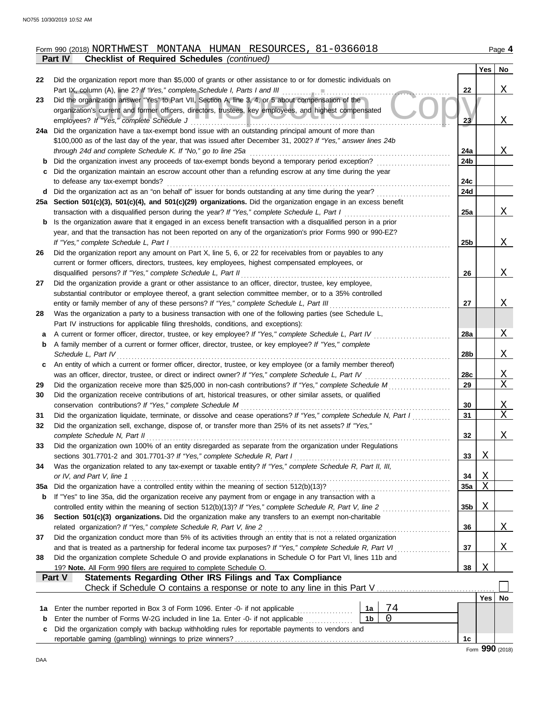|     | <b>Checklist of Required Schedules (continued)</b><br><b>Part IV</b>                                                                                                                         |                 |          |
|-----|----------------------------------------------------------------------------------------------------------------------------------------------------------------------------------------------|-----------------|----------|
|     |                                                                                                                                                                                              |                 | Yes      |
| 22  | Did the organization report more than \$5,000 of grants or other assistance to or for domestic individuals on<br>Part IX, column (A), line 2? If "Yes," complete Schedule I, Parts I and III | 22              |          |
| 23  | Did the organization answer "Yes" to Part VII, Section A, line 3, 4, or 5 about compensation of the                                                                                          |                 |          |
|     | organization's current and former officers, directors, trustees, key employees, and highest compensated                                                                                      |                 |          |
|     | employees? If "Yes," complete Schedule J                                                                                                                                                     | 23              |          |
|     | 24a Did the organization have a tax-exempt bond issue with an outstanding principal amount of more than                                                                                      |                 |          |
|     | \$100,000 as of the last day of the year, that was issued after December 31, 2002? If "Yes," answer lines 24b                                                                                |                 |          |
|     | through 24d and complete Schedule K. If "No," go to line 25a                                                                                                                                 | 24a             |          |
| b   | Did the organization invest any proceeds of tax-exempt bonds beyond a temporary period exception?                                                                                            | 24b             |          |
| c   | Did the organization maintain an escrow account other than a refunding escrow at any time during the year                                                                                    |                 |          |
|     | to defease any tax-exempt bonds?                                                                                                                                                             | 24 <sub>c</sub> |          |
| d   | Did the organization act as an "on behalf of" issuer for bonds outstanding at any time during the year?                                                                                      | 24d             |          |
|     | 25a Section 501(c)(3), 501(c)(4), and 501(c)(29) organizations. Did the organization engage in an excess benefit                                                                             |                 |          |
|     | transaction with a disqualified person during the year? If "Yes," complete Schedule L, Part I                                                                                                | 25a             |          |
| b   | Is the organization aware that it engaged in an excess benefit transaction with a disqualified person in a prior                                                                             |                 |          |
|     | year, and that the transaction has not been reported on any of the organization's prior Forms 990 or 990-EZ?                                                                                 |                 |          |
|     | If "Yes," complete Schedule L, Part I                                                                                                                                                        | 25 <sub>b</sub> |          |
| 26  | Did the organization report any amount on Part X, line 5, 6, or 22 for receivables from or payables to any                                                                                   |                 |          |
|     | current or former officers, directors, trustees, key employees, highest compensated employees, or                                                                                            |                 |          |
|     | disqualified persons? If "Yes," complete Schedule L, Part II                                                                                                                                 | 26              |          |
| 27  | Did the organization provide a grant or other assistance to an officer, director, trustee, key employee,                                                                                     |                 |          |
|     | substantial contributor or employee thereof, a grant selection committee member, or to a 35% controlled                                                                                      |                 |          |
|     | entity or family member of any of these persons? If "Yes," complete Schedule L, Part III                                                                                                     | 27              |          |
| 28  | Was the organization a party to a business transaction with one of the following parties (see Schedule L,                                                                                    |                 |          |
|     | Part IV instructions for applicable filing thresholds, conditions, and exceptions):                                                                                                          |                 |          |
| а   | A current or former officer, director, trustee, or key employee? If "Yes," complete Schedule L, Part IV                                                                                      | 28a             |          |
| b   | A family member of a current or former officer, director, trustee, or key employee? If "Yes," complete                                                                                       |                 |          |
|     | Schedule L, Part IV                                                                                                                                                                          | 28 <sub>b</sub> |          |
| c   | An entity of which a current or former officer, director, trustee, or key employee (or a family member thereof)                                                                              |                 |          |
|     | was an officer, director, trustee, or direct or indirect owner? If "Yes," complete Schedule L, Part IV                                                                                       | 28c             |          |
| 29  | Did the organization receive more than \$25,000 in non-cash contributions? If "Yes," complete Schedule M                                                                                     | 29              |          |
| 30  | Did the organization receive contributions of art, historical treasures, or other similar assets, or qualified                                                                               |                 |          |
|     | conservation contributions? If "Yes," complete Schedule M                                                                                                                                    | 30              |          |
| 31  | Did the organization liquidate, terminate, or dissolve and cease operations? If "Yes," complete Schedule N, Part I                                                                           | 31              |          |
| 32  | Did the organization sell, exchange, dispose of, or transfer more than 25% of its net assets? If "Yes,"                                                                                      |                 |          |
|     | complete Schedule N, Part II                                                                                                                                                                 | 32              |          |
| 33  | Did the organization own 100% of an entity disregarded as separate from the organization under Regulations                                                                                   |                 |          |
|     | sections 301.7701-2 and 301.7701-3? If "Yes," complete Schedule R, Part I                                                                                                                    | 33              | <u>X</u> |
| 34  | Was the organization related to any tax-exempt or taxable entity? If "Yes," complete Schedule R, Part II, III,                                                                               |                 |          |
|     | or IV, and Part V, line 1                                                                                                                                                                    | 34              | <u>X</u> |
| 35a |                                                                                                                                                                                              | 35a             | Χ        |
| b   | If "Yes" to line 35a, did the organization receive any payment from or engage in any transaction with a                                                                                      |                 |          |
|     |                                                                                                                                                                                              | 35 <sub>b</sub> | <u>X</u> |
| 36  | Section 501(c)(3) organizations. Did the organization make any transfers to an exempt non-charitable                                                                                         |                 |          |
|     | related organization? If "Yes," complete Schedule R, Part V, line 2                                                                                                                          | 36              |          |
| 37  | Did the organization conduct more than 5% of its activities through an entity that is not a related organization                                                                             |                 |          |
|     | and that is treated as a partnership for federal income tax purposes? If "Yes," complete Schedule R, Part VI                                                                                 | 37              |          |
| 38  | Did the organization complete Schedule O and provide explanations in Schedule O for Part VI, lines 11b and                                                                                   |                 |          |
|     | 19? Note. All Form 990 filers are required to complete Schedule O.                                                                                                                           | 38              | X        |

|  | Part V<br><b>Statements Regarding Other IRS Filings and Tax Compliance</b>                         |                |  |    |       |    |  |  |
|--|----------------------------------------------------------------------------------------------------|----------------|--|----|-------|----|--|--|
|  |                                                                                                    |                |  |    |       |    |  |  |
|  |                                                                                                    |                |  |    | Yes l | No |  |  |
|  | 1a Enter the number reported in Box 3 of Form 1096. Enter -0- if not applicable                    | 1a             |  |    |       |    |  |  |
|  | <b>b</b> Enter the number of Forms W-2G included in line 1a. Enter -0- if not applicable           | 1 <sub>b</sub> |  |    |       |    |  |  |
|  | c Did the organization comply with backup withholding rules for reportable payments to vendors and |                |  |    |       |    |  |  |
|  |                                                                                                    |                |  | 1c |       |    |  |  |

# Form 990 (2018) NORTHWEST MONTANA HUMAN RESOURCES, 81-0366018

**Yes No**

 $\underline{X}$ 

 $\overline{X}$ 

 $\overline{X}$ 

 $\underline{X}$ 

 $\overline{X}$ 

 $\underline{X}$ 

 $\overline{X}$ 

 $X$ 

 $\underline{X}$ 

X X

X X

 $X$ 

 $\overline{X}$ 

 $\overline{X}$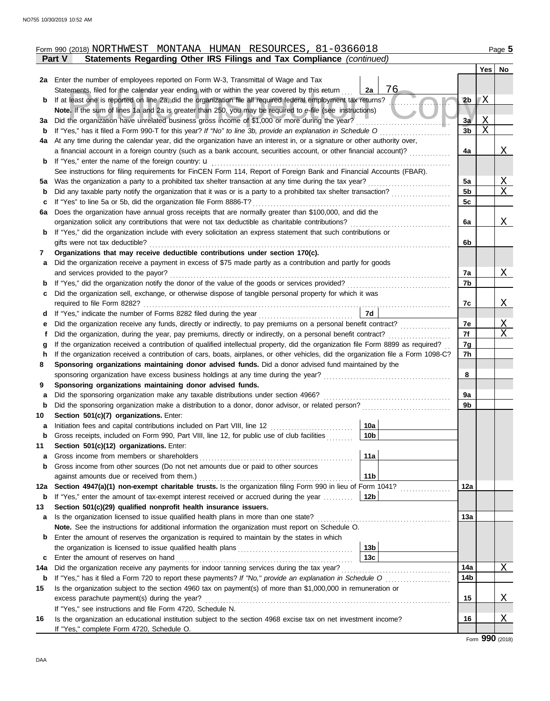|     | Form 990 (2018) NORTHWEST MONTANA HUMAN RESOURCES, 81-0366018                                                                                                                                              |                 |                |    | Page 5       |
|-----|------------------------------------------------------------------------------------------------------------------------------------------------------------------------------------------------------------|-----------------|----------------|----|--------------|
|     | Statements Regarding Other IRS Filings and Tax Compliance (continued)<br>Part V                                                                                                                            |                 |                |    |              |
|     |                                                                                                                                                                                                            |                 |                |    | Yes   No     |
|     | 2a Enter the number of employees reported on Form W-3, Transmittal of Wage and Tax                                                                                                                         |                 |                |    |              |
|     | Statements, filed for the calendar year ending with or within the year covered by this return                                                                                                              | 76<br>2a        |                |    |              |
| b   | If at least one is reported on line 2a, did the organization file all required federal employment tax returns?                                                                                             |                 | 2 <sub>b</sub> | 'Χ |              |
|     | Note. If the sum of lines 1a and 2a is greater than 250, you may be required to e-file (see instructions)                                                                                                  |                 |                |    |              |
| За  | Did the organization have unrelated business gross income of \$1,000 or more during the year?                                                                                                              |                 | 3a             | Χ  |              |
| b   | If "Yes," has it filed a Form 990-T for this year? If "No" to line 3b, provide an explanation in Schedule O                                                                                                |                 | 3 <sub>b</sub> | X  |              |
| 4a  | At any time during the calendar year, did the organization have an interest in, or a signature or other authority over,                                                                                    |                 |                |    |              |
|     | a financial account in a foreign country (such as a bank account, securities account, or other financial account)?                                                                                         |                 | 4a             |    | $\mathbf{X}$ |
| b   | If "Yes," enter the name of the foreign country: $\mathbf u$                                                                                                                                               |                 |                |    |              |
|     | See instructions for filing requirements for FinCEN Form 114, Report of Foreign Bank and Financial Accounts (FBAR).                                                                                        |                 |                |    |              |
| 5а  | Was the organization a party to a prohibited tax shelter transaction at any time during the tax year?                                                                                                      |                 | 5a             |    | Χ<br>X       |
| b   | Did any taxable party notify the organization that it was or is a party to a prohibited tax shelter transaction?                                                                                           |                 | 5b             |    |              |
| c   | If "Yes" to line 5a or 5b, did the organization file Form 8886-T?                                                                                                                                          |                 | 5c             |    |              |
| 6a  | Does the organization have annual gross receipts that are normally greater than \$100,000, and did the<br>organization solicit any contributions that were not tax deductible as charitable contributions? |                 | 6a             |    | X            |
|     | If "Yes," did the organization include with every solicitation an express statement that such contributions or                                                                                             |                 |                |    |              |
| b   | gifts were not tax deductible?                                                                                                                                                                             |                 | 6b             |    |              |
| 7   | Organizations that may receive deductible contributions under section 170(c).                                                                                                                              |                 |                |    |              |
| a   | Did the organization receive a payment in excess of \$75 made partly as a contribution and partly for goods                                                                                                |                 |                |    |              |
|     | and services provided to the payor?                                                                                                                                                                        |                 | 7a             |    | X            |
| b   | If "Yes," did the organization notify the donor of the value of the goods or services provided?                                                                                                            |                 | 7b             |    |              |
| с   | Did the organization sell, exchange, or otherwise dispose of tangible personal property for which it was                                                                                                   |                 |                |    |              |
|     | required to file Form 8282?                                                                                                                                                                                |                 | 7c             |    | Χ            |
| d   |                                                                                                                                                                                                            | 7d              |                |    |              |
| е   | Did the organization receive any funds, directly or indirectly, to pay premiums on a personal benefit contract?                                                                                            |                 | 7e             |    | $\mathbf{X}$ |
| f   | Did the organization, during the year, pay premiums, directly or indirectly, on a personal benefit contract?                                                                                               |                 | 7f             |    | X            |
| g   | If the organization received a contribution of qualified intellectual property, did the organization file Form 8899 as required?                                                                           |                 | 7g             |    |              |
| h   | If the organization received a contribution of cars, boats, airplanes, or other vehicles, did the organization file a Form 1098-C?                                                                         |                 | 7h             |    |              |
| 8   | Sponsoring organizations maintaining donor advised funds. Did a donor advised fund maintained by the                                                                                                       |                 |                |    |              |
|     | sponsoring organization have excess business holdings at any time during the year?                                                                                                                         |                 | 8              |    |              |
| 9   | Sponsoring organizations maintaining donor advised funds.                                                                                                                                                  |                 |                |    |              |
| а   | Did the sponsoring organization make any taxable distributions under section 4966?                                                                                                                         |                 | 9a             |    |              |
| b   | Did the sponsoring organization make a distribution to a donor, donor advisor, or related person?                                                                                                          |                 | 9b             |    |              |
| 10  | Section 501(c)(7) organizations. Enter:                                                                                                                                                                    |                 |                |    |              |
|     | Initiation fees and capital contributions included on Part VIII, line 12                                                                                                                                   | 10a             |                |    |              |
| b   | Gross receipts, included on Form 990, Part VIII, line 12, for public use of club facilities                                                                                                                | 10 <sub>b</sub> |                |    |              |
| 11  | Section 501(c)(12) organizations. Enter:                                                                                                                                                                   |                 |                |    |              |
| a   | Gross income from members or shareholders                                                                                                                                                                  | 11a             |                |    |              |
| b   | Gross income from other sources (Do not net amounts due or paid to other sources                                                                                                                           |                 |                |    |              |
|     | against amounts due or received from them.)                                                                                                                                                                | 11 <sub>b</sub> |                |    |              |
| 12a | Section 4947(a)(1) non-exempt charitable trusts. Is the organization filing Form 990 in lieu of Form 1041?                                                                                                 |                 | 12a            |    |              |
| b   | If "Yes," enter the amount of tax-exempt interest received or accrued during the year                                                                                                                      | 12 <sub>b</sub> |                |    |              |
| 13  | Section 501(c)(29) qualified nonprofit health insurance issuers.                                                                                                                                           |                 |                |    |              |
| а   | Is the organization licensed to issue qualified health plans in more than one state?                                                                                                                       |                 | 13a            |    |              |
|     | Note. See the instructions for additional information the organization must report on Schedule O.                                                                                                          |                 |                |    |              |
| b   | Enter the amount of reserves the organization is required to maintain by the states in which                                                                                                               |                 |                |    |              |
|     |                                                                                                                                                                                                            | 13 <sub>b</sub> |                |    |              |
| с   | Enter the amount of reserves on hand                                                                                                                                                                       | 13 <sub>c</sub> |                |    |              |
| 14a | Did the organization receive any payments for indoor tanning services during the tax year?                                                                                                                 |                 | 14a            |    | X            |
| b   |                                                                                                                                                                                                            |                 | 14b            |    |              |
| 15  | Is the organization subject to the section 4960 tax on payment(s) of more than \$1,000,000 in remuneration or                                                                                              |                 |                |    |              |
|     | excess parachute payment(s) during the year?                                                                                                                                                               |                 | 15             |    | <u>х</u>     |
|     | If "Yes," see instructions and file Form 4720, Schedule N.                                                                                                                                                 |                 |                |    |              |
| 16  | Is the organization an educational institution subject to the section 4968 excise tax on net investment income?                                                                                            |                 | 16             |    | <u>X</u>     |
|     | If "Yes," complete Form 4720, Schedule O.                                                                                                                                                                  |                 |                |    |              |

Form **990** (2018)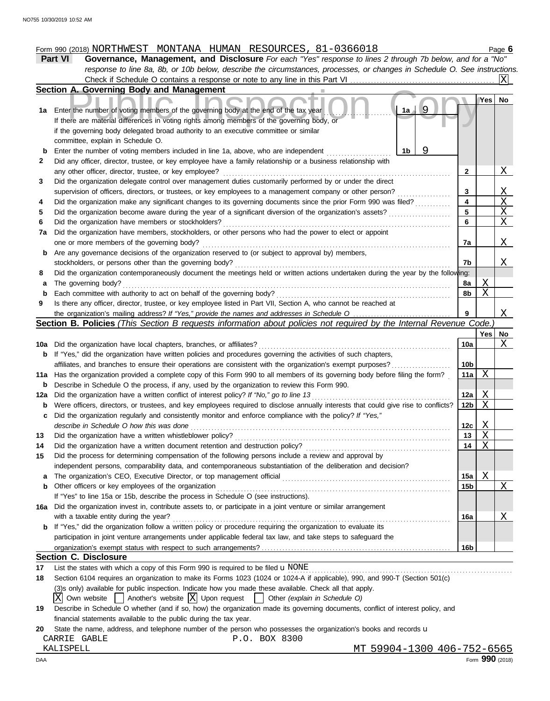# Form 990 (2018) NORTHWEST MONTANA HUMAN RESOURCES, 81-0366018

**Part VI Governance, Management, and Disclosure** *For each "Yes" response to lines 2 through 7b below, and for a "No" response to line 8a, 8b, or 10b below, describe the circumstances, processes, or changes in Schedule O. See instructions.* Check if Schedule O contains a response or note to any line in this Part VI . . . . . . . . . . . . . . . . . . . . . . . . . . . . . . . . . . . . . . . . . . . . . . . . .  $|X|$ 

|     | Section A. Governing Body and Management                                                                                            |                 |     |                      |
|-----|-------------------------------------------------------------------------------------------------------------------------------------|-----------------|-----|----------------------|
|     |                                                                                                                                     |                 | Yes | No                   |
| 1a  | 9<br>1a<br>Enter the number of voting members of the governing body at the end of the tax year                                      |                 |     |                      |
|     | If there are material differences in voting rights among members of the governing body, or                                          |                 |     |                      |
|     | if the governing body delegated broad authority to an executive committee or similar                                                |                 |     |                      |
|     | committee, explain in Schedule O.                                                                                                   |                 |     |                      |
| b   | Enter the number of voting members included in line 1a, above, who are independent<br>1b                                            |                 |     |                      |
| 2   | Did any officer, director, trustee, or key employee have a family relationship or a business relationship with                      |                 |     |                      |
|     | any other officer, director, trustee, or key employee?                                                                              | $\mathbf{2}$    |     | <u>X</u>             |
| 3   | Did the organization delegate control over management duties customarily performed by or under the direct                           |                 |     |                      |
|     | supervision of officers, directors, or trustees, or key employees to a management company or other person?                          | 3               |     | <u>X</u>             |
| 4   | Did the organization make any significant changes to its governing documents since the prior Form 990 was filed?                    | 4               |     | X                    |
| 5   | Did the organization become aware during the year of a significant diversion of the organization's assets?                          | 5               |     | $\mathbf X$          |
| 6   | Did the organization have members or stockholders?                                                                                  | 6               |     | X                    |
| 7a  | Did the organization have members, stockholders, or other persons who had the power to elect or appoint                             |                 |     |                      |
|     | one or more members of the governing body?                                                                                          | 7a              |     | X                    |
| b   | Are any governance decisions of the organization reserved to (or subject to approval by) members,                                   |                 |     |                      |
|     | stockholders, or persons other than the governing body?                                                                             | 7b              |     | X                    |
| 8   | Did the organization contemporaneously document the meetings held or written actions undertaken during the year by the following:   |                 |     |                      |
| а   | The governing body?                                                                                                                 | 8a              | Χ   |                      |
| b   | Each committee with authority to act on behalf of the governing body?                                                               | 8b              | X   |                      |
| 9   | Is there any officer, director, trustee, or key employee listed in Part VII, Section A, who cannot be reached at                    |                 |     |                      |
|     | the organization's mailing address? If "Yes," provide the names and addresses in Schedule O                                         |                 |     | Χ                    |
|     | Section B. Policies (This Section B requests information about policies not required by the Internal Revenue Code.)                 |                 |     |                      |
|     |                                                                                                                                     |                 | Yes | No                   |
| 10a | Did the organization have local chapters, branches, or affiliates?                                                                  | 10a             |     | X                    |
| b   | If "Yes," did the organization have written policies and procedures governing the activities of such chapters,                      |                 |     |                      |
|     | affiliates, and branches to ensure their operations are consistent with the organization's exempt purposes?                         | 10 <sub>b</sub> |     |                      |
| 11a | Has the organization provided a complete copy of this Form 990 to all members of its governing body before filing the form?         | 11a             | X   |                      |
| b   | Describe in Schedule O the process, if any, used by the organization to review this Form 990.                                       |                 |     |                      |
| 12a | Did the organization have a written conflict of interest policy? If "No," go to line 13                                             | 12a             | Χ   |                      |
| b   | Were officers, directors, or trustees, and key employees required to disclose annually interests that could give rise to conflicts? | 12b             | Χ   |                      |
| c   | Did the organization regularly and consistently monitor and enforce compliance with the policy? If "Yes,"                           |                 |     |                      |
|     | describe in Schedule O how this was done                                                                                            | 12c             | Χ   |                      |
| 13  | Did the organization have a written whistleblower policy?                                                                           | 13              | X   |                      |
| 14  | Did the organization have a written document retention and destruction policy?                                                      | 14              | X   |                      |
| 15  | Did the process for determining compensation of the following persons include a review and approval by                              |                 |     |                      |
|     | independent persons, comparability data, and contemporaneous substantiation of the deliberation and decision?                       |                 |     |                      |
| a   | The organization's CEO, Executive Director, or top management official                                                              | 15a             | Χ   |                      |
| b   | Other officers or key employees of the organization                                                                                 | 15 <sub>b</sub> |     | $\mathbf{X}_{\perp}$ |
|     | If "Yes" to line 15a or 15b, describe the process in Schedule O (see instructions).                                                 |                 |     |                      |
|     | 16a Did the organization invest in, contribute assets to, or participate in a joint venture or similar arrangement                  |                 |     |                      |
|     | with a taxable entity during the year?                                                                                              | 16a             |     | Χ                    |
|     | <b>b</b> If "Yes," did the organization follow a written policy or procedure requiring the organization to evaluate its             |                 |     |                      |
|     | participation in joint venture arrangements under applicable federal tax law, and take steps to safeguard the                       |                 |     |                      |
|     |                                                                                                                                     | 16 <sub>b</sub> |     |                      |
|     | <b>Section C. Disclosure</b>                                                                                                        |                 |     |                      |
|     | List the states with which a copy of this Form 990 is required to be filed $\mathbf u$ NONE                                         |                 |     |                      |
| 17  | Section 6104 requires an organization to make its Forms 1023 (1024 or 1024-A if applicable), 990, and 990-T (Section 501(c)         |                 |     |                      |
| 18  |                                                                                                                                     |                 |     |                      |
|     | (3)s only) available for public inspection. Indicate how you made these available. Check all that apply.                            |                 |     |                      |

- $\overline{X}$  Own website  $\Box$  Another's website  $\overline{X}$  Upon request  $\Box$  Other *(explain in Schedule O)*
- **19** Describe in Schedule O whether (and if so, how) the organization made its governing documents, conflict of interest policy, and financial statements available to the public during the tax year.

|  | 20 State the name, address, and telephone number of the person who possesses the organization's books and records u |  |  |  |  |  |  |
|--|---------------------------------------------------------------------------------------------------------------------|--|--|--|--|--|--|
|  |                                                                                                                     |  |  |  |  |  |  |

CARRIE GABLE P.O. BOX 8300

KALISPELL MT 59904-1300 406-752-6565<br>AA Form **990** (2018)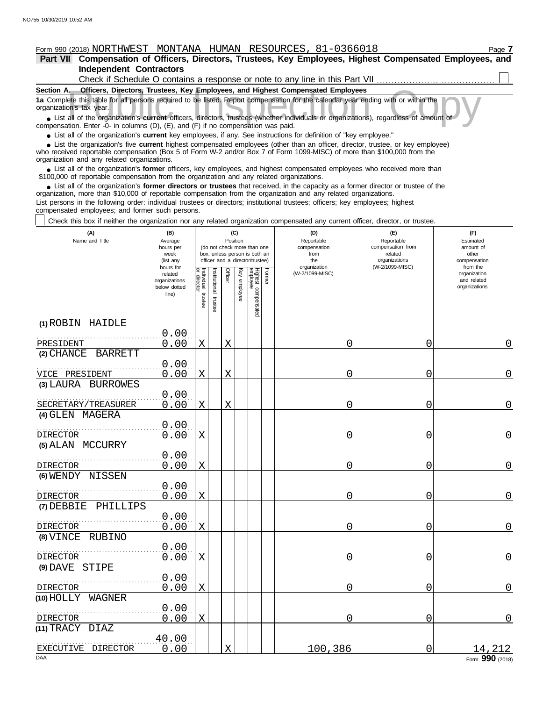# Form 990 (2018) NORTHWEST MONTANA HUMAN RESOURCES, 81-0366018

**Independent Contractors Part VII Compensation of Officers, Directors, Trustees, Key Employees, Highest Compensated Employees, and**

| Check if Schedule O contains a response or note to any line in this Part VII                                                                                  |
|---------------------------------------------------------------------------------------------------------------------------------------------------------------|
| Section A.<br>Officers, Directors, Trustees, Key Employees, and Highest Compensated Employees                                                                 |
| 1a Complete this table for all persons required to be listed. Report compensation for the calendar year ending with or within the<br>organization's tax year. |
| • List all of the organization's current officers, directors, trustees (whether individuals or organizations), regardless of amount of                        |
| compensation. Enter -0- in columns $(D)$ $(F)$ and $(F)$ if no compensation was paid                                                                          |

List all of the organization's **current** officers, directors, trustees (whether indi compensation. Enter -0- in columns (D), (E), and (F) if no compensation was paid.

● List all of the organization's **current** key employees, if any. See instructions for definition of "key employee."

who received reportable compensation (Box 5 of Form W-2 and/or Box 7 of Form 1099-MISC) of more than \$100,000 from the organization and any related organizations. ■ List the organization's five **current** highest compensated employees (other than an officer, director, trustee, or key employee)<br>
a received reportable compensation (Box 5 of Form W-2 and/or Box 7 of Form 1099-MISC) of

■ List all of the organization's **former** officers, key employees, and highest compensated employees who received more than<br>00,000 of reportable compensation from the organization and any related organizations \$100,000 of reportable compensation from the organization and any related organizations.

• List all of the organization's **former directors or trustees** that received, in the capacity as a former director or trustee of the prization more than \$10,000 of reportable compensation from the organization and any rel organization, more than \$10,000 of reportable compensation from the organization and any related organizations.

List persons in the following order: individual trustees or directors; institutional trustees; officers; key employees; highest compensated employees; and former such persons.

Check this box if neither the organization nor any related organization compensated any current officer, director, or trustee.

| (A)<br>Name and Title                | (B)<br>Average<br>hours per<br>week<br>(list any               | (C)<br>Position<br>(do not check more than one<br>box, unless person is both an<br>officer and a director/trustee) |                         |                |                 |                                 |        | (D)<br>Reportable<br>compensation<br>from<br>the | (E)<br>Reportable<br>compensation from<br>related<br>organizations | (F)<br>Estimated<br>amount of<br>other<br>compensation   |
|--------------------------------------|----------------------------------------------------------------|--------------------------------------------------------------------------------------------------------------------|-------------------------|----------------|-----------------|---------------------------------|--------|--------------------------------------------------|--------------------------------------------------------------------|----------------------------------------------------------|
|                                      | hours for<br>related<br>organizations<br>below dotted<br>line) | Individual trustee<br>or director                                                                                  | nstitutional<br>trustee | <b>Officer</b> | Key<br>employee | Highest compensated<br>employee | Former | organization<br>(W-2/1099-MISC)                  | (W-2/1099-MISC)                                                    | from the<br>organization<br>and related<br>organizations |
| (1) ROBIN HAIDLE                     |                                                                |                                                                                                                    |                         |                |                 |                                 |        |                                                  |                                                                    |                                                          |
| PRESIDENT                            | 0.00<br>0.00                                                   | X                                                                                                                  |                         | X              |                 |                                 |        | 0                                                | 0                                                                  | 0                                                        |
| (2) CHANCE<br><b>BARRETT</b>         |                                                                |                                                                                                                    |                         |                |                 |                                 |        |                                                  |                                                                    |                                                          |
|                                      | 0.00                                                           |                                                                                                                    |                         |                |                 |                                 |        |                                                  |                                                                    |                                                          |
| VICE PRESIDENT<br>(3) LAURA BURROWES | 0.00                                                           | $\mathbf X$                                                                                                        |                         | X              |                 |                                 |        | 0                                                | 0                                                                  | 0                                                        |
|                                      | 0.00                                                           |                                                                                                                    |                         |                |                 |                                 |        |                                                  |                                                                    |                                                          |
| SECRETARY/TREASURER                  | 0.00                                                           | $\mathbf X$                                                                                                        |                         | X              |                 |                                 |        | 0                                                | 0                                                                  | $\overline{0}$                                           |
| (4) GLEN MAGERA                      |                                                                |                                                                                                                    |                         |                |                 |                                 |        |                                                  |                                                                    |                                                          |
| <b>DIRECTOR</b>                      | 0.00<br>0.00                                                   | $\mathbf X$                                                                                                        |                         |                |                 |                                 |        | 0                                                | 0                                                                  | $\mathbf 0$                                              |
| (5) ALAN MCCURRY                     |                                                                |                                                                                                                    |                         |                |                 |                                 |        |                                                  |                                                                    |                                                          |
| DIRECTOR                             | 0.00<br>0.00                                                   | $\mathbf X$                                                                                                        |                         |                |                 |                                 |        | 0                                                | 0                                                                  | $\mathbf 0$                                              |
| (6) WENDY NISSEN                     |                                                                |                                                                                                                    |                         |                |                 |                                 |        |                                                  |                                                                    |                                                          |
|                                      | 0.00                                                           |                                                                                                                    |                         |                |                 |                                 |        |                                                  |                                                                    |                                                          |
| DIRECTOR                             | 0.00                                                           | $\mathbf X$                                                                                                        |                         |                |                 |                                 |        | 0                                                | 0                                                                  | $\overline{0}$                                           |
| (7) DEBBIE<br>PHILLIPS               |                                                                |                                                                                                                    |                         |                |                 |                                 |        |                                                  |                                                                    |                                                          |
| DIRECTOR                             | 0.00<br>0.00                                                   | $\mathbf X$                                                                                                        |                         |                |                 |                                 |        | 0                                                | 0                                                                  | $\mathbf 0$                                              |
| (8) VINCE<br>RUBINO                  |                                                                |                                                                                                                    |                         |                |                 |                                 |        |                                                  |                                                                    |                                                          |
| <b>DIRECTOR</b>                      | 0.00<br>0.00                                                   | $\mathbf X$                                                                                                        |                         |                |                 |                                 |        | 0                                                | 0                                                                  | $\overline{0}$                                           |
| (9) DAVE STIPE                       |                                                                |                                                                                                                    |                         |                |                 |                                 |        |                                                  |                                                                    |                                                          |
|                                      | 0.00                                                           |                                                                                                                    |                         |                |                 |                                 |        |                                                  |                                                                    |                                                          |
| DIRECTOR                             | 0.00                                                           | X                                                                                                                  |                         |                |                 |                                 |        | 0                                                | 0                                                                  | $\overline{0}$                                           |
| (10) HOLLY WAGNER                    |                                                                |                                                                                                                    |                         |                |                 |                                 |        |                                                  |                                                                    |                                                          |
| DIRECTOR                             | 0.00<br>0.00                                                   | Χ                                                                                                                  |                         |                |                 |                                 |        | 0                                                | 0                                                                  | $\mathbf 0$                                              |
| (11) TRACY DIAZ                      |                                                                |                                                                                                                    |                         |                |                 |                                 |        |                                                  |                                                                    |                                                          |
|                                      | 40.00                                                          |                                                                                                                    |                         |                |                 |                                 |        |                                                  |                                                                    |                                                          |
| EXECUTIVE<br>DIRECTOR<br><b>DAA</b>  | 0.00                                                           |                                                                                                                    |                         | X              |                 |                                 |        | 100,386                                          | 0                                                                  | 14,212<br>Form 990 (2018)                                |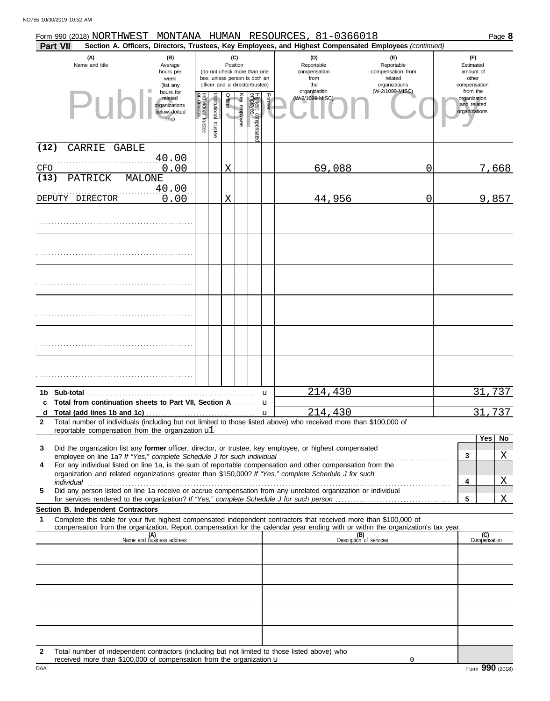|              | Form 990 (2018) NORTHWEST MONTANA HUMAN RESOURCES, 81-0366018                                                                                                                                                                                          |                                                                |                                   |                       |                 |              |                                                                                                 |        |                                                  |                                                                                                        | Page 8                                                   |
|--------------|--------------------------------------------------------------------------------------------------------------------------------------------------------------------------------------------------------------------------------------------------------|----------------------------------------------------------------|-----------------------------------|-----------------------|-----------------|--------------|-------------------------------------------------------------------------------------------------|--------|--------------------------------------------------|--------------------------------------------------------------------------------------------------------|----------------------------------------------------------|
|              | Part VII                                                                                                                                                                                                                                               |                                                                |                                   |                       |                 |              |                                                                                                 |        |                                                  | Section A. Officers, Directors, Trustees, Key Employees, and Highest Compensated Employees (continued) |                                                          |
|              | (A)<br>Name and title                                                                                                                                                                                                                                  | (B)<br>Average<br>hours per<br>week<br>(list any               |                                   |                       | (C)<br>Position |              | (do not check more than one<br>box, unless person is both an<br>officer and a director/trustee) |        | (D)<br>Reportable<br>compensation<br>from<br>the | (E)<br>Reportable<br>compensation from<br>related<br>organizations                                     | (F)<br>Estimated<br>amount of<br>other<br>compensation   |
|              | Pur                                                                                                                                                                                                                                                    | hours for<br>related<br>organizations<br>below dotted<br>line) | Individual trustee<br>or director | Institutional trustee | Officer         | Key employee | Highest compensate<br>employee                                                                  | Former | organization<br>(W-2/1099-MISC)                  | (W-2/1099-MISC)                                                                                        | from the<br>organization<br>and related<br>organizations |
| (12)         | CARRIE<br><b>GABLE</b>                                                                                                                                                                                                                                 | 40.00                                                          |                                   |                       |                 |              |                                                                                                 |        |                                                  |                                                                                                        |                                                          |
| CFO<br>(13)  | PATRICK<br>MALONE                                                                                                                                                                                                                                      | 0.00                                                           |                                   |                       | X               |              |                                                                                                 |        | 69,088                                           | 0                                                                                                      | 7,668                                                    |
|              | DEPUTY DIRECTOR                                                                                                                                                                                                                                        | 40.00<br>0.00                                                  |                                   |                       | X               |              |                                                                                                 |        | 44,956                                           | 0                                                                                                      | 9,857                                                    |
|              |                                                                                                                                                                                                                                                        |                                                                |                                   |                       |                 |              |                                                                                                 |        |                                                  |                                                                                                        |                                                          |
|              |                                                                                                                                                                                                                                                        |                                                                |                                   |                       |                 |              |                                                                                                 |        |                                                  |                                                                                                        |                                                          |
|              |                                                                                                                                                                                                                                                        |                                                                |                                   |                       |                 |              |                                                                                                 |        |                                                  |                                                                                                        |                                                          |
|              |                                                                                                                                                                                                                                                        |                                                                |                                   |                       |                 |              |                                                                                                 |        |                                                  |                                                                                                        |                                                          |
|              |                                                                                                                                                                                                                                                        |                                                                |                                   |                       |                 |              |                                                                                                 |        |                                                  |                                                                                                        |                                                          |
|              |                                                                                                                                                                                                                                                        |                                                                |                                   |                       |                 |              |                                                                                                 |        |                                                  |                                                                                                        |                                                          |
|              |                                                                                                                                                                                                                                                        |                                                                |                                   |                       |                 |              |                                                                                                 | u      | 214,430                                          |                                                                                                        | 31,737                                                   |
|              | c Total from continuation sheets to Part VII, Section A.                                                                                                                                                                                               |                                                                |                                   |                       |                 |              |                                                                                                 | u      |                                                  |                                                                                                        |                                                          |
| $\mathbf{2}$ | Total number of individuals (including but not limited to those listed above) who received more than \$100,000 of                                                                                                                                      |                                                                |                                   |                       |                 |              |                                                                                                 |        | 214,430                                          |                                                                                                        | 737<br>31                                                |
|              | reportable compensation from the organization ul                                                                                                                                                                                                       |                                                                |                                   |                       |                 |              |                                                                                                 |        |                                                  |                                                                                                        |                                                          |
| 3            | Did the organization list any former officer, director, or trustee, key employee, or highest compensated                                                                                                                                               |                                                                |                                   |                       |                 |              |                                                                                                 |        |                                                  |                                                                                                        | Yes<br>N <sub>o</sub><br>Χ<br>3                          |
| 4            | For any individual listed on line 1a, is the sum of reportable compensation and other compensation from the<br>organization and related organizations greater than \$150,000? If "Yes," complete Schedule J for such                                   |                                                                |                                   |                       |                 |              |                                                                                                 |        |                                                  |                                                                                                        | X<br>4                                                   |
| 5            | Did any person listed on line 1a receive or accrue compensation from any unrelated organization or individual                                                                                                                                          |                                                                |                                   |                       |                 |              |                                                                                                 |        |                                                  |                                                                                                        | X<br>5                                                   |
|              | Section B. Independent Contractors                                                                                                                                                                                                                     |                                                                |                                   |                       |                 |              |                                                                                                 |        |                                                  |                                                                                                        |                                                          |
| 1            | Complete this table for your five highest compensated independent contractors that received more than \$100,000 of<br>compensation from the organization. Report compensation for the calendar year ending with or within the organization's tax year. |                                                                |                                   |                       |                 |              |                                                                                                 |        |                                                  |                                                                                                        |                                                          |
|              |                                                                                                                                                                                                                                                        | (A)<br>Name and business address                               |                                   |                       |                 |              |                                                                                                 |        |                                                  | (B)<br>Description of services                                                                         | (C)<br>Compensation                                      |
|              |                                                                                                                                                                                                                                                        |                                                                |                                   |                       |                 |              |                                                                                                 |        |                                                  |                                                                                                        |                                                          |
|              |                                                                                                                                                                                                                                                        |                                                                |                                   |                       |                 |              |                                                                                                 |        |                                                  |                                                                                                        |                                                          |
|              |                                                                                                                                                                                                                                                        |                                                                |                                   |                       |                 |              |                                                                                                 |        |                                                  |                                                                                                        |                                                          |
|              |                                                                                                                                                                                                                                                        |                                                                |                                   |                       |                 |              |                                                                                                 |        |                                                  |                                                                                                        |                                                          |
| 2            | Total number of independent contractors (including but not limited to those listed above) who                                                                                                                                                          |                                                                |                                   |                       |                 |              |                                                                                                 |        |                                                  |                                                                                                        |                                                          |

| received more than \$100,000 of compensation from the organization $\mathbf u$ |                                  |
|--------------------------------------------------------------------------------|----------------------------------|
| DAA                                                                            | 99<br>$F_{\text{Orm}}$<br>(2018) |

0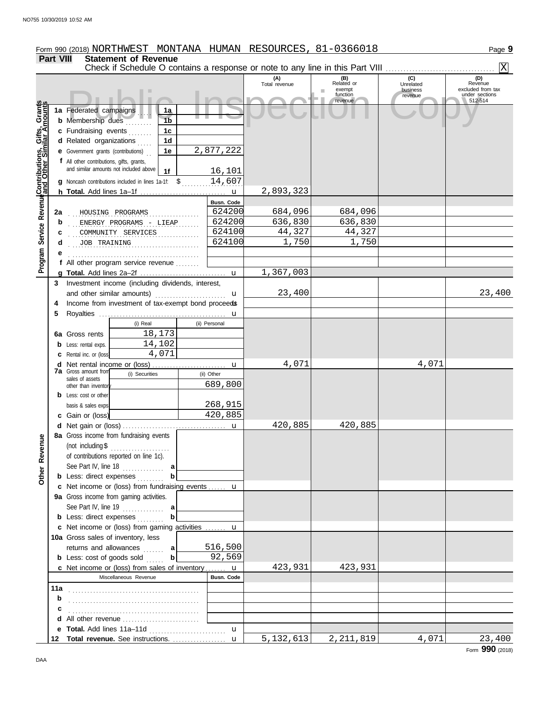| <b>Part VIII</b><br><b>Statement of Revenue</b><br>Check if Schedule O contains a response or note to any line in this Part VIII<br>(C)<br>(A)<br>(B)<br>Related or<br>Total revenue<br>Unrelated<br>exempt<br>business<br>function<br>revenue<br>revenue<br>Program Service Revenue <b>Contributions, Gifts, Grants</b><br>1a Federated campaigns<br>1a<br>1 <sub>b</sub><br><b>b</b> Membership dues<br>c Fundraising events<br>1 <sub>c</sub><br>1 <sub>d</sub><br>d Related organizations<br>2,877,222<br>1e<br><b>e</b> Government grants (contributions)<br>f All other contributions, gifts, grants,<br>and similar amounts not included above<br>16,101<br>1f<br>14,607<br>g Noncash contributions included in lines 1a-1f: \$<br>2,893,323<br>Busn. Code<br>624200<br>684,096<br>684,096<br>2a<br>HOUSING PROGRAMS<br>624200<br>636,830<br>636,830<br>b<br>ENERGY PROGRAMS - LIEAP<br>44,327<br>624100<br>44,327<br>COMMUNITY SERVICES<br>c<br>1,750<br>1,750<br>624100<br>d<br>JOB TRAINING<br>f All other program service revenue<br>1,367,003<br>Investment income (including dividends, interest,<br>3<br>23,400<br>and other similar amounts)<br>$\mathbf{u}$<br>Income from investment of tax-exempt bond proceeds<br>4<br>5<br>(i) Real<br>(ii) Personal<br>18,173<br>6a Gross rents<br>14,102<br><b>b</b> Less: rental exps.<br>4,071<br><b>c</b> Rental inc. or (loss)<br>4,071<br>4,071<br>u<br><b>7a</b> Gross amount from<br>(i) Securities<br>(ii) Other<br>sales of assets<br>689,800<br>other than inventor<br><b>b</b> Less: cost or other<br>268,915<br>basis & sales exps.<br>420,885<br>c Gain or (loss)<br>420,885<br>420,885<br>d Net gain or (loss)<br><u></u> u<br>8a Gross income from fundraising events<br>Other Revenue<br>(not including $$$<br>of contributions reported on line 1c).<br>See Part IV, line $18$<br>a<br><b>b</b> Less: direct expenses<br>c Net income or (loss) from fundraising events  u<br>9a Gross income from gaming activities.<br>See Part IV, line 19<br>a<br><b>b</b> Less: direct expenses<br>c Net income or (loss) from gaming activities  u<br>10a Gross sales of inventory, less | Form 990 (2018) NORTHWEST MONTANA HUMAN RESOURCES, 81-0366018 |         |  | Page 9                                                |
|-------------------------------------------------------------------------------------------------------------------------------------------------------------------------------------------------------------------------------------------------------------------------------------------------------------------------------------------------------------------------------------------------------------------------------------------------------------------------------------------------------------------------------------------------------------------------------------------------------------------------------------------------------------------------------------------------------------------------------------------------------------------------------------------------------------------------------------------------------------------------------------------------------------------------------------------------------------------------------------------------------------------------------------------------------------------------------------------------------------------------------------------------------------------------------------------------------------------------------------------------------------------------------------------------------------------------------------------------------------------------------------------------------------------------------------------------------------------------------------------------------------------------------------------------------------------------------------------------------------------------------------------------------------------------------------------------------------------------------------------------------------------------------------------------------------------------------------------------------------------------------------------------------------------------------------------------------------------------------------------------------------------------------------------------------------------------------------------------------------------------------------------------------|---------------------------------------------------------------|---------|--|-------------------------------------------------------|
|                                                                                                                                                                                                                                                                                                                                                                                                                                                                                                                                                                                                                                                                                                                                                                                                                                                                                                                                                                                                                                                                                                                                                                                                                                                                                                                                                                                                                                                                                                                                                                                                                                                                                                                                                                                                                                                                                                                                                                                                                                                                                                                                                       |                                                               |         |  |                                                       |
|                                                                                                                                                                                                                                                                                                                                                                                                                                                                                                                                                                                                                                                                                                                                                                                                                                                                                                                                                                                                                                                                                                                                                                                                                                                                                                                                                                                                                                                                                                                                                                                                                                                                                                                                                                                                                                                                                                                                                                                                                                                                                                                                                       |                                                               |         |  | $\overline{\mathbf{x}}$                               |
|                                                                                                                                                                                                                                                                                                                                                                                                                                                                                                                                                                                                                                                                                                                                                                                                                                                                                                                                                                                                                                                                                                                                                                                                                                                                                                                                                                                                                                                                                                                                                                                                                                                                                                                                                                                                                                                                                                                                                                                                                                                                                                                                                       |                                                               |         |  | (D)<br>Revenue<br>excluded from tax<br>under sections |
|                                                                                                                                                                                                                                                                                                                                                                                                                                                                                                                                                                                                                                                                                                                                                                                                                                                                                                                                                                                                                                                                                                                                                                                                                                                                                                                                                                                                                                                                                                                                                                                                                                                                                                                                                                                                                                                                                                                                                                                                                                                                                                                                                       |                                                               |         |  | 512-514                                               |
|                                                                                                                                                                                                                                                                                                                                                                                                                                                                                                                                                                                                                                                                                                                                                                                                                                                                                                                                                                                                                                                                                                                                                                                                                                                                                                                                                                                                                                                                                                                                                                                                                                                                                                                                                                                                                                                                                                                                                                                                                                                                                                                                                       |                                                               |         |  |                                                       |
|                                                                                                                                                                                                                                                                                                                                                                                                                                                                                                                                                                                                                                                                                                                                                                                                                                                                                                                                                                                                                                                                                                                                                                                                                                                                                                                                                                                                                                                                                                                                                                                                                                                                                                                                                                                                                                                                                                                                                                                                                                                                                                                                                       |                                                               |         |  |                                                       |
|                                                                                                                                                                                                                                                                                                                                                                                                                                                                                                                                                                                                                                                                                                                                                                                                                                                                                                                                                                                                                                                                                                                                                                                                                                                                                                                                                                                                                                                                                                                                                                                                                                                                                                                                                                                                                                                                                                                                                                                                                                                                                                                                                       |                                                               |         |  |                                                       |
|                                                                                                                                                                                                                                                                                                                                                                                                                                                                                                                                                                                                                                                                                                                                                                                                                                                                                                                                                                                                                                                                                                                                                                                                                                                                                                                                                                                                                                                                                                                                                                                                                                                                                                                                                                                                                                                                                                                                                                                                                                                                                                                                                       |                                                               |         |  |                                                       |
|                                                                                                                                                                                                                                                                                                                                                                                                                                                                                                                                                                                                                                                                                                                                                                                                                                                                                                                                                                                                                                                                                                                                                                                                                                                                                                                                                                                                                                                                                                                                                                                                                                                                                                                                                                                                                                                                                                                                                                                                                                                                                                                                                       |                                                               |         |  |                                                       |
|                                                                                                                                                                                                                                                                                                                                                                                                                                                                                                                                                                                                                                                                                                                                                                                                                                                                                                                                                                                                                                                                                                                                                                                                                                                                                                                                                                                                                                                                                                                                                                                                                                                                                                                                                                                                                                                                                                                                                                                                                                                                                                                                                       |                                                               |         |  |                                                       |
|                                                                                                                                                                                                                                                                                                                                                                                                                                                                                                                                                                                                                                                                                                                                                                                                                                                                                                                                                                                                                                                                                                                                                                                                                                                                                                                                                                                                                                                                                                                                                                                                                                                                                                                                                                                                                                                                                                                                                                                                                                                                                                                                                       |                                                               |         |  |                                                       |
|                                                                                                                                                                                                                                                                                                                                                                                                                                                                                                                                                                                                                                                                                                                                                                                                                                                                                                                                                                                                                                                                                                                                                                                                                                                                                                                                                                                                                                                                                                                                                                                                                                                                                                                                                                                                                                                                                                                                                                                                                                                                                                                                                       |                                                               |         |  |                                                       |
|                                                                                                                                                                                                                                                                                                                                                                                                                                                                                                                                                                                                                                                                                                                                                                                                                                                                                                                                                                                                                                                                                                                                                                                                                                                                                                                                                                                                                                                                                                                                                                                                                                                                                                                                                                                                                                                                                                                                                                                                                                                                                                                                                       |                                                               |         |  |                                                       |
|                                                                                                                                                                                                                                                                                                                                                                                                                                                                                                                                                                                                                                                                                                                                                                                                                                                                                                                                                                                                                                                                                                                                                                                                                                                                                                                                                                                                                                                                                                                                                                                                                                                                                                                                                                                                                                                                                                                                                                                                                                                                                                                                                       |                                                               |         |  |                                                       |
|                                                                                                                                                                                                                                                                                                                                                                                                                                                                                                                                                                                                                                                                                                                                                                                                                                                                                                                                                                                                                                                                                                                                                                                                                                                                                                                                                                                                                                                                                                                                                                                                                                                                                                                                                                                                                                                                                                                                                                                                                                                                                                                                                       |                                                               |         |  |                                                       |
|                                                                                                                                                                                                                                                                                                                                                                                                                                                                                                                                                                                                                                                                                                                                                                                                                                                                                                                                                                                                                                                                                                                                                                                                                                                                                                                                                                                                                                                                                                                                                                                                                                                                                                                                                                                                                                                                                                                                                                                                                                                                                                                                                       |                                                               |         |  |                                                       |
|                                                                                                                                                                                                                                                                                                                                                                                                                                                                                                                                                                                                                                                                                                                                                                                                                                                                                                                                                                                                                                                                                                                                                                                                                                                                                                                                                                                                                                                                                                                                                                                                                                                                                                                                                                                                                                                                                                                                                                                                                                                                                                                                                       |                                                               |         |  |                                                       |
|                                                                                                                                                                                                                                                                                                                                                                                                                                                                                                                                                                                                                                                                                                                                                                                                                                                                                                                                                                                                                                                                                                                                                                                                                                                                                                                                                                                                                                                                                                                                                                                                                                                                                                                                                                                                                                                                                                                                                                                                                                                                                                                                                       |                                                               |         |  |                                                       |
|                                                                                                                                                                                                                                                                                                                                                                                                                                                                                                                                                                                                                                                                                                                                                                                                                                                                                                                                                                                                                                                                                                                                                                                                                                                                                                                                                                                                                                                                                                                                                                                                                                                                                                                                                                                                                                                                                                                                                                                                                                                                                                                                                       |                                                               |         |  |                                                       |
|                                                                                                                                                                                                                                                                                                                                                                                                                                                                                                                                                                                                                                                                                                                                                                                                                                                                                                                                                                                                                                                                                                                                                                                                                                                                                                                                                                                                                                                                                                                                                                                                                                                                                                                                                                                                                                                                                                                                                                                                                                                                                                                                                       |                                                               |         |  |                                                       |
|                                                                                                                                                                                                                                                                                                                                                                                                                                                                                                                                                                                                                                                                                                                                                                                                                                                                                                                                                                                                                                                                                                                                                                                                                                                                                                                                                                                                                                                                                                                                                                                                                                                                                                                                                                                                                                                                                                                                                                                                                                                                                                                                                       |                                                               |         |  |                                                       |
|                                                                                                                                                                                                                                                                                                                                                                                                                                                                                                                                                                                                                                                                                                                                                                                                                                                                                                                                                                                                                                                                                                                                                                                                                                                                                                                                                                                                                                                                                                                                                                                                                                                                                                                                                                                                                                                                                                                                                                                                                                                                                                                                                       |                                                               |         |  | 23,400                                                |
|                                                                                                                                                                                                                                                                                                                                                                                                                                                                                                                                                                                                                                                                                                                                                                                                                                                                                                                                                                                                                                                                                                                                                                                                                                                                                                                                                                                                                                                                                                                                                                                                                                                                                                                                                                                                                                                                                                                                                                                                                                                                                                                                                       |                                                               |         |  |                                                       |
|                                                                                                                                                                                                                                                                                                                                                                                                                                                                                                                                                                                                                                                                                                                                                                                                                                                                                                                                                                                                                                                                                                                                                                                                                                                                                                                                                                                                                                                                                                                                                                                                                                                                                                                                                                                                                                                                                                                                                                                                                                                                                                                                                       |                                                               |         |  |                                                       |
|                                                                                                                                                                                                                                                                                                                                                                                                                                                                                                                                                                                                                                                                                                                                                                                                                                                                                                                                                                                                                                                                                                                                                                                                                                                                                                                                                                                                                                                                                                                                                                                                                                                                                                                                                                                                                                                                                                                                                                                                                                                                                                                                                       |                                                               |         |  |                                                       |
|                                                                                                                                                                                                                                                                                                                                                                                                                                                                                                                                                                                                                                                                                                                                                                                                                                                                                                                                                                                                                                                                                                                                                                                                                                                                                                                                                                                                                                                                                                                                                                                                                                                                                                                                                                                                                                                                                                                                                                                                                                                                                                                                                       |                                                               |         |  |                                                       |
|                                                                                                                                                                                                                                                                                                                                                                                                                                                                                                                                                                                                                                                                                                                                                                                                                                                                                                                                                                                                                                                                                                                                                                                                                                                                                                                                                                                                                                                                                                                                                                                                                                                                                                                                                                                                                                                                                                                                                                                                                                                                                                                                                       |                                                               |         |  |                                                       |
|                                                                                                                                                                                                                                                                                                                                                                                                                                                                                                                                                                                                                                                                                                                                                                                                                                                                                                                                                                                                                                                                                                                                                                                                                                                                                                                                                                                                                                                                                                                                                                                                                                                                                                                                                                                                                                                                                                                                                                                                                                                                                                                                                       |                                                               |         |  |                                                       |
|                                                                                                                                                                                                                                                                                                                                                                                                                                                                                                                                                                                                                                                                                                                                                                                                                                                                                                                                                                                                                                                                                                                                                                                                                                                                                                                                                                                                                                                                                                                                                                                                                                                                                                                                                                                                                                                                                                                                                                                                                                                                                                                                                       |                                                               |         |  |                                                       |
|                                                                                                                                                                                                                                                                                                                                                                                                                                                                                                                                                                                                                                                                                                                                                                                                                                                                                                                                                                                                                                                                                                                                                                                                                                                                                                                                                                                                                                                                                                                                                                                                                                                                                                                                                                                                                                                                                                                                                                                                                                                                                                                                                       |                                                               |         |  |                                                       |
|                                                                                                                                                                                                                                                                                                                                                                                                                                                                                                                                                                                                                                                                                                                                                                                                                                                                                                                                                                                                                                                                                                                                                                                                                                                                                                                                                                                                                                                                                                                                                                                                                                                                                                                                                                                                                                                                                                                                                                                                                                                                                                                                                       |                                                               |         |  |                                                       |
|                                                                                                                                                                                                                                                                                                                                                                                                                                                                                                                                                                                                                                                                                                                                                                                                                                                                                                                                                                                                                                                                                                                                                                                                                                                                                                                                                                                                                                                                                                                                                                                                                                                                                                                                                                                                                                                                                                                                                                                                                                                                                                                                                       |                                                               |         |  |                                                       |
|                                                                                                                                                                                                                                                                                                                                                                                                                                                                                                                                                                                                                                                                                                                                                                                                                                                                                                                                                                                                                                                                                                                                                                                                                                                                                                                                                                                                                                                                                                                                                                                                                                                                                                                                                                                                                                                                                                                                                                                                                                                                                                                                                       |                                                               |         |  |                                                       |
|                                                                                                                                                                                                                                                                                                                                                                                                                                                                                                                                                                                                                                                                                                                                                                                                                                                                                                                                                                                                                                                                                                                                                                                                                                                                                                                                                                                                                                                                                                                                                                                                                                                                                                                                                                                                                                                                                                                                                                                                                                                                                                                                                       |                                                               |         |  |                                                       |
|                                                                                                                                                                                                                                                                                                                                                                                                                                                                                                                                                                                                                                                                                                                                                                                                                                                                                                                                                                                                                                                                                                                                                                                                                                                                                                                                                                                                                                                                                                                                                                                                                                                                                                                                                                                                                                                                                                                                                                                                                                                                                                                                                       |                                                               |         |  |                                                       |
|                                                                                                                                                                                                                                                                                                                                                                                                                                                                                                                                                                                                                                                                                                                                                                                                                                                                                                                                                                                                                                                                                                                                                                                                                                                                                                                                                                                                                                                                                                                                                                                                                                                                                                                                                                                                                                                                                                                                                                                                                                                                                                                                                       |                                                               |         |  |                                                       |
|                                                                                                                                                                                                                                                                                                                                                                                                                                                                                                                                                                                                                                                                                                                                                                                                                                                                                                                                                                                                                                                                                                                                                                                                                                                                                                                                                                                                                                                                                                                                                                                                                                                                                                                                                                                                                                                                                                                                                                                                                                                                                                                                                       |                                                               |         |  |                                                       |
|                                                                                                                                                                                                                                                                                                                                                                                                                                                                                                                                                                                                                                                                                                                                                                                                                                                                                                                                                                                                                                                                                                                                                                                                                                                                                                                                                                                                                                                                                                                                                                                                                                                                                                                                                                                                                                                                                                                                                                                                                                                                                                                                                       |                                                               |         |  |                                                       |
|                                                                                                                                                                                                                                                                                                                                                                                                                                                                                                                                                                                                                                                                                                                                                                                                                                                                                                                                                                                                                                                                                                                                                                                                                                                                                                                                                                                                                                                                                                                                                                                                                                                                                                                                                                                                                                                                                                                                                                                                                                                                                                                                                       |                                                               |         |  |                                                       |
|                                                                                                                                                                                                                                                                                                                                                                                                                                                                                                                                                                                                                                                                                                                                                                                                                                                                                                                                                                                                                                                                                                                                                                                                                                                                                                                                                                                                                                                                                                                                                                                                                                                                                                                                                                                                                                                                                                                                                                                                                                                                                                                                                       |                                                               |         |  |                                                       |
|                                                                                                                                                                                                                                                                                                                                                                                                                                                                                                                                                                                                                                                                                                                                                                                                                                                                                                                                                                                                                                                                                                                                                                                                                                                                                                                                                                                                                                                                                                                                                                                                                                                                                                                                                                                                                                                                                                                                                                                                                                                                                                                                                       |                                                               |         |  |                                                       |
|                                                                                                                                                                                                                                                                                                                                                                                                                                                                                                                                                                                                                                                                                                                                                                                                                                                                                                                                                                                                                                                                                                                                                                                                                                                                                                                                                                                                                                                                                                                                                                                                                                                                                                                                                                                                                                                                                                                                                                                                                                                                                                                                                       |                                                               |         |  |                                                       |
|                                                                                                                                                                                                                                                                                                                                                                                                                                                                                                                                                                                                                                                                                                                                                                                                                                                                                                                                                                                                                                                                                                                                                                                                                                                                                                                                                                                                                                                                                                                                                                                                                                                                                                                                                                                                                                                                                                                                                                                                                                                                                                                                                       |                                                               |         |  |                                                       |
|                                                                                                                                                                                                                                                                                                                                                                                                                                                                                                                                                                                                                                                                                                                                                                                                                                                                                                                                                                                                                                                                                                                                                                                                                                                                                                                                                                                                                                                                                                                                                                                                                                                                                                                                                                                                                                                                                                                                                                                                                                                                                                                                                       |                                                               |         |  |                                                       |
|                                                                                                                                                                                                                                                                                                                                                                                                                                                                                                                                                                                                                                                                                                                                                                                                                                                                                                                                                                                                                                                                                                                                                                                                                                                                                                                                                                                                                                                                                                                                                                                                                                                                                                                                                                                                                                                                                                                                                                                                                                                                                                                                                       |                                                               |         |  |                                                       |
|                                                                                                                                                                                                                                                                                                                                                                                                                                                                                                                                                                                                                                                                                                                                                                                                                                                                                                                                                                                                                                                                                                                                                                                                                                                                                                                                                                                                                                                                                                                                                                                                                                                                                                                                                                                                                                                                                                                                                                                                                                                                                                                                                       |                                                               |         |  |                                                       |
|                                                                                                                                                                                                                                                                                                                                                                                                                                                                                                                                                                                                                                                                                                                                                                                                                                                                                                                                                                                                                                                                                                                                                                                                                                                                                                                                                                                                                                                                                                                                                                                                                                                                                                                                                                                                                                                                                                                                                                                                                                                                                                                                                       | returns and allowances  a                                     | 516,500 |  |                                                       |
| 92,569<br>$\mathbf{b}$<br><b>b</b> Less: cost of goods sold                                                                                                                                                                                                                                                                                                                                                                                                                                                                                                                                                                                                                                                                                                                                                                                                                                                                                                                                                                                                                                                                                                                                                                                                                                                                                                                                                                                                                                                                                                                                                                                                                                                                                                                                                                                                                                                                                                                                                                                                                                                                                           |                                                               |         |  |                                                       |
| 423,931<br>423,931<br>c Net income or (loss) from sales of inventory  u                                                                                                                                                                                                                                                                                                                                                                                                                                                                                                                                                                                                                                                                                                                                                                                                                                                                                                                                                                                                                                                                                                                                                                                                                                                                                                                                                                                                                                                                                                                                                                                                                                                                                                                                                                                                                                                                                                                                                                                                                                                                               |                                                               |         |  |                                                       |
| <b>Busn. Code</b><br>Miscellaneous Revenue                                                                                                                                                                                                                                                                                                                                                                                                                                                                                                                                                                                                                                                                                                                                                                                                                                                                                                                                                                                                                                                                                                                                                                                                                                                                                                                                                                                                                                                                                                                                                                                                                                                                                                                                                                                                                                                                                                                                                                                                                                                                                                            |                                                               |         |  |                                                       |
| 11a                                                                                                                                                                                                                                                                                                                                                                                                                                                                                                                                                                                                                                                                                                                                                                                                                                                                                                                                                                                                                                                                                                                                                                                                                                                                                                                                                                                                                                                                                                                                                                                                                                                                                                                                                                                                                                                                                                                                                                                                                                                                                                                                                   |                                                               |         |  |                                                       |
| b                                                                                                                                                                                                                                                                                                                                                                                                                                                                                                                                                                                                                                                                                                                                                                                                                                                                                                                                                                                                                                                                                                                                                                                                                                                                                                                                                                                                                                                                                                                                                                                                                                                                                                                                                                                                                                                                                                                                                                                                                                                                                                                                                     |                                                               |         |  |                                                       |
| c                                                                                                                                                                                                                                                                                                                                                                                                                                                                                                                                                                                                                                                                                                                                                                                                                                                                                                                                                                                                                                                                                                                                                                                                                                                                                                                                                                                                                                                                                                                                                                                                                                                                                                                                                                                                                                                                                                                                                                                                                                                                                                                                                     |                                                               |         |  |                                                       |
| d All other revenue                                                                                                                                                                                                                                                                                                                                                                                                                                                                                                                                                                                                                                                                                                                                                                                                                                                                                                                                                                                                                                                                                                                                                                                                                                                                                                                                                                                                                                                                                                                                                                                                                                                                                                                                                                                                                                                                                                                                                                                                                                                                                                                                   |                                                               |         |  |                                                       |
| $\mathbf u$                                                                                                                                                                                                                                                                                                                                                                                                                                                                                                                                                                                                                                                                                                                                                                                                                                                                                                                                                                                                                                                                                                                                                                                                                                                                                                                                                                                                                                                                                                                                                                                                                                                                                                                                                                                                                                                                                                                                                                                                                                                                                                                                           |                                                               |         |  |                                                       |
| 5,132,613<br>2, 211, 819<br>4,071                                                                                                                                                                                                                                                                                                                                                                                                                                                                                                                                                                                                                                                                                                                                                                                                                                                                                                                                                                                                                                                                                                                                                                                                                                                                                                                                                                                                                                                                                                                                                                                                                                                                                                                                                                                                                                                                                                                                                                                                                                                                                                                     |                                                               |         |  | 23,400                                                |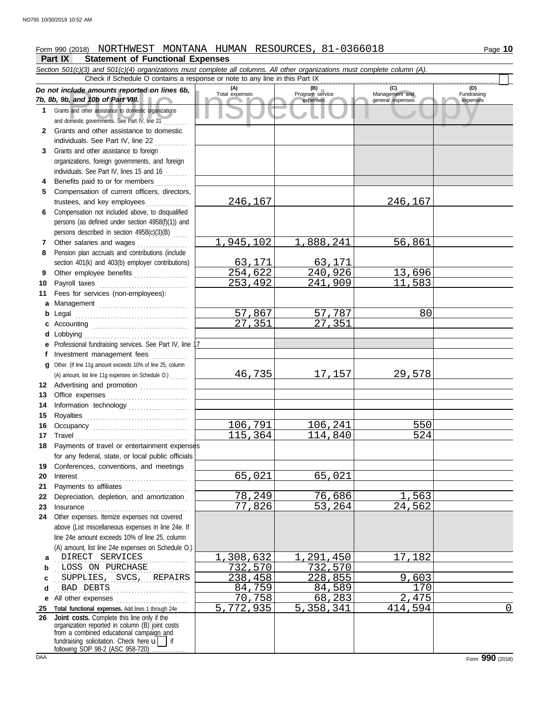# Form 990 (2018) NORTHWEST MONTANA HUMAN RESOURCES, 81-0366018

### **Part IX Statement of Functional Expenses**

Collection and the amounts reported on lines 6b, Total expenses<br>
Program service Management and Total expenses<br>
and other assistance to domestic organizations<br>
Sand other assistance to domestic organizations<br>
Sand other as *Section 501(c)(3) and 501(c)(4) organizations must complete all columns. All other organizations must complete column (A). Do not include amounts reported on lines 6b, 7b, 8b, 9b, and 10b of Part VIII.* **1 2 3 4** Benefits paid to or for members **........**.. **5 6** Compensation not included above, to disqualified **7 8 9 10 11 a** Management .............................. **b** Legal . . . . . . . . . . . . . . . . . . . . . . . . . . . . . . . . . . . . . . **c** Accounting . . . . . . . . . . . . . . . . . . . . . . . . . . . . . . . . **d e f g 12** Advertising and promotion ............... **13 14 15 16 17 18** Payments of travel or entertainment expenses **19 20** Interest . . . . . . . . . . . . . . . . . . . . . . . . . . . . . . . . . . . . **21 22** Depreciation, depletion, and amortization . **23** Insurance . . . . . . . . . . . . . . . . . . . . . . . . . . . . . . . . . . **24** Other expenses. Itemize expenses not covered **a** . DIRECT SERVICES . . . . . . . . . . . . 1,308,632 1,291,450 17,182 **b** LOSS ON PURCHASE 2000 122,570 732,570 **c d** . . . . . . . . . . . . . . . . . . . . . . . . . . . . . . . . . . . . . . . . . . . . . BAD DEBTS 84,759 84,589 170 **e** All other expenses . . . . . . . . . . . . . . . . . . . . . . . . **25 Total functional expenses.** Add lines 1 through 24e . . . **26** Grants and other assistance to domestic organizations and domestic governments. See Part IV, line 21 . . . . . . . . Grants and other assistance to domestic individuals. See Part IV, line 22 Grants and other assistance to foreign organizations, foreign governments, and foreign individuals. See Part IV, lines 15 and 16 Compensation of current officers, directors, trustees, and key employees .............. persons (as defined under section 4958(f)(1)) and persons described in section 4958(c)(3)(B) . . . . . Other salaries and wages ............ Pension plan accruals and contributions (include section 401(k) and 403(b) employer contributions) Other employee benefits ................... Payroll taxes ................................ Fees for services (non-employees): Lobbying . . . . . . . . . . . . . . . . . . . . . . . . . . . . . . . . . . . Professional fundraising services. See Part IV, line 17 Investment management fees Other. (If line 11g amount exceeds 10% of line 25, column Office expenses ............................. Information technology . . . . . . . . . . . . . . . . . . . . Royalties . . . . . . . . . . . . . . . . . . . . . . . . . . . . . . . . . . Occupancy . . . . . . . . . . . . . . . . . . . . . . . . . . . . . . . . Travel . . . . . . . . . . . . . . . . . . . . . . . . . . . . . . . . . . . . . . for any federal, state, or local public officials Conferences, conventions, and meetings . Payments to affiliates ....................... above (List miscellaneous expenses in line 24e. If line 24e amount exceeds 10% of line 25, column (A) amount, list line 24e expenses on Schedule O.) fundraising solicitation. Check here  $\mathbf{u}$  | if organization reported in column (B) joint costs from a combined educational campaign and following SOP 98-2 (ASC 958-720) **(A) (B) (C) (D)** Total expenses Program service Management and expenses general expenses  $(D)$ Fundraising expenses . . SUPPLIES, SVCS, REPAIRS 238,458 228,855 3000 228,855 3000 31 Check if Schedule O contains a response or note to any line in this Part IX . . . . . . . . . . . . . . . . . . . . . . . . . . . . . . . . . . . . . . . . . . . . . . . . . . . . . . . . . . . **Joint costs.** Complete this line only if the (A) amount, list line 11g expenses on Schedule O.) . . . . . . 246,167 246,167 1,945,102 1,888,241 56,861 <mark>63,171</mark> 63,171<br>254,622 240,926 <mark>240,926</mark> 13,696<br>241.909 11.583 253,492 57,867 57,787 80<br>27,351 27,351 27,351 27,351 46,735 17,157 29,578 106,791 106,241 550<br>115,364 114,840 524 114,840 65,021 65,021 T<sub>8</sub>, 249 76, 686 1, 563<br>77.826 53.264 24.562 53,264  $\begin{array}{|c|c|c|c|c|}\n\hline\n70,758 & 68,283 & 2,475 \\
\hline\n5,772,935 & 5,358,341 & 414,594 \\
\hline\n\end{array}$ 5,358,341 414,594 0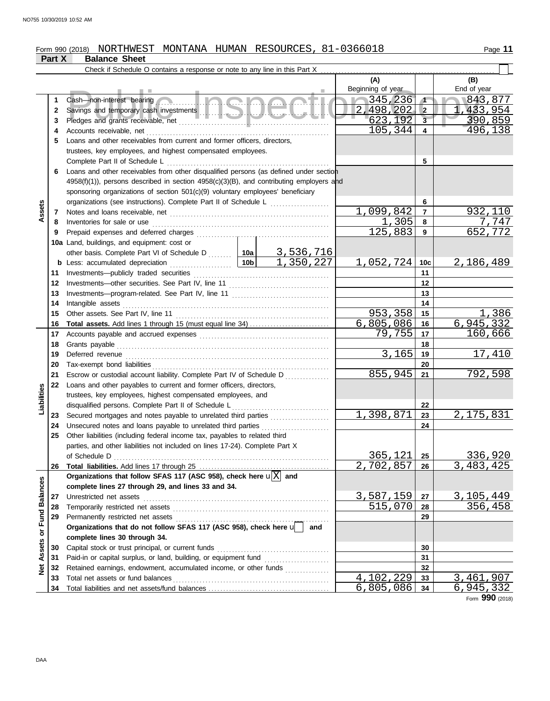#### Form 990 (2018) NORTHWEST MONTANA HUMAN RESOURCES,81-0366018 Page 11 NORTHWEST MONTANA HUMAN RESOURCES, 81-0366018

|                      | Part X   | <b>Balance Sheet</b>                                                                                                                                               |           |                |                   |                         |                  |
|----------------------|----------|--------------------------------------------------------------------------------------------------------------------------------------------------------------------|-----------|----------------|-------------------|-------------------------|------------------|
|                      |          | Check if Schedule O contains a response or note to any line in this Part X                                                                                         |           |                |                   |                         |                  |
|                      |          |                                                                                                                                                                    |           |                | (A)               |                         | (B)              |
|                      |          |                                                                                                                                                                    |           |                | Beginning of year |                         | End of year      |
|                      | 1        | <b>2. Inches</b><br>Cash-non-interest bearing                                                                                                                      | 345,236   | $\sqrt{ }$     | 843,877           |                         |                  |
|                      | 2        |                                                                                                                                                                    |           |                | 2,498,202         | $\overline{2}$          | 1,433,954        |
|                      | 3        |                                                                                                                                                                    |           |                | 623,192           | $\overline{\mathbf{3}}$ | 390,859          |
|                      | 4        |                                                                                                                                                                    | 105,344   | 4              | 496,138           |                         |                  |
|                      | 5        | Loans and other receivables from current and former officers, directors,                                                                                           |           |                |                   |                         |                  |
|                      |          | trustees, key employees, and highest compensated employees.                                                                                                        |           |                |                   |                         |                  |
|                      |          | Complete Part II of Schedule L                                                                                                                                     | 5         |                |                   |                         |                  |
|                      | 6        | Loans and other receivables from other disqualified persons (as defined under section                                                                              |           |                |                   |                         |                  |
|                      |          | 4958(f)(1)), persons described in section 4958(c)(3)(B), and contributing employers and                                                                            |           |                |                   |                         |                  |
|                      |          | sponsoring organizations of section 501(c)(9) voluntary employees' beneficiary                                                                                     |           |                |                   |                         |                  |
|                      |          |                                                                                                                                                                    |           |                |                   | 6                       |                  |
| Assets               | 7        |                                                                                                                                                                    | 1,099,842 | $\overline{7}$ | 932,110           |                         |                  |
|                      | 8        | Inventories for sale or use                                                                                                                                        |           | 1,305          | 8                 | 7.747                   |                  |
|                      | 9        |                                                                                                                                                                    |           |                | 125,883           | 9                       | 652,772          |
|                      |          | 10a Land, buildings, and equipment: cost or                                                                                                                        |           |                |                   |                         |                  |
|                      |          | other basis. Complete Part VI of Schedule D  10a 3, 536, 716                                                                                                       |           |                |                   |                         |                  |
|                      | b        | Less: accumulated depreciation                                                                                                                                     | 10b       | 1,350,227      | 1,052,724         | 10 <sub>c</sub>         | 2, 186, 489      |
|                      | 11       |                                                                                                                                                                    |           |                |                   | 11                      |                  |
|                      | 12       |                                                                                                                                                                    |           |                |                   | 12                      |                  |
|                      | 13       |                                                                                                                                                                    |           | 13             |                   |                         |                  |
|                      | 14       | Intangible assets                                                                                                                                                  |           |                |                   | 14                      |                  |
|                      | 15       | Other assets. See Part IV, line 11                                                                                                                                 |           |                | 953,358           | 15                      | 1,386            |
|                      | 16       | <b>Total assets.</b> Add lines 1 through 15 (must equal line 34)                                                                                                   |           |                | 6,805,086         | 16                      | 6,945,332        |
|                      | 17       |                                                                                                                                                                    |           |                | 79,755            | 17                      | 160,666          |
|                      | 18       |                                                                                                                                                                    |           | 18             |                   |                         |                  |
|                      | 19       |                                                                                                                                                                    | 3,165     | 19             | 17,410            |                         |                  |
|                      | 20       |                                                                                                                                                                    |           |                | 20                |                         |                  |
|                      | 21       | Escrow or custodial account liability. Complete Part IV of Schedule D                                                                                              |           |                | 855,945           | 21                      | 792,598          |
| Liabilities          | 22       | Loans and other payables to current and former officers, directors,                                                                                                |           |                |                   |                         |                  |
|                      |          | trustees, key employees, highest compensated employees, and<br>disqualified persons. Complete Part II of Schedule L                                                |           |                |                   |                         |                  |
|                      |          |                                                                                                                                                                    |           |                | 1,398,871         | 22<br>23                | 2, 175, 831      |
|                      | 23<br>24 | Secured mortgages and notes payable to unrelated third parties<br>Unsecured notes and loans payable to unrelated third parties [[[[[[[[[[[[[[[[[[[[[[[[[[]]]]]]]]] |           |                |                   | 24                      |                  |
|                      | 25       | Other liabilities (including federal income tax, payables to related third                                                                                         |           |                |                   |                         |                  |
|                      |          | parties, and other liabilities not included on lines 17-24). Complete Part X                                                                                       |           |                |                   |                         |                  |
|                      |          | of Schedule D                                                                                                                                                      |           |                | 365, 121          | 25                      | <u>336,920</u>   |
|                      | 26       |                                                                                                                                                                    |           |                | 2,702,857         | 26                      | 3,483,425        |
|                      |          | Organizations that follow SFAS 117 (ASC 958), check here $\mathbf{u}[\overline{X}]$ and                                                                            |           |                |                   |                         |                  |
|                      |          | complete lines 27 through 29, and lines 33 and 34.                                                                                                                 |           |                |                   |                         |                  |
|                      | 27       | Unrestricted net assets                                                                                                                                            |           |                | 3,587,159         | 27                      | 3, 105, 449      |
| <b>Fund Balances</b> | 28       | Temporarily restricted net assets                                                                                                                                  |           |                | 515,070           | 28                      | 356,458          |
|                      | 29       | Permanently restricted net assets                                                                                                                                  | 29        |                |                   |                         |                  |
|                      |          | Organizations that do not follow SFAS 117 (ASC 958), check here u                                                                                                  |           |                |                   |                         |                  |
| ð                    |          | complete lines 30 through 34.                                                                                                                                      |           | and            |                   |                         |                  |
| <b>Net Assets</b>    | 30       | Capital stock or trust principal, or current funds                                                                                                                 |           | 30             |                   |                         |                  |
|                      | 31       |                                                                                                                                                                    |           |                |                   | 31                      |                  |
|                      | 32       | Retained earnings, endowment, accumulated income, or other funds                                                                                                   |           |                |                   | 32                      |                  |
|                      | 33       | Total net assets or fund balances                                                                                                                                  |           |                | 4,102,229         | 33                      | <u>3,461,907</u> |
|                      | 34       |                                                                                                                                                                    |           |                | $6,805,086$ 34    |                         | <u>6,945,332</u> |

Form **990** (2018)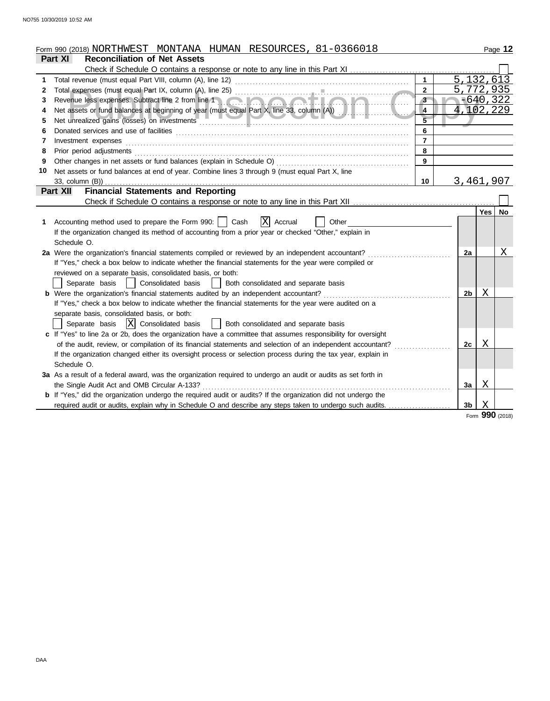|    | Form 990 (2018) NORTHWEST MONTANA HUMAN RESOURCES, 81-0366018                                                                                                                                                                      |                         |     | Page 12         |  |  |  |  |
|----|------------------------------------------------------------------------------------------------------------------------------------------------------------------------------------------------------------------------------------|-------------------------|-----|-----------------|--|--|--|--|
|    | <b>Reconciliation of Net Assets</b><br>Part XI                                                                                                                                                                                     |                         |     |                 |  |  |  |  |
|    |                                                                                                                                                                                                                                    |                         |     |                 |  |  |  |  |
| 1. |                                                                                                                                                                                                                                    | 5, 132, 613             |     |                 |  |  |  |  |
| 2  | $\mathbf{2}$                                                                                                                                                                                                                       | 5,772,935               |     |                 |  |  |  |  |
| 3  | 3                                                                                                                                                                                                                                  | $-640,322$<br>4,102,229 |     |                 |  |  |  |  |
| 4  | 4                                                                                                                                                                                                                                  |                         |     |                 |  |  |  |  |
| 5  | Net unrealized gains (losses) on investments entertainments and the material contract of the material contract of                                                                                                                  |                         |     |                 |  |  |  |  |
| 6  | 6                                                                                                                                                                                                                                  |                         |     |                 |  |  |  |  |
| 7  | $\overline{7}$                                                                                                                                                                                                                     |                         |     |                 |  |  |  |  |
| 8  | Prior period adjustments [11, 12] materials and a series and adjustments are response to the contract of the series of the series and adjustments are response to the series of the series of the series of the series of the<br>8 |                         |     |                 |  |  |  |  |
| 9  | 9                                                                                                                                                                                                                                  |                         |     |                 |  |  |  |  |
| 10 | Net assets or fund balances at end of year. Combine lines 3 through 9 (must equal Part X, line                                                                                                                                     |                         |     |                 |  |  |  |  |
|    | 33, column $(B)$ )<br>10                                                                                                                                                                                                           | 3,461,907               |     |                 |  |  |  |  |
|    | <b>Financial Statements and Reporting</b><br>Part XII                                                                                                                                                                              |                         |     |                 |  |  |  |  |
|    |                                                                                                                                                                                                                                    |                         |     |                 |  |  |  |  |
|    |                                                                                                                                                                                                                                    |                         | Yes | No              |  |  |  |  |
| 1. | $ X $ Accrual<br>Accounting method used to prepare the Form 990:     Cash<br>Other                                                                                                                                                 |                         |     |                 |  |  |  |  |
|    | If the organization changed its method of accounting from a prior year or checked "Other," explain in                                                                                                                              |                         |     |                 |  |  |  |  |
|    | Schedule O.                                                                                                                                                                                                                        |                         |     | Χ               |  |  |  |  |
|    | 2a Were the organization's financial statements compiled or reviewed by an independent accountant?                                                                                                                                 |                         |     |                 |  |  |  |  |
|    | If "Yes," check a box below to indicate whether the financial statements for the year were compiled or                                                                                                                             |                         |     |                 |  |  |  |  |
|    | reviewed on a separate basis, consolidated basis, or both:                                                                                                                                                                         |                         |     |                 |  |  |  |  |
|    | Consolidated basis<br>Separate basis<br>Both consolidated and separate basis                                                                                                                                                       |                         |     |                 |  |  |  |  |
|    | b Were the organization's financial statements audited by an independent accountant?                                                                                                                                               | 2b                      | Χ   |                 |  |  |  |  |
|    | If "Yes," check a box below to indicate whether the financial statements for the year were audited on a                                                                                                                            |                         |     |                 |  |  |  |  |
|    | separate basis, consolidated basis, or both:                                                                                                                                                                                       |                         |     |                 |  |  |  |  |
|    | $ X $ Consolidated basis<br>Both consolidated and separate basis<br>Separate basis                                                                                                                                                 |                         |     |                 |  |  |  |  |
|    | c If "Yes" to line 2a or 2b, does the organization have a committee that assumes responsibility for oversight                                                                                                                      |                         |     |                 |  |  |  |  |
|    | of the audit, review, or compilation of its financial statements and selection of an independent accountant?                                                                                                                       | 2c                      | X   |                 |  |  |  |  |
|    | If the organization changed either its oversight process or selection process during the tax year, explain in                                                                                                                      |                         |     |                 |  |  |  |  |
|    | Schedule O.                                                                                                                                                                                                                        |                         |     |                 |  |  |  |  |
|    | 3a As a result of a federal award, was the organization required to undergo an audit or audits as set forth in                                                                                                                     |                         |     |                 |  |  |  |  |
|    | the Single Audit Act and OMB Circular A-133?                                                                                                                                                                                       | Зa                      | Χ   |                 |  |  |  |  |
|    | <b>b</b> If "Yes," did the organization undergo the required audit or audits? If the organization did not undergo the                                                                                                              |                         |     |                 |  |  |  |  |
|    | required audit or audits, explain why in Schedule O and describe any steps taken to undergo such audits.                                                                                                                           | 3b                      | X   |                 |  |  |  |  |
|    |                                                                                                                                                                                                                                    |                         |     | Form 990 (2018) |  |  |  |  |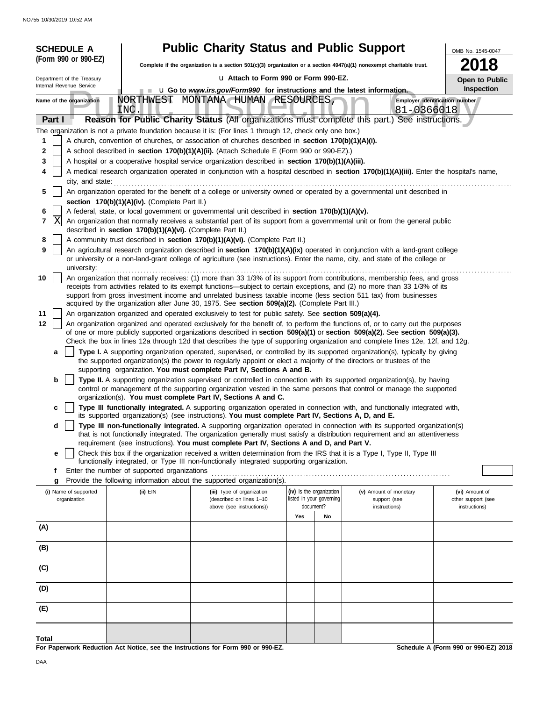| <b>SCHEDULE A</b>                                                                                                                                                                |                                                                                                                                                                          | <b>Public Charity Status and Public Support</b>                                                                                                                                                                                                                                                                                                                                                                                                                                                                                                                                                                                                                                                                                                                                                                                                                                                                                                                                                                                                                                                                                                                                                                                                                                                                                                                                                                                                                                                                                                                                                                                                                                                                                                                                                                                                                                                                                                                                                                                                                                                                                                                                                                                                                                                                                                                                                                                                                                                                                                                                                                                                                                                                                                                                                                                                                                                                                                                                                                                                                                                                                                                                                                                                                                                                                                                                                                                                                                                                                                                                                                                                                                                                                                                                                                                                                                                           |                                                      |    |                                              | OMB No. 1545-0047                    |  |  |  |
|----------------------------------------------------------------------------------------------------------------------------------------------------------------------------------|--------------------------------------------------------------------------------------------------------------------------------------------------------------------------|-----------------------------------------------------------------------------------------------------------------------------------------------------------------------------------------------------------------------------------------------------------------------------------------------------------------------------------------------------------------------------------------------------------------------------------------------------------------------------------------------------------------------------------------------------------------------------------------------------------------------------------------------------------------------------------------------------------------------------------------------------------------------------------------------------------------------------------------------------------------------------------------------------------------------------------------------------------------------------------------------------------------------------------------------------------------------------------------------------------------------------------------------------------------------------------------------------------------------------------------------------------------------------------------------------------------------------------------------------------------------------------------------------------------------------------------------------------------------------------------------------------------------------------------------------------------------------------------------------------------------------------------------------------------------------------------------------------------------------------------------------------------------------------------------------------------------------------------------------------------------------------------------------------------------------------------------------------------------------------------------------------------------------------------------------------------------------------------------------------------------------------------------------------------------------------------------------------------------------------------------------------------------------------------------------------------------------------------------------------------------------------------------------------------------------------------------------------------------------------------------------------------------------------------------------------------------------------------------------------------------------------------------------------------------------------------------------------------------------------------------------------------------------------------------------------------------------------------------------------------------------------------------------------------------------------------------------------------------------------------------------------------------------------------------------------------------------------------------------------------------------------------------------------------------------------------------------------------------------------------------------------------------------------------------------------------------------------------------------------------------------------------------------------------------------------------------------------------------------------------------------------------------------------------------------------------------------------------------------------------------------------------------------------------------------------------------------------------------------------------------------------------------------------------------------------------------------------------------------------------------------------------------------------|------------------------------------------------------|----|----------------------------------------------|--------------------------------------|--|--|--|
| (Form 990 or 990-EZ)                                                                                                                                                             |                                                                                                                                                                          | 2018<br>Complete if the organization is a section 501(c)(3) organization or a section 4947(a)(1) nonexempt charitable trust.                                                                                                                                                                                                                                                                                                                                                                                                                                                                                                                                                                                                                                                                                                                                                                                                                                                                                                                                                                                                                                                                                                                                                                                                                                                                                                                                                                                                                                                                                                                                                                                                                                                                                                                                                                                                                                                                                                                                                                                                                                                                                                                                                                                                                                                                                                                                                                                                                                                                                                                                                                                                                                                                                                                                                                                                                                                                                                                                                                                                                                                                                                                                                                                                                                                                                                                                                                                                                                                                                                                                                                                                                                                                                                                                                                              |                                                      |    |                                              |                                      |  |  |  |
| Department of the Treasury                                                                                                                                                       |                                                                                                                                                                          | La Attach to Form 990 or Form 990-EZ.<br>Open to Public                                                                                                                                                                                                                                                                                                                                                                                                                                                                                                                                                                                                                                                                                                                                                                                                                                                                                                                                                                                                                                                                                                                                                                                                                                                                                                                                                                                                                                                                                                                                                                                                                                                                                                                                                                                                                                                                                                                                                                                                                                                                                                                                                                                                                                                                                                                                                                                                                                                                                                                                                                                                                                                                                                                                                                                                                                                                                                                                                                                                                                                                                                                                                                                                                                                                                                                                                                                                                                                                                                                                                                                                                                                                                                                                                                                                                                                   |                                                      |    |                                              |                                      |  |  |  |
| Internal Revenue Service                                                                                                                                                         |                                                                                                                                                                          | <b>Inspection</b><br><b>u</b> Go to <i>www.irs.gov/Form990</i> for instructions and the latest information.                                                                                                                                                                                                                                                                                                                                                                                                                                                                                                                                                                                                                                                                                                                                                                                                                                                                                                                                                                                                                                                                                                                                                                                                                                                                                                                                                                                                                                                                                                                                                                                                                                                                                                                                                                                                                                                                                                                                                                                                                                                                                                                                                                                                                                                                                                                                                                                                                                                                                                                                                                                                                                                                                                                                                                                                                                                                                                                                                                                                                                                                                                                                                                                                                                                                                                                                                                                                                                                                                                                                                                                                                                                                                                                                                                                               |                                                      |    |                                              |                                      |  |  |  |
| Name of the organization                                                                                                                                                         | INC.                                                                                                                                                                     | NORTHWEST MONTANA HUMAN RESOURCES,                                                                                                                                                                                                                                                                                                                                                                                                                                                                                                                                                                                                                                                                                                                                                                                                                                                                                                                                                                                                                                                                                                                                                                                                                                                                                                                                                                                                                                                                                                                                                                                                                                                                                                                                                                                                                                                                                                                                                                                                                                                                                                                                                                                                                                                                                                                                                                                                                                                                                                                                                                                                                                                                                                                                                                                                                                                                                                                                                                                                                                                                                                                                                                                                                                                                                                                                                                                                                                                                                                                                                                                                                                                                                                                                                                                                                                                                        |                                                      |    | Employer identification number<br>81-0366018 |                                      |  |  |  |
| Part I                                                                                                                                                                           |                                                                                                                                                                          | Reason for Public Charity Status (All organizations must complete this part.) See instructions.                                                                                                                                                                                                                                                                                                                                                                                                                                                                                                                                                                                                                                                                                                                                                                                                                                                                                                                                                                                                                                                                                                                                                                                                                                                                                                                                                                                                                                                                                                                                                                                                                                                                                                                                                                                                                                                                                                                                                                                                                                                                                                                                                                                                                                                                                                                                                                                                                                                                                                                                                                                                                                                                                                                                                                                                                                                                                                                                                                                                                                                                                                                                                                                                                                                                                                                                                                                                                                                                                                                                                                                                                                                                                                                                                                                                           |                                                      |    |                                              |                                      |  |  |  |
| 1<br>2<br>3<br>4<br>city, and state:<br>5<br>6<br>lΧ<br>7<br>8<br>9<br>university:<br>10<br>11<br>12<br>а<br>b<br>c<br>d<br>е<br>f<br>g<br>(i) Name of supported<br>organization | section 170(b)(1)(A)(iv). (Complete Part II.)<br>described in section 170(b)(1)(A)(vi). (Complete Part II.)<br>Enter the number of supported organizations<br>$(ii)$ EIN | The organization is not a private foundation because it is: (For lines 1 through 12, check only one box.)<br>A church, convention of churches, or association of churches described in section 170(b)(1)(A)(i).<br>A school described in <b>section 170(b)(1)(A)(ii).</b> (Attach Schedule E (Form 990 or 990-EZ).)<br>A hospital or a cooperative hospital service organization described in section 170(b)(1)(A)(iii).<br>A medical research organization operated in conjunction with a hospital described in section 170(b)(1)(A)(iii). Enter the hospital's name,<br>An organization operated for the benefit of a college or university owned or operated by a governmental unit described in<br>A federal, state, or local government or governmental unit described in section 170(b)(1)(A)(v).<br>An organization that normally receives a substantial part of its support from a governmental unit or from the general public<br>A community trust described in section 170(b)(1)(A)(vi). (Complete Part II.)<br>An agricultural research organization described in section 170(b)(1)(A)(ix) operated in conjunction with a land-grant college<br>or university or a non-land-grant college of agriculture (see instructions). Enter the name, city, and state of the college or<br>An organization that normally receives: (1) more than 33 1/3% of its support from contributions, membership fees, and gross<br>receipts from activities related to its exempt functions—subject to certain exceptions, and (2) no more than 33 1/3% of its<br>support from gross investment income and unrelated business taxable income (less section 511 tax) from businesses<br>acquired by the organization after June 30, 1975. See section 509(a)(2). (Complete Part III.)<br>An organization organized and operated exclusively to test for public safety. See section 509(a)(4).<br>An organization organized and operated exclusively for the benefit of, to perform the functions of, or to carry out the purposes<br>of one or more publicly supported organizations described in section 509(a)(1) or section 509(a)(2). See section 509(a)(3).<br>Check the box in lines 12a through 12d that describes the type of supporting organization and complete lines 12e, 12f, and 12g.<br>Type I. A supporting organization operated, supervised, or controlled by its supported organization(s), typically by giving<br>the supported organization(s) the power to regularly appoint or elect a majority of the directors or trustees of the<br>supporting organization. You must complete Part IV, Sections A and B.<br>Type II. A supporting organization supervised or controlled in connection with its supported organization(s), by having<br>control or management of the supporting organization vested in the same persons that control or manage the supported<br>organization(s). You must complete Part IV, Sections A and C.<br>Type III functionally integrated. A supporting organization operated in connection with, and functionally integrated with,<br>its supported organization(s) (see instructions). You must complete Part IV, Sections A, D, and E.<br>Type III non-functionally integrated. A supporting organization operated in connection with its supported organization(s)<br>that is not functionally integrated. The organization generally must satisfy a distribution requirement and an attentiveness<br>requirement (see instructions). You must complete Part IV, Sections A and D, and Part V.<br>Check this box if the organization received a written determination from the IRS that it is a Type I, Type II, Type III<br>functionally integrated, or Type III non-functionally integrated supporting organization.<br>Provide the following information about the supported organization(s).<br>(iii) Type of organization<br>(described on lines 1-10 | (iv) Is the organization<br>listed in your governing |    | (v) Amount of monetary<br>support (see       | (vi) Amount of<br>other support (see |  |  |  |
|                                                                                                                                                                                  |                                                                                                                                                                          | above (see instructions))                                                                                                                                                                                                                                                                                                                                                                                                                                                                                                                                                                                                                                                                                                                                                                                                                                                                                                                                                                                                                                                                                                                                                                                                                                                                                                                                                                                                                                                                                                                                                                                                                                                                                                                                                                                                                                                                                                                                                                                                                                                                                                                                                                                                                                                                                                                                                                                                                                                                                                                                                                                                                                                                                                                                                                                                                                                                                                                                                                                                                                                                                                                                                                                                                                                                                                                                                                                                                                                                                                                                                                                                                                                                                                                                                                                                                                                                                 | document?<br>Yes                                     | No | instructions)                                | instructions)                        |  |  |  |
| (A)                                                                                                                                                                              |                                                                                                                                                                          |                                                                                                                                                                                                                                                                                                                                                                                                                                                                                                                                                                                                                                                                                                                                                                                                                                                                                                                                                                                                                                                                                                                                                                                                                                                                                                                                                                                                                                                                                                                                                                                                                                                                                                                                                                                                                                                                                                                                                                                                                                                                                                                                                                                                                                                                                                                                                                                                                                                                                                                                                                                                                                                                                                                                                                                                                                                                                                                                                                                                                                                                                                                                                                                                                                                                                                                                                                                                                                                                                                                                                                                                                                                                                                                                                                                                                                                                                                           |                                                      |    |                                              |                                      |  |  |  |
| (B)                                                                                                                                                                              |                                                                                                                                                                          |                                                                                                                                                                                                                                                                                                                                                                                                                                                                                                                                                                                                                                                                                                                                                                                                                                                                                                                                                                                                                                                                                                                                                                                                                                                                                                                                                                                                                                                                                                                                                                                                                                                                                                                                                                                                                                                                                                                                                                                                                                                                                                                                                                                                                                                                                                                                                                                                                                                                                                                                                                                                                                                                                                                                                                                                                                                                                                                                                                                                                                                                                                                                                                                                                                                                                                                                                                                                                                                                                                                                                                                                                                                                                                                                                                                                                                                                                                           |                                                      |    |                                              |                                      |  |  |  |
| (C)                                                                                                                                                                              |                                                                                                                                                                          |                                                                                                                                                                                                                                                                                                                                                                                                                                                                                                                                                                                                                                                                                                                                                                                                                                                                                                                                                                                                                                                                                                                                                                                                                                                                                                                                                                                                                                                                                                                                                                                                                                                                                                                                                                                                                                                                                                                                                                                                                                                                                                                                                                                                                                                                                                                                                                                                                                                                                                                                                                                                                                                                                                                                                                                                                                                                                                                                                                                                                                                                                                                                                                                                                                                                                                                                                                                                                                                                                                                                                                                                                                                                                                                                                                                                                                                                                                           |                                                      |    |                                              |                                      |  |  |  |
| (D)                                                                                                                                                                              |                                                                                                                                                                          |                                                                                                                                                                                                                                                                                                                                                                                                                                                                                                                                                                                                                                                                                                                                                                                                                                                                                                                                                                                                                                                                                                                                                                                                                                                                                                                                                                                                                                                                                                                                                                                                                                                                                                                                                                                                                                                                                                                                                                                                                                                                                                                                                                                                                                                                                                                                                                                                                                                                                                                                                                                                                                                                                                                                                                                                                                                                                                                                                                                                                                                                                                                                                                                                                                                                                                                                                                                                                                                                                                                                                                                                                                                                                                                                                                                                                                                                                                           |                                                      |    |                                              |                                      |  |  |  |
| (E)                                                                                                                                                                              |                                                                                                                                                                          |                                                                                                                                                                                                                                                                                                                                                                                                                                                                                                                                                                                                                                                                                                                                                                                                                                                                                                                                                                                                                                                                                                                                                                                                                                                                                                                                                                                                                                                                                                                                                                                                                                                                                                                                                                                                                                                                                                                                                                                                                                                                                                                                                                                                                                                                                                                                                                                                                                                                                                                                                                                                                                                                                                                                                                                                                                                                                                                                                                                                                                                                                                                                                                                                                                                                                                                                                                                                                                                                                                                                                                                                                                                                                                                                                                                                                                                                                                           |                                                      |    |                                              |                                      |  |  |  |
| Total                                                                                                                                                                            |                                                                                                                                                                          | For Paperwork Reduction Act Notice, see the Instructions for Form 990 or 990-EZ.                                                                                                                                                                                                                                                                                                                                                                                                                                                                                                                                                                                                                                                                                                                                                                                                                                                                                                                                                                                                                                                                                                                                                                                                                                                                                                                                                                                                                                                                                                                                                                                                                                                                                                                                                                                                                                                                                                                                                                                                                                                                                                                                                                                                                                                                                                                                                                                                                                                                                                                                                                                                                                                                                                                                                                                                                                                                                                                                                                                                                                                                                                                                                                                                                                                                                                                                                                                                                                                                                                                                                                                                                                                                                                                                                                                                                          |                                                      |    |                                              | Schedule A (Form 990 or 990-EZ) 2018 |  |  |  |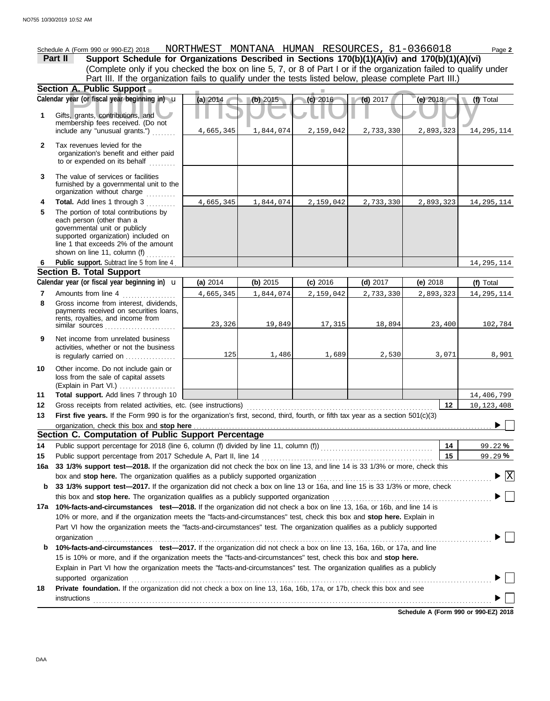**A. Public Support**<br>
year (or fiscal year beginning in) **u** (a) 2014<br> **(b)** 2015<br> **(c)** 2016<br> **(d)** 2017 (e) 2018<br> **(d)** 2017 (e) 2018<br> **(d)** 2017 (e) 2018 (Explain in Part VI.) . . . . . . . . . . . . . . . . . . . governmental unit or publicly **Section A. Public Support Total support.** Add lines 7 through 10 loss from the sale of capital assets Other income. Do not include gain or is regularly carried on . . . . . . . . . . . . . . . activities, whether or not the business Net income from unrelated business rents, royalties, and income from payments received on securities loans, Gross income from interest, dividends, line 1 that exceeds 2% of the amount supported organization) included on each person (other than a The portion of total contributions by **Total.** Add lines 1 through 3 .......... The value of services or facilities to or expended on its behalf ......... organization's benefit and either paid Tax revenues levied for the First five years. If the Form 990 is for the organization's first, second, third, fourth, or fifth tax year as a section 501(c)(3) Gross receipts from related activities, etc. (see instructions) . . . . . . . . . . . . . . . . . . . . . . . . . . . . . . . . . . . . . . . . . . . . . . . . . . . . . . . . . . . . . . . Amounts from line 4 shown on line 11, column (i) ...........<br>Public support. Subtract line 5 from line 4. include any "unusual grants.") . . . . . . . . membership fees received. (Do not Gifts, grants, contributions, and Schedule A (Form 990 or 990-EZ) 2018 NORTHWEST MONTANA HUMAN RESOURCES, 81-0366018 Page **2 13 12 11 9 8 6 4 3 2 1 (a)** 2014 **(b)** 2015 **(c)** 2016 **(d)** 2017 **(e)** 2018 (Complete only if you checked the box on line 5, 7, or 8 of Part I or if the organization failed to qualify under **Part II Support Schedule for Organizations Described in Sections 170(b)(1)(A)(iv) and 170(b)(1)(A)(vi)** Calendar year (or fiscal year beginning in)  $\cdot$  **(a)** 2014 (b) 2015 (c) 2016 (d) 2017 (d) 2017 (e) 2018 (f) Total furnished by a governmental unit to the organization without charge **5 Section B. Total Support 7** similar sources **10** organization, check this box and stop here **Section C. Computation of Public Support Percentage 12 14** Public support percentage for 2018 (line 6, column (f) divided by line 11, column (f)) . . . . . . . . . . . . . . . . . . . . . . . . . . . . . . . . . . . . . . Public support percentage from 2017 Schedule A, Part II, line 14 . . . . . . . . . . . . . . . . . . . . . . . . . . . . . . . . . . . . . . . . . . . . . . . . . . . . . . . . . . **15 16a 33 1/3% support test—2018.** If the organization did not check the box on line 13, and line 14 is 33 1/3% or more, check this box and stop here. The organization qualifies as a publicly supported organization .............. **b 33 1/3% support test—2017.** If the organization did not check a box on line 13 or 16a, and line 15 is 33 1/3% or more, check this box and stop here. The organization qualifies as a publicly supported organization ......................... **17a 10%-facts-and-circumstances test—2018.** If the organization did not check a box on line 13, 16a, or 16b, and line 14 is 10% or more, and if the organization meets the "facts-and-circumstances" test, check this box and **stop here.** Explain in Part VI how the organization meets the "facts-and-circumstances" test. The organization qualifies as a publicly supported **b 10%-facts-and-circumstances test—2017.** If the organization did not check a box on line 13, 16a, 16b, or 17a, and line Explain in Part VI how the organization meets the "facts-and-circumstances" test. The organization qualifies as a publicly 15 is 10% or more, and if the organization meets the "facts-and-circumstances" test, check this box and **stop here. 18 Private foundation.** If the organization did not check a box on line 13, 16a, 16b, 17a, or 17b, check this box and see **14 15 %** 99.22 **%** 99.29 Calendar year (or fiscal year beginning in)  $\bf{u}$  (a) 2014 (b) 2015 (c) 2016 (d) 2017 (e) 2018 (f) Total Part III. If the organization fails to qualify under the tests listed below, please complete Part III.) **(a)** 2014 shown on line 11, column (f) organization . . . . . . . . . . . . . . . . . . . . . . . . . . . . . . . . . . . . . . . . . . . . . . . . . . . . . . . . . . . . . . . . . . . . . . . . . . . . . . . . . . . . . . . . . . . . . . . . . . . . . . . . . . . . . . . . . . . . . . . . . . . . . . . . . . . . . . supported organization . . . . . . . . . . . . . . . . . . . . . . . . . . . . . . . . . . . . . . . . . . . . . . . . . . . . . . . . . . . . . . . . . . . . . . . . . . . . . . . . . . . . . . . . . . . . . . . . . . . . . . . . . . . . . . . . . . . . . . . . . . instructions . . . . . . . . . . . . . . . . . . . . . . . . . . . . . . . . . . . . . . . . . . . . . . . . . . . . . . . . . . . . . . . . . . . . . . . . . . . . . . . . . . . . . . . . . . . . . . . . . . . . . . . . . . . . . . . . . . . . . . . . . . . . . . . . . . . . . . . u **(b)** 2015 **(c)** 2016 **(d)** 2017 **(e)** 2018 4,665,345 1,844,074 2,159,042 2,733,330 2,893,323 14,295,114 4,665,345 1,844,074 2,159,042 2,733,330 2,893,323 14,295,114 14,295,114 4,665,345 1,844,074 2,159,042 2,733,330 2,893,323 14,295,114 23,326 19,849 17,315 18,894 23,400 102,784 125 1,486 1,689 2,530 3,071 8,901 14,406,799 10,123,408  $\overline{X}$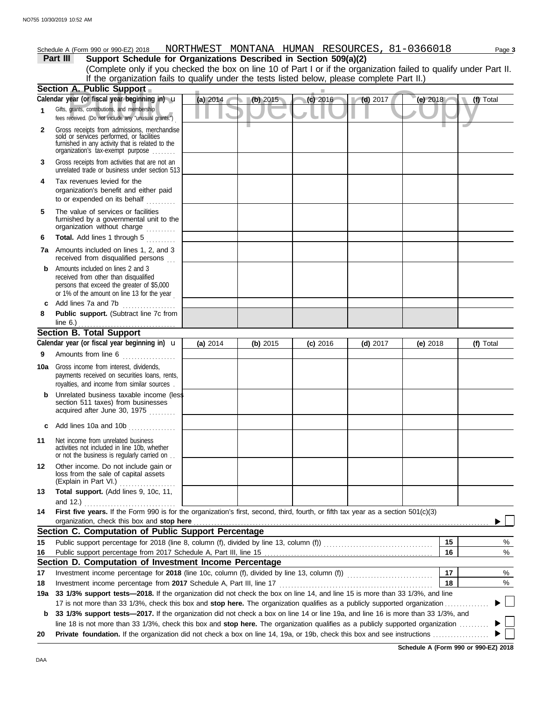# Schedule A (Form 990 or 990-EZ) 2018 NORTHWEST MONTANA HUMAN RESOURCES, 81-0366018 Page 3

**Part III Support Schedule for Organizations Described in Section 509(a)(2)** (Complete only if you checked the box on line 10 of Part I or if the organization failed to qualify under Part II. If the organization fails to qualify under the tests listed below, please complete Part II.)

|              | Section A. Public Support                                                                                                                                                                                                                                        |            |          |            |            |            |           |
|--------------|------------------------------------------------------------------------------------------------------------------------------------------------------------------------------------------------------------------------------------------------------------------|------------|----------|------------|------------|------------|-----------|
|              | Calendar year (or fiscal year beginning in) $\mathbf u$                                                                                                                                                                                                          | (a) 2014   | (b) 2015 | (c) 2016   | $(d)$ 2017 | (e) 2018   | (f) Total |
| $\mathbf{1}$ | Gifts, grants, contributions, and membership<br>fees received. (Do not include any "unusual grants.")                                                                                                                                                            |            |          |            |            |            |           |
| 2            | Gross receipts from admissions, merchandise<br>sold or services performed, or facilities<br>furnished in any activity that is related to the<br>organization's tax-exempt purpose                                                                                |            |          |            |            |            |           |
| 3            | Gross receipts from activities that are not an<br>unrelated trade or business under section 513                                                                                                                                                                  |            |          |            |            |            |           |
| 4            | Tax revenues levied for the<br>organization's benefit and either paid<br>to or expended on its behalf<br>.                                                                                                                                                       |            |          |            |            |            |           |
| 5            | The value of services or facilities<br>furnished by a governmental unit to the<br>organization without charge                                                                                                                                                    |            |          |            |            |            |           |
| 6            | Total. Add lines 1 through 5                                                                                                                                                                                                                                     |            |          |            |            |            |           |
|              | <b>7a</b> Amounts included on lines 1, 2, and 3<br>received from disqualified persons                                                                                                                                                                            |            |          |            |            |            |           |
| b            | Amounts included on lines 2 and 3<br>received from other than disqualified<br>persons that exceed the greater of \$5,000<br>or 1% of the amount on line 13 for the year                                                                                          |            |          |            |            |            |           |
| C            | Add lines 7a and 7b                                                                                                                                                                                                                                              |            |          |            |            |            |           |
| 8            | Public support. (Subtract line 7c from                                                                                                                                                                                                                           |            |          |            |            |            |           |
|              | line 6.) $\ldots$ $\ldots$ $\ldots$ $\ldots$ $\ldots$ $\ldots$                                                                                                                                                                                                   |            |          |            |            |            |           |
|              | <b>Section B. Total Support</b>                                                                                                                                                                                                                                  |            |          |            |            |            |           |
|              | Calendar year (or fiscal year beginning in) $\mathbf u$                                                                                                                                                                                                          | (a) $2014$ | (b) 2015 | $(c)$ 2016 | $(d)$ 2017 | (e) $2018$ | (f) Total |
| 9            | Amounts from line 6                                                                                                                                                                                                                                              |            |          |            |            |            |           |
| 10a          | Gross income from interest, dividends,<br>payments received on securities loans, rents,<br>royalties, and income from similar sources.                                                                                                                           |            |          |            |            |            |           |
| b            | Unrelated business taxable income (less<br>section 511 taxes) from businesses<br>acquired after June 30, 1975                                                                                                                                                    |            |          |            |            |            |           |
|              | c Add lines 10a and 10b $\ldots$                                                                                                                                                                                                                                 |            |          |            |            |            |           |
| 11           | Net income from unrelated business<br>activities not included in line 10b, whether<br>or not the business is regularly carried on                                                                                                                                |            |          |            |            |            |           |
| 12           | Other income. Do not include gain or<br>loss from the sale of capital assets<br>(Explain in Part VI.)                                                                                                                                                            |            |          |            |            |            |           |
| 13           | Total support. (Add lines 9, 10c, 11,                                                                                                                                                                                                                            |            |          |            |            |            |           |
|              | and $12.$ )<br>.                                                                                                                                                                                                                                                 |            |          |            |            |            |           |
| 14           | First five years. If the Form 990 is for the organization's first, second, third, fourth, or fifth tax year as a section 501(c)(3)                                                                                                                               |            |          |            |            |            |           |
|              | organization, check this box and stop here                                                                                                                                                                                                                       |            |          |            |            |            |           |
|              | Section C. Computation of Public Support Percentage                                                                                                                                                                                                              |            |          |            |            |            |           |
| 15           |                                                                                                                                                                                                                                                                  |            |          |            |            | 15         | %         |
| 16           |                                                                                                                                                                                                                                                                  |            |          |            |            | 16         | %         |
|              | Section D. Computation of Investment Income Percentage                                                                                                                                                                                                           |            |          |            |            |            |           |
| 17           |                                                                                                                                                                                                                                                                  |            |          |            |            | 17         | %         |
| 18           | Investment income percentage from 2017 Schedule A, Part III, line 17                                                                                                                                                                                             |            |          |            |            | 18         | %         |
| 19a          | 33 1/3% support tests-2018. If the organization did not check the box on line 14, and line 15 is more than 33 1/3%, and line                                                                                                                                     |            |          |            |            |            |           |
| b            | 17 is not more than 33 1/3%, check this box and stop here. The organization qualifies as a publicly supported organization.<br>33 1/3% support tests—2017. If the organization did not check a box on line 14 or line 19a, and line 16 is more than 33 1/3%, and |            |          |            |            |            |           |
|              | line 18 is not more than 33 1/3%, check this box and stop here. The organization qualifies as a publicly supported organization                                                                                                                                  |            |          |            |            |            |           |
| 20           |                                                                                                                                                                                                                                                                  |            |          |            |            |            |           |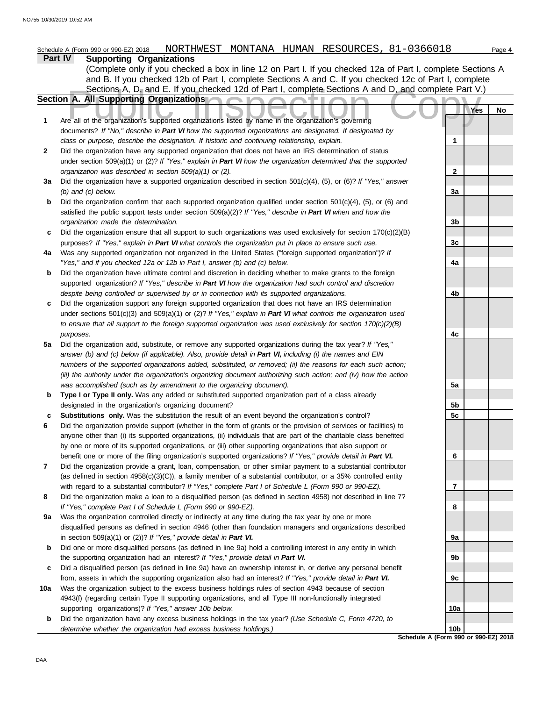| Part IV<br><b>Supporting Organizations</b><br>(Complete only if you checked a box in line 12 on Part I. If you checked 12a of Part I, complete Sections A<br>and B. If you checked 12b of Part I, complete Sections A and C. If you checked 12c of Part I, complete<br>Sections A, D, and E. If you checked 12d of Part I, complete Sections A and D, and complete Part V.)<br>Section A. All Supporting Organizations<br>. .<br>Yes<br>No<br>Are all of the organization's supported organizations listed by name in the organization's governing<br>1<br>documents? If "No," describe in Part VI how the supported organizations are designated. If designated by<br>class or purpose, describe the designation. If historic and continuing relationship, explain.<br>1<br>Did the organization have any supported organization that does not have an IRS determination of status<br>$\mathbf{2}$<br>under section 509(a)(1) or (2)? If "Yes," explain in Part VI how the organization determined that the supported<br>organization was described in section 509(a)(1) or (2).<br>$\mathbf{2}$<br>Did the organization have a supported organization described in section $501(c)(4)$ , (5), or (6)? If "Yes," answer<br>За<br>$(b)$ and $(c)$ below.<br>3a<br>Did the organization confirm that each supported organization qualified under section $501(c)(4)$ , (5), or (6) and<br>b<br>satisfied the public support tests under section 509(a)(2)? If "Yes," describe in Part VI when and how the<br>organization made the determination.<br>3b<br>Did the organization ensure that all support to such organizations was used exclusively for section $170(c)(2)(B)$<br>c<br>3c<br>purposes? If "Yes," explain in Part VI what controls the organization put in place to ensure such use.<br>Was any supported organization not organized in the United States ("foreign supported organization")? If<br>4a<br>"Yes," and if you checked 12a or 12b in Part I, answer (b) and (c) below.<br>4a<br>Did the organization have ultimate control and discretion in deciding whether to make grants to the foreign<br>b<br>supported organization? If "Yes," describe in Part VI how the organization had such control and discretion<br>despite being controlled or supervised by or in connection with its supported organizations.<br>4b<br>Did the organization support any foreign supported organization that does not have an IRS determination<br>c<br>under sections $501(c)(3)$ and $509(a)(1)$ or (2)? If "Yes," explain in Part VI what controls the organization used<br>to ensure that all support to the foreign supported organization was used exclusively for section $170(c)(2)(B)$<br>purposes.<br>4c<br>Did the organization add, substitute, or remove any supported organizations during the tax year? If "Yes,"<br>5a<br>answer (b) and (c) below (if applicable). Also, provide detail in Part VI, including (i) the names and EIN<br>numbers of the supported organizations added, substituted, or removed; (ii) the reasons for each such action;<br>(iii) the authority under the organization's organizing document authorizing such action; and (iv) how the action<br>was accomplished (such as by amendment to the organizing document).<br>5a<br>Type I or Type II only. Was any added or substituted supported organization part of a class already<br>b<br>5b<br>designated in the organization's organizing document?<br>Substitutions only. Was the substitution the result of an event beyond the organization's control?<br>5c<br>Did the organization provide support (whether in the form of grants or the provision of services or facilities) to<br>anyone other than (i) its supported organizations, (ii) individuals that are part of the charitable class benefited<br>by one or more of its supported organizations, or (iii) other supporting organizations that also support or<br>6<br>benefit one or more of the filing organization's supported organizations? If "Yes," provide detail in Part VI.<br>Did the organization provide a grant, loan, compensation, or other similar payment to a substantial contributor<br>7<br>(as defined in section $4958(c)(3)(C)$ ), a family member of a substantial contributor, or a 35% controlled entity<br>with regard to a substantial contributor? If "Yes," complete Part I of Schedule L (Form 990 or 990-EZ).<br>7<br>Did the organization make a loan to a disqualified person (as defined in section 4958) not described in line 7?<br>8<br>If "Yes," complete Part I of Schedule L (Form 990 or 990-EZ).<br>8<br>Was the organization controlled directly or indirectly at any time during the tax year by one or more<br>9a<br>disqualified persons as defined in section 4946 (other than foundation managers and organizations described<br>in section $509(a)(1)$ or $(2)$ ? If "Yes," provide detail in Part VI.<br>9а<br>Did one or more disqualified persons (as defined in line 9a) hold a controlling interest in any entity in which<br>b<br>the supporting organization had an interest? If "Yes," provide detail in Part VI.<br>9b<br>Did a disqualified person (as defined in line 9a) have an ownership interest in, or derive any personal benefit<br>c<br>from, assets in which the supporting organization also had an interest? If "Yes," provide detail in Part VI.<br>9c<br>Was the organization subject to the excess business holdings rules of section 4943 because of section<br>10a<br>4943(f) (regarding certain Type II supporting organizations, and all Type III non-functionally integrated<br>supporting organizations)? If "Yes," answer 10b below.<br>10a<br>Did the organization have any excess business holdings in the tax year? (Use Schedule C, Form 4720, to<br>b<br>10 <sub>b</sub><br>determine whether the organization had excess business holdings.) | NORTHWEST MONTANA HUMAN RESOURCES, 81-0366018<br>Schedule A (Form 990 or 990-EZ) 2018 |  | Page 4 |
|-------------------------------------------------------------------------------------------------------------------------------------------------------------------------------------------------------------------------------------------------------------------------------------------------------------------------------------------------------------------------------------------------------------------------------------------------------------------------------------------------------------------------------------------------------------------------------------------------------------------------------------------------------------------------------------------------------------------------------------------------------------------------------------------------------------------------------------------------------------------------------------------------------------------------------------------------------------------------------------------------------------------------------------------------------------------------------------------------------------------------------------------------------------------------------------------------------------------------------------------------------------------------------------------------------------------------------------------------------------------------------------------------------------------------------------------------------------------------------------------------------------------------------------------------------------------------------------------------------------------------------------------------------------------------------------------------------------------------------------------------------------------------------------------------------------------------------------------------------------------------------------------------------------------------------------------------------------------------------------------------------------------------------------------------------------------------------------------------------------------------------------------------------------------------------------------------------------------------------------------------------------------------------------------------------------------------------------------------------------------------------------------------------------------------------------------------------------------------------------------------------------------------------------------------------------------------------------------------------------------------------------------------------------------------------------------------------------------------------------------------------------------------------------------------------------------------------------------------------------------------------------------------------------------------------------------------------------------------------------------------------------------------------------------------------------------------------------------------------------------------------------------------------------------------------------------------------------------------------------------------------------------------------------------------------------------------------------------------------------------------------------------------------------------------------------------------------------------------------------------------------------------------------------------------------------------------------------------------------------------------------------------------------------------------------------------------------------------------------------------------------------------------------------------------------------------------------------------------------------------------------------------------------------------------------------------------------------------------------------------------------------------------------------------------------------------------------------------------------------------------------------------------------------------------------------------------------------------------------------------------------------------------------------------------------------------------------------------------------------------------------------------------------------------------------------------------------------------------------------------------------------------------------------------------------------------------------------------------------------------------------------------------------------------------------------------------------------------------------------------------------------------------------------------------------------------------------------------------------------------------------------------------------------------------------------------------------------------------------------------------------------------------------------------------------------------------------------------------------------------------------------------------------------------------------------------------------------------------------------------------------------------------------------------------------------------------------------------------------------------------------------------------------------------------------------------------------------------------------------------------------------------------------------------------------------------------------------------------------------------------------------------------------------------------------------------------------------------------------------------------------------------------------------------------------------------------------------------------------------------------------------------------------------|---------------------------------------------------------------------------------------|--|--------|
|                                                                                                                                                                                                                                                                                                                                                                                                                                                                                                                                                                                                                                                                                                                                                                                                                                                                                                                                                                                                                                                                                                                                                                                                                                                                                                                                                                                                                                                                                                                                                                                                                                                                                                                                                                                                                                                                                                                                                                                                                                                                                                                                                                                                                                                                                                                                                                                                                                                                                                                                                                                                                                                                                                                                                                                                                                                                                                                                                                                                                                                                                                                                                                                                                                                                                                                                                                                                                                                                                                                                                                                                                                                                                                                                                                                                                                                                                                                                                                                                                                                                                                                                                                                                                                                                                                                                                                                                                                                                                                                                                                                                                                                                                                                                                                                                                                                                                                                                                                                                                                                                                                                                                                                                                                                                                                                                                                                                                                                                                                                                                                                                                                                                                                                                                                                                                                                                                                             |                                                                                       |  |        |
|                                                                                                                                                                                                                                                                                                                                                                                                                                                                                                                                                                                                                                                                                                                                                                                                                                                                                                                                                                                                                                                                                                                                                                                                                                                                                                                                                                                                                                                                                                                                                                                                                                                                                                                                                                                                                                                                                                                                                                                                                                                                                                                                                                                                                                                                                                                                                                                                                                                                                                                                                                                                                                                                                                                                                                                                                                                                                                                                                                                                                                                                                                                                                                                                                                                                                                                                                                                                                                                                                                                                                                                                                                                                                                                                                                                                                                                                                                                                                                                                                                                                                                                                                                                                                                                                                                                                                                                                                                                                                                                                                                                                                                                                                                                                                                                                                                                                                                                                                                                                                                                                                                                                                                                                                                                                                                                                                                                                                                                                                                                                                                                                                                                                                                                                                                                                                                                                                                             |                                                                                       |  |        |
|                                                                                                                                                                                                                                                                                                                                                                                                                                                                                                                                                                                                                                                                                                                                                                                                                                                                                                                                                                                                                                                                                                                                                                                                                                                                                                                                                                                                                                                                                                                                                                                                                                                                                                                                                                                                                                                                                                                                                                                                                                                                                                                                                                                                                                                                                                                                                                                                                                                                                                                                                                                                                                                                                                                                                                                                                                                                                                                                                                                                                                                                                                                                                                                                                                                                                                                                                                                                                                                                                                                                                                                                                                                                                                                                                                                                                                                                                                                                                                                                                                                                                                                                                                                                                                                                                                                                                                                                                                                                                                                                                                                                                                                                                                                                                                                                                                                                                                                                                                                                                                                                                                                                                                                                                                                                                                                                                                                                                                                                                                                                                                                                                                                                                                                                                                                                                                                                                                             |                                                                                       |  |        |
|                                                                                                                                                                                                                                                                                                                                                                                                                                                                                                                                                                                                                                                                                                                                                                                                                                                                                                                                                                                                                                                                                                                                                                                                                                                                                                                                                                                                                                                                                                                                                                                                                                                                                                                                                                                                                                                                                                                                                                                                                                                                                                                                                                                                                                                                                                                                                                                                                                                                                                                                                                                                                                                                                                                                                                                                                                                                                                                                                                                                                                                                                                                                                                                                                                                                                                                                                                                                                                                                                                                                                                                                                                                                                                                                                                                                                                                                                                                                                                                                                                                                                                                                                                                                                                                                                                                                                                                                                                                                                                                                                                                                                                                                                                                                                                                                                                                                                                                                                                                                                                                                                                                                                                                                                                                                                                                                                                                                                                                                                                                                                                                                                                                                                                                                                                                                                                                                                                             |                                                                                       |  |        |
|                                                                                                                                                                                                                                                                                                                                                                                                                                                                                                                                                                                                                                                                                                                                                                                                                                                                                                                                                                                                                                                                                                                                                                                                                                                                                                                                                                                                                                                                                                                                                                                                                                                                                                                                                                                                                                                                                                                                                                                                                                                                                                                                                                                                                                                                                                                                                                                                                                                                                                                                                                                                                                                                                                                                                                                                                                                                                                                                                                                                                                                                                                                                                                                                                                                                                                                                                                                                                                                                                                                                                                                                                                                                                                                                                                                                                                                                                                                                                                                                                                                                                                                                                                                                                                                                                                                                                                                                                                                                                                                                                                                                                                                                                                                                                                                                                                                                                                                                                                                                                                                                                                                                                                                                                                                                                                                                                                                                                                                                                                                                                                                                                                                                                                                                                                                                                                                                                                             |                                                                                       |  |        |
|                                                                                                                                                                                                                                                                                                                                                                                                                                                                                                                                                                                                                                                                                                                                                                                                                                                                                                                                                                                                                                                                                                                                                                                                                                                                                                                                                                                                                                                                                                                                                                                                                                                                                                                                                                                                                                                                                                                                                                                                                                                                                                                                                                                                                                                                                                                                                                                                                                                                                                                                                                                                                                                                                                                                                                                                                                                                                                                                                                                                                                                                                                                                                                                                                                                                                                                                                                                                                                                                                                                                                                                                                                                                                                                                                                                                                                                                                                                                                                                                                                                                                                                                                                                                                                                                                                                                                                                                                                                                                                                                                                                                                                                                                                                                                                                                                                                                                                                                                                                                                                                                                                                                                                                                                                                                                                                                                                                                                                                                                                                                                                                                                                                                                                                                                                                                                                                                                                             |                                                                                       |  |        |
|                                                                                                                                                                                                                                                                                                                                                                                                                                                                                                                                                                                                                                                                                                                                                                                                                                                                                                                                                                                                                                                                                                                                                                                                                                                                                                                                                                                                                                                                                                                                                                                                                                                                                                                                                                                                                                                                                                                                                                                                                                                                                                                                                                                                                                                                                                                                                                                                                                                                                                                                                                                                                                                                                                                                                                                                                                                                                                                                                                                                                                                                                                                                                                                                                                                                                                                                                                                                                                                                                                                                                                                                                                                                                                                                                                                                                                                                                                                                                                                                                                                                                                                                                                                                                                                                                                                                                                                                                                                                                                                                                                                                                                                                                                                                                                                                                                                                                                                                                                                                                                                                                                                                                                                                                                                                                                                                                                                                                                                                                                                                                                                                                                                                                                                                                                                                                                                                                                             |                                                                                       |  |        |
|                                                                                                                                                                                                                                                                                                                                                                                                                                                                                                                                                                                                                                                                                                                                                                                                                                                                                                                                                                                                                                                                                                                                                                                                                                                                                                                                                                                                                                                                                                                                                                                                                                                                                                                                                                                                                                                                                                                                                                                                                                                                                                                                                                                                                                                                                                                                                                                                                                                                                                                                                                                                                                                                                                                                                                                                                                                                                                                                                                                                                                                                                                                                                                                                                                                                                                                                                                                                                                                                                                                                                                                                                                                                                                                                                                                                                                                                                                                                                                                                                                                                                                                                                                                                                                                                                                                                                                                                                                                                                                                                                                                                                                                                                                                                                                                                                                                                                                                                                                                                                                                                                                                                                                                                                                                                                                                                                                                                                                                                                                                                                                                                                                                                                                                                                                                                                                                                                                             |                                                                                       |  |        |
|                                                                                                                                                                                                                                                                                                                                                                                                                                                                                                                                                                                                                                                                                                                                                                                                                                                                                                                                                                                                                                                                                                                                                                                                                                                                                                                                                                                                                                                                                                                                                                                                                                                                                                                                                                                                                                                                                                                                                                                                                                                                                                                                                                                                                                                                                                                                                                                                                                                                                                                                                                                                                                                                                                                                                                                                                                                                                                                                                                                                                                                                                                                                                                                                                                                                                                                                                                                                                                                                                                                                                                                                                                                                                                                                                                                                                                                                                                                                                                                                                                                                                                                                                                                                                                                                                                                                                                                                                                                                                                                                                                                                                                                                                                                                                                                                                                                                                                                                                                                                                                                                                                                                                                                                                                                                                                                                                                                                                                                                                                                                                                                                                                                                                                                                                                                                                                                                                                             |                                                                                       |  |        |
|                                                                                                                                                                                                                                                                                                                                                                                                                                                                                                                                                                                                                                                                                                                                                                                                                                                                                                                                                                                                                                                                                                                                                                                                                                                                                                                                                                                                                                                                                                                                                                                                                                                                                                                                                                                                                                                                                                                                                                                                                                                                                                                                                                                                                                                                                                                                                                                                                                                                                                                                                                                                                                                                                                                                                                                                                                                                                                                                                                                                                                                                                                                                                                                                                                                                                                                                                                                                                                                                                                                                                                                                                                                                                                                                                                                                                                                                                                                                                                                                                                                                                                                                                                                                                                                                                                                                                                                                                                                                                                                                                                                                                                                                                                                                                                                                                                                                                                                                                                                                                                                                                                                                                                                                                                                                                                                                                                                                                                                                                                                                                                                                                                                                                                                                                                                                                                                                                                             |                                                                                       |  |        |
|                                                                                                                                                                                                                                                                                                                                                                                                                                                                                                                                                                                                                                                                                                                                                                                                                                                                                                                                                                                                                                                                                                                                                                                                                                                                                                                                                                                                                                                                                                                                                                                                                                                                                                                                                                                                                                                                                                                                                                                                                                                                                                                                                                                                                                                                                                                                                                                                                                                                                                                                                                                                                                                                                                                                                                                                                                                                                                                                                                                                                                                                                                                                                                                                                                                                                                                                                                                                                                                                                                                                                                                                                                                                                                                                                                                                                                                                                                                                                                                                                                                                                                                                                                                                                                                                                                                                                                                                                                                                                                                                                                                                                                                                                                                                                                                                                                                                                                                                                                                                                                                                                                                                                                                                                                                                                                                                                                                                                                                                                                                                                                                                                                                                                                                                                                                                                                                                                                             |                                                                                       |  |        |
|                                                                                                                                                                                                                                                                                                                                                                                                                                                                                                                                                                                                                                                                                                                                                                                                                                                                                                                                                                                                                                                                                                                                                                                                                                                                                                                                                                                                                                                                                                                                                                                                                                                                                                                                                                                                                                                                                                                                                                                                                                                                                                                                                                                                                                                                                                                                                                                                                                                                                                                                                                                                                                                                                                                                                                                                                                                                                                                                                                                                                                                                                                                                                                                                                                                                                                                                                                                                                                                                                                                                                                                                                                                                                                                                                                                                                                                                                                                                                                                                                                                                                                                                                                                                                                                                                                                                                                                                                                                                                                                                                                                                                                                                                                                                                                                                                                                                                                                                                                                                                                                                                                                                                                                                                                                                                                                                                                                                                                                                                                                                                                                                                                                                                                                                                                                                                                                                                                             |                                                                                       |  |        |
|                                                                                                                                                                                                                                                                                                                                                                                                                                                                                                                                                                                                                                                                                                                                                                                                                                                                                                                                                                                                                                                                                                                                                                                                                                                                                                                                                                                                                                                                                                                                                                                                                                                                                                                                                                                                                                                                                                                                                                                                                                                                                                                                                                                                                                                                                                                                                                                                                                                                                                                                                                                                                                                                                                                                                                                                                                                                                                                                                                                                                                                                                                                                                                                                                                                                                                                                                                                                                                                                                                                                                                                                                                                                                                                                                                                                                                                                                                                                                                                                                                                                                                                                                                                                                                                                                                                                                                                                                                                                                                                                                                                                                                                                                                                                                                                                                                                                                                                                                                                                                                                                                                                                                                                                                                                                                                                                                                                                                                                                                                                                                                                                                                                                                                                                                                                                                                                                                                             |                                                                                       |  |        |
|                                                                                                                                                                                                                                                                                                                                                                                                                                                                                                                                                                                                                                                                                                                                                                                                                                                                                                                                                                                                                                                                                                                                                                                                                                                                                                                                                                                                                                                                                                                                                                                                                                                                                                                                                                                                                                                                                                                                                                                                                                                                                                                                                                                                                                                                                                                                                                                                                                                                                                                                                                                                                                                                                                                                                                                                                                                                                                                                                                                                                                                                                                                                                                                                                                                                                                                                                                                                                                                                                                                                                                                                                                                                                                                                                                                                                                                                                                                                                                                                                                                                                                                                                                                                                                                                                                                                                                                                                                                                                                                                                                                                                                                                                                                                                                                                                                                                                                                                                                                                                                                                                                                                                                                                                                                                                                                                                                                                                                                                                                                                                                                                                                                                                                                                                                                                                                                                                                             |                                                                                       |  |        |
|                                                                                                                                                                                                                                                                                                                                                                                                                                                                                                                                                                                                                                                                                                                                                                                                                                                                                                                                                                                                                                                                                                                                                                                                                                                                                                                                                                                                                                                                                                                                                                                                                                                                                                                                                                                                                                                                                                                                                                                                                                                                                                                                                                                                                                                                                                                                                                                                                                                                                                                                                                                                                                                                                                                                                                                                                                                                                                                                                                                                                                                                                                                                                                                                                                                                                                                                                                                                                                                                                                                                                                                                                                                                                                                                                                                                                                                                                                                                                                                                                                                                                                                                                                                                                                                                                                                                                                                                                                                                                                                                                                                                                                                                                                                                                                                                                                                                                                                                                                                                                                                                                                                                                                                                                                                                                                                                                                                                                                                                                                                                                                                                                                                                                                                                                                                                                                                                                                             |                                                                                       |  |        |
|                                                                                                                                                                                                                                                                                                                                                                                                                                                                                                                                                                                                                                                                                                                                                                                                                                                                                                                                                                                                                                                                                                                                                                                                                                                                                                                                                                                                                                                                                                                                                                                                                                                                                                                                                                                                                                                                                                                                                                                                                                                                                                                                                                                                                                                                                                                                                                                                                                                                                                                                                                                                                                                                                                                                                                                                                                                                                                                                                                                                                                                                                                                                                                                                                                                                                                                                                                                                                                                                                                                                                                                                                                                                                                                                                                                                                                                                                                                                                                                                                                                                                                                                                                                                                                                                                                                                                                                                                                                                                                                                                                                                                                                                                                                                                                                                                                                                                                                                                                                                                                                                                                                                                                                                                                                                                                                                                                                                                                                                                                                                                                                                                                                                                                                                                                                                                                                                                                             |                                                                                       |  |        |
|                                                                                                                                                                                                                                                                                                                                                                                                                                                                                                                                                                                                                                                                                                                                                                                                                                                                                                                                                                                                                                                                                                                                                                                                                                                                                                                                                                                                                                                                                                                                                                                                                                                                                                                                                                                                                                                                                                                                                                                                                                                                                                                                                                                                                                                                                                                                                                                                                                                                                                                                                                                                                                                                                                                                                                                                                                                                                                                                                                                                                                                                                                                                                                                                                                                                                                                                                                                                                                                                                                                                                                                                                                                                                                                                                                                                                                                                                                                                                                                                                                                                                                                                                                                                                                                                                                                                                                                                                                                                                                                                                                                                                                                                                                                                                                                                                                                                                                                                                                                                                                                                                                                                                                                                                                                                                                                                                                                                                                                                                                                                                                                                                                                                                                                                                                                                                                                                                                             |                                                                                       |  |        |
|                                                                                                                                                                                                                                                                                                                                                                                                                                                                                                                                                                                                                                                                                                                                                                                                                                                                                                                                                                                                                                                                                                                                                                                                                                                                                                                                                                                                                                                                                                                                                                                                                                                                                                                                                                                                                                                                                                                                                                                                                                                                                                                                                                                                                                                                                                                                                                                                                                                                                                                                                                                                                                                                                                                                                                                                                                                                                                                                                                                                                                                                                                                                                                                                                                                                                                                                                                                                                                                                                                                                                                                                                                                                                                                                                                                                                                                                                                                                                                                                                                                                                                                                                                                                                                                                                                                                                                                                                                                                                                                                                                                                                                                                                                                                                                                                                                                                                                                                                                                                                                                                                                                                                                                                                                                                                                                                                                                                                                                                                                                                                                                                                                                                                                                                                                                                                                                                                                             |                                                                                       |  |        |
|                                                                                                                                                                                                                                                                                                                                                                                                                                                                                                                                                                                                                                                                                                                                                                                                                                                                                                                                                                                                                                                                                                                                                                                                                                                                                                                                                                                                                                                                                                                                                                                                                                                                                                                                                                                                                                                                                                                                                                                                                                                                                                                                                                                                                                                                                                                                                                                                                                                                                                                                                                                                                                                                                                                                                                                                                                                                                                                                                                                                                                                                                                                                                                                                                                                                                                                                                                                                                                                                                                                                                                                                                                                                                                                                                                                                                                                                                                                                                                                                                                                                                                                                                                                                                                                                                                                                                                                                                                                                                                                                                                                                                                                                                                                                                                                                                                                                                                                                                                                                                                                                                                                                                                                                                                                                                                                                                                                                                                                                                                                                                                                                                                                                                                                                                                                                                                                                                                             |                                                                                       |  |        |
|                                                                                                                                                                                                                                                                                                                                                                                                                                                                                                                                                                                                                                                                                                                                                                                                                                                                                                                                                                                                                                                                                                                                                                                                                                                                                                                                                                                                                                                                                                                                                                                                                                                                                                                                                                                                                                                                                                                                                                                                                                                                                                                                                                                                                                                                                                                                                                                                                                                                                                                                                                                                                                                                                                                                                                                                                                                                                                                                                                                                                                                                                                                                                                                                                                                                                                                                                                                                                                                                                                                                                                                                                                                                                                                                                                                                                                                                                                                                                                                                                                                                                                                                                                                                                                                                                                                                                                                                                                                                                                                                                                                                                                                                                                                                                                                                                                                                                                                                                                                                                                                                                                                                                                                                                                                                                                                                                                                                                                                                                                                                                                                                                                                                                                                                                                                                                                                                                                             |                                                                                       |  |        |
|                                                                                                                                                                                                                                                                                                                                                                                                                                                                                                                                                                                                                                                                                                                                                                                                                                                                                                                                                                                                                                                                                                                                                                                                                                                                                                                                                                                                                                                                                                                                                                                                                                                                                                                                                                                                                                                                                                                                                                                                                                                                                                                                                                                                                                                                                                                                                                                                                                                                                                                                                                                                                                                                                                                                                                                                                                                                                                                                                                                                                                                                                                                                                                                                                                                                                                                                                                                                                                                                                                                                                                                                                                                                                                                                                                                                                                                                                                                                                                                                                                                                                                                                                                                                                                                                                                                                                                                                                                                                                                                                                                                                                                                                                                                                                                                                                                                                                                                                                                                                                                                                                                                                                                                                                                                                                                                                                                                                                                                                                                                                                                                                                                                                                                                                                                                                                                                                                                             |                                                                                       |  |        |
|                                                                                                                                                                                                                                                                                                                                                                                                                                                                                                                                                                                                                                                                                                                                                                                                                                                                                                                                                                                                                                                                                                                                                                                                                                                                                                                                                                                                                                                                                                                                                                                                                                                                                                                                                                                                                                                                                                                                                                                                                                                                                                                                                                                                                                                                                                                                                                                                                                                                                                                                                                                                                                                                                                                                                                                                                                                                                                                                                                                                                                                                                                                                                                                                                                                                                                                                                                                                                                                                                                                                                                                                                                                                                                                                                                                                                                                                                                                                                                                                                                                                                                                                                                                                                                                                                                                                                                                                                                                                                                                                                                                                                                                                                                                                                                                                                                                                                                                                                                                                                                                                                                                                                                                                                                                                                                                                                                                                                                                                                                                                                                                                                                                                                                                                                                                                                                                                                                             |                                                                                       |  |        |
|                                                                                                                                                                                                                                                                                                                                                                                                                                                                                                                                                                                                                                                                                                                                                                                                                                                                                                                                                                                                                                                                                                                                                                                                                                                                                                                                                                                                                                                                                                                                                                                                                                                                                                                                                                                                                                                                                                                                                                                                                                                                                                                                                                                                                                                                                                                                                                                                                                                                                                                                                                                                                                                                                                                                                                                                                                                                                                                                                                                                                                                                                                                                                                                                                                                                                                                                                                                                                                                                                                                                                                                                                                                                                                                                                                                                                                                                                                                                                                                                                                                                                                                                                                                                                                                                                                                                                                                                                                                                                                                                                                                                                                                                                                                                                                                                                                                                                                                                                                                                                                                                                                                                                                                                                                                                                                                                                                                                                                                                                                                                                                                                                                                                                                                                                                                                                                                                                                             |                                                                                       |  |        |
|                                                                                                                                                                                                                                                                                                                                                                                                                                                                                                                                                                                                                                                                                                                                                                                                                                                                                                                                                                                                                                                                                                                                                                                                                                                                                                                                                                                                                                                                                                                                                                                                                                                                                                                                                                                                                                                                                                                                                                                                                                                                                                                                                                                                                                                                                                                                                                                                                                                                                                                                                                                                                                                                                                                                                                                                                                                                                                                                                                                                                                                                                                                                                                                                                                                                                                                                                                                                                                                                                                                                                                                                                                                                                                                                                                                                                                                                                                                                                                                                                                                                                                                                                                                                                                                                                                                                                                                                                                                                                                                                                                                                                                                                                                                                                                                                                                                                                                                                                                                                                                                                                                                                                                                                                                                                                                                                                                                                                                                                                                                                                                                                                                                                                                                                                                                                                                                                                                             |                                                                                       |  |        |
|                                                                                                                                                                                                                                                                                                                                                                                                                                                                                                                                                                                                                                                                                                                                                                                                                                                                                                                                                                                                                                                                                                                                                                                                                                                                                                                                                                                                                                                                                                                                                                                                                                                                                                                                                                                                                                                                                                                                                                                                                                                                                                                                                                                                                                                                                                                                                                                                                                                                                                                                                                                                                                                                                                                                                                                                                                                                                                                                                                                                                                                                                                                                                                                                                                                                                                                                                                                                                                                                                                                                                                                                                                                                                                                                                                                                                                                                                                                                                                                                                                                                                                                                                                                                                                                                                                                                                                                                                                                                                                                                                                                                                                                                                                                                                                                                                                                                                                                                                                                                                                                                                                                                                                                                                                                                                                                                                                                                                                                                                                                                                                                                                                                                                                                                                                                                                                                                                                             |                                                                                       |  |        |
|                                                                                                                                                                                                                                                                                                                                                                                                                                                                                                                                                                                                                                                                                                                                                                                                                                                                                                                                                                                                                                                                                                                                                                                                                                                                                                                                                                                                                                                                                                                                                                                                                                                                                                                                                                                                                                                                                                                                                                                                                                                                                                                                                                                                                                                                                                                                                                                                                                                                                                                                                                                                                                                                                                                                                                                                                                                                                                                                                                                                                                                                                                                                                                                                                                                                                                                                                                                                                                                                                                                                                                                                                                                                                                                                                                                                                                                                                                                                                                                                                                                                                                                                                                                                                                                                                                                                                                                                                                                                                                                                                                                                                                                                                                                                                                                                                                                                                                                                                                                                                                                                                                                                                                                                                                                                                                                                                                                                                                                                                                                                                                                                                                                                                                                                                                                                                                                                                                             |                                                                                       |  |        |
|                                                                                                                                                                                                                                                                                                                                                                                                                                                                                                                                                                                                                                                                                                                                                                                                                                                                                                                                                                                                                                                                                                                                                                                                                                                                                                                                                                                                                                                                                                                                                                                                                                                                                                                                                                                                                                                                                                                                                                                                                                                                                                                                                                                                                                                                                                                                                                                                                                                                                                                                                                                                                                                                                                                                                                                                                                                                                                                                                                                                                                                                                                                                                                                                                                                                                                                                                                                                                                                                                                                                                                                                                                                                                                                                                                                                                                                                                                                                                                                                                                                                                                                                                                                                                                                                                                                                                                                                                                                                                                                                                                                                                                                                                                                                                                                                                                                                                                                                                                                                                                                                                                                                                                                                                                                                                                                                                                                                                                                                                                                                                                                                                                                                                                                                                                                                                                                                                                             |                                                                                       |  |        |
|                                                                                                                                                                                                                                                                                                                                                                                                                                                                                                                                                                                                                                                                                                                                                                                                                                                                                                                                                                                                                                                                                                                                                                                                                                                                                                                                                                                                                                                                                                                                                                                                                                                                                                                                                                                                                                                                                                                                                                                                                                                                                                                                                                                                                                                                                                                                                                                                                                                                                                                                                                                                                                                                                                                                                                                                                                                                                                                                                                                                                                                                                                                                                                                                                                                                                                                                                                                                                                                                                                                                                                                                                                                                                                                                                                                                                                                                                                                                                                                                                                                                                                                                                                                                                                                                                                                                                                                                                                                                                                                                                                                                                                                                                                                                                                                                                                                                                                                                                                                                                                                                                                                                                                                                                                                                                                                                                                                                                                                                                                                                                                                                                                                                                                                                                                                                                                                                                                             |                                                                                       |  |        |
|                                                                                                                                                                                                                                                                                                                                                                                                                                                                                                                                                                                                                                                                                                                                                                                                                                                                                                                                                                                                                                                                                                                                                                                                                                                                                                                                                                                                                                                                                                                                                                                                                                                                                                                                                                                                                                                                                                                                                                                                                                                                                                                                                                                                                                                                                                                                                                                                                                                                                                                                                                                                                                                                                                                                                                                                                                                                                                                                                                                                                                                                                                                                                                                                                                                                                                                                                                                                                                                                                                                                                                                                                                                                                                                                                                                                                                                                                                                                                                                                                                                                                                                                                                                                                                                                                                                                                                                                                                                                                                                                                                                                                                                                                                                                                                                                                                                                                                                                                                                                                                                                                                                                                                                                                                                                                                                                                                                                                                                                                                                                                                                                                                                                                                                                                                                                                                                                                                             |                                                                                       |  |        |
|                                                                                                                                                                                                                                                                                                                                                                                                                                                                                                                                                                                                                                                                                                                                                                                                                                                                                                                                                                                                                                                                                                                                                                                                                                                                                                                                                                                                                                                                                                                                                                                                                                                                                                                                                                                                                                                                                                                                                                                                                                                                                                                                                                                                                                                                                                                                                                                                                                                                                                                                                                                                                                                                                                                                                                                                                                                                                                                                                                                                                                                                                                                                                                                                                                                                                                                                                                                                                                                                                                                                                                                                                                                                                                                                                                                                                                                                                                                                                                                                                                                                                                                                                                                                                                                                                                                                                                                                                                                                                                                                                                                                                                                                                                                                                                                                                                                                                                                                                                                                                                                                                                                                                                                                                                                                                                                                                                                                                                                                                                                                                                                                                                                                                                                                                                                                                                                                                                             |                                                                                       |  |        |
|                                                                                                                                                                                                                                                                                                                                                                                                                                                                                                                                                                                                                                                                                                                                                                                                                                                                                                                                                                                                                                                                                                                                                                                                                                                                                                                                                                                                                                                                                                                                                                                                                                                                                                                                                                                                                                                                                                                                                                                                                                                                                                                                                                                                                                                                                                                                                                                                                                                                                                                                                                                                                                                                                                                                                                                                                                                                                                                                                                                                                                                                                                                                                                                                                                                                                                                                                                                                                                                                                                                                                                                                                                                                                                                                                                                                                                                                                                                                                                                                                                                                                                                                                                                                                                                                                                                                                                                                                                                                                                                                                                                                                                                                                                                                                                                                                                                                                                                                                                                                                                                                                                                                                                                                                                                                                                                                                                                                                                                                                                                                                                                                                                                                                                                                                                                                                                                                                                             |                                                                                       |  |        |
|                                                                                                                                                                                                                                                                                                                                                                                                                                                                                                                                                                                                                                                                                                                                                                                                                                                                                                                                                                                                                                                                                                                                                                                                                                                                                                                                                                                                                                                                                                                                                                                                                                                                                                                                                                                                                                                                                                                                                                                                                                                                                                                                                                                                                                                                                                                                                                                                                                                                                                                                                                                                                                                                                                                                                                                                                                                                                                                                                                                                                                                                                                                                                                                                                                                                                                                                                                                                                                                                                                                                                                                                                                                                                                                                                                                                                                                                                                                                                                                                                                                                                                                                                                                                                                                                                                                                                                                                                                                                                                                                                                                                                                                                                                                                                                                                                                                                                                                                                                                                                                                                                                                                                                                                                                                                                                                                                                                                                                                                                                                                                                                                                                                                                                                                                                                                                                                                                                             |                                                                                       |  |        |
|                                                                                                                                                                                                                                                                                                                                                                                                                                                                                                                                                                                                                                                                                                                                                                                                                                                                                                                                                                                                                                                                                                                                                                                                                                                                                                                                                                                                                                                                                                                                                                                                                                                                                                                                                                                                                                                                                                                                                                                                                                                                                                                                                                                                                                                                                                                                                                                                                                                                                                                                                                                                                                                                                                                                                                                                                                                                                                                                                                                                                                                                                                                                                                                                                                                                                                                                                                                                                                                                                                                                                                                                                                                                                                                                                                                                                                                                                                                                                                                                                                                                                                                                                                                                                                                                                                                                                                                                                                                                                                                                                                                                                                                                                                                                                                                                                                                                                                                                                                                                                                                                                                                                                                                                                                                                                                                                                                                                                                                                                                                                                                                                                                                                                                                                                                                                                                                                                                             |                                                                                       |  |        |
|                                                                                                                                                                                                                                                                                                                                                                                                                                                                                                                                                                                                                                                                                                                                                                                                                                                                                                                                                                                                                                                                                                                                                                                                                                                                                                                                                                                                                                                                                                                                                                                                                                                                                                                                                                                                                                                                                                                                                                                                                                                                                                                                                                                                                                                                                                                                                                                                                                                                                                                                                                                                                                                                                                                                                                                                                                                                                                                                                                                                                                                                                                                                                                                                                                                                                                                                                                                                                                                                                                                                                                                                                                                                                                                                                                                                                                                                                                                                                                                                                                                                                                                                                                                                                                                                                                                                                                                                                                                                                                                                                                                                                                                                                                                                                                                                                                                                                                                                                                                                                                                                                                                                                                                                                                                                                                                                                                                                                                                                                                                                                                                                                                                                                                                                                                                                                                                                                                             |                                                                                       |  |        |
|                                                                                                                                                                                                                                                                                                                                                                                                                                                                                                                                                                                                                                                                                                                                                                                                                                                                                                                                                                                                                                                                                                                                                                                                                                                                                                                                                                                                                                                                                                                                                                                                                                                                                                                                                                                                                                                                                                                                                                                                                                                                                                                                                                                                                                                                                                                                                                                                                                                                                                                                                                                                                                                                                                                                                                                                                                                                                                                                                                                                                                                                                                                                                                                                                                                                                                                                                                                                                                                                                                                                                                                                                                                                                                                                                                                                                                                                                                                                                                                                                                                                                                                                                                                                                                                                                                                                                                                                                                                                                                                                                                                                                                                                                                                                                                                                                                                                                                                                                                                                                                                                                                                                                                                                                                                                                                                                                                                                                                                                                                                                                                                                                                                                                                                                                                                                                                                                                                             |                                                                                       |  |        |
|                                                                                                                                                                                                                                                                                                                                                                                                                                                                                                                                                                                                                                                                                                                                                                                                                                                                                                                                                                                                                                                                                                                                                                                                                                                                                                                                                                                                                                                                                                                                                                                                                                                                                                                                                                                                                                                                                                                                                                                                                                                                                                                                                                                                                                                                                                                                                                                                                                                                                                                                                                                                                                                                                                                                                                                                                                                                                                                                                                                                                                                                                                                                                                                                                                                                                                                                                                                                                                                                                                                                                                                                                                                                                                                                                                                                                                                                                                                                                                                                                                                                                                                                                                                                                                                                                                                                                                                                                                                                                                                                                                                                                                                                                                                                                                                                                                                                                                                                                                                                                                                                                                                                                                                                                                                                                                                                                                                                                                                                                                                                                                                                                                                                                                                                                                                                                                                                                                             |                                                                                       |  |        |
|                                                                                                                                                                                                                                                                                                                                                                                                                                                                                                                                                                                                                                                                                                                                                                                                                                                                                                                                                                                                                                                                                                                                                                                                                                                                                                                                                                                                                                                                                                                                                                                                                                                                                                                                                                                                                                                                                                                                                                                                                                                                                                                                                                                                                                                                                                                                                                                                                                                                                                                                                                                                                                                                                                                                                                                                                                                                                                                                                                                                                                                                                                                                                                                                                                                                                                                                                                                                                                                                                                                                                                                                                                                                                                                                                                                                                                                                                                                                                                                                                                                                                                                                                                                                                                                                                                                                                                                                                                                                                                                                                                                                                                                                                                                                                                                                                                                                                                                                                                                                                                                                                                                                                                                                                                                                                                                                                                                                                                                                                                                                                                                                                                                                                                                                                                                                                                                                                                             |                                                                                       |  |        |
|                                                                                                                                                                                                                                                                                                                                                                                                                                                                                                                                                                                                                                                                                                                                                                                                                                                                                                                                                                                                                                                                                                                                                                                                                                                                                                                                                                                                                                                                                                                                                                                                                                                                                                                                                                                                                                                                                                                                                                                                                                                                                                                                                                                                                                                                                                                                                                                                                                                                                                                                                                                                                                                                                                                                                                                                                                                                                                                                                                                                                                                                                                                                                                                                                                                                                                                                                                                                                                                                                                                                                                                                                                                                                                                                                                                                                                                                                                                                                                                                                                                                                                                                                                                                                                                                                                                                                                                                                                                                                                                                                                                                                                                                                                                                                                                                                                                                                                                                                                                                                                                                                                                                                                                                                                                                                                                                                                                                                                                                                                                                                                                                                                                                                                                                                                                                                                                                                                             |                                                                                       |  |        |
|                                                                                                                                                                                                                                                                                                                                                                                                                                                                                                                                                                                                                                                                                                                                                                                                                                                                                                                                                                                                                                                                                                                                                                                                                                                                                                                                                                                                                                                                                                                                                                                                                                                                                                                                                                                                                                                                                                                                                                                                                                                                                                                                                                                                                                                                                                                                                                                                                                                                                                                                                                                                                                                                                                                                                                                                                                                                                                                                                                                                                                                                                                                                                                                                                                                                                                                                                                                                                                                                                                                                                                                                                                                                                                                                                                                                                                                                                                                                                                                                                                                                                                                                                                                                                                                                                                                                                                                                                                                                                                                                                                                                                                                                                                                                                                                                                                                                                                                                                                                                                                                                                                                                                                                                                                                                                                                                                                                                                                                                                                                                                                                                                                                                                                                                                                                                                                                                                                             |                                                                                       |  |        |
|                                                                                                                                                                                                                                                                                                                                                                                                                                                                                                                                                                                                                                                                                                                                                                                                                                                                                                                                                                                                                                                                                                                                                                                                                                                                                                                                                                                                                                                                                                                                                                                                                                                                                                                                                                                                                                                                                                                                                                                                                                                                                                                                                                                                                                                                                                                                                                                                                                                                                                                                                                                                                                                                                                                                                                                                                                                                                                                                                                                                                                                                                                                                                                                                                                                                                                                                                                                                                                                                                                                                                                                                                                                                                                                                                                                                                                                                                                                                                                                                                                                                                                                                                                                                                                                                                                                                                                                                                                                                                                                                                                                                                                                                                                                                                                                                                                                                                                                                                                                                                                                                                                                                                                                                                                                                                                                                                                                                                                                                                                                                                                                                                                                                                                                                                                                                                                                                                                             |                                                                                       |  |        |
|                                                                                                                                                                                                                                                                                                                                                                                                                                                                                                                                                                                                                                                                                                                                                                                                                                                                                                                                                                                                                                                                                                                                                                                                                                                                                                                                                                                                                                                                                                                                                                                                                                                                                                                                                                                                                                                                                                                                                                                                                                                                                                                                                                                                                                                                                                                                                                                                                                                                                                                                                                                                                                                                                                                                                                                                                                                                                                                                                                                                                                                                                                                                                                                                                                                                                                                                                                                                                                                                                                                                                                                                                                                                                                                                                                                                                                                                                                                                                                                                                                                                                                                                                                                                                                                                                                                                                                                                                                                                                                                                                                                                                                                                                                                                                                                                                                                                                                                                                                                                                                                                                                                                                                                                                                                                                                                                                                                                                                                                                                                                                                                                                                                                                                                                                                                                                                                                                                             |                                                                                       |  |        |
|                                                                                                                                                                                                                                                                                                                                                                                                                                                                                                                                                                                                                                                                                                                                                                                                                                                                                                                                                                                                                                                                                                                                                                                                                                                                                                                                                                                                                                                                                                                                                                                                                                                                                                                                                                                                                                                                                                                                                                                                                                                                                                                                                                                                                                                                                                                                                                                                                                                                                                                                                                                                                                                                                                                                                                                                                                                                                                                                                                                                                                                                                                                                                                                                                                                                                                                                                                                                                                                                                                                                                                                                                                                                                                                                                                                                                                                                                                                                                                                                                                                                                                                                                                                                                                                                                                                                                                                                                                                                                                                                                                                                                                                                                                                                                                                                                                                                                                                                                                                                                                                                                                                                                                                                                                                                                                                                                                                                                                                                                                                                                                                                                                                                                                                                                                                                                                                                                                             |                                                                                       |  |        |
|                                                                                                                                                                                                                                                                                                                                                                                                                                                                                                                                                                                                                                                                                                                                                                                                                                                                                                                                                                                                                                                                                                                                                                                                                                                                                                                                                                                                                                                                                                                                                                                                                                                                                                                                                                                                                                                                                                                                                                                                                                                                                                                                                                                                                                                                                                                                                                                                                                                                                                                                                                                                                                                                                                                                                                                                                                                                                                                                                                                                                                                                                                                                                                                                                                                                                                                                                                                                                                                                                                                                                                                                                                                                                                                                                                                                                                                                                                                                                                                                                                                                                                                                                                                                                                                                                                                                                                                                                                                                                                                                                                                                                                                                                                                                                                                                                                                                                                                                                                                                                                                                                                                                                                                                                                                                                                                                                                                                                                                                                                                                                                                                                                                                                                                                                                                                                                                                                                             |                                                                                       |  |        |
|                                                                                                                                                                                                                                                                                                                                                                                                                                                                                                                                                                                                                                                                                                                                                                                                                                                                                                                                                                                                                                                                                                                                                                                                                                                                                                                                                                                                                                                                                                                                                                                                                                                                                                                                                                                                                                                                                                                                                                                                                                                                                                                                                                                                                                                                                                                                                                                                                                                                                                                                                                                                                                                                                                                                                                                                                                                                                                                                                                                                                                                                                                                                                                                                                                                                                                                                                                                                                                                                                                                                                                                                                                                                                                                                                                                                                                                                                                                                                                                                                                                                                                                                                                                                                                                                                                                                                                                                                                                                                                                                                                                                                                                                                                                                                                                                                                                                                                                                                                                                                                                                                                                                                                                                                                                                                                                                                                                                                                                                                                                                                                                                                                                                                                                                                                                                                                                                                                             |                                                                                       |  |        |
|                                                                                                                                                                                                                                                                                                                                                                                                                                                                                                                                                                                                                                                                                                                                                                                                                                                                                                                                                                                                                                                                                                                                                                                                                                                                                                                                                                                                                                                                                                                                                                                                                                                                                                                                                                                                                                                                                                                                                                                                                                                                                                                                                                                                                                                                                                                                                                                                                                                                                                                                                                                                                                                                                                                                                                                                                                                                                                                                                                                                                                                                                                                                                                                                                                                                                                                                                                                                                                                                                                                                                                                                                                                                                                                                                                                                                                                                                                                                                                                                                                                                                                                                                                                                                                                                                                                                                                                                                                                                                                                                                                                                                                                                                                                                                                                                                                                                                                                                                                                                                                                                                                                                                                                                                                                                                                                                                                                                                                                                                                                                                                                                                                                                                                                                                                                                                                                                                                             |                                                                                       |  |        |
|                                                                                                                                                                                                                                                                                                                                                                                                                                                                                                                                                                                                                                                                                                                                                                                                                                                                                                                                                                                                                                                                                                                                                                                                                                                                                                                                                                                                                                                                                                                                                                                                                                                                                                                                                                                                                                                                                                                                                                                                                                                                                                                                                                                                                                                                                                                                                                                                                                                                                                                                                                                                                                                                                                                                                                                                                                                                                                                                                                                                                                                                                                                                                                                                                                                                                                                                                                                                                                                                                                                                                                                                                                                                                                                                                                                                                                                                                                                                                                                                                                                                                                                                                                                                                                                                                                                                                                                                                                                                                                                                                                                                                                                                                                                                                                                                                                                                                                                                                                                                                                                                                                                                                                                                                                                                                                                                                                                                                                                                                                                                                                                                                                                                                                                                                                                                                                                                                                             |                                                                                       |  |        |
|                                                                                                                                                                                                                                                                                                                                                                                                                                                                                                                                                                                                                                                                                                                                                                                                                                                                                                                                                                                                                                                                                                                                                                                                                                                                                                                                                                                                                                                                                                                                                                                                                                                                                                                                                                                                                                                                                                                                                                                                                                                                                                                                                                                                                                                                                                                                                                                                                                                                                                                                                                                                                                                                                                                                                                                                                                                                                                                                                                                                                                                                                                                                                                                                                                                                                                                                                                                                                                                                                                                                                                                                                                                                                                                                                                                                                                                                                                                                                                                                                                                                                                                                                                                                                                                                                                                                                                                                                                                                                                                                                                                                                                                                                                                                                                                                                                                                                                                                                                                                                                                                                                                                                                                                                                                                                                                                                                                                                                                                                                                                                                                                                                                                                                                                                                                                                                                                                                             |                                                                                       |  |        |
|                                                                                                                                                                                                                                                                                                                                                                                                                                                                                                                                                                                                                                                                                                                                                                                                                                                                                                                                                                                                                                                                                                                                                                                                                                                                                                                                                                                                                                                                                                                                                                                                                                                                                                                                                                                                                                                                                                                                                                                                                                                                                                                                                                                                                                                                                                                                                                                                                                                                                                                                                                                                                                                                                                                                                                                                                                                                                                                                                                                                                                                                                                                                                                                                                                                                                                                                                                                                                                                                                                                                                                                                                                                                                                                                                                                                                                                                                                                                                                                                                                                                                                                                                                                                                                                                                                                                                                                                                                                                                                                                                                                                                                                                                                                                                                                                                                                                                                                                                                                                                                                                                                                                                                                                                                                                                                                                                                                                                                                                                                                                                                                                                                                                                                                                                                                                                                                                                                             |                                                                                       |  |        |
|                                                                                                                                                                                                                                                                                                                                                                                                                                                                                                                                                                                                                                                                                                                                                                                                                                                                                                                                                                                                                                                                                                                                                                                                                                                                                                                                                                                                                                                                                                                                                                                                                                                                                                                                                                                                                                                                                                                                                                                                                                                                                                                                                                                                                                                                                                                                                                                                                                                                                                                                                                                                                                                                                                                                                                                                                                                                                                                                                                                                                                                                                                                                                                                                                                                                                                                                                                                                                                                                                                                                                                                                                                                                                                                                                                                                                                                                                                                                                                                                                                                                                                                                                                                                                                                                                                                                                                                                                                                                                                                                                                                                                                                                                                                                                                                                                                                                                                                                                                                                                                                                                                                                                                                                                                                                                                                                                                                                                                                                                                                                                                                                                                                                                                                                                                                                                                                                                                             |                                                                                       |  |        |
|                                                                                                                                                                                                                                                                                                                                                                                                                                                                                                                                                                                                                                                                                                                                                                                                                                                                                                                                                                                                                                                                                                                                                                                                                                                                                                                                                                                                                                                                                                                                                                                                                                                                                                                                                                                                                                                                                                                                                                                                                                                                                                                                                                                                                                                                                                                                                                                                                                                                                                                                                                                                                                                                                                                                                                                                                                                                                                                                                                                                                                                                                                                                                                                                                                                                                                                                                                                                                                                                                                                                                                                                                                                                                                                                                                                                                                                                                                                                                                                                                                                                                                                                                                                                                                                                                                                                                                                                                                                                                                                                                                                                                                                                                                                                                                                                                                                                                                                                                                                                                                                                                                                                                                                                                                                                                                                                                                                                                                                                                                                                                                                                                                                                                                                                                                                                                                                                                                             |                                                                                       |  |        |
|                                                                                                                                                                                                                                                                                                                                                                                                                                                                                                                                                                                                                                                                                                                                                                                                                                                                                                                                                                                                                                                                                                                                                                                                                                                                                                                                                                                                                                                                                                                                                                                                                                                                                                                                                                                                                                                                                                                                                                                                                                                                                                                                                                                                                                                                                                                                                                                                                                                                                                                                                                                                                                                                                                                                                                                                                                                                                                                                                                                                                                                                                                                                                                                                                                                                                                                                                                                                                                                                                                                                                                                                                                                                                                                                                                                                                                                                                                                                                                                                                                                                                                                                                                                                                                                                                                                                                                                                                                                                                                                                                                                                                                                                                                                                                                                                                                                                                                                                                                                                                                                                                                                                                                                                                                                                                                                                                                                                                                                                                                                                                                                                                                                                                                                                                                                                                                                                                                             |                                                                                       |  |        |
|                                                                                                                                                                                                                                                                                                                                                                                                                                                                                                                                                                                                                                                                                                                                                                                                                                                                                                                                                                                                                                                                                                                                                                                                                                                                                                                                                                                                                                                                                                                                                                                                                                                                                                                                                                                                                                                                                                                                                                                                                                                                                                                                                                                                                                                                                                                                                                                                                                                                                                                                                                                                                                                                                                                                                                                                                                                                                                                                                                                                                                                                                                                                                                                                                                                                                                                                                                                                                                                                                                                                                                                                                                                                                                                                                                                                                                                                                                                                                                                                                                                                                                                                                                                                                                                                                                                                                                                                                                                                                                                                                                                                                                                                                                                                                                                                                                                                                                                                                                                                                                                                                                                                                                                                                                                                                                                                                                                                                                                                                                                                                                                                                                                                                                                                                                                                                                                                                                             |                                                                                       |  |        |
|                                                                                                                                                                                                                                                                                                                                                                                                                                                                                                                                                                                                                                                                                                                                                                                                                                                                                                                                                                                                                                                                                                                                                                                                                                                                                                                                                                                                                                                                                                                                                                                                                                                                                                                                                                                                                                                                                                                                                                                                                                                                                                                                                                                                                                                                                                                                                                                                                                                                                                                                                                                                                                                                                                                                                                                                                                                                                                                                                                                                                                                                                                                                                                                                                                                                                                                                                                                                                                                                                                                                                                                                                                                                                                                                                                                                                                                                                                                                                                                                                                                                                                                                                                                                                                                                                                                                                                                                                                                                                                                                                                                                                                                                                                                                                                                                                                                                                                                                                                                                                                                                                                                                                                                                                                                                                                                                                                                                                                                                                                                                                                                                                                                                                                                                                                                                                                                                                                             |                                                                                       |  |        |
|                                                                                                                                                                                                                                                                                                                                                                                                                                                                                                                                                                                                                                                                                                                                                                                                                                                                                                                                                                                                                                                                                                                                                                                                                                                                                                                                                                                                                                                                                                                                                                                                                                                                                                                                                                                                                                                                                                                                                                                                                                                                                                                                                                                                                                                                                                                                                                                                                                                                                                                                                                                                                                                                                                                                                                                                                                                                                                                                                                                                                                                                                                                                                                                                                                                                                                                                                                                                                                                                                                                                                                                                                                                                                                                                                                                                                                                                                                                                                                                                                                                                                                                                                                                                                                                                                                                                                                                                                                                                                                                                                                                                                                                                                                                                                                                                                                                                                                                                                                                                                                                                                                                                                                                                                                                                                                                                                                                                                                                                                                                                                                                                                                                                                                                                                                                                                                                                                                             |                                                                                       |  |        |
|                                                                                                                                                                                                                                                                                                                                                                                                                                                                                                                                                                                                                                                                                                                                                                                                                                                                                                                                                                                                                                                                                                                                                                                                                                                                                                                                                                                                                                                                                                                                                                                                                                                                                                                                                                                                                                                                                                                                                                                                                                                                                                                                                                                                                                                                                                                                                                                                                                                                                                                                                                                                                                                                                                                                                                                                                                                                                                                                                                                                                                                                                                                                                                                                                                                                                                                                                                                                                                                                                                                                                                                                                                                                                                                                                                                                                                                                                                                                                                                                                                                                                                                                                                                                                                                                                                                                                                                                                                                                                                                                                                                                                                                                                                                                                                                                                                                                                                                                                                                                                                                                                                                                                                                                                                                                                                                                                                                                                                                                                                                                                                                                                                                                                                                                                                                                                                                                                                             |                                                                                       |  |        |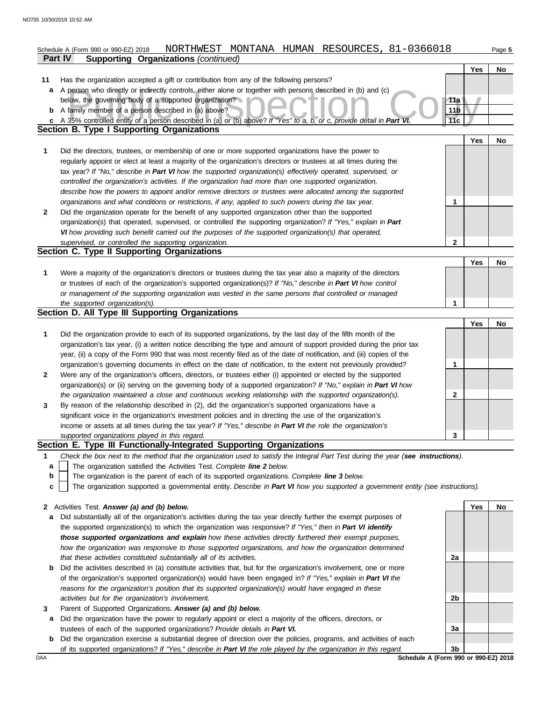|    | NORTHWEST MONTANA HUMAN RESOURCES, 81-0366018<br>Schedule A (Form 990 or 990-EZ) 2018                                             |             |            | Page 5 |  |  |  |
|----|-----------------------------------------------------------------------------------------------------------------------------------|-------------|------------|--------|--|--|--|
|    | <b>Part IV</b><br><b>Supporting Organizations (continued)</b>                                                                     |             |            |        |  |  |  |
|    |                                                                                                                                   |             | Yes        | No     |  |  |  |
| 11 | Has the organization accepted a gift or contribution from any of the following persons?                                           |             |            |        |  |  |  |
| а  | A person who directly or indirectly controls, either alone or together with persons described in (b) and (c)                      |             |            |        |  |  |  |
|    | below, the governing body of a supported organization?                                                                            | 11a         |            |        |  |  |  |
|    | 11 <sub>b</sub><br>A family member of a person described in (a) above?<br>b                                                       |             |            |        |  |  |  |
| C  | A 35% controlled entity of a person described in (a) or (b) above? If "Yes" to a, b, or c, provide detail in Part VI              | 11c         |            |        |  |  |  |
|    | Section B. Type I Supporting Organizations                                                                                        |             |            |        |  |  |  |
|    |                                                                                                                                   |             |            |        |  |  |  |
|    |                                                                                                                                   |             | <b>Yes</b> | No     |  |  |  |
| 1  | Did the directors, trustees, or membership of one or more supported organizations have the power to                               |             |            |        |  |  |  |
|    | regularly appoint or elect at least a majority of the organization's directors or trustees at all times during the                |             |            |        |  |  |  |
|    | tax year? If "No," describe in Part VI how the supported organization(s) effectively operated, supervised, or                     |             |            |        |  |  |  |
|    | controlled the organization's activities. If the organization had more than one supported organization,                           |             |            |        |  |  |  |
|    | describe how the powers to appoint and/or remove directors or trustees were allocated among the supported                         |             |            |        |  |  |  |
|    | organizations and what conditions or restrictions, if any, applied to such powers during the tax year.                            | 1           |            |        |  |  |  |
| 2  | Did the organization operate for the benefit of any supported organization other than the supported                               |             |            |        |  |  |  |
|    | organization(s) that operated, supervised, or controlled the supporting organization? If "Yes," explain in Part                   |             |            |        |  |  |  |
|    | VI how providing such benefit carried out the purposes of the supported organization(s) that operated,                            |             |            |        |  |  |  |
|    | supervised, or controlled the supporting organization.                                                                            | $\mathbf 2$ |            |        |  |  |  |
|    | Section C. Type II Supporting Organizations                                                                                       |             |            |        |  |  |  |
|    |                                                                                                                                   |             | Yes        | No     |  |  |  |
| 1  | Were a majority of the organization's directors or trustees during the tax year also a majority of the directors                  |             |            |        |  |  |  |
|    |                                                                                                                                   |             |            |        |  |  |  |
|    | or trustees of each of the organization's supported organization(s)? If "No," describe in Part VI how control                     |             |            |        |  |  |  |
|    | or management of the supporting organization was vested in the same persons that controlled or managed                            |             |            |        |  |  |  |
|    | the supported organization(s).                                                                                                    | 1           |            |        |  |  |  |
|    | Section D. All Type III Supporting Organizations                                                                                  |             |            |        |  |  |  |
|    |                                                                                                                                   |             | Yes        | No     |  |  |  |
| 1  | Did the organization provide to each of its supported organizations, by the last day of the fifth month of the                    |             |            |        |  |  |  |
|    | organization's tax year, (i) a written notice describing the type and amount of support provided during the prior tax             |             |            |        |  |  |  |
|    | year, (ii) a copy of the Form 990 that was most recently filed as of the date of notification, and (iii) copies of the            |             |            |        |  |  |  |
|    | organization's governing documents in effect on the date of notification, to the extent not previously provided?                  | 1           |            |        |  |  |  |
| 2  | Were any of the organization's officers, directors, or trustees either (i) appointed or elected by the supported                  |             |            |        |  |  |  |
|    | organization(s) or (ii) serving on the governing body of a supported organization? If "No," explain in Part VI how                |             |            |        |  |  |  |
|    | the organization maintained a close and continuous working relationship with the supported organization(s).                       | 2           |            |        |  |  |  |
| 3  | By reason of the relationship described in (2), did the organization's supported organizations have a                             |             |            |        |  |  |  |
|    | significant voice in the organization's investment policies and in directing the use of the organization's                        |             |            |        |  |  |  |
|    | income or assets at all times during the tax year? If "Yes," describe in Part VI the role the organization's                      |             |            |        |  |  |  |
|    | supported organizations played in this regard.                                                                                    | 3           |            |        |  |  |  |
|    | Section E. Type III Functionally-Integrated Supporting Organizations                                                              |             |            |        |  |  |  |
| 1  | Check the box next to the method that the organization used to satisfy the Integral Part Test during the year (see instructions). |             |            |        |  |  |  |
|    |                                                                                                                                   |             |            |        |  |  |  |
| а  | The organization satisfied the Activities Test. Complete line 2 below.                                                            |             |            |        |  |  |  |
| b  | The organization is the parent of each of its supported organizations. Complete line 3 below.                                     |             |            |        |  |  |  |
| c  | The organization supported a governmental entity. Describe in Part VI how you supported a government entity (see instructions).   |             |            |        |  |  |  |
|    |                                                                                                                                   |             |            |        |  |  |  |
|    | 2 Activities Test. Answer (a) and (b) below.                                                                                      |             | Yes        | No     |  |  |  |
|    | a Did substantially all of the organization's activities during the tax year directly further the exempt purposes of              |             |            |        |  |  |  |

- the supported organization(s) to which the organization was responsive? *If "Yes," then in Part VI identify those supported organizations and explain how these activities directly furthered their exempt purposes, how the organization was responsive to those supported organizations, and how the organization determined that these activities constituted substantially all of its activities.*
- **b** Did the activities described in (a) constitute activities that, but for the organization's involvement, one or more of the organization's supported organization(s) would have been engaged in? *If "Yes," explain in Part VI the reasons for the organization's position that its supported organization(s) would have engaged in these activities but for the organization's involvement.*
- **3** Parent of Supported Organizations. *Answer (a) and (b) below.*
	- **a** Did the organization have the power to regularly appoint or elect a majority of the officers, directors, or trustees of each of the supported organizations? *Provide details in Part VI.*
- **b** Did the organization exercise a substantial degree of direction over the policies, programs, and activities of each of its supported organizations? *If "Yes," describe in Part VI the role played by the organization in this regard.*

**2a 2b 3a 3b**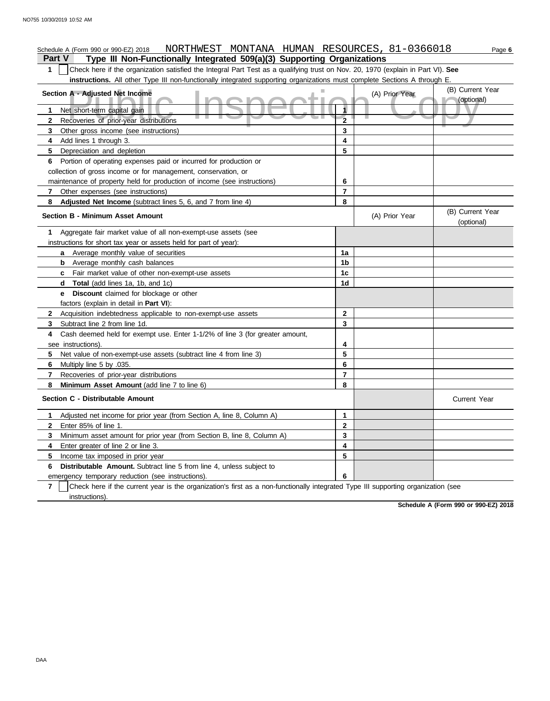# Schedule A (Form 990 or 990-EZ) 2018 NORTHWEST MONTANA HUMAN RESOURCES, 81-0366018 Page **6**

**Part V Type III Non-Functionally Integrated 509(a)(3) Supporting Organizations**

**1** Check here if the organization satisfied the Integral Part Test as a qualifying trust on Nov. 20, 1970 (explain in Part VI). **See instructions.** All other Type III non-functionally integrated supporting organizations must complete Sections A through E.

| Section A - Adjusted Net Income                                                                                                        |                         | (A) Prior Year | (B) Current Year               |
|----------------------------------------------------------------------------------------------------------------------------------------|-------------------------|----------------|--------------------------------|
| Net short-term capital gain<br>$\mathbf 1$                                                                                             | 1                       |                | (optional)                     |
| Recoveries of prior-year distributions<br>$\mathbf{2}$                                                                                 | $\overline{2}$          |                |                                |
| 3<br>Other gross income (see instructions)                                                                                             | 3                       |                |                                |
| Add lines 1 through 3.<br>4                                                                                                            | 4                       |                |                                |
| 5.<br>Depreciation and depletion                                                                                                       | 5                       |                |                                |
| Portion of operating expenses paid or incurred for production or<br>6                                                                  |                         |                |                                |
| collection of gross income or for management, conservation, or                                                                         |                         |                |                                |
| maintenance of property held for production of income (see instructions)                                                               | 6                       |                |                                |
| Other expenses (see instructions)<br>7                                                                                                 | $\overline{7}$          |                |                                |
| Adjusted Net Income (subtract lines 5, 6, and 7 from line 4)<br>8                                                                      | 8                       |                |                                |
| <b>Section B - Minimum Asset Amount</b>                                                                                                |                         | (A) Prior Year | (B) Current Year<br>(optional) |
| Aggregate fair market value of all non-exempt-use assets (see<br>1                                                                     |                         |                |                                |
| instructions for short tax year or assets held for part of year):                                                                      |                         |                |                                |
| <b>a</b> Average monthly value of securities                                                                                           | 1a                      |                |                                |
| <b>b</b> Average monthly cash balances                                                                                                 | 1 <sub>b</sub>          |                |                                |
| <b>c</b> Fair market value of other non-exempt-use assets                                                                              | 1c                      |                |                                |
| <b>Total</b> (add lines 1a, 1b, and 1c)<br>d                                                                                           | 1d                      |                |                                |
| Discount claimed for blockage or other<br>e                                                                                            |                         |                |                                |
| factors (explain in detail in <b>Part VI)</b> :                                                                                        |                         |                |                                |
| Acquisition indebtedness applicable to non-exempt-use assets<br>$\mathbf{2}$                                                           | $\mathbf{2}$            |                |                                |
| Subtract line 2 from line 1d.<br>3                                                                                                     | 3                       |                |                                |
| Cash deemed held for exempt use. Enter 1-1/2% of line 3 (for greater amount,<br>4                                                      |                         |                |                                |
| see instructions).                                                                                                                     | 4                       |                |                                |
| 5.<br>Net value of non-exempt-use assets (subtract line 4 from line 3)                                                                 | 5                       |                |                                |
| Multiply line 5 by .035.<br>6                                                                                                          | 6                       |                |                                |
| 7<br>Recoveries of prior-year distributions                                                                                            | $\overline{7}$          |                |                                |
| 8<br>Minimum Asset Amount (add line 7 to line 6)                                                                                       | 8                       |                |                                |
| Section C - Distributable Amount                                                                                                       |                         |                | <b>Current Year</b>            |
| Adjusted net income for prior year (from Section A, line 8, Column A)<br>1                                                             | 1.                      |                |                                |
| Enter 85% of line 1.<br>$\mathbf{2}$                                                                                                   | $\overline{2}$          |                |                                |
| Minimum asset amount for prior year (from Section B, line 8, Column A)<br>3                                                            | 3                       |                |                                |
| 4<br>Enter greater of line 2 or line 3.                                                                                                | $\overline{\mathbf{4}}$ |                |                                |
| 5<br>Income tax imposed in prior year                                                                                                  | 5                       |                |                                |
| <b>Distributable Amount.</b> Subtract line 5 from line 4, unless subject to<br>6                                                       |                         |                |                                |
| emergency temporary reduction (see instructions).                                                                                      | 6                       |                |                                |
| 7<br>Check here if the current year is the organization's first as a non-functionally integrated Type III supporting organization (see |                         |                |                                |
| instructions).                                                                                                                         |                         |                |                                |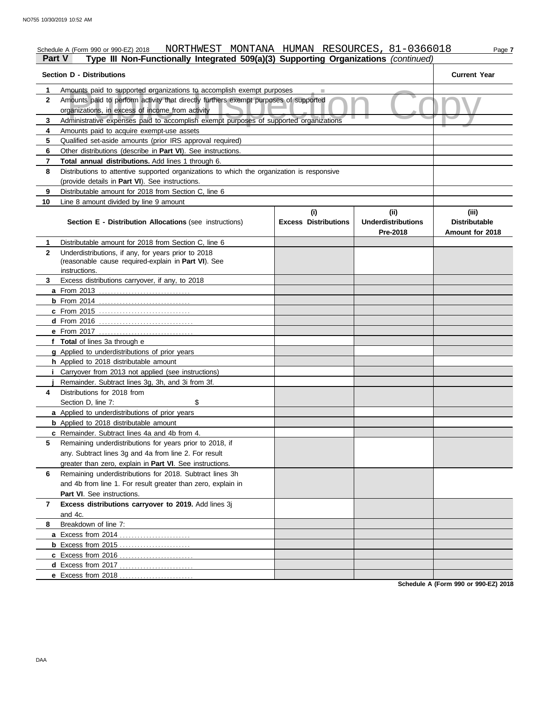# Schedule A (Form 990 or 990-EZ) 2018 NORTHWEST MONTANA HUMAN RESOURCES, 81-0366018 Page 7

# **Part V Type III Non-Functionally Integrated 509(a)(3) Supporting Organizations** *(continued)*

| Section D - Distributions | <b>Current Year</b>                                                                                                         |                                    |                                               |                                                  |  |  |  |  |
|---------------------------|-----------------------------------------------------------------------------------------------------------------------------|------------------------------------|-----------------------------------------------|--------------------------------------------------|--|--|--|--|
| 1                         | Amounts paid to supported organizations to accomplish exempt purposes                                                       |                                    |                                               |                                                  |  |  |  |  |
| $\mathbf{2}$              | Amounts paid to perform activity that directly furthers exempt purposes of supported                                        |                                    |                                               |                                                  |  |  |  |  |
|                           | organizations, in excess of income from activity                                                                            |                                    |                                               |                                                  |  |  |  |  |
| 3                         | Administrative expenses paid to accomplish exempt purposes of supported organizations                                       |                                    |                                               |                                                  |  |  |  |  |
| 4                         | Amounts paid to acquire exempt-use assets                                                                                   |                                    |                                               |                                                  |  |  |  |  |
| 5                         | Qualified set-aside amounts (prior IRS approval required)                                                                   |                                    |                                               |                                                  |  |  |  |  |
| 6                         | Other distributions (describe in Part VI). See instructions.                                                                |                                    |                                               |                                                  |  |  |  |  |
| 7                         | Total annual distributions. Add lines 1 through 6.                                                                          |                                    |                                               |                                                  |  |  |  |  |
| 8                         | Distributions to attentive supported organizations to which the organization is responsive                                  |                                    |                                               |                                                  |  |  |  |  |
|                           | (provide details in Part VI). See instructions.                                                                             |                                    |                                               |                                                  |  |  |  |  |
| 9                         | Distributable amount for 2018 from Section C, line 6                                                                        |                                    |                                               |                                                  |  |  |  |  |
| 10                        | Line 8 amount divided by line 9 amount                                                                                      |                                    |                                               |                                                  |  |  |  |  |
|                           | Section E - Distribution Allocations (see instructions)                                                                     | (i)<br><b>Excess Distributions</b> | (ii)<br><b>Underdistributions</b><br>Pre-2018 | (iii)<br><b>Distributable</b><br>Amount for 2018 |  |  |  |  |
| 1                         | Distributable amount for 2018 from Section C, line 6                                                                        |                                    |                                               |                                                  |  |  |  |  |
| $\mathbf{2}$              | Underdistributions, if any, for years prior to 2018<br>(reasonable cause required-explain in Part VI). See<br>instructions. |                                    |                                               |                                                  |  |  |  |  |
| 3                         | Excess distributions carryover, if any, to 2018                                                                             |                                    |                                               |                                                  |  |  |  |  |
|                           |                                                                                                                             |                                    |                                               |                                                  |  |  |  |  |
|                           |                                                                                                                             |                                    |                                               |                                                  |  |  |  |  |
|                           | <b>c</b> From 2015                                                                                                          |                                    |                                               |                                                  |  |  |  |  |
|                           |                                                                                                                             |                                    |                                               |                                                  |  |  |  |  |
|                           |                                                                                                                             |                                    |                                               |                                                  |  |  |  |  |
|                           | f Total of lines 3a through e                                                                                               |                                    |                                               |                                                  |  |  |  |  |
|                           | g Applied to underdistributions of prior years                                                                              |                                    |                                               |                                                  |  |  |  |  |
|                           | h Applied to 2018 distributable amount                                                                                      |                                    |                                               |                                                  |  |  |  |  |
|                           | <i>i</i> Carryover from 2013 not applied (see instructions)                                                                 |                                    |                                               |                                                  |  |  |  |  |
|                           | Remainder. Subtract lines 3g, 3h, and 3i from 3f.                                                                           |                                    |                                               |                                                  |  |  |  |  |
| 4                         | Distributions for 2018 from                                                                                                 |                                    |                                               |                                                  |  |  |  |  |
|                           | \$<br>Section D. line 7:                                                                                                    |                                    |                                               |                                                  |  |  |  |  |
|                           | a Applied to underdistributions of prior years                                                                              |                                    |                                               |                                                  |  |  |  |  |
|                           | <b>b</b> Applied to 2018 distributable amount                                                                               |                                    |                                               |                                                  |  |  |  |  |
|                           | c Remainder. Subtract lines 4a and 4b from 4.                                                                               |                                    |                                               |                                                  |  |  |  |  |
| 5                         | Remaining underdistributions for years prior to 2018, if                                                                    |                                    |                                               |                                                  |  |  |  |  |
|                           | any. Subtract lines 3g and 4a from line 2. For result                                                                       |                                    |                                               |                                                  |  |  |  |  |
|                           | greater than zero, explain in Part VI. See instructions.                                                                    |                                    |                                               |                                                  |  |  |  |  |
| 6                         | Remaining underdistributions for 2018. Subtract lines 3h                                                                    |                                    |                                               |                                                  |  |  |  |  |
|                           | and 4b from line 1. For result greater than zero, explain in                                                                |                                    |                                               |                                                  |  |  |  |  |
|                           | Part VI. See instructions.                                                                                                  |                                    |                                               |                                                  |  |  |  |  |
| 7                         | Excess distributions carryover to 2019. Add lines 3j<br>and 4c.                                                             |                                    |                                               |                                                  |  |  |  |  |
| 8                         | Breakdown of line 7:                                                                                                        |                                    |                                               |                                                  |  |  |  |  |
|                           |                                                                                                                             |                                    |                                               |                                                  |  |  |  |  |
|                           | <b>b</b> Excess from 2015                                                                                                   |                                    |                                               |                                                  |  |  |  |  |
|                           |                                                                                                                             |                                    |                                               |                                                  |  |  |  |  |
|                           |                                                                                                                             |                                    |                                               |                                                  |  |  |  |  |
|                           | e Excess from 2018                                                                                                          |                                    |                                               |                                                  |  |  |  |  |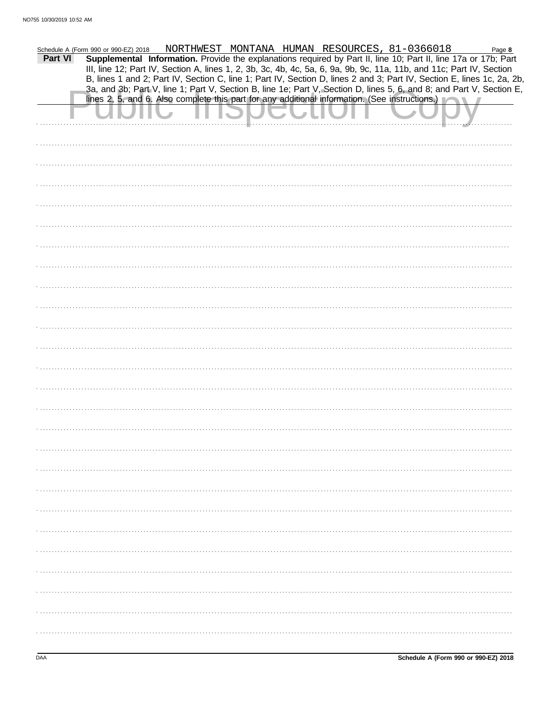|         | Schedule A (Form 990 or 990-EZ) 2018                                                           |  | NORTHWEST MONTANA HUMAN RESOURCES, 81-0366018 |                                                                                                                                                                                                                                                | Page 8 |
|---------|------------------------------------------------------------------------------------------------|--|-----------------------------------------------|------------------------------------------------------------------------------------------------------------------------------------------------------------------------------------------------------------------------------------------------|--------|
| Part VI |                                                                                                |  |                                               | Supplemental Information. Provide the explanations required by Part II, line 10; Part II, line 17a or 17b; Part                                                                                                                                |        |
|         |                                                                                                |  |                                               | III, line 12; Part IV, Section A, lines 1, 2, 3b, 3c, 4b, 4c, 5a, 6, 9a, 9b, 9c, 11a, 11b, and 11c; Part IV, Section<br>B, lines 1 and 2; Part IV, Section C, line 1; Part IV, Section D, lines 2 and 3; Part IV, Section E, lines 1c, 2a, 2b, |        |
|         |                                                                                                |  |                                               | 3a, and 3b; Part V, line 1; Part V, Section B, line 1e; Part V, Section D, lines 5, 6, and 8; and Part V, Section E,                                                                                                                           |        |
|         | lines 2, 5, and 6. Also complete this part for any additional information. (See instructions.) |  |                                               |                                                                                                                                                                                                                                                |        |
|         |                                                                                                |  |                                               |                                                                                                                                                                                                                                                |        |
|         |                                                                                                |  |                                               |                                                                                                                                                                                                                                                |        |
|         |                                                                                                |  |                                               |                                                                                                                                                                                                                                                |        |
|         |                                                                                                |  |                                               |                                                                                                                                                                                                                                                |        |
|         |                                                                                                |  |                                               |                                                                                                                                                                                                                                                |        |
|         |                                                                                                |  |                                               |                                                                                                                                                                                                                                                |        |
|         |                                                                                                |  |                                               |                                                                                                                                                                                                                                                |        |
|         |                                                                                                |  |                                               |                                                                                                                                                                                                                                                |        |
|         |                                                                                                |  |                                               |                                                                                                                                                                                                                                                |        |
|         |                                                                                                |  |                                               |                                                                                                                                                                                                                                                |        |
|         |                                                                                                |  |                                               |                                                                                                                                                                                                                                                |        |
|         |                                                                                                |  |                                               |                                                                                                                                                                                                                                                |        |
|         |                                                                                                |  |                                               |                                                                                                                                                                                                                                                |        |
|         |                                                                                                |  |                                               |                                                                                                                                                                                                                                                |        |
|         |                                                                                                |  |                                               |                                                                                                                                                                                                                                                |        |
|         |                                                                                                |  |                                               |                                                                                                                                                                                                                                                |        |
|         |                                                                                                |  |                                               |                                                                                                                                                                                                                                                |        |
|         |                                                                                                |  |                                               |                                                                                                                                                                                                                                                |        |
|         |                                                                                                |  |                                               |                                                                                                                                                                                                                                                |        |
|         |                                                                                                |  |                                               |                                                                                                                                                                                                                                                |        |
|         |                                                                                                |  |                                               |                                                                                                                                                                                                                                                |        |
|         |                                                                                                |  |                                               |                                                                                                                                                                                                                                                |        |
|         |                                                                                                |  |                                               |                                                                                                                                                                                                                                                |        |
|         |                                                                                                |  |                                               |                                                                                                                                                                                                                                                |        |
|         |                                                                                                |  |                                               |                                                                                                                                                                                                                                                |        |
|         |                                                                                                |  |                                               |                                                                                                                                                                                                                                                |        |
|         |                                                                                                |  |                                               |                                                                                                                                                                                                                                                |        |
|         |                                                                                                |  |                                               |                                                                                                                                                                                                                                                |        |
|         |                                                                                                |  |                                               |                                                                                                                                                                                                                                                |        |
|         |                                                                                                |  |                                               |                                                                                                                                                                                                                                                |        |
|         |                                                                                                |  |                                               |                                                                                                                                                                                                                                                |        |
|         |                                                                                                |  |                                               |                                                                                                                                                                                                                                                |        |
|         |                                                                                                |  |                                               |                                                                                                                                                                                                                                                |        |
|         |                                                                                                |  |                                               |                                                                                                                                                                                                                                                |        |
|         |                                                                                                |  |                                               |                                                                                                                                                                                                                                                |        |
|         |                                                                                                |  |                                               |                                                                                                                                                                                                                                                |        |
|         |                                                                                                |  |                                               |                                                                                                                                                                                                                                                |        |
|         |                                                                                                |  |                                               |                                                                                                                                                                                                                                                |        |
|         |                                                                                                |  |                                               |                                                                                                                                                                                                                                                |        |
|         |                                                                                                |  |                                               |                                                                                                                                                                                                                                                |        |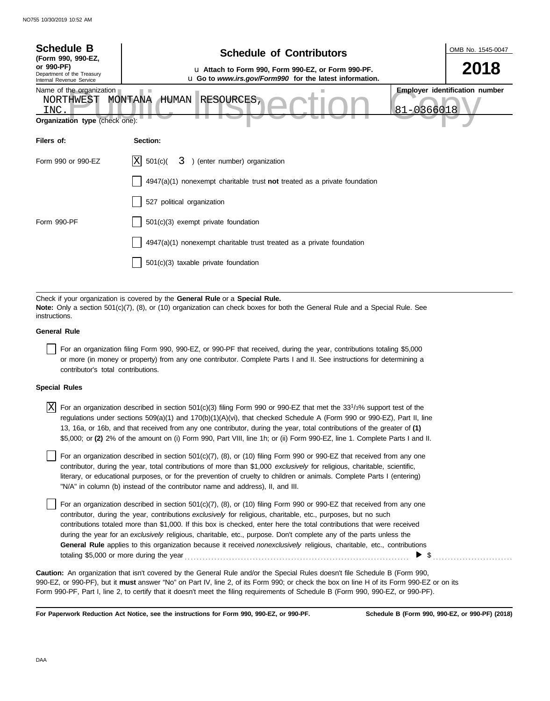| <b>Schedule B</b><br>(Form 990, 990-EZ,                                                                                                                                              | <b>Schedule of Contributors</b>                                                                                                                                                                                                               | OMB No. 1545-0047 |  |  |  |
|--------------------------------------------------------------------------------------------------------------------------------------------------------------------------------------|-----------------------------------------------------------------------------------------------------------------------------------------------------------------------------------------------------------------------------------------------|-------------------|--|--|--|
| or 990-PF)<br>Department of the Treasury<br>Internal Revenue Service                                                                                                                 | u Attach to Form 990, Form 990-EZ, or Form 990-PF.<br>u Go to www.irs.gov/Form990 for the latest information.                                                                                                                                 | 2018              |  |  |  |
| <b>Employer identification number</b><br>Name of the organization<br><b>RESOURCES</b><br>MONTANA<br>HUMAN<br>NORTHWEST<br>81-0366018<br><b>INC</b><br>Organization type (check one): |                                                                                                                                                                                                                                               |                   |  |  |  |
| Filers of:                                                                                                                                                                           | Section:                                                                                                                                                                                                                                      |                   |  |  |  |
| Form 990 or 990-EZ                                                                                                                                                                   | 3 ) (enter number) organization<br>ΙX<br>501(c)                                                                                                                                                                                               |                   |  |  |  |
|                                                                                                                                                                                      | $4947(a)(1)$ nonexempt charitable trust <b>not</b> treated as a private foundation                                                                                                                                                            |                   |  |  |  |
|                                                                                                                                                                                      | 527 political organization                                                                                                                                                                                                                    |                   |  |  |  |
| Form 990-PF                                                                                                                                                                          | $501(c)(3)$ exempt private foundation                                                                                                                                                                                                         |                   |  |  |  |
|                                                                                                                                                                                      | 4947(a)(1) nonexempt charitable trust treated as a private foundation                                                                                                                                                                         |                   |  |  |  |
|                                                                                                                                                                                      | 501(c)(3) taxable private foundation                                                                                                                                                                                                          |                   |  |  |  |
|                                                                                                                                                                                      | Check if your organization is covered by the General Rule or a Special Rule.<br>Note: Only a section 501(c)(7), (8), or (10) organization can check boxes for both the General Rule and a Special Rule. See                                   |                   |  |  |  |
| instructions.                                                                                                                                                                        |                                                                                                                                                                                                                                               |                   |  |  |  |
| <b>General Rule</b>                                                                                                                                                                  |                                                                                                                                                                                                                                               |                   |  |  |  |
| contributor's total contributions.                                                                                                                                                   | For an organization filing Form 990, 990-EZ, or 990-PF that received, during the year, contributions totaling \$5,000<br>or more (in money or property) from any one contributor. Complete Parts I and II. See instructions for determining a |                   |  |  |  |

### **Special Rules**

| $\overline{X}$ For an organization described in section 501(c)(3) filing Form 990 or 990-EZ that met the 33 <sup>1</sup> / <sub>3</sub> % support test of the |
|---------------------------------------------------------------------------------------------------------------------------------------------------------------|
| regulations under sections 509(a)(1) and 170(b)(1)(A)(vi), that checked Schedule A (Form 990 or 990-EZ), Part II, line                                        |
| 13, 16a, or 16b, and that received from any one contributor, during the year, total contributions of the greater of (1)                                       |
| \$5,000; or (2) 2% of the amount on (i) Form 990, Part VIII, line 1h; or (ii) Form 990-EZ, line 1. Complete Parts I and II.                                   |

literary, or educational purposes, or for the prevention of cruelty to children or animals. Complete Parts I (entering) For an organization described in section  $501(c)(7)$ ,  $(8)$ , or  $(10)$  filing Form 990 or 990-EZ that received from any one contributor, during the year, total contributions of more than \$1,000 *exclusively* for religious, charitable, scientific, "N/A" in column (b) instead of the contributor name and address), II, and III.

For an organization described in section 501(c)(7), (8), or (10) filing Form 990 or 990-EZ that received from any one contributor, during the year, contributions *exclusively* for religious, charitable, etc., purposes, but no such contributions totaled more than \$1,000. If this box is checked, enter here the total contributions that were received during the year for an *exclusively* religious, charitable, etc., purpose. Don't complete any of the parts unless the **General Rule** applies to this organization because it received *nonexclusively* religious, charitable, etc., contributions totaling \$5,000 or more during the year . . . . . . . . . . . . . . . . . . . . . . . . . . . . . . . . . . . . . . . . . . . . . . . . . . . . . . . . . . . . . . . . . . . . . . . . . . . . \$ . . . . . . . . . . . . . . . . . . . . . . . . . . .

990-EZ, or 990-PF), but it **must** answer "No" on Part IV, line 2, of its Form 990; or check the box on line H of its Form 990-EZ or on its Form 990-PF, Part I, line 2, to certify that it doesn't meet the filing requirements of Schedule B (Form 990, 990-EZ, or 990-PF). **Caution:** An organization that isn't covered by the General Rule and/or the Special Rules doesn't file Schedule B (Form 990,

**For Paperwork Reduction Act Notice, see the instructions for Form 990, 990-EZ, or 990-PF.**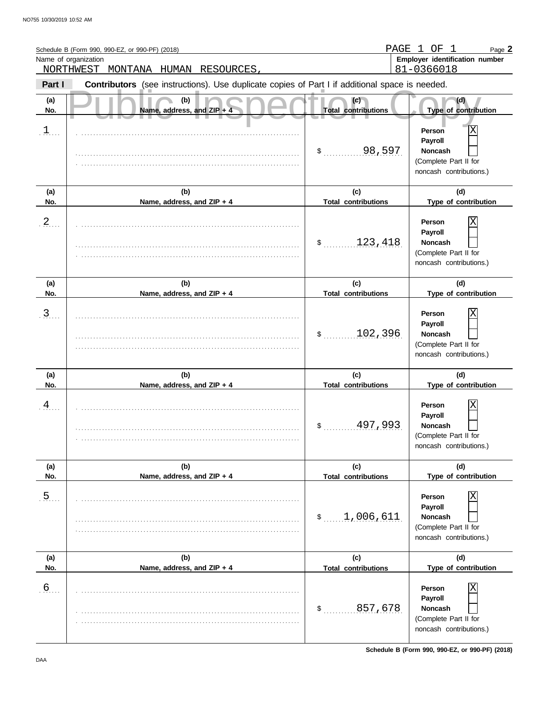|                | Schedule B (Form 990, 990-EZ, or 990-PF) (2018)<br>Name of organization<br>NORTHWEST<br>MONTANA HUMAN RESOURCES, | PAGE                              | $\mathbf{1}$<br>OF 1<br>Page 2<br>Employer identification number<br>81-0366018               |
|----------------|------------------------------------------------------------------------------------------------------------------|-----------------------------------|----------------------------------------------------------------------------------------------|
| Part I         | Contributors (see instructions). Use duplicate copies of Part I if additional space is needed.                   |                                   |                                                                                              |
| (a)<br>No.     | (b)<br>Name, address, and ZIP + 4                                                                                | (c)<br><b>Total contributions</b> | (d)<br>Type of contribution                                                                  |
| $\perp$        |                                                                                                                  | \$198,597                         | X<br>Person<br>Payroll<br><b>Noncash</b><br>(Complete Part II for<br>noncash contributions.) |
| (a)<br>No.     | (b)<br>Name, address, and ZIP + 4                                                                                | (c)<br><b>Total contributions</b> | (d)<br>Type of contribution                                                                  |
| $\frac{2}{2}$  |                                                                                                                  | 123,418<br>\$                     | Χ<br>Person<br>Payroll<br><b>Noncash</b><br>(Complete Part II for<br>noncash contributions.) |
| (a)<br>No.     | (b)<br>Name, address, and ZIP + 4                                                                                | (c)<br><b>Total contributions</b> | (d)<br>Type of contribution                                                                  |
| $\mathfrak{Z}$ |                                                                                                                  | 102,396<br>\$                     | Χ<br>Person<br>Payroll<br><b>Noncash</b><br>(Complete Part II for<br>noncash contributions.) |
| (a)<br>No.     | (b)<br>Name, address, and ZIP + 4                                                                                | (c)<br><b>Total contributions</b> | (d)<br>Type of contribution                                                                  |
| 4              |                                                                                                                  | 497,993<br>\$                     | Χ<br>Person<br>Payroll<br>Noncash<br>(Complete Part II for<br>noncash contributions.)        |
| (a)<br>No.     | (b)<br>Name, address, and ZIP + 4                                                                                | (c)<br><b>Total contributions</b> | (d)<br>Type of contribution                                                                  |
| $\overline{5}$ |                                                                                                                  | \$1,006,611                       | Person<br>Payroll<br><b>Noncash</b><br>(Complete Part II for<br>noncash contributions.)      |
| (a)<br>No.     | (b)<br>Name, address, and ZIP + 4                                                                                | (c)<br><b>Total contributions</b> | (d)<br>Type of contribution                                                                  |
| 6 <sub>1</sub> |                                                                                                                  | 857,678<br>$\mathsf{\$}$          | Person<br>Payroll<br><b>Noncash</b><br>(Complete Part II for<br>noncash contributions.)      |

**Schedule B (Form 990, 990-EZ, or 990-PF) (2018)**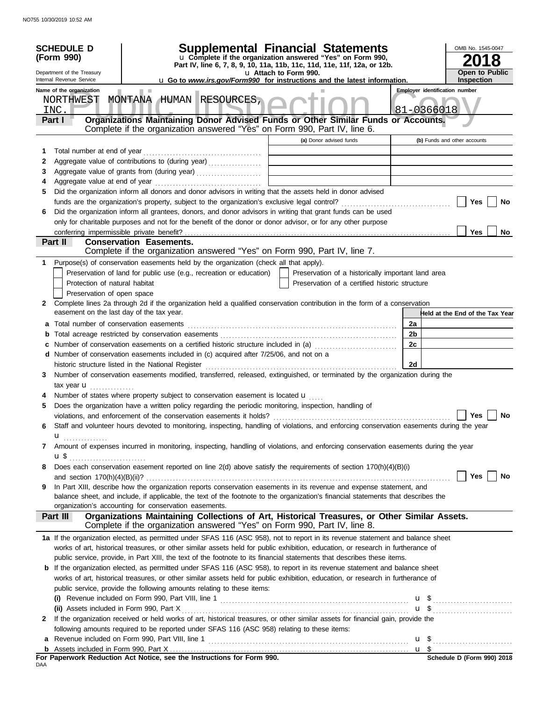|                                                                                                                                                                                                                                                       | <b>SCHEDULE D</b><br>(Form 990)           |                                                                                                                                                                                                                                 | <b>Supplemental Financial Statements</b><br>u Complete if the organization answered "Yes" on Form 990, |                                                    |                | OMB No. 1545-0047<br>8                                                                                                                                 |
|-------------------------------------------------------------------------------------------------------------------------------------------------------------------------------------------------------------------------------------------------------|-------------------------------------------|---------------------------------------------------------------------------------------------------------------------------------------------------------------------------------------------------------------------------------|--------------------------------------------------------------------------------------------------------|----------------------------------------------------|----------------|--------------------------------------------------------------------------------------------------------------------------------------------------------|
| Part IV, line 6, 7, 8, 9, 10, 11a, 11b, 11c, 11d, 11e, 11f, 12a, or 12b.<br>Department of the Treasury<br>u Attach to Form 990.<br>Internal Revenue Service<br><b>u</b> Go to <i>www.irs.gov/Form990</i> for instructions and the latest information. |                                           |                                                                                                                                                                                                                                 | <b>Open to Public</b><br>Inspection                                                                    |                                                    |                |                                                                                                                                                        |
|                                                                                                                                                                                                                                                       | Name of the organization                  |                                                                                                                                                                                                                                 |                                                                                                        |                                                    |                | <b>Employer identification number</b>                                                                                                                  |
|                                                                                                                                                                                                                                                       | NORTHWEST<br>INC.                         | MONTANA HUMAN RESOURCES,                                                                                                                                                                                                        |                                                                                                        |                                                    |                | $81 - 0366018$                                                                                                                                         |
|                                                                                                                                                                                                                                                       | Part I                                    | Organizations Maintaining Donor Advised Funds or Other Similar Funds or Accounts.<br>Complete if the organization answered "Yes" on Form 990, Part IV, line 6.                                                                  |                                                                                                        |                                                    |                |                                                                                                                                                        |
|                                                                                                                                                                                                                                                       |                                           |                                                                                                                                                                                                                                 |                                                                                                        | (a) Donor advised funds                            |                | (b) Funds and other accounts                                                                                                                           |
| 1                                                                                                                                                                                                                                                     | Total number at end of year               |                                                                                                                                                                                                                                 |                                                                                                        |                                                    |                |                                                                                                                                                        |
| 2                                                                                                                                                                                                                                                     |                                           | Aggregate value of contributions to (during year)                                                                                                                                                                               |                                                                                                        |                                                    |                |                                                                                                                                                        |
| 3<br>4                                                                                                                                                                                                                                                |                                           |                                                                                                                                                                                                                                 |                                                                                                        |                                                    |                |                                                                                                                                                        |
| 5                                                                                                                                                                                                                                                     |                                           | Did the organization inform all donors and donor advisors in writing that the assets held in donor advised                                                                                                                      |                                                                                                        |                                                    |                |                                                                                                                                                        |
|                                                                                                                                                                                                                                                       |                                           |                                                                                                                                                                                                                                 |                                                                                                        |                                                    |                | Yes<br>No                                                                                                                                              |
| 6                                                                                                                                                                                                                                                     |                                           | Did the organization inform all grantees, donors, and donor advisors in writing that grant funds can be used                                                                                                                    |                                                                                                        |                                                    |                |                                                                                                                                                        |
|                                                                                                                                                                                                                                                       |                                           | only for charitable purposes and not for the benefit of the donor or donor advisor, or for any other purpose                                                                                                                    |                                                                                                        |                                                    |                |                                                                                                                                                        |
|                                                                                                                                                                                                                                                       |                                           |                                                                                                                                                                                                                                 |                                                                                                        |                                                    |                | <b>Yes</b><br>No                                                                                                                                       |
|                                                                                                                                                                                                                                                       | Part II                                   | <b>Conservation Easements.</b><br>Complete if the organization answered "Yes" on Form 990, Part IV, line 7.                                                                                                                     |                                                                                                        |                                                    |                |                                                                                                                                                        |
| 1.                                                                                                                                                                                                                                                    |                                           | Purpose(s) of conservation easements held by the organization (check all that apply).                                                                                                                                           |                                                                                                        |                                                    |                |                                                                                                                                                        |
|                                                                                                                                                                                                                                                       |                                           | Preservation of land for public use (e.g., recreation or education)                                                                                                                                                             |                                                                                                        | Preservation of a historically important land area |                |                                                                                                                                                        |
|                                                                                                                                                                                                                                                       | Protection of natural habitat             |                                                                                                                                                                                                                                 |                                                                                                        | Preservation of a certified historic structure     |                |                                                                                                                                                        |
|                                                                                                                                                                                                                                                       | Preservation of open space                |                                                                                                                                                                                                                                 |                                                                                                        |                                                    |                |                                                                                                                                                        |
| 2                                                                                                                                                                                                                                                     | easement on the last day of the tax year. | Complete lines 2a through 2d if the organization held a qualified conservation contribution in the form of a conservation                                                                                                       |                                                                                                        |                                                    |                | Held at the End of the Tax Year                                                                                                                        |
| а                                                                                                                                                                                                                                                     |                                           |                                                                                                                                                                                                                                 |                                                                                                        |                                                    | 2a             |                                                                                                                                                        |
|                                                                                                                                                                                                                                                       |                                           |                                                                                                                                                                                                                                 |                                                                                                        |                                                    | 2 <sub>b</sub> |                                                                                                                                                        |
|                                                                                                                                                                                                                                                       |                                           | Number of conservation easements on a certified historic structure included in (a)                                                                                                                                              |                                                                                                        |                                                    | 2c             |                                                                                                                                                        |
| d                                                                                                                                                                                                                                                     |                                           | Number of conservation easements included in (c) acquired after 7/25/06, and not on a                                                                                                                                           |                                                                                                        |                                                    |                |                                                                                                                                                        |
|                                                                                                                                                                                                                                                       |                                           | historic structure listed in the National Register                                                                                                                                                                              |                                                                                                        |                                                    | 2d             |                                                                                                                                                        |
| 3                                                                                                                                                                                                                                                     |                                           | Number of conservation easements modified, transferred, released, extinguished, or terminated by the organization during the                                                                                                    |                                                                                                        |                                                    |                |                                                                                                                                                        |
|                                                                                                                                                                                                                                                       | tax year <b>u</b><br>.                    |                                                                                                                                                                                                                                 |                                                                                                        |                                                    |                |                                                                                                                                                        |
|                                                                                                                                                                                                                                                       |                                           | Number of states where property subject to conservation easement is located <b>u</b>                                                                                                                                            |                                                                                                        |                                                    |                |                                                                                                                                                        |
| 5                                                                                                                                                                                                                                                     |                                           | Does the organization have a written policy regarding the periodic monitoring, inspection, handling of                                                                                                                          |                                                                                                        |                                                    |                |                                                                                                                                                        |
| 6                                                                                                                                                                                                                                                     |                                           | violations, and enforcement of the conservation easements it holds?<br>Staff and volunteer hours devoted to monitoring, inspecting, handling of violations, and enforcing conservation easements during the year                |                                                                                                        |                                                    |                | Yes<br>No                                                                                                                                              |
|                                                                                                                                                                                                                                                       | u                                         |                                                                                                                                                                                                                                 |                                                                                                        |                                                    |                |                                                                                                                                                        |
| 7                                                                                                                                                                                                                                                     |                                           | Amount of expenses incurred in monitoring, inspecting, handling of violations, and enforcing conservation easements during the year                                                                                             |                                                                                                        |                                                    |                |                                                                                                                                                        |
|                                                                                                                                                                                                                                                       |                                           |                                                                                                                                                                                                                                 |                                                                                                        |                                                    |                |                                                                                                                                                        |
| 8                                                                                                                                                                                                                                                     |                                           | Does each conservation easement reported on line $2(d)$ above satisfy the requirements of section $170(h)(4)(B)(i)$                                                                                                             |                                                                                                        |                                                    |                |                                                                                                                                                        |
|                                                                                                                                                                                                                                                       |                                           |                                                                                                                                                                                                                                 |                                                                                                        |                                                    |                | Yes<br>No                                                                                                                                              |
| 9                                                                                                                                                                                                                                                     |                                           | In Part XIII, describe how the organization reports conservation easements in its revenue and expense statement, and                                                                                                            |                                                                                                        |                                                    |                |                                                                                                                                                        |
|                                                                                                                                                                                                                                                       |                                           | balance sheet, and include, if applicable, the text of the footnote to the organization's financial statements that describes the                                                                                               |                                                                                                        |                                                    |                |                                                                                                                                                        |
|                                                                                                                                                                                                                                                       |                                           | organization's accounting for conservation easements.<br>Organizations Maintaining Collections of Art, Historical Treasures, or Other Similar Assets.                                                                           |                                                                                                        |                                                    |                |                                                                                                                                                        |
|                                                                                                                                                                                                                                                       | Part III                                  | Complete if the organization answered "Yes" on Form 990, Part IV, line 8.                                                                                                                                                       |                                                                                                        |                                                    |                |                                                                                                                                                        |
|                                                                                                                                                                                                                                                       |                                           | 1a If the organization elected, as permitted under SFAS 116 (ASC 958), not to report in its revenue statement and balance sheet                                                                                                 |                                                                                                        |                                                    |                |                                                                                                                                                        |
|                                                                                                                                                                                                                                                       |                                           | works of art, historical treasures, or other similar assets held for public exhibition, education, or research in furtherance of                                                                                                |                                                                                                        |                                                    |                |                                                                                                                                                        |
|                                                                                                                                                                                                                                                       |                                           | public service, provide, in Part XIII, the text of the footnote to its financial statements that describes these items.                                                                                                         |                                                                                                        |                                                    |                |                                                                                                                                                        |
|                                                                                                                                                                                                                                                       |                                           | <b>b</b> If the organization elected, as permitted under SFAS 116 (ASC 958), to report in its revenue statement and balance sheet                                                                                               |                                                                                                        |                                                    |                |                                                                                                                                                        |
|                                                                                                                                                                                                                                                       |                                           | works of art, historical treasures, or other similar assets held for public exhibition, education, or research in furtherance of                                                                                                |                                                                                                        |                                                    |                |                                                                                                                                                        |
|                                                                                                                                                                                                                                                       |                                           | public service, provide the following amounts relating to these items:                                                                                                                                                          |                                                                                                        |                                                    |                |                                                                                                                                                        |
|                                                                                                                                                                                                                                                       |                                           |                                                                                                                                                                                                                                 |                                                                                                        |                                                    |                | (i) Revenue included on Form 990, Part VIII, line 1 $\ldots$ $\ldots$ $\ldots$ $\ldots$ $\ldots$ $\ldots$ $\ldots$ $\ldots$ $\ldots$ $\ldots$ $\ldots$ |
|                                                                                                                                                                                                                                                       | (ii) Assets included in Form 990, Part X  |                                                                                                                                                                                                                                 |                                                                                                        |                                                    |                | $\mathbf{u}$ \$                                                                                                                                        |
| $\mathbf{2}$                                                                                                                                                                                                                                          |                                           | If the organization received or held works of art, historical treasures, or other similar assets for financial gain, provide the<br>following amounts required to be reported under SFAS 116 (ASC 958) relating to these items: |                                                                                                        |                                                    |                |                                                                                                                                                        |
| a                                                                                                                                                                                                                                                     |                                           |                                                                                                                                                                                                                                 |                                                                                                        |                                                    |                |                                                                                                                                                        |
|                                                                                                                                                                                                                                                       |                                           |                                                                                                                                                                                                                                 |                                                                                                        |                                                    |                |                                                                                                                                                        |
|                                                                                                                                                                                                                                                       |                                           |                                                                                                                                                                                                                                 |                                                                                                        |                                                    |                | Schedule D (Form 990) 2018                                                                                                                             |
| DAA                                                                                                                                                                                                                                                   |                                           |                                                                                                                                                                                                                                 |                                                                                                        |                                                    |                |                                                                                                                                                        |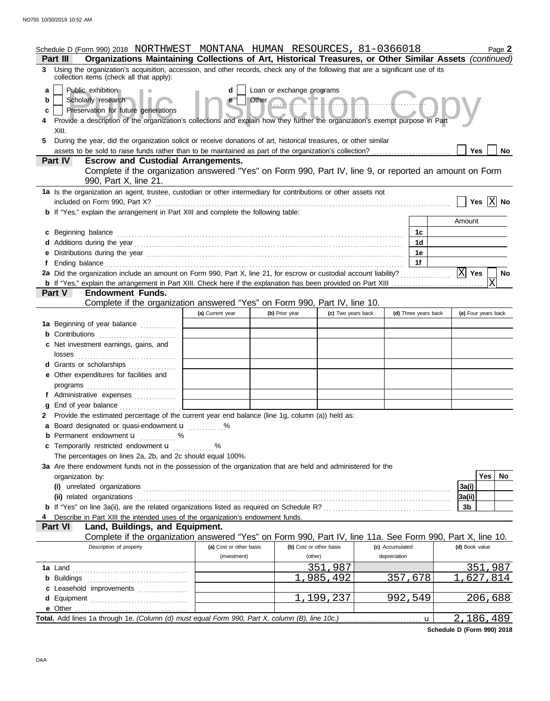|                  | Schedule D (Form 990) 2018 NORTHWEST MONTANA HUMAN RESOURCES, 81-0366018<br>Organizations Maintaining Collections of Art, Historical Treasures, or Other Similar Assets (continued)<br>Part III                                                                                                                                                                                                            |                         |                |                         |                 |                      |                     | Page 2   |
|------------------|------------------------------------------------------------------------------------------------------------------------------------------------------------------------------------------------------------------------------------------------------------------------------------------------------------------------------------------------------------------------------------------------------------|-------------------------|----------------|-------------------------|-----------------|----------------------|---------------------|----------|
|                  | 3 Using the organization's acquisition, accession, and other records, check any of the following that are a significant use of its<br>collection items (check all that apply):                                                                                                                                                                                                                             |                         |                |                         |                 |                      |                     |          |
| a<br>b<br>c<br>5 | Public exhibition<br>Loan or exchange programs<br>Other <b>Contract Lines</b><br>Scholarly research<br>Preservation for future generations<br>Provide a description of the organization's collections and explain how they further the organization's exempt purpose in Part<br>XIII.<br>During the year, did the organization solicit or receive donations of art, historical treasures, or other similar |                         |                |                         |                 |                      |                     |          |
|                  | assets to be sold to raise funds rather than to be maintained as part of the organization's collection?                                                                                                                                                                                                                                                                                                    |                         |                |                         |                 |                      | Yes                 | No       |
|                  | <b>Escrow and Custodial Arrangements.</b><br><b>Part IV</b>                                                                                                                                                                                                                                                                                                                                                |                         |                |                         |                 |                      |                     |          |
|                  | Complete if the organization answered "Yes" on Form 990, Part IV, line 9, or reported an amount on Form<br>990, Part X, line 21.                                                                                                                                                                                                                                                                           |                         |                |                         |                 |                      |                     |          |
|                  | 1a Is the organization an agent, trustee, custodian or other intermediary for contributions or other assets not                                                                                                                                                                                                                                                                                            |                         |                |                         |                 |                      |                     |          |
|                  | included on Form 990, Part X?                                                                                                                                                                                                                                                                                                                                                                              |                         |                |                         |                 |                      | Yes $ X $ No        |          |
|                  | <b>b</b> If "Yes," explain the arrangement in Part XIII and complete the following table:                                                                                                                                                                                                                                                                                                                  |                         |                |                         |                 |                      | Amount              |          |
|                  | c Beginning balance                                                                                                                                                                                                                                                                                                                                                                                        |                         |                |                         |                 | 1c                   |                     |          |
|                  |                                                                                                                                                                                                                                                                                                                                                                                                            |                         |                |                         |                 | 1d                   |                     |          |
|                  | e Distributions during the year manufactured contains and the year manufactured with the year manufactured with the set of the set of the set of the set of the set of the set of the set of the set of the set of the set of                                                                                                                                                                              |                         |                |                         |                 | 1e                   |                     |          |
|                  |                                                                                                                                                                                                                                                                                                                                                                                                            |                         |                |                         |                 | 1f                   |                     |          |
|                  | 2a Did the organization include an amount on Form 990, Part X, line 21, for escrow or custodial account liability?                                                                                                                                                                                                                                                                                         |                         |                |                         |                 |                      | $\overline{X}$ Yes  | No       |
|                  |                                                                                                                                                                                                                                                                                                                                                                                                            |                         |                |                         |                 |                      | X                   |          |
|                  | <b>Endowment Funds.</b><br><b>Part V</b>                                                                                                                                                                                                                                                                                                                                                                   |                         |                |                         |                 |                      |                     |          |
|                  | Complete if the organization answered "Yes" on Form 990, Part IV, line 10.                                                                                                                                                                                                                                                                                                                                 |                         |                |                         |                 |                      |                     |          |
|                  |                                                                                                                                                                                                                                                                                                                                                                                                            | (a) Current year        | (b) Prior year | (c) Two years back      |                 | (d) Three years back | (e) Four years back |          |
|                  | 1a Beginning of year balance<br><b>b</b> Contributions                                                                                                                                                                                                                                                                                                                                                     |                         |                |                         |                 |                      |                     |          |
|                  | c Net investment earnings, gains, and                                                                                                                                                                                                                                                                                                                                                                      |                         |                |                         |                 |                      |                     |          |
|                  |                                                                                                                                                                                                                                                                                                                                                                                                            |                         |                |                         |                 |                      |                     |          |
|                  | d Grants or scholarships                                                                                                                                                                                                                                                                                                                                                                                   |                         |                |                         |                 |                      |                     |          |
|                  | e Other expenditures for facilities and                                                                                                                                                                                                                                                                                                                                                                    |                         |                |                         |                 |                      |                     |          |
|                  | programs                                                                                                                                                                                                                                                                                                                                                                                                   |                         |                |                         |                 |                      |                     |          |
|                  | f Administrative expenses                                                                                                                                                                                                                                                                                                                                                                                  |                         |                |                         |                 |                      |                     |          |
|                  | g End of year balance                                                                                                                                                                                                                                                                                                                                                                                      |                         |                |                         |                 |                      |                     |          |
|                  | 2 Provide the estimated percentage of the current year end balance (line 1g, column (a)) held as:                                                                                                                                                                                                                                                                                                          |                         |                |                         |                 |                      |                     |          |
|                  | a Board designated or quasi-endowment <b>u</b> %                                                                                                                                                                                                                                                                                                                                                           |                         |                |                         |                 |                      |                     |          |
|                  | <b>b</b> Permanent endowment <b>u</b> %<br>c Temporarily restricted endowment <b>u</b> %                                                                                                                                                                                                                                                                                                                   |                         |                |                         |                 |                      |                     |          |
|                  | The percentages on lines 2a, 2b, and 2c should equal 100%.                                                                                                                                                                                                                                                                                                                                                 |                         |                |                         |                 |                      |                     |          |
|                  | 3a Are there endowment funds not in the possession of the organization that are held and administered for the                                                                                                                                                                                                                                                                                              |                         |                |                         |                 |                      |                     |          |
|                  | organization by:                                                                                                                                                                                                                                                                                                                                                                                           |                         |                |                         |                 |                      |                     | Yes   No |
|                  |                                                                                                                                                                                                                                                                                                                                                                                                            |                         |                |                         |                 |                      | 3a(i)               |          |
|                  |                                                                                                                                                                                                                                                                                                                                                                                                            |                         |                |                         |                 |                      | 3a(ii)              |          |
|                  |                                                                                                                                                                                                                                                                                                                                                                                                            |                         |                |                         |                 |                      | 3b                  |          |
|                  | Describe in Part XIII the intended uses of the organization's endowment funds.                                                                                                                                                                                                                                                                                                                             |                         |                |                         |                 |                      |                     |          |
|                  | Land, Buildings, and Equipment.<br><b>Part VI</b><br>Complete if the organization answered "Yes" on Form 990, Part IV, line 11a. See Form 990, Part X, line 10.                                                                                                                                                                                                                                            |                         |                |                         |                 |                      |                     |          |
|                  | Description of property                                                                                                                                                                                                                                                                                                                                                                                    | (a) Cost or other basis |                | (b) Cost or other basis | (c) Accumulated |                      | (d) Book value      |          |
|                  |                                                                                                                                                                                                                                                                                                                                                                                                            | (investment)            |                | (other)                 | depreciation    |                      |                     |          |
|                  |                                                                                                                                                                                                                                                                                                                                                                                                            |                         |                | 351,987                 |                 |                      | 351,987             |          |
|                  |                                                                                                                                                                                                                                                                                                                                                                                                            |                         |                | 985,492                 | 357,678         |                      | 627,814             |          |
|                  | c Leasehold improvements                                                                                                                                                                                                                                                                                                                                                                                   |                         |                |                         |                 |                      |                     |          |
|                  | e Other                                                                                                                                                                                                                                                                                                                                                                                                    |                         |                | 1,199,237               | 992,549         |                      | <u>206,688</u>      |          |
|                  | Total. Add lines 1a through 1e. (Column (d) must equal Form 990, Part X, column (B), line 10c.)                                                                                                                                                                                                                                                                                                            |                         |                |                         |                 | u                    | 2,186,489           |          |

**Schedule D (Form 990) 2018**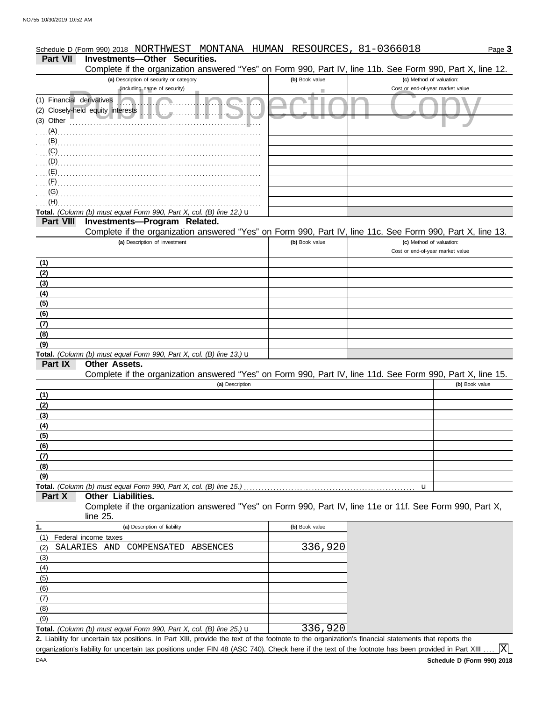#### (including name of security)<br>
Cost or end-of-year market value<br>
y-held equity interests<br>
experience of the contract value<br>
of the contract value<br>
of the contract value<br>
of the contract value<br>
of the contract value<br>
of the **(b)** Book value **(c)** Method of valuation: Page **3 Part VII Investments—Other Securities.** Schedule D (Form 990) 2018 NORTHWEST MONTANA HUMAN RESOURCES, 81-0366018 **(a)** Description of security or category (including name of security) Financial derivatives . . . . . . . . . . . . . . . . . . . . . . . . . . . . . . . . . . . . . . . . . . . . . . . . . (1) Closely-held equity interests . . . . . . . . . . . . . . . . . . . . . . . . . . . . . . . . . . . . . . . . . (2) (3) Other . . . . . . . . . . . . . . . . . . . . . . . . . . . . . . . . . . . . . . . . . . . . . . . . . . . . . . . . . . . . . . . . . **Total.** *(Column (b) must equal Form 990, Part X, col. (B) line 12.)* u **(a)** Description of investment **Part VIII Investments—Program Related. (b)** Book value **(c)** Method of valuation: Cost or end-of-year market value **(b)** Book value **Other Assets. (a)** Description **Part IX Part X (a)** Description of liability **Other Liabilities. (b)** Book value Federal income taxes **Total.** *(Column (b) must equal Form 990, Part X, col. (B) line 13.)* u **Total.** *(Column (b) must equal Form 990, Part X, col. (B) line 15.)* . . . . . . . . . . . . . . . . . . . . . . . . . . . . . . . . . . . . . . . . . . . . . . . . . . . . . . . . . . u **Total.** *(Column (b) must equal Form 990, Part X, col. (B) line 25.)* u **1.** . . . . . . . . . . . . . . . . . . . . . . . . . . . . . . . . . . . . . . . . . . . . . . . . . . . . . . . . . . . . . . . . . . . . . . . . . . . . . . . . . . . . . . . . . . . . . . . . . . . . . . . . . . . . . . . . . . . . . . . . . . . . . . . . . . . . . . . . . . . . . . . . . . . . . . . . (C) . . . . . . . . . . . . . . . . . . . . . . . . . . . . . . . . . . . . . . . . . . . . . . . . . . . . . . . . . . . . . . . . . . . . . . . . . . . . . . . . . . . . . . . . . . . . . . . . . . . . . . . . . . . . . . . . . . . . . . . . . . . . . . . . . . . . . . . . . . . . . . . . . . . . . . . . . . . . . . . . . . . . . . . . . . . . . . . . . . . . . . . . . . . . . . . . . . . . . . . . . . . . . . . . . . . . . . . . . . . . . . . . . . . . . . . . . . . . . . . . . . . . . . . . . . . . . . . . . . . . . . . . . . . . . . . . . . . . . . . . . . . . . . . . . . . . . . . . . . . . . . . . (A)  $(B)$ <sub> $($  $)$ </sub> $($  $)$  $($  $)$  $($  $)$  $($  $)$  $($  $)$  $($  $)$  $($  $)$  $($  $)$  $($  $)$  $($  $)$  $($  $)$  $($  $)$  $($  $)$  $($  $)$  $($  $)$  $($  $)$  $($  $)$  $($  $)$  $($  $)$  $($  $)$  $($  $)$  $($  $)$  $($  $)$  $($  $)$  $($  $)$  $($  $)$  $($  $)$  $($  $)$  $($  $)$  $($  $)$  $($  $)$  $($  $)$  $($  $)$  $($  $)$  $($  $)$ (D) (E) (F) (G) (H) **(9) (8) (7) (6) (5) (4) (3) (2) (1) (1) (2) (3) (4) (5) (6) (7) (8) (9)** (9) (8) (7) (6) (5) (4) (3) (2) (1) . . . . . . . . . . . . . . . . . . . . . . . . . . . . . . . . . . . . . . . . . . . . . . . . . . . . . . . . . . . . . . . . . . . . . . . . . . . . Complete if the organization answered "Yes" on Form 990, Part IV, line 11e or 11f. See Form 990, Part X, line 25. Complete if the organization answered "Yes" on Form 990, Part IV, line 11d. See Form 990, Part X, line 15. Complete if the organization answered "Yes" on Form 990, Part IV, line 11c. See Form 990, Part X, line 13. Complete if the organization answered "Yes" on Form 990, Part IV, line 11b. See Form 990, Part X, line 12. SALARIES AND COMPENSATED ABSENCES 336,920 336,920

Liability for uncertain tax positions. In Part XIII, provide the text of the footnote to the organization's financial statements that reports the **2.** organization's liability for uncertain tax positions under FIN 48 (ASC 740). Check here if the text of the footnote has been provided in Part XIII

lxl

| ۰. |
|----|
|    |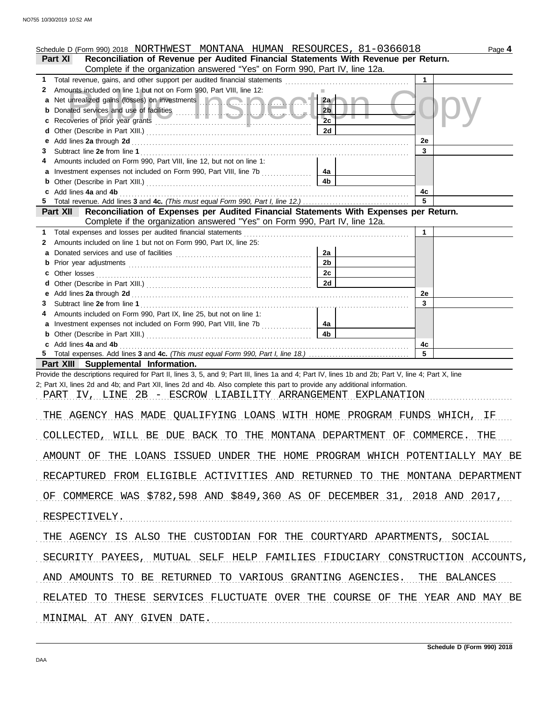|                                                             | Schedule D (Form 990) 2018 NORTHWEST MONTANA HUMAN RESOURCES, 81-0366018                                                                                                                                        |                |             | Page 4 |
|-------------------------------------------------------------|-----------------------------------------------------------------------------------------------------------------------------------------------------------------------------------------------------------------|----------------|-------------|--------|
|                                                             | Reconciliation of Revenue per Audited Financial Statements With Revenue per Return.<br><b>Part XI</b>                                                                                                           |                |             |        |
|                                                             | Complete if the organization answered "Yes" on Form 990, Part IV, line 12a.                                                                                                                                     |                |             |        |
| 1                                                           |                                                                                                                                                                                                                 |                | 1           |        |
| 2                                                           | Amounts included on line 1 but not on Form 990, Part VIII, line 12:<br>Net unrealized gains (losses) on investments [1999]                                                                                      | 2a             |             |        |
|                                                             |                                                                                                                                                                                                                 | 2 <sub>b</sub> |             |        |
|                                                             |                                                                                                                                                                                                                 | 2c             |             |        |
|                                                             |                                                                                                                                                                                                                 | 2d             |             |        |
| е                                                           |                                                                                                                                                                                                                 |                | 2e          |        |
| 3                                                           |                                                                                                                                                                                                                 |                | 3           |        |
|                                                             | Amounts included on Form 990, Part VIII, line 12, but not on line 1:                                                                                                                                            |                |             |        |
|                                                             |                                                                                                                                                                                                                 | 4a             |             |        |
|                                                             | Add lines 4a and 4b                                                                                                                                                                                             | 4b             | 4с          |        |
|                                                             |                                                                                                                                                                                                                 |                | 5           |        |
|                                                             | Part XII Reconciliation of Expenses per Audited Financial Statements With Expenses per Return.                                                                                                                  |                |             |        |
|                                                             | Complete if the organization answered "Yes" on Form 990, Part IV, line 12a.                                                                                                                                     |                |             |        |
| 1.                                                          | Total expenses and losses per audited financial statements                                                                                                                                                      |                | $\mathbf 1$ |        |
| 2                                                           | Amounts included on line 1 but not on Form 990, Part IX, line 25:                                                                                                                                               |                |             |        |
| a                                                           |                                                                                                                                                                                                                 | 2a             |             |        |
| b                                                           |                                                                                                                                                                                                                 | 2 <sub>b</sub> |             |        |
| c                                                           | Other losses                                                                                                                                                                                                    | 2c<br>2d       |             |        |
| е                                                           |                                                                                                                                                                                                                 |                | 2e          |        |
| 3                                                           |                                                                                                                                                                                                                 |                | 3           |        |
|                                                             | Amounts included on Form 990, Part IX, line 25, but not on line 1:                                                                                                                                              |                |             |        |
| a                                                           |                                                                                                                                                                                                                 | 4a             |             |        |
|                                                             | <b>b</b> Other (Describe in Part XIII.) <b>CONSIDENT DESCRIPTION DESCRIPTION DESCRIPTION DESCRIPTION DESCRIPTION DESCRIPTION DESCRIPTION DESCRIPTION DESCRIPTION DESCRIPTION DESCRIPTION DESCRIPTION DESCRI</b> | 4b             |             |        |
|                                                             | c Add lines 4a and 4b                                                                                                                                                                                           |                | 4c<br>5     |        |
|                                                             | Part XIII Supplemental Information.                                                                                                                                                                             |                |             |        |
|                                                             | Provide the descriptions required for Part II, lines 3, 5, and 9; Part III, lines 1a and 4; Part IV, lines 1b and 2b; Part V, line 4; Part X, line                                                              |                |             |        |
|                                                             | 2; Part XI, lines 2d and 4b; and Part XII, lines 2d and 4b. Also complete this part to provide any additional information.                                                                                      |                |             |        |
| PART IV, LINE 2B - ESCROW LIABILITY ARRANGEMENT EXPLANATION |                                                                                                                                                                                                                 |                |             |        |
|                                                             |                                                                                                                                                                                                                 |                |             |        |
|                                                             | AGENCY HAS MADE QUALIFYING LOANS WITH HOME PROGRAM FUNDS WHICH, IF<br>T.HF.                                                                                                                                     |                |             |        |
|                                                             |                                                                                                                                                                                                                 |                |             |        |
|                                                             | COLLECTED, WILL BE DUE BACK TO THE MONTANA DEPARTMENT OF COMMERCE. THE                                                                                                                                          |                |             |        |
|                                                             | AMOUNT OF THE LOANS ISSUED UNDER THE HOME PROGRAM WHICH POTENTIALLY MAY BE                                                                                                                                      |                |             |        |
|                                                             | RECAPTURED FROM ELIGIBLE ACTIVITIES AND RETURNED TO THE MONTANA DEPARTMENT                                                                                                                                      |                |             |        |
|                                                             | OF COMMERCE WAS \$782,598 AND \$849,360 AS OF DECEMBER 31, 2018 AND 2017,                                                                                                                                       |                |             |        |
|                                                             | RESPECTIVELY.                                                                                                                                                                                                   |                |             |        |
|                                                             | THE AGENCY IS ALSO THE CUSTODIAN FOR THE COURTYARD APARTMENTS, SOCIAL                                                                                                                                           |                |             |        |
|                                                             | SECURITY PAYEES, MUTUAL SELF HELP FAMILIES FIDUCIARY CONSTRUCTION ACCOUNTS,                                                                                                                                     |                |             |        |
|                                                             | AND AMOUNTS TO BE RETURNED TO VARIOUS GRANTING AGENCIES. THE BALANCES                                                                                                                                           |                |             |        |
|                                                             | RELATED TO THESE SERVICES FLUCTUATE OVER THE COURSE OF THE YEAR AND MAY BE                                                                                                                                      |                |             |        |
| MINIMAL AT ANY GIVEN DATE.                                  |                                                                                                                                                                                                                 |                |             |        |
|                                                             |                                                                                                                                                                                                                 |                |             |        |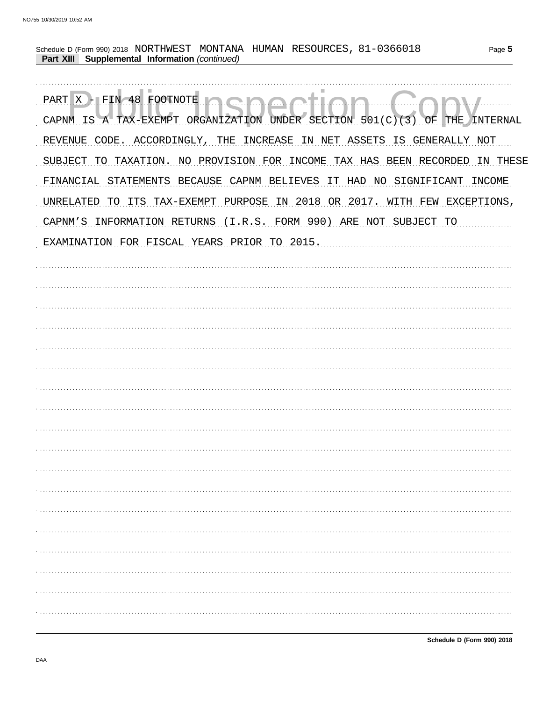| Schedule D (Form 990) 2018 NORTHWEST MONTANA HUMAN RESOURCES, 81-0366018<br>Page 5<br>Supplemental Information (continued)<br><b>Part XIII</b> |
|------------------------------------------------------------------------------------------------------------------------------------------------|
|                                                                                                                                                |
| PART X - FIN 48 FOOTNOTE<br>CAPNM IS A TAX-EXEMPT ORGANIZATION UNDER SECTION 501(C)(3)<br>OF THE<br>INTERNAL                                   |
| REVENUE CODE. ACCORDINGLY,<br>INCREASE<br>IN NET ASSETS IS GENERALLY NOT<br>THE                                                                |
| NO PROVISION FOR INCOME TAX HAS BEEN RECORDED<br><b>SUBJECT</b><br>TO<br>TAXATION.<br>IN THESE                                                 |
| FINANCIAL STATEMENTS BECAUSE<br>CAPNM BELIEVES<br>IT HAD NO SIGNIFICANT<br>INCOME                                                              |
| IN 2018 OR 2017.<br>UNRELATED TO ITS TAX-EXEMPT PURPOSE<br>WITH FEW EXCEPTIONS,                                                                |
| (I.R.S. FORM 990) ARE NOT SUBJECT TO<br>CAPNM'S INFORMATION RETURNS                                                                            |
| EXAMINATION FOR FISCAL YEARS PRIOR TO 2015.                                                                                                    |
|                                                                                                                                                |
|                                                                                                                                                |
|                                                                                                                                                |
|                                                                                                                                                |
|                                                                                                                                                |
|                                                                                                                                                |
|                                                                                                                                                |
|                                                                                                                                                |
|                                                                                                                                                |
|                                                                                                                                                |
|                                                                                                                                                |
|                                                                                                                                                |
|                                                                                                                                                |
|                                                                                                                                                |
|                                                                                                                                                |
|                                                                                                                                                |
|                                                                                                                                                |
|                                                                                                                                                |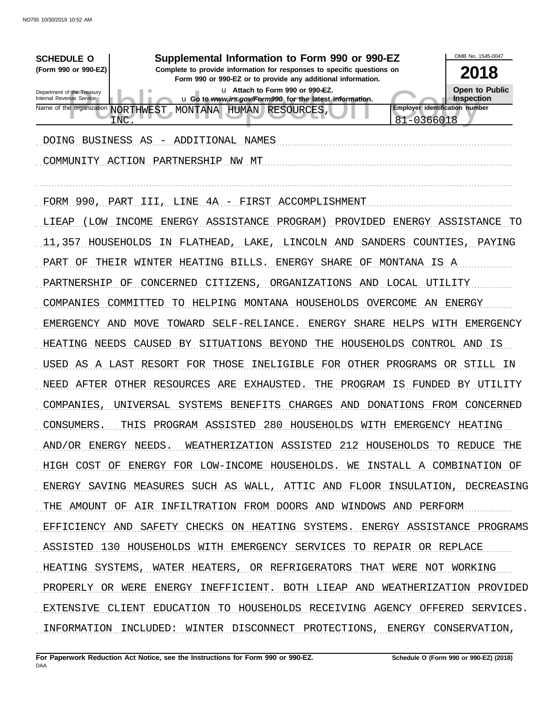| <b>SCHEDULE O</b>                                      | Supplemental Information to Form 990 or 990-EZ                                                                                         |                                | OMB No. 1545-0047                     |
|--------------------------------------------------------|----------------------------------------------------------------------------------------------------------------------------------------|--------------------------------|---------------------------------------|
| (Form 990 or 990-EZ)                                   | Complete to provide information for responses to specific questions on<br>Form 990 or 990-EZ or to provide any additional information. |                                | 2018                                  |
| Department of the Treasury<br>Internal Revenue Service | u Attach to Form 990 or 990-EZ.<br>u Go to www.irs.gov/Form990 for the latest information.                                             |                                | <b>Open to Public</b><br>Inspection   |
| Name of the organization NORTHWEST<br>INC              | MONTANA HUMAN RESOURCES,                                                                                                               | 81-0366018                     | <b>Employer identification number</b> |
| <b>DOING</b>                                           | BUSINESS AS - ADDITIONAL NAMES                                                                                                         |                                |                                       |
| COMMUNITY ACTION PARTNERSHIP                           | NW.<br>MT                                                                                                                              |                                |                                       |
| FORM 990, PART                                         | 4A - FIRST<br>LINE<br>ACCOMPLISHMENT<br>III                                                                                            |                                |                                       |
| (LOM<br>INCOME<br>LIEAP                                | ENERGY ASSISTANCE<br>PROGRAM)                                                                                                          | PROVIDED                       | ENERGY ASSISTANCE<br>TО               |
| HOUSEHOLDS<br>11,357                                   | IN FLATHEAD<br>LAKE<br>LINCOLN                                                                                                         | SANDERS<br>AND                 | COUNTIES<br>PAYING                    |
| PART<br>THEIR<br>ΟF                                    | WINTER HEATING BILLS.<br>ENERGY SHARE                                                                                                  | MONTANA IS A<br>ΟF             |                                       |
| PARTNERSHIP<br>OF                                      | CONCERNED<br>CITIZENS,<br>ORGANIZATIONS                                                                                                | LOCAL<br>AND                   | UTILITY                               |
| COMPANIES<br>COMMITTED                                 | HELPING MONTANA HOUSEHOLDS<br>TO.                                                                                                      | OVERCOME<br>AN                 | ENERGY                                |
| EMERGENCY<br>AND                                       | MOVE<br>TOWARD<br>SELF-RELIANCE<br>ENERGY                                                                                              | SHARE<br>HELPS                 | WITH<br>EMERGENCY                     |
| NEEDS<br>HEATING                                       | CAUSED<br>BY SITUATIONS BEYOND<br>THE                                                                                                  | HOUSEHOLDS                     | CONTROL AND IS                        |
| AS<br>USED                                             | A LAST RESORT FOR THOSE<br>INELIGIBLE                                                                                                  | FOR OTHER PROGRAMS OR STILL IN |                                       |
| AFTER<br><b>NEED</b>                                   | OTHER RESOURCES<br>ARE<br>EXHAUSTED<br>THE                                                                                             | PROGRAM<br>IS<br>FUNDED        | BY UTILITY                            |
| UNIVERSAL<br>COMPANIES,                                | SYSTEMS<br><b>BENEFITS</b><br><b>CHARGES</b>                                                                                           | DONATIONS<br>AND               | FROM<br>CONCERNED                     |
| CONSUMERS.<br>THIS                                     | 280<br>HOUSEHOLDS<br>PROGRAM ASSISTED                                                                                                  | WITH<br>EMERGENCY              | HEATING                               |
|                                                        | AND/OR ENERGY NEEDS. WEATHERIZATION ASSISTED 212 HOUSEHOLDS TO REDUCE THE                                                              |                                |                                       |
|                                                        | HIGH COST OF ENERGY FOR LOW-INCOME HOUSEHOLDS. WE INSTALL A COMBINATION OF                                                             |                                |                                       |
|                                                        | ENERGY SAVING MEASURES SUCH AS WALL, ATTIC AND FLOOR INSULATION, DECREASING                                                            |                                |                                       |
|                                                        | THE AMOUNT OF AIR INFILTRATION FROM DOORS AND WINDOWS AND PERFORM                                                                      |                                |                                       |
|                                                        | EFFICIENCY AND SAFETY CHECKS ON HEATING SYSTEMS. ENERGY ASSISTANCE PROGRAMS                                                            |                                |                                       |
|                                                        | ASSISTED 130 HOUSEHOLDS WITH EMERGENCY SERVICES TO REPAIR OR REPLACE                                                                   |                                |                                       |
|                                                        | HEATING SYSTEMS, WATER HEATERS, OR REFRIGERATORS THAT WERE NOT WORKING                                                                 |                                |                                       |
|                                                        | PROPERLY OR WERE ENERGY INEFFICIENT. BOTH LIEAP AND WEATHERIZATION PROVIDED                                                            |                                |                                       |
|                                                        | EXTENSIVE CLIENT EDUCATION TO HOUSEHOLDS RECEIVING AGENCY OFFERED SERVICES.                                                            |                                |                                       |
|                                                        | INFORMATION INCLUDED: WINTER DISCONNECT PROTECTIONS, ENERGY CONSERVATION,                                                              |                                |                                       |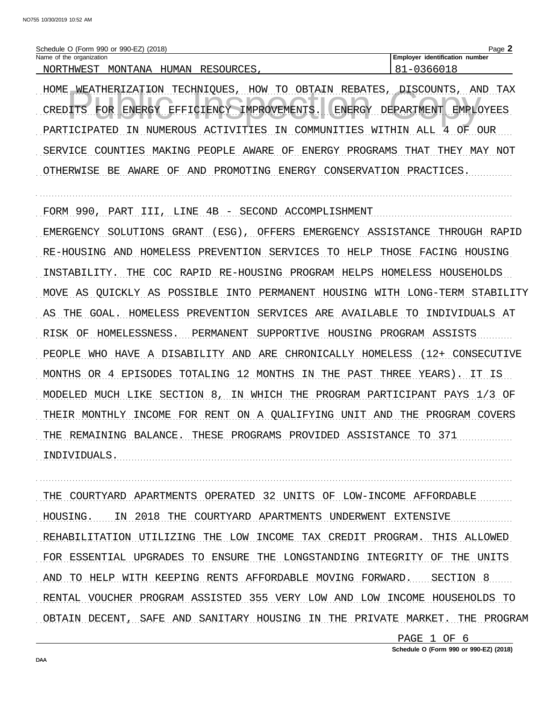| ) (2018)<br>990-EZ)<br>990<br>∕ (Form<br>∠ or ∶<br><b>Schedule</b>                             | ∍מפ<br>aue                                        |
|------------------------------------------------------------------------------------------------|---------------------------------------------------|
| Name<br>organization<br>the                                                                    | $-0.00$<br>identification<br>number<br>. Emplover |
| ∆ אד∧<br>'™∆NT<br>דיסי<br>ּ ידידור ה<br>M<br>NΙ<br>$'$ HMH'S<br>ہر<br>אווו<br>. .<br>п.<br>. . | . .                                               |

HOME WEATHERIZATION TECHNIOUES, HOW TO OBTAIN REBATES, DISCOUNTS, AND TAX CREDITS FOR ENERGY EFFICIENCY IMPROVEMENTS. ENERGY DEPARTMENT EMPLOYEES PARTICIPATED IN NUMEROUS ACTIVITIES IN COMMUNITIES WITHIN ALL 4 OF OUR SERVICE COUNTIES MAKING PEOPLE AWARE OF ENERGY PROGRAMS THAT THEY MAY NOT OTHERWISE BE AWARE OF AND PROMOTING ENERGY CONSERVATION PRACTICES.

FORM 990, PART III, LINE 4B - SECOND ACCOMPLISHMENT

EMERGENCY SOLUTIONS GRANT (ESG), OFFERS EMERGENCY ASSISTANCE THROUGH RAPID RE-HOUSING AND HOMELESS PREVENTION SERVICES TO HELP THOSE FACING HOUSING INSTABILITY. THE COC RAPID RE-HOUSING PROGRAM HELPS HOMELESS HOUSEHOLDS MOVE AS QUICKLY AS POSSIBLE INTO PERMANENT HOUSING WITH LONG-TERM STABILITY AS THE GOAL. HOMELESS PREVENTION SERVICES ARE AVAILABLE TO INDIVIDUALS AT RISK OF HOMELESSNESS. PERMANENT SUPPORTIVE HOUSING PROGRAM ASSISTS PEOPLE WHO HAVE A DISABILITY AND ARE CHRONICALLY HOMELESS (12+ CONSECUTIVE MONTHS OR 4 EPISODES TOTALING 12 MONTHS IN THE PAST THREE YEARS). IT IS MODELED MUCH LIKE SECTION 8, IN WHICH THE PROGRAM PARTICIPANT PAYS 1/3 OF THEIR MONTHLY INCOME FOR RENT ON A QUALIFYING UNIT AND THE PROGRAM COVERS THE REMAINING BALANCE. THESE PROGRAMS PROVIDED ASSISTANCE TO 371 INDIVIDUALS.

THE COURTYARD APARTMENTS OPERATED 32 UNITS OF LOW-INCOME AFFORDABLE HOUSING. IN 2018 THE COURTYARD APARTMENTS UNDERWENT EXTENSIVE REHABILITATION UTILIZING THE LOW INCOME TAX CREDIT PROGRAM. THIS ALLOWED FOR ESSENTIAL UPGRADES TO ENSURE THE LONGSTANDING INTEGRITY OF THE UNITS AND TO HELP WITH KEEPING RENTS AFFORDABLE MOVING FORWARD. SECTION 8 RENTAL VOUCHER PROGRAM ASSISTED 355 VERY LOW AND LOW INCOME HOUSEHOLDS TO OBTAIN DECENT, SAFE AND SANITARY HOUSING IN THE PRIVATE MARKET. THE PROGRAM

> PAGE 1 OF 6 Schedule O (Form 990 or 990-EZ) (2018)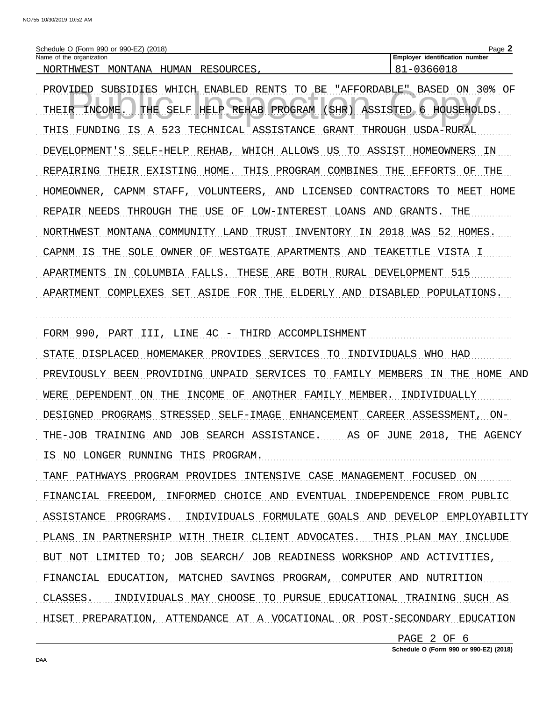| Schedule O (Form 990 or 990-EZ)<br>(2018) |           | Page                                   |
|-------------------------------------------|-----------|----------------------------------------|
| Name of the organization                  |           | identification<br>، Emplover<br>number |
| MONTANA<br>HUMAN<br>NORTHWEST             | RESOURCES |                                        |

PROVIDED SUBSIDIES WHICH ENABLED RENTS TO BE "AFFORDABLE" BASED ON 30% OF THE SELF HELP REHAB PROGRAM (SHR) ASSISTED 6 HOUSEHOLDS. THEIR INCOME. THIS FUNDING IS A 523 TECHNICAL ASSISTANCE GRANT THROUGH USDA-RURAL DEVELOPMENT'S SELF-HELP REHAB, WHICH ALLOWS US TO ASSIST HOMEOWNERS IN REPAIRING THEIR EXISTING HOME. THIS PROGRAM COMBINES THE EFFORTS OF THE HOMEOWNER, CAPNM STAFF, VOLUNTEERS, AND LICENSED CONTRACTORS TO MEET HOME REPAIR NEEDS THROUGH THE USE OF LOW-INTEREST LOANS AND GRANTS. THE NORTHWEST MONTANA COMMUNITY LAND TRUST INVENTORY IN 2018 WAS 52 HOMES. CAPNM IS THE SOLE OWNER OF WESTGATE APARTMENTS AND TEAKETTLE VISTA I APARTMENTS IN COLUMBIA FALLS. THESE ARE BOTH RURAL DEVELOPMENT 515 APARTMENT COMPLEXES SET ASIDE FOR THE ELDERLY AND DISABLED POPULATIONS.

FORM 990, PART III, LINE 4C - THIRD ACCOMPLISHMENT

STATE DISPLACED HOMEMAKER PROVIDES SERVICES TO INDIVIDUALS WHO HAD PREVIOUSLY BEEN PROVIDING UNPAID SERVICES TO FAMILY MEMBERS IN THE HOME AND WERE DEPENDENT ON THE INCOME OF ANOTHER FAMILY MEMBER. INDIVIDUALLY DESIGNED PROGRAMS STRESSED SELF-IMAGE ENHANCEMENT CAREER ASSESSMENT, ON-

THE-JOB TRAINING AND JOB SEARCH ASSISTANCE. AS OF JUNE 2018, THE AGENCY IS NO LONGER RUNNING THIS PROGRAM.

TANF PATHWAYS PROGRAM PROVIDES INTENSIVE CASE MANAGEMENT FOCUSED ON FINANCIAL FREEDOM, INFORMED CHOICE AND EVENTUAL INDEPENDENCE FROM PUBLIC ASSISTANCE PROGRAMS. INDIVIDUALS FORMULATE GOALS AND DEVELOP EMPLOYABILITY PLANS IN PARTNERSHIP WITH THEIR CLIENT ADVOCATES. THIS PLAN MAY INCLUDE BUT NOT LIMITED TO; JOB SEARCH/ JOB READINESS WORKSHOP AND ACTIVITIES, FINANCIAL EDUCATION, MATCHED SAVINGS PROGRAM, COMPUTER AND NUTRITION CLASSES. INDIVIDUALS MAY CHOOSE TO PURSUE EDUCATIONAL TRAINING SUCH AS HISET PREPARATION, ATTENDANCE AT A VOCATIONAL OR POST-SECONDARY EDUCATION

> PAGE 2 OF 6 Schedule O (Form 990 or 990-EZ) (2018)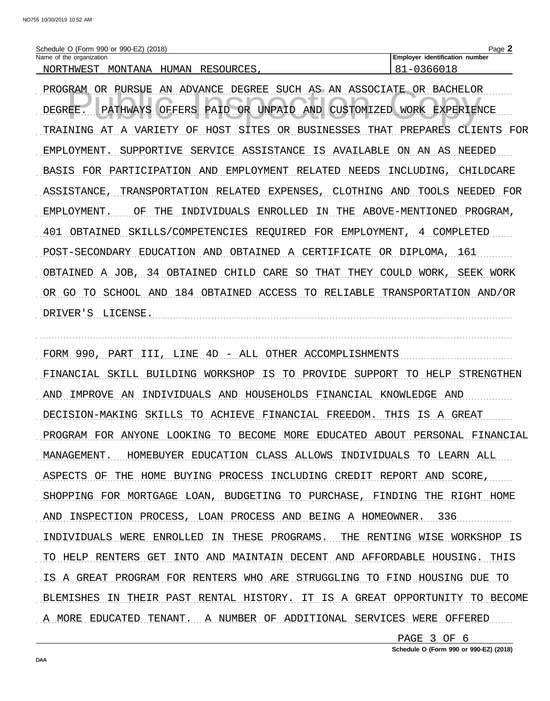| Schedule O (Form 990 or 990-EZ) (2018) |                                  | $a$ de                                   |
|----------------------------------------|----------------------------------|------------------------------------------|
| Name of the organization               |                                  | identification number<br><b>Employer</b> |
| MONTANA<br>NORTHWEST                   | <b>RESOURCES</b><br><b>HUMAN</b> | _                                        |

PROGRAM OR PURSUE AN ADVANCE DEGREE SUCH AS AN ASSOCIATE OR BACHELOR PATHWAYS OFFERS PAID OR UNPAID AND CUSTOMIZED WORK EXPERIENCE DEGREE. TRAINING AT A VARIETY OF HOST SITES OR BUSINESSES THAT PREPARES CLIENTS FOR EMPLOYMENT. SUPPORTIVE SERVICE ASSISTANCE IS AVAILABLE ON AN AS NEEDED BASIS FOR PARTICIPATION AND EMPLOYMENT RELATED NEEDS INCLUDING, CHILDCARE ASSISTANCE, TRANSPORTATION RELATED EXPENSES, CLOTHING AND TOOLS NEEDED FOR EMPLOYMENT. OF THE INDIVIDUALS ENROLLED IN THE ABOVE-MENTIONED PROGRAM, 401 OBTAINED SKILLS/COMPETENCIES REQUIRED FOR EMPLOYMENT, 4 COMPLETED POST-SECONDARY EDUCATION AND OBTAINED A CERTIFICATE OR DIPLOMA, 161 OBTAINED A JOB, 34 OBTAINED CHILD CARE SO THAT THEY COULD WORK, SEEK WORK OR GO TO SCHOOL AND 184 OBTAINED ACCESS TO RELIABLE TRANSPORTATION AND/OR DRIVER'S LICENSE.

FORM 990, PART III, LINE 4D - ALL OTHER ACCOMPLISHMENTS FINANCIAL SKILL BUILDING WORKSHOP IS TO PROVIDE SUPPORT TO HELP STRENGTHEN AND IMPROVE AN INDIVIDUALS AND HOUSEHOLDS FINANCIAL KNOWLEDGE AND DECISION-MAKING SKILLS TO ACHIEVE FINANCIAL FREEDOM. THIS IS A GREAT PROGRAM FOR ANYONE LOOKING TO BECOME MORE EDUCATED ABOUT PERSONAL FINANCIAL MANAGEMENT. HOMEBUYER EDUCATION CLASS ALLOWS INDIVIDUALS TO LEARN ALL ASPECTS OF THE HOME BUYING PROCESS INCLUDING CREDIT REPORT AND SCORE, SHOPPING FOR MORTGAGE LOAN, BUDGETING TO PURCHASE, FINDING THE RIGHT HOME AND INSPECTION PROCESS, LOAN PROCESS AND BEING A HOMEOWNER. 336 INDIVIDUALS WERE ENROLLED IN THESE PROGRAMS. THE RENTING WISE WORKSHOP IS TO HELP RENTERS GET INTO AND MAINTAIN DECENT AND AFFORDABLE HOUSING. THIS IS A GREAT PROGRAM FOR RENTERS WHO ARE STRUGGLING TO FIND HOUSING DUE TO BLEMISHES IN THEIR PAST RENTAL HISTORY. IT IS A GREAT OPPORTUNITY TO BECOME A MORE EDUCATED TENANT. A NUMBER OF ADDITIONAL SERVICES WERE OFFERED

> PAGE 3 OF 6 Schedule O (Form 990 or 990-EZ) (2018)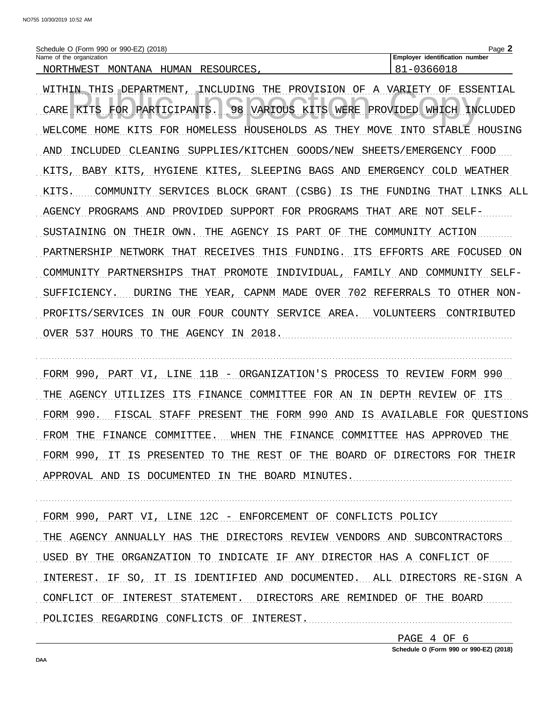| (2018)<br>(Form 990 or 990-EZ)<br>Schedule                               | Page                                            |
|--------------------------------------------------------------------------|-------------------------------------------------|
| Name<br>the<br>organization<br>0t                                        | $-0.00$<br>number<br>identification<br>Employer |
| ר די<br><b>TMANT</b><br><b>MONTRANA</b><br>ᄓᅜᄓᅁ<br>NMR⊓<br>، جا ا<br>- - | ີ                                               |

WITHIN THIS DEPARTMENT, INCLUDING THE PROVISION OF A VARIETY OF ESSENTIAL 98 VARIOUS KITS WERE PROVIDED WHICH INCLUDED CARE KITS FOR PARTICIPANTS. WELCOME HOME KITS FOR HOMELESS HOUSEHOLDS AS THEY MOVE INTO STABLE HOUSING AND INCLUDED CLEANING SUPPLIES/KITCHEN GOODS/NEW SHEETS/EMERGENCY FOOD KITS, BABY KITS, HYGIENE KITES, SLEEPING BAGS AND EMERGENCY COLD WEATHER KITS. COMMUNITY SERVICES BLOCK GRANT (CSBG) IS THE FUNDING THAT LINKS ALL AGENCY PROGRAMS AND PROVIDED SUPPORT FOR PROGRAMS THAT ARE NOT SELF-SUSTAINING ON THEIR OWN. THE AGENCY IS PART OF THE COMMUNITY ACTION PARTNERSHIP NETWORK THAT RECEIVES THIS FUNDING. ITS EFFORTS ARE FOCUSED ON COMMUNITY PARTNERSHIPS THAT PROMOTE INDIVIDUAL, FAMILY AND COMMUNITY SELF-SUFFICIENCY. DURING THE YEAR, CAPNM MADE OVER 702 REFERRALS TO OTHER NON-PROFITS/SERVICES IN OUR FOUR COUNTY SERVICE AREA. VOLUNTEERS CONTRIBUTED OVER 537 HOURS TO THE AGENCY IN 2018.

FORM 990, PART VI, LINE 11B - ORGANIZATION'S PROCESS TO REVIEW FORM 990 THE AGENCY UTILIZES ITS FINANCE COMMITTEE FOR AN IN DEPTH REVIEW OF ITS FORM 990. FISCAL STAFF PRESENT THE FORM 990 AND IS AVAILABLE FOR QUESTIONS FROM THE FINANCE COMMITTEE. WHEN THE FINANCE COMMITTEE HAS APPROVED THE FORM 990, IT IS PRESENTED TO THE REST OF THE BOARD OF DIRECTORS FOR THEIR APPROVAL AND IS DOCUMENTED IN THE BOARD MINUTES.

FORM 990, PART VI, LINE 12C - ENFORCEMENT OF CONFLICTS POLICY THE AGENCY ANNUALLY HAS THE DIRECTORS REVIEW VENDORS AND SUBCONTRACTORS USED BY THE ORGANZATION TO INDICATE IF ANY DIRECTOR HAS A CONFLICT OF INTEREST. IF SO, IT IS IDENTIFIED AND DOCUMENTED. ALL DIRECTORS RE-SIGN A CONFLICT OF INTEREST STATEMENT. DIRECTORS ARE REMINDED OF THE BOARD POLICIES REGARDING CONFLICTS OF INTEREST.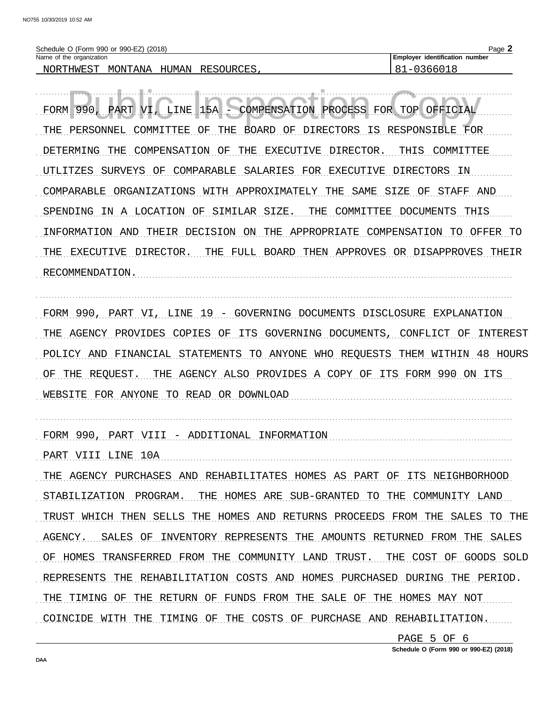| (2018)<br>) (Form 990 or 990-EZ)<br>Schedule                                            | Page                                   |
|-----------------------------------------------------------------------------------------|----------------------------------------|
| Name of the organization                                                                | identification<br>number<br>⊤ Emplover |
| ∩πс<br>'∆NT∆<br>™∆N<br>M∩NT<br>"HWF.`<br>$\epsilon$<br>∏∩ਸ<br>RESOI<br>l IR (<br>H۱<br> |                                        |

LINE 15A PART VI, COMPENSATION PROCESS FOR TOP OFFICIAL FORM 990, THE PERSONNEL COMMITTEE OF THE BOARD OF DIRECTORS IS RESPONSIBLE FOR DETERMING THE COMPENSATION OF THE EXECUTIVE DIRECTOR. THIS COMMITTEE UTLITZES SURVEYS OF COMPARABLE SALARIES FOR EXECUTIVE DIRECTORS IN COMPARABLE ORGANIZATIONS WITH APPROXIMATELY THE SAME SIZE OF STAFF AND SPENDING IN A LOCATION OF SIMILAR SIZE. THE COMMITTEE DOCUMENTS THIS INFORMATION AND THEIR DECISION ON THE APPROPRIATE COMPENSATION TO OFFER TO THE EXECUTIVE DIRECTOR. THE FULL BOARD THEN APPROVES OR DISAPPROVES THEIR RECOMMENDATION.

FORM 990, PART VI, LINE 19 - GOVERNING DOCUMENTS DISCLOSURE EXPLANATION THE AGENCY PROVIDES COPIES OF ITS GOVERNING DOCUMENTS, CONFLICT OF INTEREST POLICY AND FINANCIAL STATEMENTS TO ANYONE WHO REOUESTS THEM WITHIN 48 HOURS OF THE REQUEST. THE AGENCY ALSO PROVIDES A COPY OF ITS FORM 990 ON ITS WEBSITE FOR ANYONE TO READ OR DOWNLOAD AND ANNOUNCED AND ANNOUNCED AND ALL AND AN AMERICAN MELTICAL METAL AND A

FORM 990, PART VIII - ADDITIONAL INFORMATION

PART VIII LINE 10A THE AGENCY PURCHASES AND REHABILITATES HOMES AS PART OF ITS NEIGHBORHOOD STABILIZATION PROGRAM. THE HOMES ARE SUB-GRANTED TO THE COMMUNITY LAND TRUST WHICH THEN SELLS THE HOMES AND RETURNS PROCEEDS FROM THE SALES TO THE AGENCY. SALES OF INVENTORY REPRESENTS THE AMOUNTS RETURNED FROM THE SALES OF HOMES TRANSFERRED FROM THE COMMUNITY LAND TRUST. THE COST OF GOODS SOLD REPRESENTS THE REHABILITATION COSTS AND HOMES PURCHASED DURING THE PERIOD. THE TIMING OF THE RETURN OF FUNDS FROM THE SALE OF THE HOMES MAY NOT COINCIDE WITH THE TIMING OF THE COSTS OF PURCHASE AND REHABILITATION.

> PAGE 5 OF 6 Schedule O (Form 990 or 990-EZ) (2018)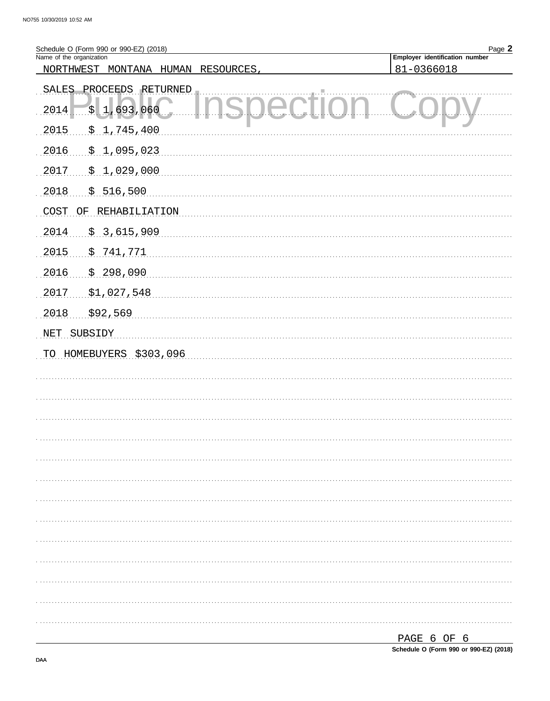| Schedule O (Form 990 or 990-EZ) (2018)<br>Name of the organization | Page 2<br>Employer identification number |
|--------------------------------------------------------------------|------------------------------------------|
| MONTANA<br>NORTHWEST<br><b>HUMAN</b><br>RESOURCES,                 | 81-0366018                               |
| SALES PROCEEDS RETURNED<br>\$1,693,060<br>2014<br>$\mathbf{L}$ and |                                          |
| 2015<br>\$1,745,400                                                |                                          |
| 2016<br>\$1,095,023                                                |                                          |
| 2017<br>\$1,029,000                                                |                                          |
| 2018<br>\$516,500                                                  |                                          |
| COST OF<br>REHABILIATION                                           |                                          |
| 2014<br>\$.3,615,909                                               |                                          |
| 2015<br>\$741,771                                                  |                                          |
| 2016<br>\$298,090                                                  |                                          |
| \$1,027,548<br>2017                                                |                                          |
| 2018<br>\$92,569                                                   |                                          |
| SUBSIDY<br>NET                                                     |                                          |
| TO HOMEBUYERS \$303,096                                            |                                          |
|                                                                    |                                          |
|                                                                    |                                          |
|                                                                    |                                          |
|                                                                    |                                          |
|                                                                    |                                          |
|                                                                    |                                          |
|                                                                    |                                          |
|                                                                    |                                          |
|                                                                    |                                          |
|                                                                    |                                          |
|                                                                    |                                          |
|                                                                    |                                          |
|                                                                    |                                          |
|                                                                    |                                          |
|                                                                    | PAGE 6 OF 6                              |

Schedule O (Form 990 or 990-EZ) (2018)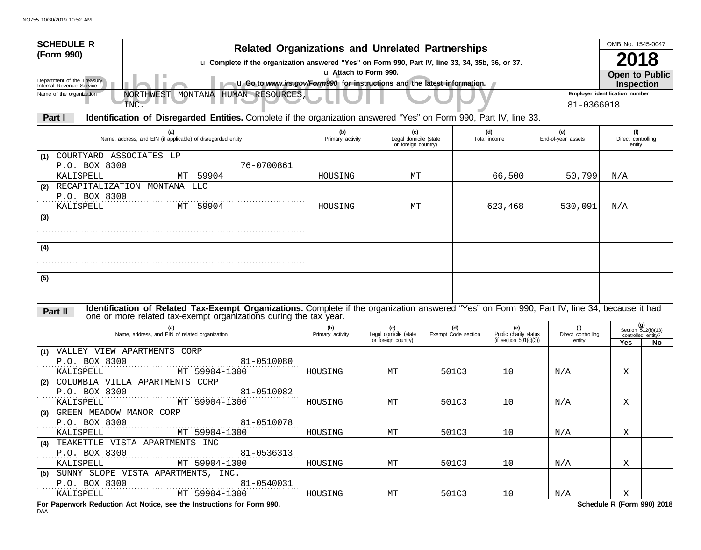| <b>SCHEDULE R</b><br>(Form 990)<br>Department of the Treasury<br>Internal Revenue Service | <b>Related Organizations and Unrelated Partnerships</b><br>u Complete if the organization answered "Yes" on Form 990, Part IV, line 33, 34, 35b, 36, or 37.<br>u Go to www.irs.gov/Form990 for instructions and the latest information. |                         | u Attach to Form 990.                               |                            |                                                           |                                     | OMB No. 1545-0047<br>Open to Public<br><b>Inspection</b> | 18                                                     |
|-------------------------------------------------------------------------------------------|-----------------------------------------------------------------------------------------------------------------------------------------------------------------------------------------------------------------------------------------|-------------------------|-----------------------------------------------------|----------------------------|-----------------------------------------------------------|-------------------------------------|----------------------------------------------------------|--------------------------------------------------------|
| Name of the organization                                                                  | NORTHWEST MONTANA HUMAN RESOURCES,<br>INC.                                                                                                                                                                                              |                         |                                                     |                            |                                                           | 81-0366018                          | Employer identification number                           |                                                        |
| Part I                                                                                    | Identification of Disregarded Entities. Complete if the organization answered "Yes" on Form 990, Part IV, line 33.                                                                                                                      |                         |                                                     |                            |                                                           |                                     |                                                          |                                                        |
|                                                                                           | (a)<br>Name, address, and EIN (if applicable) of disregarded entity                                                                                                                                                                     | (b)<br>Primary activity | (c)<br>Legal domicile (state<br>or foreign country) |                            | (d)<br>Total income                                       | (e)<br>End-of-year assets           | (f)<br>Direct controlling<br>entity                      |                                                        |
| COURTYARD ASSOCIATES LP<br>(1)<br>P.O. BOX 8300<br>KALISPELL                              | 76-0700861<br>MT 59904<br>(2) RECAPITALIZATION MONTANA LLC                                                                                                                                                                              | HOUSING                 | MТ                                                  |                            | 66,500                                                    | 50,799                              | $\rm N/A$                                                |                                                        |
| P.O. BOX 8300<br>KALISPELL                                                                | MT 59904                                                                                                                                                                                                                                | HOUSING                 | MТ                                                  |                            | 623,468                                                   | 530,091                             | N/A                                                      |                                                        |
| (3)                                                                                       |                                                                                                                                                                                                                                         |                         |                                                     |                            |                                                           |                                     |                                                          |                                                        |
| (4)                                                                                       |                                                                                                                                                                                                                                         |                         |                                                     |                            |                                                           |                                     |                                                          |                                                        |
| (5)                                                                                       |                                                                                                                                                                                                                                         |                         |                                                     |                            |                                                           |                                     |                                                          |                                                        |
|                                                                                           |                                                                                                                                                                                                                                         |                         |                                                     |                            |                                                           |                                     |                                                          |                                                        |
| Part II                                                                                   | Identification of Related Tax-Exempt Organizations. Complete if the organization answered "Yes" on Form 990, Part IV, line 34, because it had                                                                                           |                         |                                                     |                            |                                                           |                                     |                                                          |                                                        |
|                                                                                           | one or more related tax-exempt organizations during the tax year.<br>(a)<br>Name, address, and EIN of related organization                                                                                                              | (b)<br>Primary activity | (c)<br>Legal domicile (state<br>or foreign country) | (d)<br>Exempt Code section | (e)<br>Public charity status<br>(if section $501(c)(3)$ ) | (f)<br>Direct controlling<br>entity | Yes                                                      | (g)<br>Section 512(b)(13)<br>controlled entity?<br>No. |
| (1) VALLEY VIEW APARTMENTS CORP                                                           |                                                                                                                                                                                                                                         |                         |                                                     |                            |                                                           |                                     |                                                          |                                                        |
| P.O. BOX 8300<br>KALISPELL                                                                | 81-0510080<br>MT 59904-1300                                                                                                                                                                                                             | HOUSING                 | MТ                                                  | 501C3                      | 10                                                        | N/A                                 | Χ                                                        |                                                        |
| (2)<br>P.O. BOX 8300<br>KALISPELL                                                         | COLUMBIA VILLA APARTMENTS CORP<br>81-0510082<br>MT 59904-1300                                                                                                                                                                           | HOUSING                 | МT                                                  | 501C3                      |                                                           | N/A                                 | Χ                                                        |                                                        |
| (3) GREEN MEADOW MANOR CORP<br>P.O. BOX 8300<br>KALISPELL                                 | 81-0510078<br>MT 59904-1300                                                                                                                                                                                                             | HOUSING                 | МT                                                  | 501C3                      | 10                                                        | N/A                                 | X                                                        |                                                        |
| P.O. BOX 8300<br>KALISPELL                                                                | (4) TEAKETTLE VISTA APARTMENTS INC<br>81-0536313<br>MT 59904-1300                                                                                                                                                                       | HOUSING                 | МT                                                  | 501C3                      | 10                                                        | $\mathrm{N}/\mathrm{A}$             | Χ                                                        |                                                        |
| P.O. BOX 8300<br>KALISPELL                                                                | (5) SUNNY SLOPE VISTA APARTMENTS, INC.<br>81-0540031<br>MT 59904-1300                                                                                                                                                                   | HOUSING                 | МT                                                  | 501C3                      | 10                                                        | N/A                                 | Χ                                                        |                                                        |
| DAA                                                                                       | For Paperwork Reduction Act Notice, see the Instructions for Form 990.                                                                                                                                                                  |                         |                                                     |                            |                                                           |                                     | Schedule R (Form 990) 2018                               |                                                        |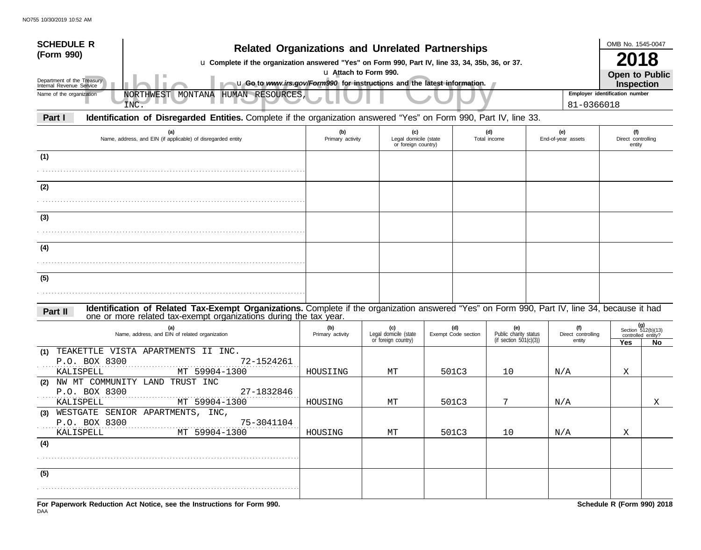| <b>SCHEDULE R</b><br>(Form 990)<br>Department of the Treasury<br>Internal Revenue Service | <b>Related Organizations and Unrelated Partnerships</b><br>u Complete if the organization answered "Yes" on Form 990, Part IV, line 33, 34, 35b, 36, or 37.<br>u Go to www.irs.gov/Form990 for instructions and the latest information. |                         | u Attach to Form 990.                               |       |                            |                                                           |                                              | OMB No. 1545-0047<br>2018<br><b>Open to Public</b><br><b>Inspection</b> |                                                       |
|-------------------------------------------------------------------------------------------|-----------------------------------------------------------------------------------------------------------------------------------------------------------------------------------------------------------------------------------------|-------------------------|-----------------------------------------------------|-------|----------------------------|-----------------------------------------------------------|----------------------------------------------|-------------------------------------------------------------------------|-------------------------------------------------------|
| Name of the organization                                                                  | NORTHWEST MONTANA HUMAN RESOURCES,<br>INC.                                                                                                                                                                                              |                         |                                                     |       |                            |                                                           | Employer identification number<br>81-0366018 |                                                                         |                                                       |
| Part I                                                                                    | Identification of Disregarded Entities. Complete if the organization answered "Yes" on Form 990, Part IV, line 33.                                                                                                                      |                         |                                                     |       |                            |                                                           |                                              |                                                                         |                                                       |
|                                                                                           | (a)<br>Name, address, and EIN (if applicable) of disregarded entity                                                                                                                                                                     | (b)<br>Primary activity | (c)<br>Legal domicile (state<br>or foreign country) |       |                            | (d)<br>Total income                                       | (e)<br>End-of-year assets                    | (f)<br>Direct controlling<br>entity                                     |                                                       |
| (1)                                                                                       |                                                                                                                                                                                                                                         |                         |                                                     |       |                            |                                                           |                                              |                                                                         |                                                       |
| (2)                                                                                       |                                                                                                                                                                                                                                         |                         |                                                     |       |                            |                                                           |                                              |                                                                         |                                                       |
| (3)                                                                                       |                                                                                                                                                                                                                                         |                         |                                                     |       |                            |                                                           |                                              |                                                                         |                                                       |
|                                                                                           |                                                                                                                                                                                                                                         |                         |                                                     |       |                            |                                                           |                                              |                                                                         |                                                       |
| (4)                                                                                       |                                                                                                                                                                                                                                         |                         |                                                     |       |                            |                                                           |                                              |                                                                         |                                                       |
| (5)                                                                                       |                                                                                                                                                                                                                                         |                         |                                                     |       |                            |                                                           |                                              |                                                                         |                                                       |
| Part II                                                                                   | Identification of Related Tax-Exempt Organizations. Complete if the organization answered "Yes" on Form 990, Part IV, line 34, because it had<br>one or more related tax-exempt organizations during the tax year.                      |                         |                                                     |       |                            |                                                           |                                              |                                                                         |                                                       |
|                                                                                           | (a)<br>Name, address, and EIN of related organization                                                                                                                                                                                   | (b)<br>Primary activity | (c)<br>Legal domicile (state<br>or foreign country) |       | (d)<br>Exempt Code section | (e)<br>Public charity status<br>(if section $501(c)(3)$ ) | (f)<br>Direct controlling<br>entity          | Yes                                                                     | (g)<br>Section 512(b)(13)<br>controlled entity?<br>No |
| (1)<br>P.O. BOX 8300<br>KALISPELL                                                         | TEAKETTLE VISTA APARTMENTS II INC.<br>72-1524261<br>MT 59904-1300                                                                                                                                                                       | HOUSIING                | MТ                                                  |       | 501C3                      | 10                                                        | N/A                                          | Χ                                                                       |                                                       |
| (2)<br>P.O. BOX 8300<br>KALISPELL                                                         | NW MT COMMUNITY LAND TRUST INC<br>27-1832846<br>MT 59904-1300                                                                                                                                                                           | HOUSING                 | МT                                                  | 501C3 |                            | 7                                                         | N/A                                          |                                                                         | Χ                                                     |
| (3)<br>P.O. BOX 8300<br>KALISPELL                                                         | WESTGATE SENIOR APARTMENTS, INC,<br>75-3041104<br>MT 59904-1300                                                                                                                                                                         | HOUSING                 | MТ                                                  |       | 501C3                      | 10                                                        | N/A                                          | Χ                                                                       |                                                       |
| (4)                                                                                       |                                                                                                                                                                                                                                         |                         |                                                     |       |                            |                                                           |                                              |                                                                         |                                                       |
| (5)                                                                                       |                                                                                                                                                                                                                                         |                         |                                                     |       |                            |                                                           |                                              |                                                                         |                                                       |
|                                                                                           | For Paperwork Reduction Act Notice, see the Instructions for Form 990.                                                                                                                                                                  |                         |                                                     |       |                            |                                                           |                                              | Schedule R (Form 990) 2018                                              |                                                       |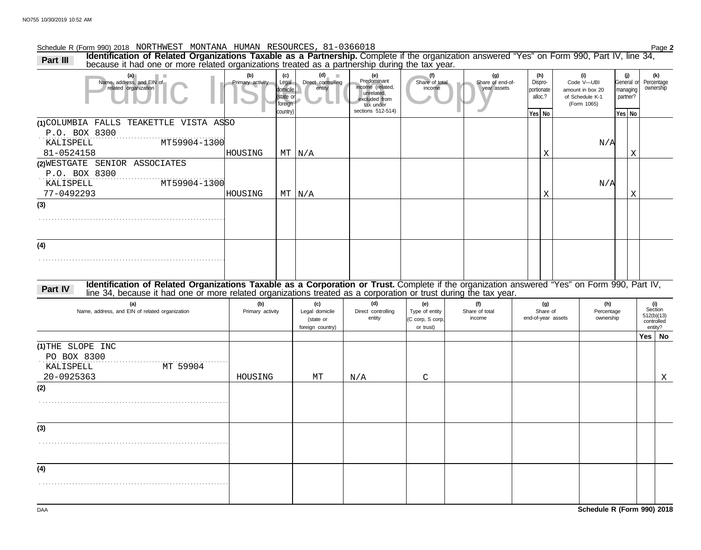### Schedule R (Form 990) 2018 Page **2** NORTHWEST MONTANA HUMAN RESOURCES, 81-0366018

Part III Identification of Related Organizations Taxable as a Partnership. Complete if the organization answered "Yes" on Form 990, Part IV, line 34, Part IV, line 34, Part IV, line 34,

| (a)<br>Name, address, and EIN of<br>related organization                                                                                                | (b)<br>Primary activity | (c)<br>Legal                     | (d)<br><b>III</b><br>Direct controlling | (e)<br>Predominant<br>income (related,   | (f)<br>Share of total              | (g)<br>Share of end-of-<br>year assets | (h)<br>Dispro-        |          | (i)<br>Code V-UBI                                  |                         | (j)<br>General or    | (k)<br>Percentage<br>ownership |
|---------------------------------------------------------------------------------------------------------------------------------------------------------|-------------------------|----------------------------------|-----------------------------------------|------------------------------------------|------------------------------------|----------------------------------------|-----------------------|----------|----------------------------------------------------|-------------------------|----------------------|--------------------------------|
|                                                                                                                                                         |                         | domicile<br>(state or<br>foreign | entity                                  | unrelated,<br>excluded from<br>tax under | income                             |                                        | portionate<br>alloc.? |          | amount in box 20<br>of Schedule K-1<br>(Form 1065) |                         | managing<br>partner? |                                |
|                                                                                                                                                         |                         | country)                         |                                         | sections 512-514)                        |                                    |                                        | Yes No                |          |                                                    |                         | Yes No               |                                |
| (1) COLUMBIA FALLS TEAKETTLE VISTA ASSO                                                                                                                 |                         |                                  |                                         |                                          |                                    |                                        |                       |          |                                                    |                         |                      |                                |
| P.O. BOX 8300<br>KALISPELL<br>MT59904-1300                                                                                                              |                         |                                  |                                         |                                          |                                    |                                        |                       |          |                                                    | N/A                     |                      |                                |
| 81-0524158                                                                                                                                              | HOUSING                 |                                  | $MT$ $N/A$                              |                                          |                                    |                                        |                       | Χ        |                                                    |                         | Χ                    |                                |
| (2) WESTGATE SENIOR ASSOCIATES                                                                                                                          |                         |                                  |                                         |                                          |                                    |                                        |                       |          |                                                    |                         |                      |                                |
| P.O. BOX 8300                                                                                                                                           |                         |                                  |                                         |                                          |                                    |                                        |                       |          |                                                    |                         |                      |                                |
| KALISPELL<br>MT59904-1300                                                                                                                               |                         |                                  |                                         |                                          |                                    |                                        |                       |          |                                                    | N/A                     |                      |                                |
| 77-0492293                                                                                                                                              | HOUSING                 |                                  | $MT$ $N/A$                              |                                          |                                    |                                        |                       | Χ        |                                                    |                         | $\mathbf X$          |                                |
| (3)                                                                                                                                                     |                         |                                  |                                         |                                          |                                    |                                        |                       |          |                                                    |                         |                      |                                |
|                                                                                                                                                         |                         |                                  |                                         |                                          |                                    |                                        |                       |          |                                                    |                         |                      |                                |
|                                                                                                                                                         |                         |                                  |                                         |                                          |                                    |                                        |                       |          |                                                    |                         |                      |                                |
| (4)                                                                                                                                                     |                         |                                  |                                         |                                          |                                    |                                        |                       |          |                                                    |                         |                      |                                |
|                                                                                                                                                         |                         |                                  |                                         |                                          |                                    |                                        |                       |          |                                                    |                         |                      |                                |
|                                                                                                                                                         |                         |                                  |                                         |                                          |                                    |                                        |                       |          |                                                    |                         |                      |                                |
| Identification of Related Organizations Taxable as a Corporation or Trust. Complete if the organization answered "Yes" on Form 990, Part IV,<br>Part IV |                         |                                  |                                         |                                          |                                    |                                        |                       |          |                                                    |                         |                      |                                |
| line 34, because it had one or more related organizations treated as a corporation or trust during the tax year.                                        |                         |                                  |                                         |                                          |                                    |                                        |                       |          |                                                    |                         |                      |                                |
| (a)<br>Name, address, and EIN of related organization                                                                                                   | (b)<br>Primary activity |                                  | (c)                                     | (d)                                      | (e)                                | (f)                                    |                       | (g)      |                                                    | (h)                     |                      | (i)<br>Section                 |
|                                                                                                                                                         |                         |                                  |                                         |                                          |                                    |                                        |                       |          |                                                    |                         |                      |                                |
|                                                                                                                                                         |                         |                                  | Legal domicile<br>(state or             | Direct controlling<br>entity             | Type of entity<br>(C corp, S corp, | Share of total<br>income               | end-of-year assets    | Share of |                                                    | Percentage<br>ownership |                      | 512(b)(13)                     |
|                                                                                                                                                         |                         |                                  | foreign country)                        |                                          | or trust)                          |                                        |                       |          |                                                    |                         |                      | controlled<br>entity?          |
|                                                                                                                                                         |                         |                                  |                                         |                                          |                                    |                                        |                       |          |                                                    |                         |                      | Yes   No                       |
| (1) THE SLOPE INC                                                                                                                                       |                         |                                  |                                         |                                          |                                    |                                        |                       |          |                                                    |                         |                      |                                |
| PO BOX 8300                                                                                                                                             |                         |                                  |                                         |                                          |                                    |                                        |                       |          |                                                    |                         |                      |                                |
| MT 59904<br>KALISPELL<br>20-0925363                                                                                                                     | HOUSING                 |                                  | MТ                                      |                                          |                                    |                                        |                       |          |                                                    |                         |                      |                                |
| (2)                                                                                                                                                     |                         |                                  |                                         | N/A                                      | $\mathsf C$                        |                                        |                       |          |                                                    |                         |                      | Χ                              |
|                                                                                                                                                         |                         |                                  |                                         |                                          |                                    |                                        |                       |          |                                                    |                         |                      |                                |
|                                                                                                                                                         |                         |                                  |                                         |                                          |                                    |                                        |                       |          |                                                    |                         |                      |                                |
|                                                                                                                                                         |                         |                                  |                                         |                                          |                                    |                                        |                       |          |                                                    |                         |                      |                                |
| (3)                                                                                                                                                     |                         |                                  |                                         |                                          |                                    |                                        |                       |          |                                                    |                         |                      |                                |
|                                                                                                                                                         |                         |                                  |                                         |                                          |                                    |                                        |                       |          |                                                    |                         |                      |                                |
|                                                                                                                                                         |                         |                                  |                                         |                                          |                                    |                                        |                       |          |                                                    |                         |                      |                                |
| (4)                                                                                                                                                     |                         |                                  |                                         |                                          |                                    |                                        |                       |          |                                                    |                         |                      |                                |
|                                                                                                                                                         |                         |                                  |                                         |                                          |                                    |                                        |                       |          |                                                    |                         |                      |                                |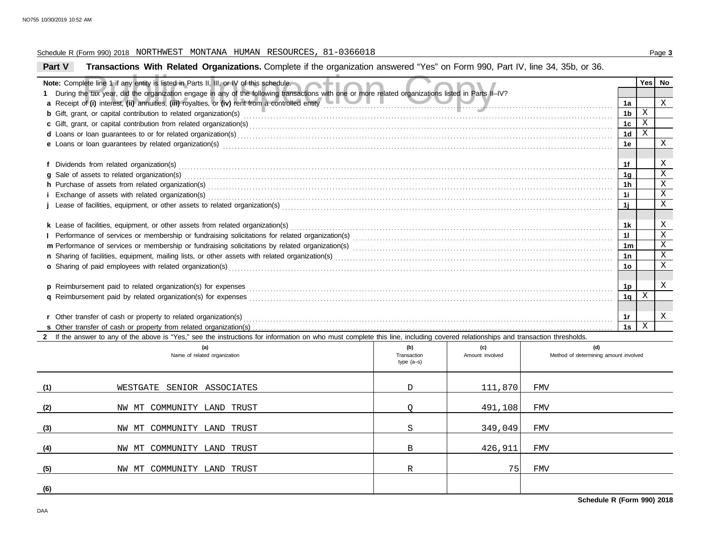### Schedule R (Form 990) 2018 Page **3** NORTHWEST MONTANA HUMAN RESOURCES, 81-0366018

# **Part V Transactions With Related Organizations.** Complete if the organization answered "Yes" on Form 990, Part IV, line 34, 35b, or 36.

|                                                                                                                                                                                                                                      | Note: Complete line 1 if any entity is listed in Parts II, III, or IV of this schedule.                                                                                                                                                          |                                    |                        |                                              |                | Yes   No                   |                            |  |  |  |  |
|--------------------------------------------------------------------------------------------------------------------------------------------------------------------------------------------------------------------------------------|--------------------------------------------------------------------------------------------------------------------------------------------------------------------------------------------------------------------------------------------------|------------------------------------|------------------------|----------------------------------------------|----------------|----------------------------|----------------------------|--|--|--|--|
|                                                                                                                                                                                                                                      | 1 During the tax year, did the organization engage in any of the following transactions with one or more related organizations listed in Parts II-IV?                                                                                            |                                    |                        |                                              |                |                            |                            |  |  |  |  |
|                                                                                                                                                                                                                                      | a Receipt of (i) interest, (ii) annuities, (iii) royalties, or (iv) rent from a controlled entity                                                                                                                                                |                                    |                        |                                              | 1a             |                            | X                          |  |  |  |  |
|                                                                                                                                                                                                                                      |                                                                                                                                                                                                                                                  |                                    |                        |                                              | 1b             | $\mathbf X$<br>$\mathbf X$ |                            |  |  |  |  |
|                                                                                                                                                                                                                                      | c Gift, grant, or capital contribution from related organization(s) encourance contains and contained a substantial contribution from related organization(s) encourance contains and contained a substantial contribution fro<br>1 <sub>c</sub> |                                    |                        |                                              |                |                            |                            |  |  |  |  |
|                                                                                                                                                                                                                                      | 1 <sub>d</sub>                                                                                                                                                                                                                                   |                                    |                        |                                              |                |                            |                            |  |  |  |  |
| e Loans or loan guarantees by related organization(s) encourance contract the contract contract of the contract or contract or contract or contract or contract or contract or contract or contract or contract or contract or<br>1e |                                                                                                                                                                                                                                                  |                                    |                        |                                              |                |                            |                            |  |  |  |  |
|                                                                                                                                                                                                                                      |                                                                                                                                                                                                                                                  |                                    |                        |                                              |                |                            |                            |  |  |  |  |
|                                                                                                                                                                                                                                      |                                                                                                                                                                                                                                                  |                                    |                        |                                              | 1f             |                            | X                          |  |  |  |  |
|                                                                                                                                                                                                                                      | g Sale of assets to related organization(s) encourance contains a substantial container and states and states or set of assets to related organization(s)                                                                                        |                                    |                        |                                              | 1g             |                            | $\mathbf X$                |  |  |  |  |
|                                                                                                                                                                                                                                      |                                                                                                                                                                                                                                                  |                                    |                        |                                              | 1 <sub>h</sub> |                            | $\mathbf X$<br>$\mathbf X$ |  |  |  |  |
|                                                                                                                                                                                                                                      |                                                                                                                                                                                                                                                  |                                    |                        |                                              | 11             |                            | X                          |  |  |  |  |
|                                                                                                                                                                                                                                      |                                                                                                                                                                                                                                                  |                                    |                        |                                              | 1j             |                            |                            |  |  |  |  |
|                                                                                                                                                                                                                                      |                                                                                                                                                                                                                                                  |                                    |                        |                                              |                |                            | X                          |  |  |  |  |
|                                                                                                                                                                                                                                      |                                                                                                                                                                                                                                                  |                                    |                        |                                              | 1k<br>11       |                            | $\mathbf X$                |  |  |  |  |
|                                                                                                                                                                                                                                      |                                                                                                                                                                                                                                                  |                                    |                        |                                              | 1m             |                            | $\mathbf X$                |  |  |  |  |
|                                                                                                                                                                                                                                      |                                                                                                                                                                                                                                                  |                                    |                        |                                              | 1n             |                            | $\mathbf X$                |  |  |  |  |
|                                                                                                                                                                                                                                      | o Sharing of paid employees with related organization(s)                                                                                                                                                                                         |                                    |                        |                                              | 1o             |                            | $\mathbf X$                |  |  |  |  |
|                                                                                                                                                                                                                                      |                                                                                                                                                                                                                                                  |                                    |                        |                                              |                |                            |                            |  |  |  |  |
|                                                                                                                                                                                                                                      | p Reimbursement paid to related organization(s) for expenses                                                                                                                                                                                     |                                    |                        |                                              | 1p             |                            | Χ                          |  |  |  |  |
|                                                                                                                                                                                                                                      |                                                                                                                                                                                                                                                  |                                    |                        |                                              | 1q             | Χ                          |                            |  |  |  |  |
|                                                                                                                                                                                                                                      |                                                                                                                                                                                                                                                  |                                    |                        |                                              |                |                            |                            |  |  |  |  |
|                                                                                                                                                                                                                                      | r Other transfer of cash or property to related organization(s)                                                                                                                                                                                  |                                    |                        |                                              | 1r             |                            | X                          |  |  |  |  |
|                                                                                                                                                                                                                                      |                                                                                                                                                                                                                                                  |                                    |                        |                                              | 1s             | X                          |                            |  |  |  |  |
|                                                                                                                                                                                                                                      | 2 If the answer to any of the above is "Yes," see the instructions for information on who must complete this line, including covered relationships and transaction thresholds.                                                                   |                                    |                        |                                              |                |                            |                            |  |  |  |  |
|                                                                                                                                                                                                                                      | (a)<br>Name of related organization                                                                                                                                                                                                              | (b)<br>Transaction<br>type $(a-s)$ | (c)<br>Amount involved | (d)<br>Method of determining amount involved |                |                            |                            |  |  |  |  |
| (1)                                                                                                                                                                                                                                  | WESTGATE SENIOR ASSOCIATES                                                                                                                                                                                                                       | $\mathbb D$                        | 111,870                | FMV                                          |                |                            |                            |  |  |  |  |
| (2)                                                                                                                                                                                                                                  | NW MT COMMUNITY LAND TRUST                                                                                                                                                                                                                       | O                                  | 491,108                | FMV                                          |                |                            |                            |  |  |  |  |
| (3)                                                                                                                                                                                                                                  | NW MT COMMUNITY LAND TRUST                                                                                                                                                                                                                       | S                                  | 349,049                | FMV                                          |                |                            |                            |  |  |  |  |
| (4)                                                                                                                                                                                                                                  | NW MT COMMUNITY LAND TRUST                                                                                                                                                                                                                       | B                                  | 426,911                | FMV                                          |                |                            |                            |  |  |  |  |

NW MT COMMUNITY LAND TRUST REALLY REALLY REALLY REALLY REALLY REALLY REALLY REALLY REALLY REALLY REALLY REALLY

**(5)**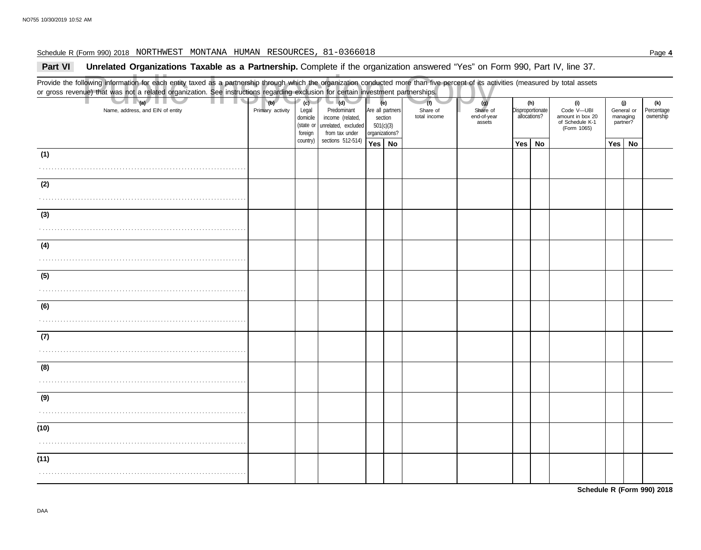### Schedule R (Form 990) 2018 Page **4** NORTHWEST MONTANA HUMAN RESOURCES, 81-0366018

## **Part VI** Unrelated Organizations Taxable as a Partnership. Complete if the organization answered "Yes" on Form 990, Part IV, line 37.

Nowing information for each entity taxed as a partnership through which the organization conducted more than five percent of its act<br>
(a) that was not a related organization. See instructions regarding exclusion for certai Provide the following information for each entity taxed as a partnership through which the organization conducted more than five percent of its activities (measured by total assets or gross revenue) that was not a related organization. See instructions regarding exclusion for certain investment partnerships. Name, address, and EIN of entity **Primary activity** Primary activity Legal domicile (state or Are all partners section 501(c)(3) organizations? Share of end-of-year assets Disproportionate allocations? Code V—UBI amount in box 20 of Schedule K-1 General or managing partner? **(a) (b) (c) (e) (g) (h) (i) (j)** . . . . . . . . . . . . . . . . . . . . . . . . . . . . . . . . . . . . . . . . . . . . . . . . . . . . . . . . . . . . . . . . . . . . . . **Yes No Yes No Yes No** . . . . . . . . . . . . . . . . . . . . . . . . . . . . . . . . . . . . . . . . . . . . . . . . . . . . . . . . . . . . . . . . . . . . . . . . . . . . . . . . . . . . . . . . . . . . . . . . . . . . . . . . . . . . . . . . . . . . . . . . . . . . . . . . . . . . . . . . . . . . . . . . . . . . . . . . . . . . . . . . . . . . . . . . . . . . . . . . . . . . . . . . . . . . . . . . . . . . . . . . . . . . . . . . . . . . . . . . . . . . . . . . . . . . . . . . . . . . . . . . . . . . . . . . . . . . . . . . . . . . . . . . . . . . . . . . . . . . . . . . . . . . . . . . . . . . . . . . . . . . . . . . . . . . . . . . . . . . . . . . . . . . . . . . . . . . . . . . . . . . . . . . . . . . . . . . . . . . . . . . . . . . . . . . . . . . . . . . . . . . . . . . . . . . . . . . . . . . . . . . . . . . . . . . . . . . . . . . . . . . . . . . . . . . . . . . . . . . . . . . . . . . . . . . . . . . . . . . . . . . . . . . . . . . . . . . . . . . . . . . . . . . . . . . . . . . . . . . . . . . . . . . . . . . . . . . . . . . . . . . . . . . . . . . . . . . . . . . . . . . . . . . . . . . . . . . . . . . . . . . . . . . . . . . . . . . . . . . . . . . . . . . . . . . . . . . . . . . . . . . . . . . . . . . . . . . . . . . . . . . . . . . . . . . . . . . . . . . . . . . . . . . . . . . . . . . . . . . . . . . . . . . . . . . . . . . . . . . . . . . . . . . . . . . . . . . . . . . . . . . (Form 1065) **(1) (2) (3) (4) (5) (6) (7) (8) (9) (10) (11) (d)** unrelated, excluded income (related, Predominant from tax under sections 512-514) foreign country) **(f)** total income Share of **(k)** ownership Percentage

**Schedule R (Form 990) 2018**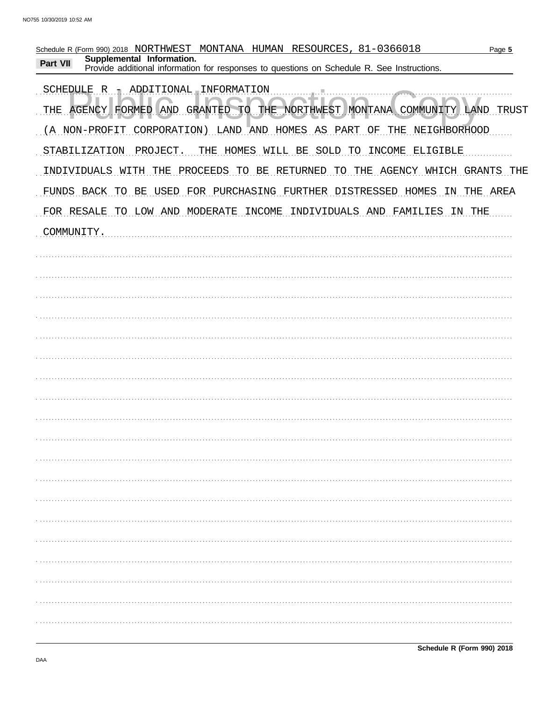| Schedule R (Form 990) 2018 NORTHWEST MONTANA HUMAN RESOURCES, 81-0366018<br>Page 5<br>Supplemental Information. |
|-----------------------------------------------------------------------------------------------------------------|
| <b>Part VII</b><br>Provide additional information for responses to questions on Schedule R. See Instructions.   |
| SCHEDULE R 1 ADDITIONAL INFORMATION                                                                             |
| GRANTED TO THE NORTHWEST MONTANA COMMUNITY LAND TRUST<br>THE AGENCY FORMED AND                                  |
| (A NON-PROFIT CORPORATION) LAND AND HOMES AS PART<br>ΟF<br>THE<br>NEIGHBORHOOD                                  |
| THE HOMES WILL BE SOLD TO<br>INCOME ELIGIBLE<br>STABILIZATION<br>PROJECT.                                       |
| INDIVIDUALS WITH<br>THE PROCEEDS TO BE RETURNED<br>TO THE AGENCY WHICH GRANTS THE                               |
| USED FOR PURCHASING FURTHER DISTRESSED HOMES<br>FUNDS BACK<br>THE AREA<br>TO<br>BE<br>ΙN                        |
| TO LOW AND MODERATE<br>INCOME INDIVIDUALS AND FAMILIES<br>FOR RESALE<br>IN THE                                  |
| COMMUNITY.                                                                                                      |
|                                                                                                                 |
|                                                                                                                 |
|                                                                                                                 |
|                                                                                                                 |
|                                                                                                                 |
|                                                                                                                 |
|                                                                                                                 |
|                                                                                                                 |
|                                                                                                                 |
|                                                                                                                 |
|                                                                                                                 |
|                                                                                                                 |
|                                                                                                                 |
|                                                                                                                 |
|                                                                                                                 |
|                                                                                                                 |
|                                                                                                                 |
|                                                                                                                 |
|                                                                                                                 |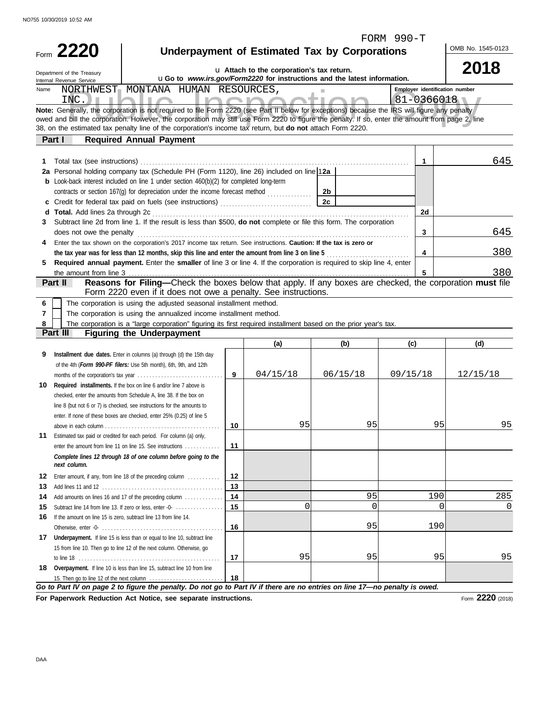**2220** Form

Department of the Treasury

FORM 990-T

| <b>Underpayment of Estimated Tax by Corporations</b> |  |  |  |  |
|------------------------------------------------------|--|--|--|--|
|------------------------------------------------------|--|--|--|--|

OMB No. 1545-0123

**2018**

| u Attach to the corporation's tax return. |
|-------------------------------------------|
|-------------------------------------------|

FINTEST MONTANA HUMAN RESOURCES,<br>
NC.<br>
Inspection is not required to file Form 2220 (see Part II below for exceptions) because the IRS will figure any penalty<br>
bill the corporation. However, the corporation may still use F *Go to Part IV on page 2 to figure the penalty. Do not go to Part IV if there are no entries on line 17—no penalty is owed.* **Overpayment.** If line 10 is less than line 15, subtract line 10 from line **18 17** Underpayment. If line 15 is less than or equal to line 10, subtract line Add amounts on lines 16 and 17 of the preceding column . . . . . . . . . . . . . **14 14** Estimated tax paid or credited for each period. For column (a) only, **11** line 8 (but not 6 or 7) is checked, see instructions for the amounts to **b** Look-back interest included on line 1 under section 460(b)(2) for completed long-term *Complete lines 12 through 18 of one column before going to the* 38, on the estimated tax penalty line of the corporation's income tax return, but **do not** attach Form 2220. **Part II Reasons for Filing—**Check the boxes below that apply. If any boxes are checked, the corporation **must** file **Part III Figuring the Underpayment** u**Go to** *www.irs.gov/Form2220* **for instructions and the latest information. Employer identification number Note:** Generally, the corporation is not required to file Form 2220 (see Part II below for exceptions) because the IRS will figure any penalty **6 7 8 1 1** Total tax (see instructions) . . . . . . . . . . . . . . . . . . . . . . . . . . . . . . . . . . . . . . . . . . . . . . . . . . . . . . . . . . . . . . . . . . . . . . . . . . . . . . . . . . . . . . . . . . . **2a 2a** Personal holding company tax (Schedule PH (Form 1120), line 26) included on line 1 **2b c 2c** Credit for federal tax paid on fuels (see instructions) . . . . . . . . . . . . . . . . . . . . . . . . . . . . . . . **d Total.** Add lines 2a through 2c ....... **2d 3 3 4 4 5 5 (a) (b) (c) (d) 9 Installment due dates.** Enter in columns (a) through (d) the 15th day **9 10 Required installments.** If the box on line 6 and/or line 7 above is **10 11 12 Enter amount, if any, from line 18 of the preceding column** . . . . . . . . . . . | **12 13 13** Add lines 11 and 12 . . . . . . . . . . . . . . . . . . . . . . . . . . . . . . . . . . . . . . . . . **15** Subtract line 14 from line 13. If zero or less, enter -0-  $\dots\dots\dots\dots\dots$  | **15** 16 If the amount on line 15 is zero, subtract line 13 from line 14. **16 17 18** owed and bill the corporation. However, the corporation may still use Form 2220 to figure the penalty. If so, enter the amount from page 2, line The corporation is using the adjusted seasonal installment method. The corporation is using the annualized income installment method. The corporation is a "large corporation" figuring its first required installment based on the prior year's tax. contracts or section 167(g) for depreciation under the income forecast method Subtract line 2d from line 1. If the result is less than \$500, **do not** complete or file this form. The corporation does not owe the penalty Internal Revenue Service Name Enter the tax shown on the corporation's 2017 income tax return. See instructions. **Caution: If the tax is zero or** of the 4th (*Form 990-PF filers:* Use 5th month), 6th, 9th, and 12th months of the corporation's tax year . . . . . . . . . . . . . . . . . . . . . . . . . . . . . checked, enter the amounts from Schedule A, line 38. If the box on enter. If none of these boxes are checked, enter 25% (0.25) of line 5 above in each column . . . . . . . . . . . . . . . . . . . . . . . . . . . . . . . . . . . . . . . enter the amount from line 11 on line 15. See instructions . . . . . . . . . . . . Otherwise, enter -0- . . . . . . . . . . . . . . . . . . . . . . . . . . . . . . . . . . . . . . . . . 15 from line 10. Then go to line 12 of the next column. Otherwise, go to line 18 . . . . . . . . . . . . . . . . . . . . . . . . . . . . . . . . . . . . . . . . . . . . . . . . 15. Then go to line 12 of the next column the tax year was for less than 12 months, skip this line and enter the amount from line 3 on line 5 *next column.* **Part I Required Annual Payment Required annual payment.** Enter the **smaller** of line 3 or line 4. If the corporation is required to skip line 4, enter the amount from line 3 Form 2220 even if it does not owe a penalty. See instructions. NORTHWEST MONTANA HUMAN RESOURCES, INC.  $\mathbf{I} \cap \mathbf{I}$ 645 645 380 380 04/15/18 06/15/18 09/15/18 12/15/18 95 95 95 95 95 190 285 0 0 0 0 0 95 190 95 95 95 95

**For Paperwork Reduction Act Notice, see separate instructions.**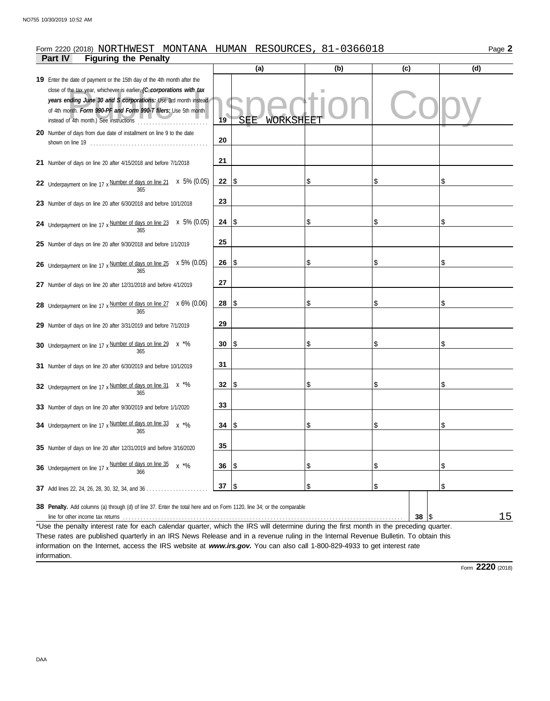### **Part IV Figuring the Penalty** Form 2220 (2018) NORTHWEST MONTANA HUMAN RESOURCES, 81-0366018 Page **2**

|                                                                                                                                                                                                           |    | (a)             | (b) | (c)       | (d) |
|-----------------------------------------------------------------------------------------------------------------------------------------------------------------------------------------------------------|----|-----------------|-----|-----------|-----|
| <b>19</b> Enter the date of payment or the 15th day of the 4th month after the                                                                                                                            |    |                 |     |           |     |
| close of the tax year, whichever is earlier. (C corporations with tax<br>years ending June 30 and S corporations: Use 3rd month instead<br>of 4th month. Form 990-PF and Form 990-T filers: Use 5th month | 19 | WORKSHEE<br>SEE |     |           |     |
| 20 Number of days from due date of installment on line 9 to the date                                                                                                                                      | 20 |                 |     |           |     |
| 21 Number of days on line 20 after 4/15/2018 and before 7/1/2018                                                                                                                                          | 21 |                 |     |           |     |
| 22 Underpayment on line 17 x Number of days on line 21 x 5% (0.05)                                                                                                                                        | 22 | 1\$             |     |           |     |
| 23 Number of days on line 20 after 6/30/2018 and before 10/1/2018                                                                                                                                         | 23 |                 |     |           |     |
| 24 Underpayment on line 17 x Number of days on line 23 x 5% (0.05)                                                                                                                                        | 24 | 1\$             |     |           |     |
| 25 Number of days on line 20 after 9/30/2018 and before 1/1/2019                                                                                                                                          | 25 |                 |     |           |     |
| 26 Underpayment on line 17 x Number of days on line 25 x 5% (0.05)                                                                                                                                        | 26 | I\$             |     |           |     |
| 27 Number of days on line 20 after 12/31/2018 and before 4/1/2019                                                                                                                                         | 27 |                 |     |           |     |
| 28 Underpayment on line 17 x Number of days on line 27 x 6% (0.06)<br>365                                                                                                                                 | 28 | IS.             |     |           |     |
| 29 Number of days on line 20 after 3/31/2019 and before 7/1/2019                                                                                                                                          | 29 |                 |     |           |     |
| 30 Underpayment on line 17 x Number of days on line 29 x *%                                                                                                                                               | 30 | I\$             |     |           |     |
| 31 Number of days on line 20 after 6/30/2019 and before 10/1/2019                                                                                                                                         | 31 |                 |     |           |     |
| 32 Underpayment on line 17 x Number of days on line 31 X *%<br>365                                                                                                                                        | 32 | 1\$             |     |           |     |
| 33 Number of days on line 20 after 9/30/2019 and before 1/1/2020                                                                                                                                          | 33 |                 |     |           |     |
| 34 Underpayment on line 17 x Number of days on line 33<br>$x \sqrt[*]{6}$<br>365                                                                                                                          | 34 | I\$             |     |           |     |
| 35 Number of days on line 20 after 12/31/2019 and before 3/16/2020                                                                                                                                        | 35 |                 |     |           |     |
| <b>36</b> Underpayment on line 17 x $\frac{\text{Number of days on line 35}}{211}$<br>$x \sim 0$<br>366                                                                                                   | 36 | 1\$             | \$  | \$        | \$  |
| <b>37</b> Add lines 22, 24, 26, 28, 30, 32, 34, and 36                                                                                                                                                    | 37 | 1\$             | Ι\$ | \$        | \$  |
| 38 Penalty. Add columns (a) through (d) of line 37. Enter the total here and on Form 1120, line 34; or the comparable                                                                                     |    |                 |     | $38  $ \$ | 15  |

\*Use the penalty interest rate for each calendar quarter, which the IRS will determine during the first month in the preceding quarter. These rates are published quarterly in an IRS News Release and in a revenue ruling in the Internal Revenue Bulletin. To obtain this information on the Internet, access the IRS website at *www.irs.gov.* You can also call 1-800-829-4933 to get interest rate information.

Form **2220** (2018)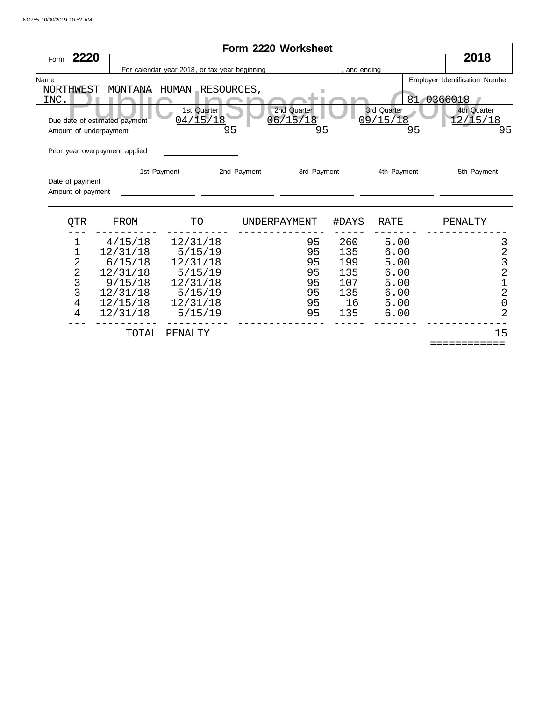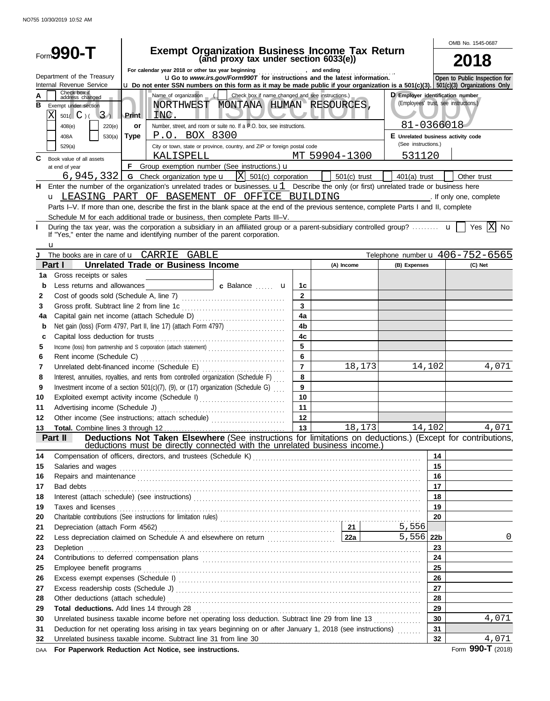|          | Form <b>990-T</b>                                                                            |             |                                           | Exempt Organization Business Income Tax Return<br>(and proxy tax under section 6033(e))                                                                                                                                                                                      |                      |                |         |                                                |          | OMB No. 1545-0687                                                                                               |
|----------|----------------------------------------------------------------------------------------------|-------------|-------------------------------------------|------------------------------------------------------------------------------------------------------------------------------------------------------------------------------------------------------------------------------------------------------------------------------|----------------------|----------------|---------|------------------------------------------------|----------|-----------------------------------------------------------------------------------------------------------------|
|          |                                                                                              |             |                                           |                                                                                                                                                                                                                                                                              |                      |                |         |                                                |          |                                                                                                                 |
|          | Department of the Treasury<br>Internal Revenue Service                                       |             |                                           | For calendar year 2018 or other tax year beginning<br>UGo to www.irs.gov/Form990T for instructions and the latest information.<br><b>u</b> Do not enter SSN numbers on this form as it may be made public if your organization is a 501(c)(3). 501(c)(3) Organizations Only  |                      |                |         |                                                |          | Open to Public Inspection for                                                                                   |
| в        | Check box if<br>address changed<br>Exempt under section<br>501( C ) ( 3)<br>220(e)<br>408(e) | Print<br>or | INC.                                      | Name of organization $\left  \begin{array}{c} \end{array} \right $ Check box if name changed and see instructions.)<br>NORTHWEST MONTANA HUMAN RESOURCES,<br>Number, street, and room or suite no. If a P.O. box, see instructions.                                          |                      |                |         | D Employer identification number<br>81-0366018 |          | (Employees' trust, see instructions.)                                                                           |
|          | 408A<br>530(a)                                                                               | Type        | P.O. BOX 8300                             |                                                                                                                                                                                                                                                                              |                      |                |         | E Unrelated business activity code             |          |                                                                                                                 |
|          | 529(a)                                                                                       |             |                                           | City or town, state or province, country, and ZIP or foreign postal code                                                                                                                                                                                                     |                      |                |         | (See instructions.)                            |          |                                                                                                                 |
| C        | Book value of all assets                                                                     |             | KALISPELL                                 | MT 59904-1300                                                                                                                                                                                                                                                                |                      |                |         | 531120                                         |          |                                                                                                                 |
|          | at end of year                                                                               |             |                                           | F Group exemption number (See instructions.) u                                                                                                                                                                                                                               |                      |                |         |                                                |          |                                                                                                                 |
|          |                                                                                              |             |                                           | 6, 945, 332   G Check organization type $\mathbf{u}$   $\begin{bmatrix} X & 501(c) \end{bmatrix}$ corporation                                                                                                                                                                |                      | $501(c)$ trust |         | $401(a)$ trust                                 |          | Other trust                                                                                                     |
| н.       |                                                                                              |             |                                           | Enter the number of the organization's unrelated trades or businesses. $u1$ Describe the only (or first) unrelated trade or business here<br>u LEASING PART OF BASEMENT OF OFFICE BUILDING                                                                                   |                      |                |         |                                                |          | and the state of the state of the state of the state of the state of the state of the state of the state of the |
|          |                                                                                              |             |                                           | Parts I-V. If more than one, describe the first in the blank space at the end of the previous sentence, complete Parts I and II, complete                                                                                                                                    |                      |                |         |                                                |          |                                                                                                                 |
|          |                                                                                              |             |                                           | Schedule M for each additional trade or business, then complete Parts III-V.                                                                                                                                                                                                 |                      |                |         |                                                |          |                                                                                                                 |
| п        |                                                                                              |             |                                           | During the tax year, was the corporation a subsidiary in an affiliated group or a parent-subsidiary controlled group? $\mathbf{u}$   Yes  X  No                                                                                                                              |                      |                |         |                                                |          |                                                                                                                 |
|          | If "Yes," enter the name and identifying number of the parent corporation.<br>u              |             |                                           |                                                                                                                                                                                                                                                                              |                      |                |         |                                                |          |                                                                                                                 |
| J        | The books are in care of <b>u</b> CARRIE GABLE                                               |             |                                           |                                                                                                                                                                                                                                                                              |                      |                |         |                                                |          | Telephone number $\mathbf{u}$ 406-752-6565                                                                      |
|          | Part I                                                                                       |             | <b>Unrelated Trade or Business Income</b> |                                                                                                                                                                                                                                                                              |                      | (A) Income     |         | (B) Expenses                                   |          | (C) Net                                                                                                         |
| 1a       | Gross receipts or sales                                                                      |             |                                           |                                                                                                                                                                                                                                                                              |                      |                |         |                                                |          |                                                                                                                 |
| b        | Less returns and allowances                                                                  |             |                                           | c Balance  u                                                                                                                                                                                                                                                                 | 1с                   |                |         |                                                |          |                                                                                                                 |
| 2        |                                                                                              |             |                                           |                                                                                                                                                                                                                                                                              | $\overline{2}$       |                |         |                                                |          |                                                                                                                 |
| 3        |                                                                                              |             |                                           |                                                                                                                                                                                                                                                                              | $\overline{3}$       |                |         |                                                |          |                                                                                                                 |
| 4a       | Net gain (loss) (Form 4797, Part II, line 17) (attach Form 4797)                             |             |                                           |                                                                                                                                                                                                                                                                              | 4a<br>4 <sub>b</sub> |                |         |                                                |          |                                                                                                                 |
| b<br>с   |                                                                                              |             |                                           |                                                                                                                                                                                                                                                                              | 4 <sub>c</sub>       |                |         |                                                |          |                                                                                                                 |
| 5        |                                                                                              |             |                                           |                                                                                                                                                                                                                                                                              | 5                    |                |         |                                                |          |                                                                                                                 |
| 6        |                                                                                              |             |                                           |                                                                                                                                                                                                                                                                              | 6                    |                |         |                                                |          |                                                                                                                 |
| 7        |                                                                                              |             |                                           |                                                                                                                                                                                                                                                                              | $\overline{7}$       |                | 18,173  |                                                | 14,102   | 4,071                                                                                                           |
| 8        | Interest, annuities, royalties, and rents from controlled organization (Schedule F)          |             |                                           |                                                                                                                                                                                                                                                                              | 8                    |                |         |                                                |          |                                                                                                                 |
| 9        | Investment income of a section 501(c)(7), (9), or (17) organization (Schedule G) $\ldots$    |             |                                           |                                                                                                                                                                                                                                                                              | 9                    |                |         |                                                |          |                                                                                                                 |
| 10       | Exploited exempt activity income (Schedule I)                                                |             |                                           |                                                                                                                                                                                                                                                                              | 10                   |                |         |                                                |          |                                                                                                                 |
| 11       |                                                                                              |             |                                           |                                                                                                                                                                                                                                                                              | 11                   |                |         |                                                |          |                                                                                                                 |
| 12       |                                                                                              |             |                                           |                                                                                                                                                                                                                                                                              |                      |                |         |                                                |          |                                                                                                                 |
| 13       |                                                                                              |             |                                           |                                                                                                                                                                                                                                                                              | 13                   |                | 18, 173 |                                                | 14, 102  | 4,071                                                                                                           |
|          | Part II                                                                                      |             |                                           | Deductions Not Taken Elsewhere (See instructions for limitations on deductions.) (Except for contributions,<br>deductions must be directly connected with the unrelated business income.)                                                                                    |                      |                |         |                                                |          |                                                                                                                 |
| 14       |                                                                                              |             |                                           |                                                                                                                                                                                                                                                                              |                      |                |         |                                                | 14       |                                                                                                                 |
| 15       |                                                                                              |             |                                           | Salaries and wages <b>construction and material construction</b> and wages <b>construction</b> and wages <b>construction</b> and wages <b>construction</b> and <b>construction</b> and <b>construction</b> and <b>construction</b> and <b>construction</b> and <b>constr</b> |                      |                |         |                                                | 15       |                                                                                                                 |
| 16       |                                                                                              |             |                                           | Repairs and maintenance <i>communication</i> and maintenance and maintenance and maintenance and maintenance and maintenance                                                                                                                                                 |                      |                |         |                                                | 16       |                                                                                                                 |
| 17       |                                                                                              |             |                                           | Bad debts <b>contract to the contract of the contract of the contract of the contract of the contract of the contract of the contract of the contract of the contract of the contract of the contract of the contract of the con</b>                                         |                      |                |         |                                                | 17       |                                                                                                                 |
| 18       |                                                                                              |             |                                           |                                                                                                                                                                                                                                                                              |                      |                |         |                                                | 18       |                                                                                                                 |
| 19       |                                                                                              |             |                                           | Taxes and licenses <b>contracts</b> and contracts are contracted as a set of the contract of the contract of the contract of the contract of the contract of the contract of the contract of the contract of the contract of the co                                          |                      |                |         |                                                | 19       |                                                                                                                 |
| 20       |                                                                                              |             |                                           |                                                                                                                                                                                                                                                                              |                      |                |         |                                                | 20       |                                                                                                                 |
| 21       |                                                                                              |             |                                           | Depreciation (attach Form 4562) 21                                                                                                                                                                                                                                           |                      |                |         | 5,556                                          |          |                                                                                                                 |
| 22       |                                                                                              |             |                                           |                                                                                                                                                                                                                                                                              |                      |                |         | 5,556 22b                                      |          | 0                                                                                                               |
| 23       |                                                                                              |             |                                           | Depletion <b>construction in the construction of the construction of the construction of the construction</b> of the construction of the construction of the construction of the construction of the construction of the constructi                                          |                      |                |         |                                                | 23       |                                                                                                                 |
| 24       |                                                                                              |             |                                           | Contributions to deferred compensation plans [11] contracts are contributions to deferred compensation plans [11] contracts are contract and contracts are contract at a contract and contracts are contracted at a contract a                                               |                      |                |         |                                                | 24       |                                                                                                                 |
| 25       |                                                                                              |             |                                           |                                                                                                                                                                                                                                                                              |                      |                |         |                                                | 25       |                                                                                                                 |
| 26       |                                                                                              |             |                                           |                                                                                                                                                                                                                                                                              |                      |                |         |                                                | 26       |                                                                                                                 |
| 27       |                                                                                              |             |                                           |                                                                                                                                                                                                                                                                              |                      |                |         |                                                | 27       |                                                                                                                 |
| 28<br>29 |                                                                                              |             |                                           |                                                                                                                                                                                                                                                                              |                      |                |         |                                                | 28<br>29 |                                                                                                                 |
| 30       |                                                                                              |             |                                           | Unrelated business taxable income before net operating loss deduction. Subtract line 29 from line 13                                                                                                                                                                         |                      |                |         |                                                | 30       | 4,071                                                                                                           |
| 31       |                                                                                              |             |                                           | Deduction for net operating loss arising in tax years beginning on or after January 1, 2018 (see instructions)                                                                                                                                                               |                      |                |         |                                                | 31       |                                                                                                                 |
| 32       | Unrelated business taxable income. Subtract line 31 from line 30                             |             |                                           |                                                                                                                                                                                                                                                                              |                      |                |         |                                                | 32       | 4,071                                                                                                           |
| DAA      | For Paperwork Reduction Act Notice, see instructions.                                        |             |                                           |                                                                                                                                                                                                                                                                              |                      |                |         |                                                |          | Form 990-T (2018)                                                                                               |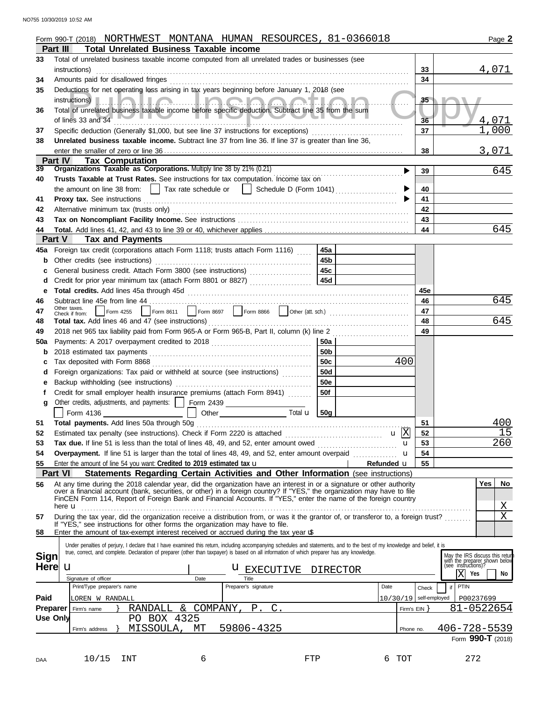|             | Form 990-T (2018) NORTHWEST MONTANA HUMAN RESOURCES, 81-0366018                                                                                                                                                      |                 |                          |       | Page 2                                                                                 |
|-------------|----------------------------------------------------------------------------------------------------------------------------------------------------------------------------------------------------------------------|-----------------|--------------------------|-------|----------------------------------------------------------------------------------------|
|             | <b>Total Unrelated Business Taxable income</b><br>Part III                                                                                                                                                           |                 |                          |       |                                                                                        |
| 33          | Total of unrelated business taxable income computed from all unrelated trades or businesses (see                                                                                                                     |                 |                          |       |                                                                                        |
|             | instructions)                                                                                                                                                                                                        |                 |                          | 33    | 4,071                                                                                  |
| 34          | Amounts paid for disallowed fringes                                                                                                                                                                                  |                 |                          | 34    |                                                                                        |
| 35          | Deductions for net operating loss arising in tax years beginning before January 1, 2018 (see                                                                                                                         |                 |                          |       |                                                                                        |
|             |                                                                                                                                                                                                                      |                 |                          | 35    |                                                                                        |
| 36          | Total of unrelated business taxable income before specific deduction. Subtract line 35 from the sum                                                                                                                  |                 |                          |       |                                                                                        |
|             | of lines 33 and 34                                                                                                                                                                                                   |                 |                          | 36    | 4,071                                                                                  |
| 37          | Specific deduction (Generally \$1,000, but see line 37 instructions for exceptions)                                                                                                                                  |                 |                          | 37    | ,000                                                                                   |
| 38          | Unrelated business taxable income. Subtract line 37 from line 36. If line 37 is greater than line 36,                                                                                                                |                 |                          |       |                                                                                        |
|             |                                                                                                                                                                                                                      |                 |                          | 38    | 3,071                                                                                  |
|             | <b>Part IV</b><br><b>Tax Computation</b>                                                                                                                                                                             |                 |                          |       |                                                                                        |
| 39          | Organizations Taxable as Corporations. Multiply line 38 by 21% (0.21)                                                                                                                                                |                 | ▶                        | 39    | 645                                                                                    |
| 40          | Trusts Taxable at Trust Rates. See instructions for tax computation. Income tax on                                                                                                                                   |                 |                          |       |                                                                                        |
|             | the amount on line 38 from: $\Box$ Tax rate schedule or $\Box$ Schedule D (Form 1041) $\Box$                                                                                                                         |                 |                          | 40    |                                                                                        |
| 41          |                                                                                                                                                                                                                      |                 |                          | 41    |                                                                                        |
| 42          |                                                                                                                                                                                                                      |                 |                          | 42    |                                                                                        |
| 43          |                                                                                                                                                                                                                      |                 |                          | 43    |                                                                                        |
| 44          |                                                                                                                                                                                                                      |                 |                          | 44    | 645                                                                                    |
|             | Part V<br><b>Tax and Payments</b>                                                                                                                                                                                    |                 |                          |       |                                                                                        |
| 45а         | Foreign tax credit (corporations attach Form 1118; trusts attach Form 1116)                                                                                                                                          | 45a             |                          |       |                                                                                        |
| b           | Other credits (see instructions)                                                                                                                                                                                     | 45b             |                          |       |                                                                                        |
|             | General business credit. Attach Form 3800 (see instructions)                                                                                                                                                         | 45c             |                          |       |                                                                                        |
| d           | Credit for prior year minimum tax (attach Form 8801 or 8827) [[[[[[[[[[[[[[[[[[[[[[[[[[]]]]]]]                                                                                                                       | 45d             |                          |       |                                                                                        |
| е           |                                                                                                                                                                                                                      |                 |                          | 45e   |                                                                                        |
| 46          | Subtract line 45e from line 44                                                                                                                                                                                       |                 |                          | 46    | 645                                                                                    |
| 47          | Other taxes.<br>Form 4255<br>Check if from:                                                                                                                                                                          |                 |                          | 47    |                                                                                        |
| 48          |                                                                                                                                                                                                                      |                 |                          | 48    | 645                                                                                    |
| 49          | 2018 net 965 tax liability paid from Form 965-A or Form 965-B, Part II, column (k) line 2                                                                                                                            |                 |                          | 49    |                                                                                        |
| 50a         |                                                                                                                                                                                                                      | 50a             |                          |       |                                                                                        |
| b           |                                                                                                                                                                                                                      | 50 <sub>b</sub> |                          |       |                                                                                        |
| с           |                                                                                                                                                                                                                      | 50c             | 400                      |       |                                                                                        |
| d           | Foreign organizations: Tax paid or withheld at source (see instructions) [11, 11, 11, 11]                                                                                                                            | <b>50d</b>      |                          |       |                                                                                        |
| е           | Backup withholding (see instructions)                                                                                                                                                                                | <b>50e</b>      |                          |       |                                                                                        |
|             | Credit for small employer health insurance premiums (attach Form 8941)                                                                                                                                               | 50f             |                          |       |                                                                                        |
| g           | Other credits, adjustments, and payments:     Form 2439                                                                                                                                                              |                 |                          |       |                                                                                        |
|             | Form 4136<br>Other<br>Total <b>u</b>                                                                                                                                                                                 | 50q             |                          |       |                                                                                        |
| 51          | Total payments. Add lines 50a through 50g                                                                                                                                                                            |                 |                          | 51    | 400                                                                                    |
| 52          | Estimated tax penalty (see instructions). Check if Form 2220 is attached [111][11][11][11][11][11][11][11][11]                                                                                                       |                 | $\mathbf{u}$  X          | 52    | 15                                                                                     |
| 53          | Tax due. If line 51 is less than the total of lines 48, 49, and 52, enter amount owed                                                                                                                                |                 | u                        | 53    | 260                                                                                    |
| 54          | Overpayment. If line 51 is larger than the total of lines 48, 49, and 52, enter amount overpaid                                                                                                                      |                 | u                        | 54    |                                                                                        |
| 55          | Enter the amount of line 54 you want: Credited to 2019 estimated tax $\mathbf u$                                                                                                                                     |                 | Refunded u               | 55    |                                                                                        |
|             | <b>Part VI</b><br>Statements Regarding Certain Activities and Other Information (see instructions)                                                                                                                   |                 |                          |       |                                                                                        |
| 56          | At any time during the 2018 calendar year, did the organization have an interest in or a signature or other authority                                                                                                |                 |                          |       | <b>Yes</b><br>No                                                                       |
|             | over a financial account (bank, securities, or other) in a foreign country? If "YES," the organization may have to file                                                                                              |                 |                          |       |                                                                                        |
|             | FinCEN Form 114, Report of Foreign Bank and Financial Accounts. If "YES," enter the name of the foreign country                                                                                                      |                 |                          |       |                                                                                        |
|             | here <b>u</b>                                                                                                                                                                                                        |                 |                          |       | $\mathbf{X}$<br>$\mathbf X$                                                            |
| 57          | During the tax year, did the organization receive a distribution from, or was it the grantor of, or transferor to, a foreign trust?<br>If "YES," see instructions for other forms the organization may have to file. |                 |                          |       |                                                                                        |
| 58          | Enter the amount of tax-exempt interest received or accrued during the tax year <b>u</b>                                                                                                                             |                 |                          |       |                                                                                        |
|             | Under penalties of perjury, I declare that I have examined this return, including accompanying schedules and statements, and to the best of my knowledge and belief, it is                                           |                 |                          |       |                                                                                        |
|             | true, correct, and complete. Declaration of preparer (other than taxpayer) is based on all information of which preparer has any knowledge.                                                                          |                 |                          |       |                                                                                        |
| <b>Sign</b> |                                                                                                                                                                                                                      |                 |                          |       | May the IRS discuss this retur<br>with the preparer shown below<br>(see instructions)? |
| <b>Here</b> | u<br><b>U</b> EXECUTIVE                                                                                                                                                                                              | <b>DIRECTOR</b> |                          |       | $\mathbf X$<br>Yes<br>No                                                               |
|             | Signature of officer<br>Date<br>Title<br>Print/Type preparer's name<br>Preparer's signature                                                                                                                          |                 | Date                     |       | PTIN                                                                                   |
|             |                                                                                                                                                                                                                      |                 |                          | Check | if                                                                                     |
| Paid        | LOREN W RANDALL                                                                                                                                                                                                      |                 | $10/30/19$ self-employed |       | P00237699                                                                              |
|             | RANDALL & COMPANY, P. C.<br>Preparer<br>Firm's name                                                                                                                                                                  |                 | Firm's $EIN$ }           |       | 81-0522654                                                                             |
|             | PO BOX 4325<br><b>Use Only</b>                                                                                                                                                                                       |                 |                          |       |                                                                                        |
|             | MISSOULA, MT<br>59806-4325<br>Firm's address                                                                                                                                                                         |                 | Phone no.                |       | $406 - 728 - 5539$                                                                     |
|             |                                                                                                                                                                                                                      |                 |                          |       | Form 990-T (2018)                                                                      |
|             |                                                                                                                                                                                                                      |                 |                          |       |                                                                                        |
| DAA         | 10/15<br>INT<br>6                                                                                                                                                                                                    | FTP             | 6 TOT                    |       | 272                                                                                    |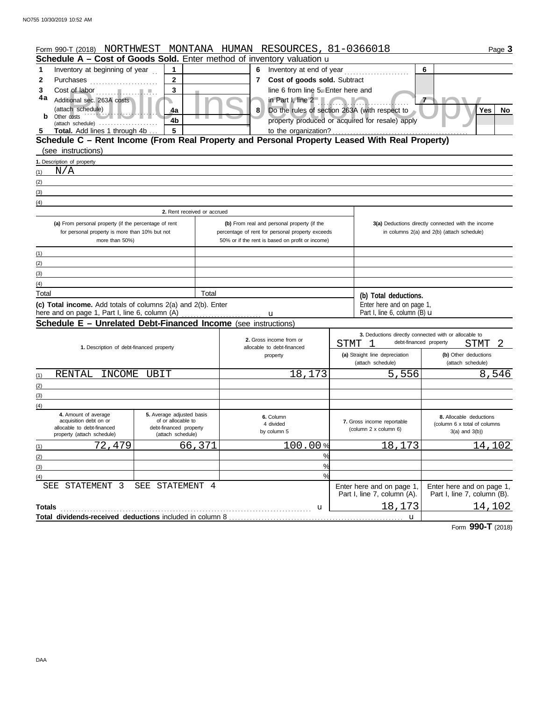|               | Form 990-T (2018) NORTHWEST MONTANA HUMAN RESOURCES, 81-0366018                                         |                                                 |        |              |                                                                                                 |   |                                                          | Page 3                                                                                           |
|---------------|---------------------------------------------------------------------------------------------------------|-------------------------------------------------|--------|--------------|-------------------------------------------------------------------------------------------------|---|----------------------------------------------------------|--------------------------------------------------------------------------------------------------|
|               | Schedule A - Cost of Goods Sold. Enter method of inventory valuation u                                  |                                                 |        |              |                                                                                                 |   |                                                          |                                                                                                  |
| 1             | Inventory at beginning of year                                                                          | $\mathbf 1$                                     |        | 6            |                                                                                                 |   |                                                          | 6                                                                                                |
| $\mathbf{2}$  | Purchases                                                                                               | $\mathbf{2}$                                    |        | $\mathbf{7}$ | Cost of goods sold. Subtract                                                                    |   |                                                          |                                                                                                  |
| 3             |                                                                                                         | 3                                               |        |              | line 6 from line 5. Enter here and                                                              |   |                                                          |                                                                                                  |
| 4a            | Additional sec. 263A costs                                                                              |                                                 |        |              | in Part I, line 2                                                                               |   |                                                          |                                                                                                  |
|               | (attach schedule)                                                                                       | 4a                                              |        | 8            |                                                                                                 |   | Do the rules of section 263A (with respect to            | <b>Yes</b><br>No                                                                                 |
| b             | Other costs<br>(attach schedule)                                                                        | 4b                                              |        |              |                                                                                                 |   | property produced or acquired for resale) apply          |                                                                                                  |
| 5             | Total. Add lines 1 through 4b                                                                           | 5                                               |        |              | to the organization?                                                                            |   |                                                          |                                                                                                  |
|               | Schedule C - Rent Income (From Real Property and Personal Property Leased With Real Property)           |                                                 |        |              |                                                                                                 |   |                                                          |                                                                                                  |
|               | (see instructions)                                                                                      |                                                 |        |              |                                                                                                 |   |                                                          |                                                                                                  |
|               | 1. Description of property                                                                              |                                                 |        |              |                                                                                                 |   |                                                          |                                                                                                  |
| (1)           | N/A                                                                                                     |                                                 |        |              |                                                                                                 |   |                                                          |                                                                                                  |
| (2)           |                                                                                                         |                                                 |        |              |                                                                                                 |   |                                                          |                                                                                                  |
| (3)           |                                                                                                         |                                                 |        |              |                                                                                                 |   |                                                          |                                                                                                  |
| (4)           |                                                                                                         |                                                 |        |              |                                                                                                 |   |                                                          |                                                                                                  |
|               |                                                                                                         | 2. Rent received or accrued                     |        |              |                                                                                                 |   |                                                          |                                                                                                  |
|               | (a) From personal property (if the percentage of rent<br>for personal property is more than 10% but not |                                                 |        |              | (b) From real and personal property (if the<br>percentage of rent for personal property exceeds |   |                                                          | 3(a) Deductions directly connected with the income<br>in columns 2(a) and 2(b) (attach schedule) |
|               | more than 50%)                                                                                          |                                                 |        |              | 50% or if the rent is based on profit or income)                                                |   |                                                          |                                                                                                  |
|               |                                                                                                         |                                                 |        |              |                                                                                                 |   |                                                          |                                                                                                  |
| (1)           |                                                                                                         |                                                 |        |              |                                                                                                 |   |                                                          |                                                                                                  |
| (2)<br>(3)    |                                                                                                         |                                                 |        |              |                                                                                                 |   |                                                          |                                                                                                  |
| (4)           |                                                                                                         |                                                 |        |              |                                                                                                 |   |                                                          |                                                                                                  |
| Total         |                                                                                                         |                                                 | Total  |              |                                                                                                 |   |                                                          |                                                                                                  |
|               | (c) Total income. Add totals of columns 2(a) and 2(b). Enter                                            |                                                 |        |              |                                                                                                 |   | (b) Total deductions.<br>Enter here and on page 1,       |                                                                                                  |
|               | here and on page 1, Part I, line 6, column (A)                                                          |                                                 |        |              | u                                                                                               |   | Part I, line 6, column (B) $\mathbf u$                   |                                                                                                  |
|               | <b>Schedule E - Unrelated Debt-Financed Income</b> (see instructions)                                   |                                                 |        |              |                                                                                                 |   |                                                          |                                                                                                  |
|               |                                                                                                         |                                                 |        |              |                                                                                                 |   |                                                          | 3. Deductions directly connected with or allocable to                                            |
|               | 1. Description of debt-financed property                                                                |                                                 |        |              | 2. Gross income from or<br>allocable to debt-financed                                           |   | STMT<br>- 1                                              | debt-financed property<br>STMT                                                                   |
|               |                                                                                                         |                                                 |        |              | property                                                                                        |   | (a) Straight line depreciation                           | (b) Other deductions                                                                             |
|               |                                                                                                         |                                                 |        |              |                                                                                                 |   | (attach schedule)                                        | (attach schedule)                                                                                |
| (1)           | RENTAL                                                                                                  | INCOME UBIT                                     |        |              | 18,173                                                                                          |   | 5,556                                                    | 8,546                                                                                            |
| (2)           |                                                                                                         |                                                 |        |              |                                                                                                 |   |                                                          |                                                                                                  |
| (3)           |                                                                                                         |                                                 |        |              |                                                                                                 |   |                                                          |                                                                                                  |
| (4)           |                                                                                                         |                                                 |        |              |                                                                                                 |   |                                                          |                                                                                                  |
|               | 4. Amount of average<br>acquisition debt on or                                                          | 5. Average adjusted basis<br>of or allocable to |        |              | 6. Column                                                                                       |   | 7. Gross income reportable                               | 8. Allocable deductions                                                                          |
|               | allocable to debt-financed                                                                              | debt-financed property                          |        |              | 4 divided<br>by column 5                                                                        |   | (column 2 x column 6)                                    | (column 6 x total of columns<br>$3(a)$ and $3(b)$ )                                              |
|               | property (attach schedule)                                                                              | (attach schedule)                               |        |              |                                                                                                 |   |                                                          |                                                                                                  |
| (1)           | 72,479                                                                                                  |                                                 | 66,371 |              | 100.00%                                                                                         |   | 18,173                                                   | 14,102                                                                                           |
| (2)           |                                                                                                         |                                                 |        |              |                                                                                                 | % |                                                          |                                                                                                  |
| (3)           |                                                                                                         |                                                 |        |              |                                                                                                 | % |                                                          |                                                                                                  |
| (4)           |                                                                                                         |                                                 |        |              |                                                                                                 | % |                                                          |                                                                                                  |
|               | STATEMENT 3<br>SEE                                                                                      | SEE STATEMENT 4                                 |        |              |                                                                                                 |   | Enter here and on page 1,<br>Part I, line 7, column (A). | Enter here and on page 1,<br>Part I, line 7, column (B).                                         |
|               |                                                                                                         |                                                 |        |              |                                                                                                 |   | 18,173                                                   | 14,102                                                                                           |
| <b>Totals</b> | Total dividends-received deductions included in column 8                                                |                                                 |        |              | u                                                                                               |   |                                                          |                                                                                                  |
|               |                                                                                                         |                                                 |        |              |                                                                                                 |   | u                                                        |                                                                                                  |

Form **990-T** (2018)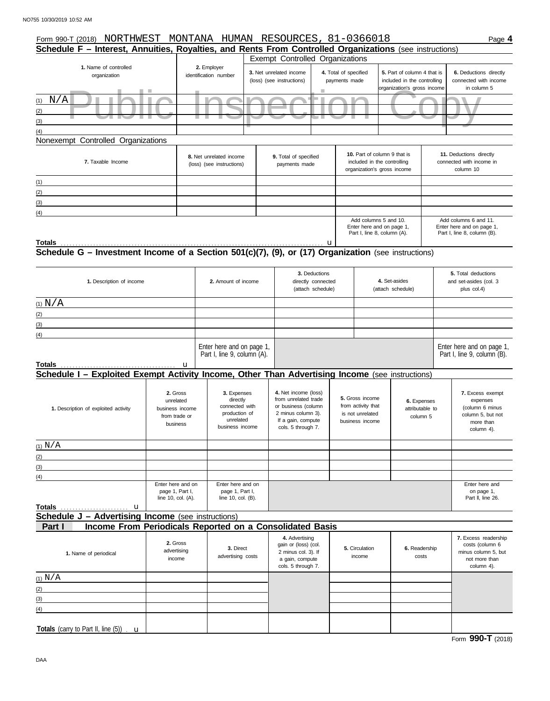| Form 990-T (2018) NORTHWEST MONTANA HUMAN RESOURCES, 81-0366018                                                                                                         |                                                                       |                                                                                            |                                                                                                                                       |                                        |                                                                                            |                                                                                           | Page 4                                                                                          |
|-------------------------------------------------------------------------------------------------------------------------------------------------------------------------|-----------------------------------------------------------------------|--------------------------------------------------------------------------------------------|---------------------------------------------------------------------------------------------------------------------------------------|----------------------------------------|--------------------------------------------------------------------------------------------|-------------------------------------------------------------------------------------------|-------------------------------------------------------------------------------------------------|
| Schedule F - Interest, Annuities, Royalties, and Rents From Controlled Organizations (see instructions)                                                                 |                                                                       |                                                                                            |                                                                                                                                       |                                        |                                                                                            |                                                                                           |                                                                                                 |
| 1. Name of controlled<br>organization                                                                                                                                   |                                                                       | 2. Employer<br>identification number                                                       | Exempt Controlled Organizations<br>3. Net unrelated income<br>(loss) (see instructions)                                               | 4. Total of specified<br>payments made |                                                                                            | 5. Part of column 4 that is<br>included in the controlling<br>organization's gross income | 6. Deductions directly<br>connected with income<br>in column 5                                  |
| $\mathrm{N}/\mathrm{A}$<br>(1)<br>(2)<br>$\sim$<br><b>The Contract of Security</b><br>ш<br>(3)<br>(4)                                                                   |                                                                       | a a                                                                                        |                                                                                                                                       |                                        |                                                                                            |                                                                                           |                                                                                                 |
| Nonexempt Controlled Organizations                                                                                                                                      |                                                                       |                                                                                            |                                                                                                                                       |                                        |                                                                                            |                                                                                           |                                                                                                 |
| 7. Taxable Income                                                                                                                                                       |                                                                       | 8. Net unrelated income<br>(loss) (see instructions)                                       | 9. Total of specified<br>payments made                                                                                                |                                        | 10. Part of column 9 that is<br>included in the controlling<br>organization's gross income |                                                                                           | 11. Deductions directly<br>connected with income in<br>column 10                                |
| (1)<br>(2)<br>(3)                                                                                                                                                       |                                                                       |                                                                                            |                                                                                                                                       |                                        |                                                                                            |                                                                                           |                                                                                                 |
| (4)                                                                                                                                                                     |                                                                       |                                                                                            |                                                                                                                                       |                                        | Add columns 5 and 10.<br>Enter here and on page 1,<br>Part I, line 8, column (A).          |                                                                                           | Add columns 6 and 11.<br>Enter here and on page 1,<br>Part I, line 8, column (B).               |
| Totals<br>Totals $\frac{u_1}{x_2 + u_2}$ $\frac{u_2}{x_1 + u_1}$<br>Schedule G – Investment Income of a Section 501(c)(7), (9), or (17) Organization (see instructions) |                                                                       |                                                                                            |                                                                                                                                       |                                        |                                                                                            |                                                                                           |                                                                                                 |
| 1. Description of income                                                                                                                                                |                                                                       | 2. Amount of income                                                                        | 3. Deductions<br>directly connected<br>(attach schedule)                                                                              |                                        |                                                                                            | 4. Set-asides<br>(attach schedule)                                                        | 5. Total deductions<br>and set-asides (col. 3<br>plus col.4)                                    |
| $(1)$ $N/A$                                                                                                                                                             |                                                                       |                                                                                            |                                                                                                                                       |                                        |                                                                                            |                                                                                           |                                                                                                 |
| (2)                                                                                                                                                                     |                                                                       |                                                                                            |                                                                                                                                       |                                        |                                                                                            |                                                                                           |                                                                                                 |
| (3)                                                                                                                                                                     |                                                                       |                                                                                            |                                                                                                                                       |                                        |                                                                                            |                                                                                           |                                                                                                 |
| (4)                                                                                                                                                                     |                                                                       |                                                                                            |                                                                                                                                       |                                        |                                                                                            |                                                                                           |                                                                                                 |
|                                                                                                                                                                         |                                                                       | Enter here and on page 1,<br>Part I, line 9, column (A).                                   |                                                                                                                                       |                                        |                                                                                            |                                                                                           | Enter here and on page 1,<br>Part I, line 9, column (B).                                        |
| Schedule I - Exploited Exempt Activity Income, Other Than Advertising Income (see instructions)                                                                         | u                                                                     |                                                                                            |                                                                                                                                       |                                        |                                                                                            |                                                                                           |                                                                                                 |
| 1. Description of exploited activity                                                                                                                                    | 2. Gross<br>unrelated<br>business income<br>from trade or<br>business | 3. Expenses<br>directly<br>connected with<br>production of<br>unrelated<br>business income | 4. Net income (loss)<br>from unrelated trade<br>or business (column<br>2 minus column 3).<br>If a gain, compute<br>cols. 5 through 7. |                                        | 5. Gross income<br>from activity that<br>is not unrelated<br>business income               | 6. Expenses<br>attributable to<br>column 5                                                | 7. Excess exempt<br>expenses<br>(column 6 minus<br>column 5, but not<br>more than<br>column 4). |
| (1) N/A                                                                                                                                                                 |                                                                       |                                                                                            |                                                                                                                                       |                                        |                                                                                            |                                                                                           |                                                                                                 |
| (2)                                                                                                                                                                     |                                                                       |                                                                                            |                                                                                                                                       |                                        |                                                                                            |                                                                                           |                                                                                                 |
| (3)                                                                                                                                                                     |                                                                       |                                                                                            |                                                                                                                                       |                                        |                                                                                            |                                                                                           |                                                                                                 |
| (4)                                                                                                                                                                     | Enter here and on<br>page 1, Part I,<br>line 10, col. (A).            | Enter here and on<br>page 1, Part I,<br>line 10, col. (B).                                 |                                                                                                                                       |                                        |                                                                                            |                                                                                           | Enter here and<br>on page 1,<br>Part II, line 26.                                               |
| Totals<br><b>Schedule J - Advertising Income</b> (see instructions)                                                                                                     |                                                                       |                                                                                            |                                                                                                                                       |                                        |                                                                                            |                                                                                           |                                                                                                 |
| Income From Periodicals Reported on a Consolidated Basis<br>Part I                                                                                                      |                                                                       |                                                                                            |                                                                                                                                       |                                        |                                                                                            |                                                                                           |                                                                                                 |
| 1. Name of periodical                                                                                                                                                   | 2. Gross<br>advertising<br>income                                     | 3. Direct<br>advertising costs                                                             | 4. Advertising<br>gain or (loss) (col.<br>2 minus col. 3). If<br>a gain, compute<br>cols. 5 through 7.                                |                                        | 5. Circulation<br>income                                                                   | 6. Readership<br>costs                                                                    | 7. Excess readership<br>costs (column 6<br>minus column 5, but<br>not more than<br>column 4).   |
| $(1)$ N/A                                                                                                                                                               |                                                                       |                                                                                            |                                                                                                                                       |                                        |                                                                                            |                                                                                           |                                                                                                 |
| (2)                                                                                                                                                                     |                                                                       |                                                                                            |                                                                                                                                       |                                        |                                                                                            |                                                                                           |                                                                                                 |
| (3)                                                                                                                                                                     |                                                                       |                                                                                            |                                                                                                                                       |                                        |                                                                                            |                                                                                           |                                                                                                 |
| (4)                                                                                                                                                                     |                                                                       |                                                                                            |                                                                                                                                       |                                        |                                                                                            |                                                                                           |                                                                                                 |
| Totals (carry to Part II, line $(5)$ ). $\mathbf u$                                                                                                                     |                                                                       |                                                                                            |                                                                                                                                       |                                        |                                                                                            |                                                                                           |                                                                                                 |

Form **990-T** (2018)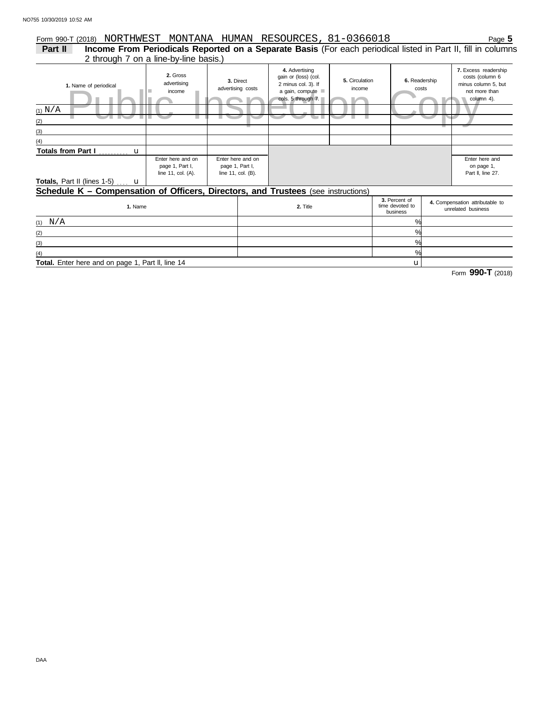# Form 990-T (2018) NORTHWEST MONTANA HUMAN RESOURCES, 81-0366018 Page **5**

2 through 7 on a line-by-line basis.) **Part II Income From Periodicals Reported on a Separate Basis** (For each periodical listed in Part II, fill in columns

| 1. Name of periodical<br>(1) $N/A$<br>(2)<br>(3)                                  | 2. Gross<br>advertising<br>income                          | 3. Direct<br>advertising costs                             | 4. Advertising<br>gain or (loss) (col.<br>2 minus col. 3). If<br>a gain, compute<br>cols. 5 through 7. | 5. Circulation<br>income<br><b>The Company of the Company</b> | 6. Readership | costs                                                 | 7. Excess readership<br>costs (column 6<br>minus column 5, but<br>not more than<br>column 4). |
|-----------------------------------------------------------------------------------|------------------------------------------------------------|------------------------------------------------------------|--------------------------------------------------------------------------------------------------------|---------------------------------------------------------------|---------------|-------------------------------------------------------|-----------------------------------------------------------------------------------------------|
| (4)                                                                               |                                                            |                                                            |                                                                                                        |                                                               |               |                                                       |                                                                                               |
| <b>Totals, Part II (lines 1-5) u</b>                                              | Enter here and on<br>page 1, Part I,<br>line 11, col. (A). | Enter here and on<br>page 1, Part I,<br>line 11, col. (B). |                                                                                                        |                                                               |               |                                                       | Enter here and<br>on page 1,<br>Part II, line 27.                                             |
| Schedule K - Compensation of Officers, Directors, and Trustees (see instructions) |                                                            |                                                            |                                                                                                        |                                                               |               |                                                       |                                                                                               |
| 1. Name                                                                           |                                                            | 2. Title                                                   |                                                                                                        | 3. Percent of<br>time devoted to<br>business                  |               | 4. Compensation attributable to<br>unrelated business |                                                                                               |

| N/A<br>(1)                                        | $\%$       |  |
|---------------------------------------------------|------------|--|
| (2)                                               | $\%$       |  |
| (3)                                               | O/2        |  |
| (4)                                               | $O_{\ell}$ |  |
| Total. Enter here and on page 1, Part II, line 14 |            |  |

**Total.** Enter here and on page 1, Part ll, line 14

Form **990-T** (2018)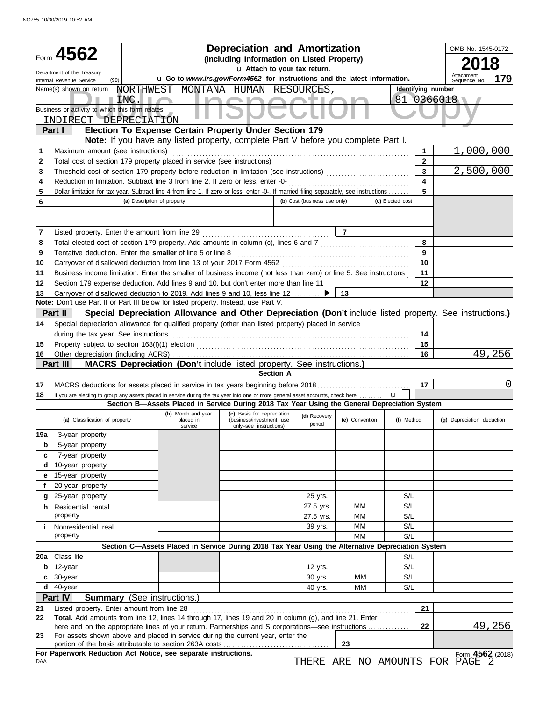|        | Form 4562                                                      |                                                                                                                                         | <b>Depreciation and Amortization</b><br>(Including Information on Listed Property) | u Attach to your tax return. |                |                  | OMB No. 1545-0172                                   |        |
|--------|----------------------------------------------------------------|-----------------------------------------------------------------------------------------------------------------------------------------|------------------------------------------------------------------------------------|------------------------------|----------------|------------------|-----------------------------------------------------|--------|
|        | Department of the Treasury<br>(99)<br>Internal Revenue Service |                                                                                                                                         | u Go to www.irs.gov/Form4562 for instructions and the latest information.          |                              |                |                  | Attachment<br>Sequence No.                          | 179    |
|        | Name(s) shown on return                                        | NORTHWEST MONTANA HUMAN RESOURCES,                                                                                                      |                                                                                    |                              |                |                  | Identifying number                                  |        |
|        |                                                                | INC.<br>a.                                                                                                                              |                                                                                    |                              |                |                  | 81-0366018                                          |        |
|        | Business or activity to which this form relates                |                                                                                                                                         |                                                                                    |                              |                |                  |                                                     |        |
|        | INDIRECT DEPRECIATION                                          | Election To Expense Certain Property Under Section 179                                                                                  |                                                                                    |                              |                |                  |                                                     |        |
|        | Part I                                                         | <b>Note:</b> If you have any listed property, complete Part V before you complete Part I.                                               |                                                                                    |                              |                |                  |                                                     |        |
| 1      | Maximum amount (see instructions)                              |                                                                                                                                         |                                                                                    |                              |                | 1                | 1,000,000                                           |        |
| 2      |                                                                | Total cost of section 179 property placed in service (see instructions)                                                                 |                                                                                    |                              |                | $\mathbf{2}$     |                                                     |        |
| 3      |                                                                |                                                                                                                                         |                                                                                    |                              |                | 3                | 2,500,000                                           |        |
| 4      |                                                                | Reduction in limitation. Subtract line 3 from line 2. If zero or less, enter -0-                                                        |                                                                                    |                              |                | 4                |                                                     |        |
| 5      |                                                                | Dollar limitation for tax year. Subtract line 4 from line 1. If zero or less, enter -0-. If married filing separately, see instructions |                                                                                    |                              |                | 5                |                                                     |        |
| 6      |                                                                | (a) Description of property                                                                                                             |                                                                                    | (b) Cost (business use only) |                | (c) Elected cost |                                                     |        |
|        |                                                                |                                                                                                                                         |                                                                                    |                              |                |                  |                                                     |        |
| 7      |                                                                | Listed property. Enter the amount from line 29                                                                                          |                                                                                    |                              | $\overline{7}$ |                  |                                                     |        |
| 8      |                                                                | Total elected cost of section 179 property. Add amounts in column (c), lines 6 and 7                                                    |                                                                                    |                              |                | 8                |                                                     |        |
| 9      |                                                                | Tentative deduction. Enter the smaller of line 5 or line 8                                                                              |                                                                                    |                              |                | 9                |                                                     |        |
| 10     |                                                                | Carryover of disallowed deduction from line 13 of your 2017 Form 4562                                                                   |                                                                                    |                              |                | 10               |                                                     |        |
| 11     |                                                                | Business income limitation. Enter the smaller of business income (not less than zero) or line 5. See instructions                       |                                                                                    |                              |                | 11               |                                                     |        |
| 12     |                                                                | Section 179 expense deduction. Add lines 9 and 10, but don't enter more than line 11                                                    |                                                                                    |                              |                | $12 \,$          |                                                     |        |
| 13     |                                                                | Carryover of disallowed deduction to 2019. Add lines 9 and 10, less line 12                                                             |                                                                                    |                              | 13             |                  |                                                     |        |
|        |                                                                | Note: Don't use Part II or Part III below for listed property. Instead, use Part V.                                                     |                                                                                    |                              |                |                  |                                                     |        |
|        | Part II                                                        | Special Depreciation Allowance and Other Depreciation (Don't include listed property. See instructions.)                                |                                                                                    |                              |                |                  |                                                     |        |
| 14     |                                                                | Special depreciation allowance for qualified property (other than listed property) placed in service                                    |                                                                                    |                              |                |                  |                                                     |        |
|        | during the tax year. See instructions                          |                                                                                                                                         |                                                                                    |                              |                | 14               |                                                     |        |
| 15     |                                                                |                                                                                                                                         |                                                                                    |                              |                | 15               |                                                     | 49,256 |
| 16     | Other depreciation (including ACRS)<br>Part III                | MACRS Depreciation (Don't include listed property. See instructions.)                                                                   |                                                                                    |                              |                | 16               |                                                     |        |
|        |                                                                |                                                                                                                                         |                                                                                    | <b>Section A</b>             |                |                  |                                                     |        |
| 17     |                                                                | MACRS deductions for assets placed in service in tax years beginning before 2018                                                        |                                                                                    |                              |                | 17               |                                                     | 0      |
| 18     |                                                                | If you are electing to group any assets placed in service during the tax year into one or more general asset accounts, check here       |                                                                                    |                              |                | $\mathbf{u}$     |                                                     |        |
|        |                                                                | Section B-Assets Placed in Service During 2018 Tax Year Using the General Depreciation System                                           |                                                                                    |                              |                |                  |                                                     |        |
|        | (a) Classification of property                                 | (b) Month and year<br>placed in<br>service                                                                                              | (c) Basis for depreciation<br>(business/investment use<br>only-see instructions)   | (d) Recovery<br>period       | (e) Convention | (f) Method       | (g) Depreciation deduction                          |        |
| 19a    | 3-year property                                                |                                                                                                                                         |                                                                                    |                              |                |                  |                                                     |        |
| b      | 5-year property                                                |                                                                                                                                         |                                                                                    |                              |                |                  |                                                     |        |
| c      | 7-year property                                                |                                                                                                                                         |                                                                                    |                              |                |                  |                                                     |        |
| d<br>е | 10-year property<br>15-year property                           |                                                                                                                                         |                                                                                    |                              |                |                  |                                                     |        |
|        | 20-year property                                               |                                                                                                                                         |                                                                                    |                              |                |                  |                                                     |        |
|        | g 25-year property                                             |                                                                                                                                         |                                                                                    | 25 yrs.                      |                | S/L              |                                                     |        |
|        | h Residential rental                                           |                                                                                                                                         |                                                                                    | 27.5 yrs.                    | ΜМ             | S/L              |                                                     |        |
|        | property                                                       |                                                                                                                                         |                                                                                    | 27.5 yrs.                    | ΜМ             | S/L              |                                                     |        |
| i.     | Nonresidential real                                            |                                                                                                                                         |                                                                                    | 39 yrs.                      | ΜМ             | S/L              |                                                     |        |
|        | property                                                       |                                                                                                                                         |                                                                                    |                              | MМ             | S/L              |                                                     |        |
|        |                                                                | Section C-Assets Placed in Service During 2018 Tax Year Using the Alternative Depreciation System                                       |                                                                                    |                              |                |                  |                                                     |        |
| 20a    | Class life                                                     |                                                                                                                                         |                                                                                    |                              |                | S/L              |                                                     |        |
| b      | 12-year                                                        |                                                                                                                                         |                                                                                    | 12 yrs.                      |                | S/L              |                                                     |        |
|        | $c$ 30-year                                                    |                                                                                                                                         |                                                                                    | 30 yrs.                      | МM             | S/L              |                                                     |        |
|        | $d$ 40-year                                                    |                                                                                                                                         |                                                                                    | 40 yrs.                      | МM             | S/L              |                                                     |        |
| 21     | Part IV<br>Listed property. Enter amount from line 28          | <b>Summary</b> (See instructions.)                                                                                                      |                                                                                    |                              |                |                  | 21                                                  |        |
| 22     |                                                                | Total. Add amounts from line 12, lines 14 through 17, lines 19 and 20 in column (g), and line 21. Enter                                 |                                                                                    |                              |                |                  |                                                     |        |
|        |                                                                | here and on the appropriate lines of your return. Partnerships and S corporations—see instructions                                      |                                                                                    |                              |                | 22               |                                                     | 49,256 |
| 23     |                                                                | For assets shown above and placed in service during the current year, enter the                                                         |                                                                                    |                              |                |                  |                                                     |        |
|        |                                                                | For Paperwork Reduction Act Notice, see separate instructions.                                                                          |                                                                                    |                              | 23             |                  |                                                     |        |
| DAA    |                                                                |                                                                                                                                         |                                                                                    |                              |                |                  | Form 4562 (2018)<br>THERE ARE NO AMOUNTS FOR PAGE 2 |        |